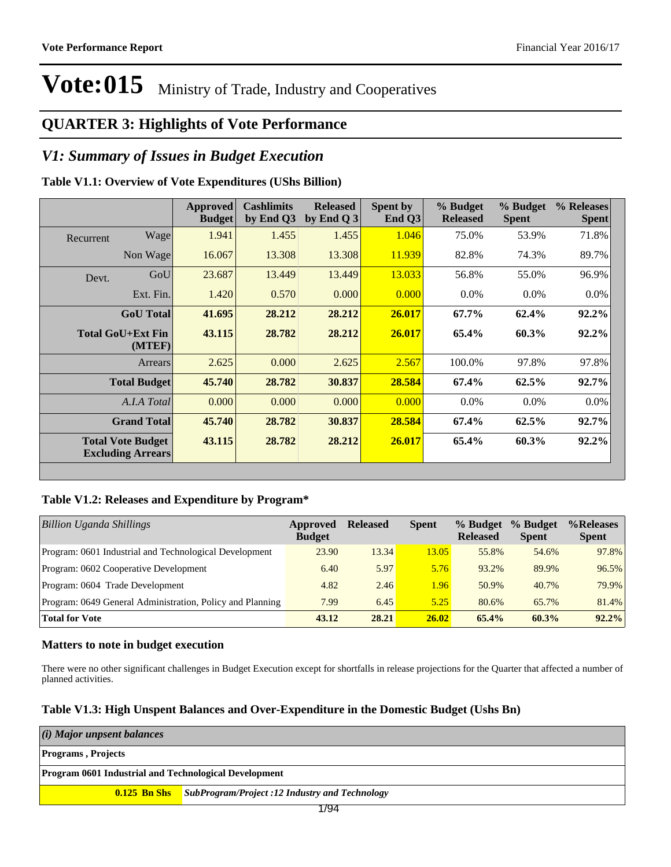### **QUARTER 3: Highlights of Vote Performance**

#### *V1: Summary of Issues in Budget Execution*

#### **Table V1.1: Overview of Vote Expenditures (UShs Billion)**

|           |                                                      | <b>Approved</b><br><b>Budget</b> | <b>Cashlimits</b><br>by End Q3 | <b>Released</b><br>by End Q $3$ | Spent by<br>End Q3 | % Budget<br><b>Released</b> | % Budget<br><b>Spent</b> | % Releases<br><b>Spent</b> |
|-----------|------------------------------------------------------|----------------------------------|--------------------------------|---------------------------------|--------------------|-----------------------------|--------------------------|----------------------------|
| Recurrent | Wage                                                 | 1.941                            | 1.455                          | 1.455                           | 1.046              | 75.0%                       | 53.9%                    | 71.8%                      |
|           | Non Wage                                             | 16.067                           | 13.308                         | 13.308                          | 11.939             | 82.8%                       | 74.3%                    | 89.7%                      |
| Devt.     | GoU                                                  | 23.687                           | 13.449                         | 13.449                          | 13.033             | 56.8%                       | 55.0%                    | 96.9%                      |
|           | Ext. Fin.                                            | 1.420                            | 0.570                          | 0.000                           | 0.000              | $0.0\%$                     | $0.0\%$                  | $0.0\%$                    |
|           | <b>GoU</b> Total                                     | 41.695                           | 28.212                         | 28.212                          | 26.017             | 67.7%                       | 62.4%                    | 92.2%                      |
|           | Total GoU+Ext Fin<br>(MTEF)                          | 43.115                           | 28.782                         | 28.212                          | 26.017             | 65.4%                       | 60.3%                    | $92.2\%$                   |
|           | Arrears                                              | 2.625                            | 0.000                          | 2.625                           | 2.567              | 100.0%                      | 97.8%                    | 97.8%                      |
|           | <b>Total Budget</b>                                  | 45.740                           | 28.782                         | 30.837                          | 28.584             | 67.4%                       | 62.5%                    | 92.7%                      |
|           | A.I.A Total                                          | 0.000                            | 0.000                          | 0.000                           | 0.000              | $0.0\%$                     | $0.0\%$                  | $0.0\%$                    |
|           | <b>Grand Total</b>                                   | 45.740                           | 28.782                         | 30.837                          | 28.584             | 67.4%                       | 62.5%                    | 92.7%                      |
|           | <b>Total Vote Budget</b><br><b>Excluding Arrears</b> | 43.115                           | 28.782                         | 28.212                          | 26.017             | 65.4%                       | 60.3%                    | 92.2%                      |

#### **Table V1.2: Releases and Expenditure by Program\***

| <b>Billion Uganda Shillings</b>                           | Approved<br><b>Budget</b> | <b>Released</b> | <b>Spent</b> | % Budget<br><b>Released</b> | % Budget<br><b>Spent</b> | %Releases<br><b>Spent</b> |
|-----------------------------------------------------------|---------------------------|-----------------|--------------|-----------------------------|--------------------------|---------------------------|
| Program: 0601 Industrial and Technological Development    | 23.90                     | 13.34           | 13.05        | 55.8%                       | 54.6%                    | 97.8%                     |
| Program: 0602 Cooperative Development                     | 6.40                      | 5.97            | 5.76         | 93.2%                       | 89.9%                    | 96.5%                     |
| Program: 0604 Trade Development                           | 4.82                      | 2.46            | 1.96         | 50.9%                       | 40.7%                    | 79.9%                     |
| Program: 0649 General Administration, Policy and Planning | 7.99                      | 6.45            | 5.25         | 80.6%                       | 65.7%                    | 81.4%                     |
| <b>Total for Vote</b>                                     | 43.12                     | 28.21           | 26.02        | 65.4%                       | 60.3%                    | $92.2\%$                  |

#### **Matters to note in budget execution**

There were no other significant challenges in Budget Execution except for shortfalls in release projections for the Quarter that affected a number of planned activities.

#### **Table V1.3: High Unspent Balances and Over-Expenditure in the Domestic Budget (Ushs Bn)**

| (i) Major unpsent balances                                   |                                                                    |  |  |  |  |  |
|--------------------------------------------------------------|--------------------------------------------------------------------|--|--|--|--|--|
| <b>Programs</b> , Projects                                   |                                                                    |  |  |  |  |  |
| <b>Program 0601 Industrial and Technological Development</b> |                                                                    |  |  |  |  |  |
|                                                              | <b>0.125 Bn Shs</b> SubProgram/Project :12 Industry and Technology |  |  |  |  |  |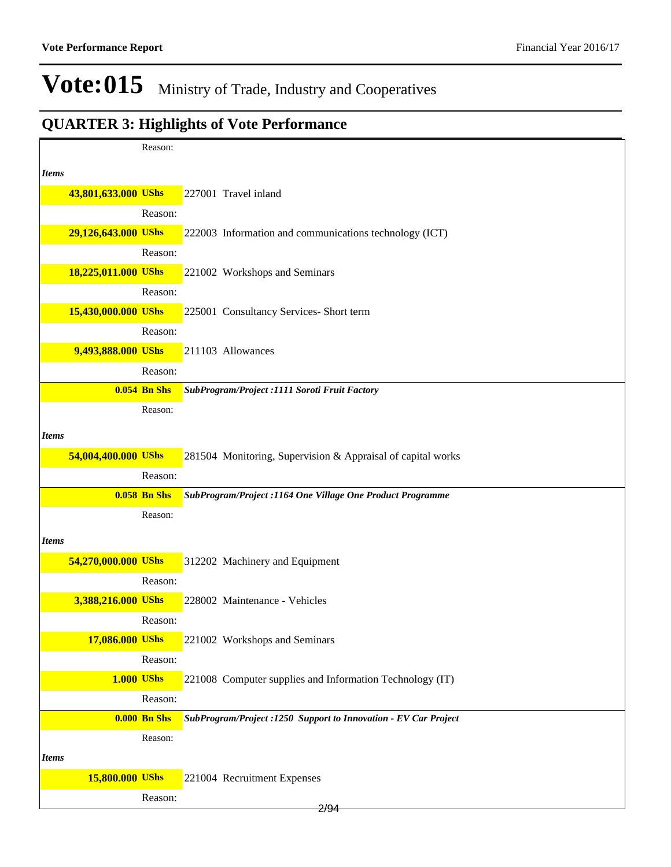|              |                     | Reason:             |                                                                 |
|--------------|---------------------|---------------------|-----------------------------------------------------------------|
| <i>Items</i> |                     |                     |                                                                 |
|              | 43,801,633.000 UShs |                     | 227001 Travel inland                                            |
|              |                     | Reason:             |                                                                 |
|              | 29,126,643.000 UShs |                     | 222003 Information and communications technology (ICT)          |
|              |                     | Reason:             |                                                                 |
|              | 18,225,011.000 UShs |                     | 221002 Workshops and Seminars                                   |
|              |                     | Reason:             |                                                                 |
|              | 15,430,000.000 UShs |                     | 225001 Consultancy Services- Short term                         |
|              |                     | Reason:             |                                                                 |
|              | 9,493,888.000 UShs  |                     | 211103 Allowances                                               |
|              |                     | Reason:             |                                                                 |
|              |                     | <b>0.054 Bn Shs</b> | SubProgram/Project :1111 Soroti Fruit Factory                   |
|              |                     | Reason:             |                                                                 |
| <b>Items</b> |                     |                     |                                                                 |
|              | 54,004,400.000 UShs |                     | 281504 Monitoring, Supervision & Appraisal of capital works     |
|              |                     | Reason:             |                                                                 |
|              |                     | <b>0.058 Bn Shs</b> | SubProgram/Project: 1164 One Village One Product Programme      |
|              |                     | Reason:             |                                                                 |
| <i>Items</i> |                     |                     |                                                                 |
|              | 54,270,000.000 UShs |                     | 312202 Machinery and Equipment                                  |
|              |                     | Reason:             |                                                                 |
|              | 3,388,216.000 UShs  |                     | 228002 Maintenance - Vehicles                                   |
|              |                     | Reason:             |                                                                 |
|              | 17,086.000 UShs     |                     | 221002 Workshops and Seminars                                   |
|              |                     | Reason:             |                                                                 |
|              | <b>1.000 UShs</b>   |                     | 221008 Computer supplies and Information Technology (IT)        |
|              |                     | Reason:             |                                                                 |
|              |                     | <b>0.000 Bn Shs</b> | SubProgram/Project :1250 Support to Innovation - EV Car Project |
|              |                     | Reason:             |                                                                 |
| <b>Items</b> |                     |                     |                                                                 |
|              | 15,800.000 UShs     |                     | 221004 Recruitment Expenses                                     |
|              |                     | Reason:             |                                                                 |
|              |                     |                     | 2/94                                                            |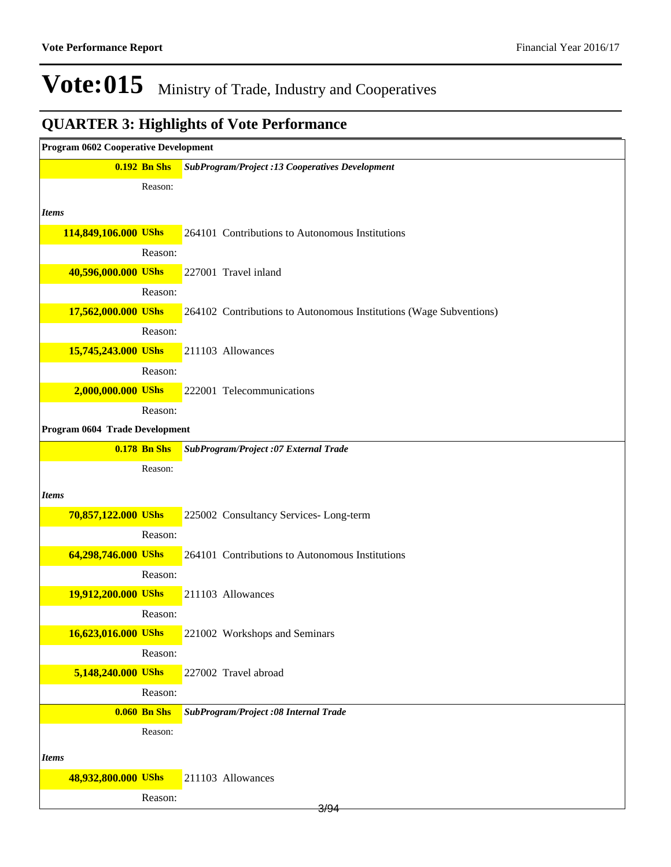| <b>Program 0602 Cooperative Development</b> |                                                                    |  |  |  |  |  |
|---------------------------------------------|--------------------------------------------------------------------|--|--|--|--|--|
| <b>0.192 Bn Shs</b>                         | <b>SubProgram/Project :13 Cooperatives Development</b>             |  |  |  |  |  |
| Reason:                                     |                                                                    |  |  |  |  |  |
| <b>Items</b>                                |                                                                    |  |  |  |  |  |
| 114,849,106.000 UShs                        | 264101 Contributions to Autonomous Institutions                    |  |  |  |  |  |
| Reason:                                     |                                                                    |  |  |  |  |  |
| 40,596,000.000 UShs                         | 227001 Travel inland                                               |  |  |  |  |  |
| Reason:                                     |                                                                    |  |  |  |  |  |
| 17,562,000.000 UShs                         | 264102 Contributions to Autonomous Institutions (Wage Subventions) |  |  |  |  |  |
| Reason:                                     |                                                                    |  |  |  |  |  |
| 15,745,243.000 UShs                         | 211103 Allowances                                                  |  |  |  |  |  |
| Reason:                                     |                                                                    |  |  |  |  |  |
| 2,000,000.000 UShs                          | 222001 Telecommunications                                          |  |  |  |  |  |
| Reason:                                     |                                                                    |  |  |  |  |  |
| Program 0604 Trade Development              |                                                                    |  |  |  |  |  |
| <b>0.178 Bn Shs</b>                         | SubProgram/Project :07 External Trade                              |  |  |  |  |  |
| Reason:                                     |                                                                    |  |  |  |  |  |
| <b>Items</b>                                |                                                                    |  |  |  |  |  |
| 70,857,122.000 UShs                         | 225002 Consultancy Services-Long-term                              |  |  |  |  |  |
| Reason:                                     |                                                                    |  |  |  |  |  |
| 64,298,746.000 UShs                         | 264101 Contributions to Autonomous Institutions                    |  |  |  |  |  |
| Reason:                                     |                                                                    |  |  |  |  |  |
| 19,912,200.000 UShs                         | 211103 Allowances                                                  |  |  |  |  |  |
| Reason:                                     |                                                                    |  |  |  |  |  |
| 16,623,016.000 UShs                         | 221002 Workshops and Seminars                                      |  |  |  |  |  |
| Reason:                                     |                                                                    |  |  |  |  |  |
| 5,148,240.000 UShs                          | 227002 Travel abroad                                               |  |  |  |  |  |
| Reason:                                     |                                                                    |  |  |  |  |  |
| <b>0.060 Bn Shs</b>                         | SubProgram/Project :08 Internal Trade                              |  |  |  |  |  |
| Reason:                                     |                                                                    |  |  |  |  |  |
| <b>Items</b>                                |                                                                    |  |  |  |  |  |
| 48,932,800.000 UShs                         | 211103 Allowances                                                  |  |  |  |  |  |
| Reason:                                     | 3/94                                                               |  |  |  |  |  |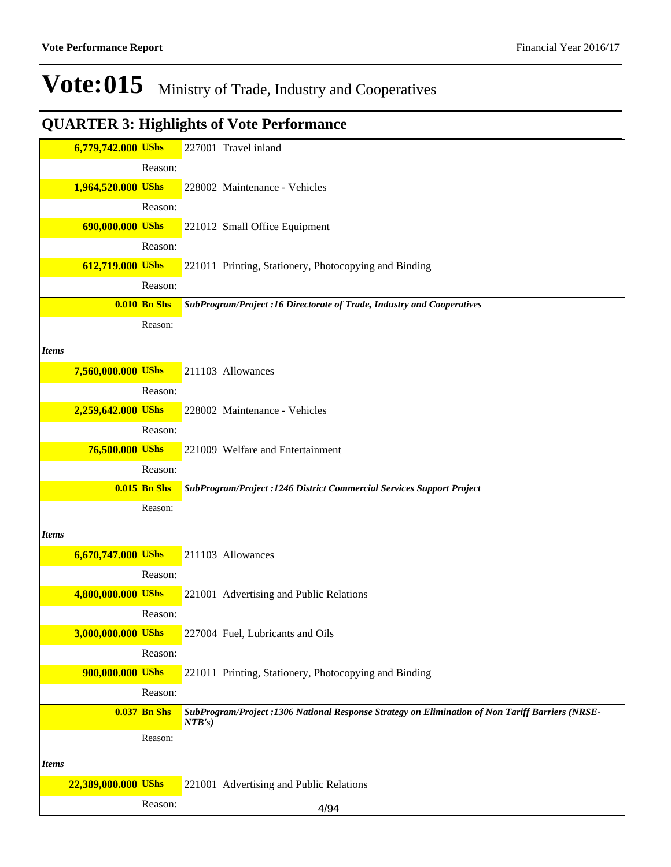|              | 6,779,742.000 UShs  |                     | 227001 Travel inland                                                                                       |
|--------------|---------------------|---------------------|------------------------------------------------------------------------------------------------------------|
|              |                     | Reason:             |                                                                                                            |
|              | 1,964,520.000 UShs  |                     | 228002 Maintenance - Vehicles                                                                              |
|              |                     | Reason:             |                                                                                                            |
|              | 690,000.000 UShs    |                     | 221012 Small Office Equipment                                                                              |
|              |                     | Reason:             |                                                                                                            |
|              | 612,719.000 UShs    |                     | 221011 Printing, Stationery, Photocopying and Binding                                                      |
|              |                     | Reason:             |                                                                                                            |
|              |                     | <b>0.010 Bn Shs</b> | SubProgram/Project :16 Directorate of Trade, Industry and Cooperatives                                     |
|              |                     | Reason:             |                                                                                                            |
| <b>Items</b> |                     |                     |                                                                                                            |
|              | 7,560,000.000 UShs  |                     | 211103 Allowances                                                                                          |
|              |                     | Reason:             |                                                                                                            |
|              | 2,259,642.000 UShs  |                     | 228002 Maintenance - Vehicles                                                                              |
|              |                     | Reason:             |                                                                                                            |
|              | 76,500.000 UShs     |                     | 221009 Welfare and Entertainment                                                                           |
|              |                     | Reason:             |                                                                                                            |
|              |                     | <b>0.015 Bn Shs</b> | SubProgram/Project : 1246 District Commercial Services Support Project                                     |
|              |                     | Reason:             |                                                                                                            |
|              |                     |                     |                                                                                                            |
| <b>Items</b> |                     |                     |                                                                                                            |
|              | 6,670,747.000 UShs  |                     | 211103 Allowances                                                                                          |
|              |                     | Reason:             |                                                                                                            |
|              | 4,800,000.000 UShs  |                     | 221001 Advertising and Public Relations                                                                    |
|              |                     | Reason:             |                                                                                                            |
|              | 3,000,000.000 UShs  |                     | 227004 Fuel, Lubricants and Oils                                                                           |
|              |                     | Reason:             |                                                                                                            |
|              | 900,000.000 UShs    |                     | 221011 Printing, Stationery, Photocopying and Binding                                                      |
|              |                     | Reason:             |                                                                                                            |
|              |                     | <b>0.037 Bn Shs</b> | SubProgram/Project :1306 National Response Strategy on Elimination of Non Tariff Barriers (NRSE-<br>NTB's) |
|              |                     | Reason:             |                                                                                                            |
| <b>Items</b> |                     |                     |                                                                                                            |
|              | 22,389,000.000 UShs |                     | 221001 Advertising and Public Relations                                                                    |
|              |                     | Reason:             |                                                                                                            |
|              |                     |                     | 4/94                                                                                                       |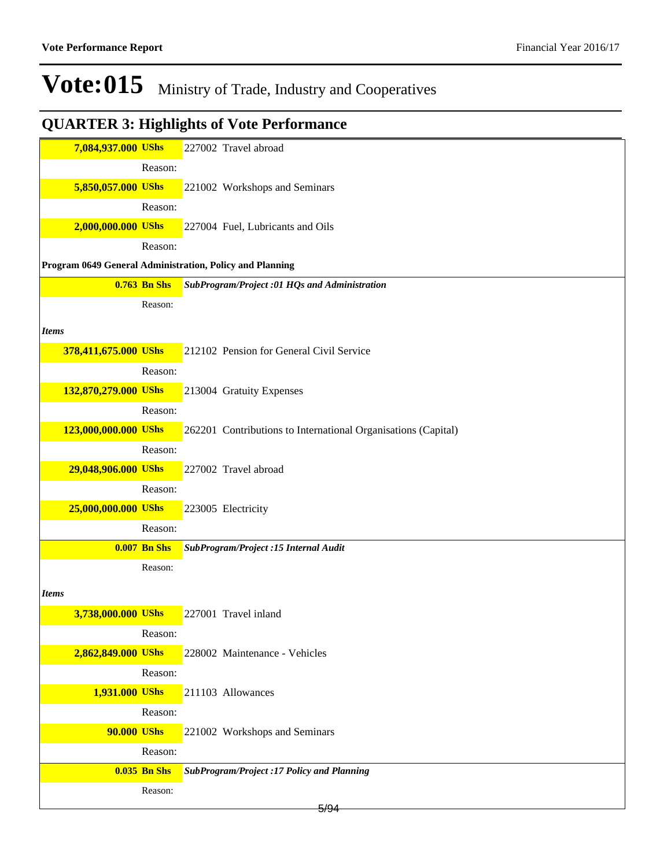| 7,084,937.000 UShs   |                     | 227002 Travel abroad                                          |
|----------------------|---------------------|---------------------------------------------------------------|
|                      | Reason:             |                                                               |
| 5,850,057.000 UShs   |                     | 221002 Workshops and Seminars                                 |
|                      | Reason:             |                                                               |
| 2,000,000.000 UShs   |                     | 227004 Fuel, Lubricants and Oils                              |
|                      | Reason:             |                                                               |
|                      |                     | Program 0649 General Administration, Policy and Planning      |
|                      | <b>0.763 Bn Shs</b> | SubProgram/Project :01 HQs and Administration                 |
|                      | Reason:             |                                                               |
|                      |                     |                                                               |
| <b>Items</b>         |                     |                                                               |
| 378,411,675.000 UShs |                     | 212102 Pension for General Civil Service                      |
|                      | Reason:             |                                                               |
| 132,870,279.000 UShs |                     | 213004 Gratuity Expenses                                      |
|                      | Reason:             |                                                               |
| 123,000,000.000 UShs |                     | 262201 Contributions to International Organisations (Capital) |
|                      | Reason:             |                                                               |
| 29,048,906.000 UShs  |                     | 227002 Travel abroad                                          |
|                      | Reason:             |                                                               |
| 25,000,000.000 UShs  |                     | 223005 Electricity                                            |
|                      | Reason:             |                                                               |
|                      | <b>0.007 Bn Shs</b> | SubProgram/Project :15 Internal Audit                         |
|                      | Reason:             |                                                               |
| Items                |                     |                                                               |
| 3,738,000.000 UShs   |                     | 227001 Travel inland                                          |
|                      | Reason:             |                                                               |
| 2,862,849.000 UShs   |                     | 228002 Maintenance - Vehicles                                 |
|                      | Reason:             |                                                               |
| 1,931.000 UShs       |                     | 211103 Allowances                                             |
|                      | Reason:             |                                                               |
| <b>90.000 UShs</b>   |                     | 221002 Workshops and Seminars                                 |
|                      | Reason:             |                                                               |
|                      | <b>0.035 Bn Shs</b> | SubProgram/Project :17 Policy and Planning                    |
|                      | Reason:             |                                                               |
|                      |                     | 5/94                                                          |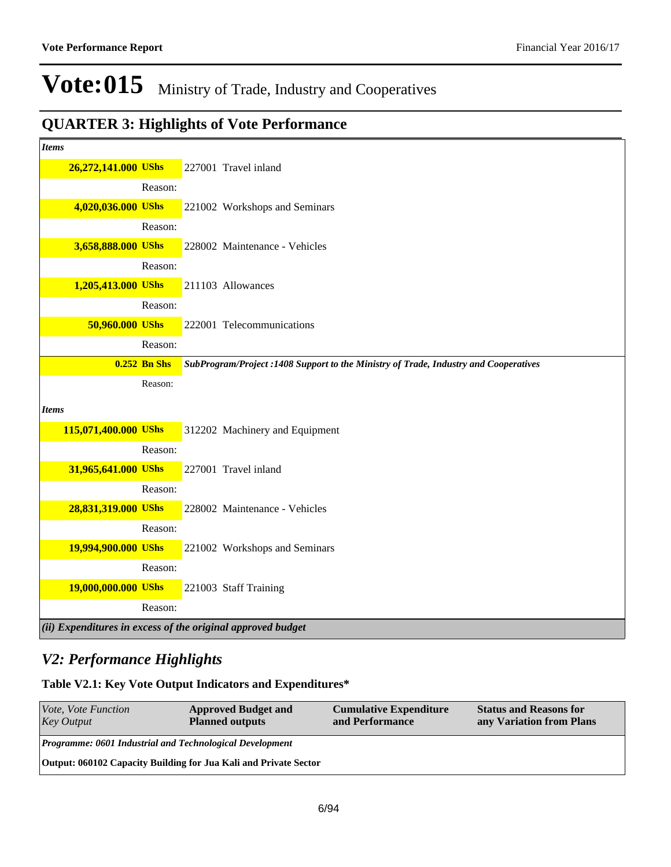### **QUARTER 3: Highlights of Vote Performance**

| <b>Items</b>         |                |                                                                                      |
|----------------------|----------------|--------------------------------------------------------------------------------------|
| 26,272,141.000 UShs  |                | 227001 Travel inland                                                                 |
|                      | Reason:        |                                                                                      |
| 4,020,036.000 UShs   |                | 221002 Workshops and Seminars                                                        |
|                      | Reason:        |                                                                                      |
| 3,658,888.000 UShs   |                | 228002 Maintenance - Vehicles                                                        |
|                      | Reason:        |                                                                                      |
| 1,205,413.000 UShs   |                | 211103 Allowances                                                                    |
|                      | Reason:        |                                                                                      |
| 50,960.000 UShs      |                | 222001 Telecommunications                                                            |
|                      | Reason:        |                                                                                      |
|                      | $0.252$ Bn Shs | SubProgram/Project :1408 Support to the Ministry of Trade, Industry and Cooperatives |
|                      | Reason:        |                                                                                      |
| <b>Items</b>         |                |                                                                                      |
| 115,071,400.000 UShs |                | 312202 Machinery and Equipment                                                       |
|                      | Reason:        |                                                                                      |
| 31,965,641.000 UShs  |                | 227001 Travel inland                                                                 |
|                      | Reason:        |                                                                                      |
| 28,831,319.000 UShs  |                | 228002 Maintenance - Vehicles                                                        |
|                      | Reason:        |                                                                                      |
| 19,994,900.000 UShs  |                | 221002 Workshops and Seminars                                                        |
|                      | Reason:        |                                                                                      |
| 19,000,000.000 UShs  |                | 221003 Staff Training                                                                |
|                      | Reason:        |                                                                                      |
|                      |                | $(iii)$ Expenditures in excess of the original approved budget                       |

### *V2: Performance Highlights*

**Table V2.1: Key Vote Output Indicators and Expenditures\***

| <i>Vote, Vote Function</i><br><b>Key Output</b>                  | <b>Approved Budget and</b><br><b>Planned outputs</b> | <b>Cumulative Expenditure</b><br>and Performance | <b>Status and Reasons for</b><br>any Variation from Plans |  |  |
|------------------------------------------------------------------|------------------------------------------------------|--------------------------------------------------|-----------------------------------------------------------|--|--|
| <b>Programme: 0601 Industrial and Technological Development</b>  |                                                      |                                                  |                                                           |  |  |
| Output: 060102 Capacity Building for Jua Kali and Private Sector |                                                      |                                                  |                                                           |  |  |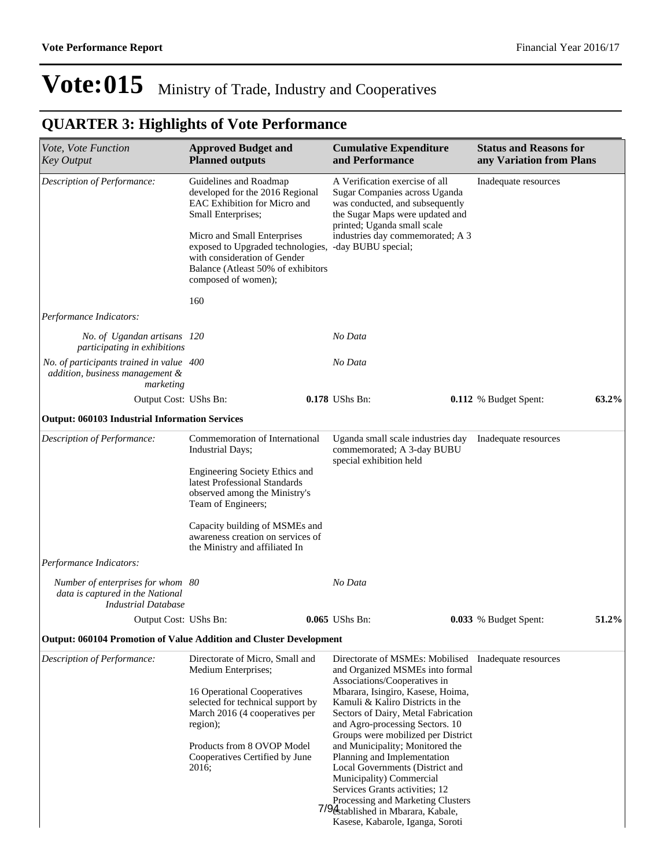| <i>Vote, Vote Function</i><br><b>Key Output</b>                                                     | <b>Approved Budget and</b><br><b>Planned outputs</b>                                                                                                                                                                                                                                         |  | <b>Cumulative Expenditure</b><br>and Performance                                                                                                                                                                               |  | <b>Status and Reasons for</b><br>any Variation from Plans |          |
|-----------------------------------------------------------------------------------------------------|----------------------------------------------------------------------------------------------------------------------------------------------------------------------------------------------------------------------------------------------------------------------------------------------|--|--------------------------------------------------------------------------------------------------------------------------------------------------------------------------------------------------------------------------------|--|-----------------------------------------------------------|----------|
| Description of Performance:                                                                         | Guidelines and Roadmap<br>developed for the 2016 Regional<br>EAC Exhibition for Micro and<br>Small Enterprises;<br>Micro and Small Enterprises<br>exposed to Upgraded technologies,<br>with consideration of Gender<br>Balance (Atleast 50% of exhibitors<br>composed of women);             |  | A Verification exercise of all<br>Sugar Companies across Uganda<br>was conducted, and subsequently<br>the Sugar Maps were updated and<br>printed; Uganda small scale<br>industries day commemorated; A 3<br>-day BUBU special; |  | Inadequate resources                                      |          |
|                                                                                                     | 160                                                                                                                                                                                                                                                                                          |  |                                                                                                                                                                                                                                |  |                                                           |          |
| Performance Indicators:                                                                             |                                                                                                                                                                                                                                                                                              |  |                                                                                                                                                                                                                                |  |                                                           |          |
| No. of Ugandan artisans 120<br>participating in exhibitions                                         |                                                                                                                                                                                                                                                                                              |  | No Data                                                                                                                                                                                                                        |  |                                                           |          |
| No. of participants trained in value 400<br>addition, business management &<br>marketing            |                                                                                                                                                                                                                                                                                              |  | No Data                                                                                                                                                                                                                        |  |                                                           |          |
| Output Cost: UShs Bn:                                                                               |                                                                                                                                                                                                                                                                                              |  | 0.178 UShs Bn:                                                                                                                                                                                                                 |  | 0.112 % Budget Spent:                                     | $63.2\%$ |
| <b>Output: 060103 Industrial Information Services</b>                                               |                                                                                                                                                                                                                                                                                              |  |                                                                                                                                                                                                                                |  |                                                           |          |
| Description of Performance:                                                                         | Commemoration of International<br><b>Industrial Days;</b><br>Engineering Society Ethics and<br>latest Professional Standards<br>observed among the Ministry's<br>Team of Engineers;<br>Capacity building of MSMEs and<br>awareness creation on services of<br>the Ministry and affiliated In |  | Uganda small scale industries day<br>commemorated; A 3-day BUBU<br>special exhibition held                                                                                                                                     |  | Inadequate resources                                      |          |
|                                                                                                     |                                                                                                                                                                                                                                                                                              |  |                                                                                                                                                                                                                                |  |                                                           |          |
|                                                                                                     |                                                                                                                                                                                                                                                                                              |  |                                                                                                                                                                                                                                |  |                                                           |          |
| Performance Indicators:                                                                             |                                                                                                                                                                                                                                                                                              |  |                                                                                                                                                                                                                                |  |                                                           |          |
| Number of enterprises for whom 80<br>data is captured in the National<br><b>Industrial Database</b> |                                                                                                                                                                                                                                                                                              |  | No Data                                                                                                                                                                                                                        |  |                                                           |          |
| Output Cost: UShs Bn:                                                                               |                                                                                                                                                                                                                                                                                              |  | 0.065 UShs Bn:                                                                                                                                                                                                                 |  | <b>0.033</b> % Budget Spent:                              | 51.2%    |
| Output: 060104 Promotion of Value Addition and Cluster Development                                  |                                                                                                                                                                                                                                                                                              |  |                                                                                                                                                                                                                                |  |                                                           |          |
| Description of Performance:                                                                         | Directorate of Micro, Small and<br>Medium Enterprises;                                                                                                                                                                                                                                       |  | Directorate of MSMEs: Mobilised Inadequate resources<br>and Organized MSMEs into formal<br>Associations/Cooperatives in                                                                                                        |  |                                                           |          |
|                                                                                                     | 16 Operational Cooperatives<br>selected for technical support by<br>March 2016 (4 cooperatives per<br>region);                                                                                                                                                                               |  | Mbarara, Isingiro, Kasese, Hoima,<br>Kamuli & Kaliro Districts in the<br>Sectors of Dairy, Metal Fabrication<br>and Agro-processing Sectors. 10                                                                                |  |                                                           |          |
|                                                                                                     | Products from 8 OVOP Model<br>Cooperatives Certified by June<br>2016;                                                                                                                                                                                                                        |  | Groups were mobilized per District<br>and Municipality; Monitored the<br>Planning and Implementation<br>Local Governments (District and<br>Municipality) Commercial<br>Services Grants activities; 12                          |  |                                                           |          |
|                                                                                                     |                                                                                                                                                                                                                                                                                              |  | Processing and Marketing Clusters<br>7/94 stablished in Mbarara, Kabale,<br>Kasese, Kabarole, Iganga, Soroti                                                                                                                   |  |                                                           |          |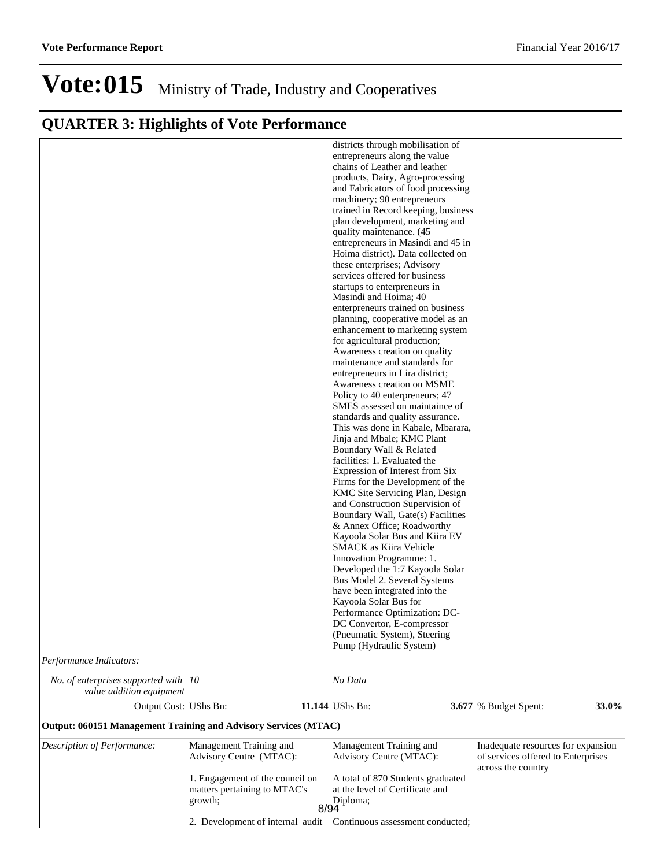|  |  | <b>QUARTER 3: Highlights of Vote Performance</b> |
|--|--|--------------------------------------------------|
|  |  |                                                  |

| Performance Indicators:                                          |                                                                                                                       |      | districts through mobilisation of<br>entrepreneurs along the value<br>chains of Leather and leather<br>products, Dairy, Agro-processing<br>and Fabricators of food processing<br>machinery; 90 entrepreneurs<br>trained in Record keeping, business<br>plan development, marketing and<br>quality maintenance. (45<br>entrepreneurs in Masindi and 45 in<br>Hoima district). Data collected on<br>these enterprises; Advisory<br>services offered for business<br>startups to enterpreneurs in<br>Masindi and Hoima; 40<br>enterpreneurs trained on business<br>planning, cooperative model as an<br>enhancement to marketing system<br>for agricultural production;<br>Awareness creation on quality<br>maintenance and standards for<br>entrepreneurs in Lira district;<br>Awareness creation on MSME<br>Policy to 40 enterpreneurs; 47<br>SMES assessed on maintaince of<br>standards and quality assurance.<br>This was done in Kabale, Mbarara,<br>Jinja and Mbale; KMC Plant<br>Boundary Wall & Related<br>facilities: 1. Evaluated the<br>Expression of Interest from Six<br>Firms for the Development of the<br>KMC Site Servicing Plan, Design<br>and Construction Supervision of<br>Boundary Wall, Gate(s) Facilities<br>& Annex Office; Roadworthy<br>Kayoola Solar Bus and Kiira EV<br><b>SMACK</b> as Kiira Vehicle<br>Innovation Programme: 1.<br>Developed the 1:7 Kayoola Solar<br>Bus Model 2. Several Systems<br>have been integrated into the<br>Kayoola Solar Bus for<br>Performance Optimization: DC-<br>DC Convertor, E-compressor<br>(Pneumatic System), Steering<br>Pump (Hydraulic System) |                                                                                                |              |
|------------------------------------------------------------------|-----------------------------------------------------------------------------------------------------------------------|------|---------------------------------------------------------------------------------------------------------------------------------------------------------------------------------------------------------------------------------------------------------------------------------------------------------------------------------------------------------------------------------------------------------------------------------------------------------------------------------------------------------------------------------------------------------------------------------------------------------------------------------------------------------------------------------------------------------------------------------------------------------------------------------------------------------------------------------------------------------------------------------------------------------------------------------------------------------------------------------------------------------------------------------------------------------------------------------------------------------------------------------------------------------------------------------------------------------------------------------------------------------------------------------------------------------------------------------------------------------------------------------------------------------------------------------------------------------------------------------------------------------------------------------------------------------------------------------------------------------------------|------------------------------------------------------------------------------------------------|--------------|
| No. of enterprises supported with 10<br>value addition equipment |                                                                                                                       |      | No Data                                                                                                                                                                                                                                                                                                                                                                                                                                                                                                                                                                                                                                                                                                                                                                                                                                                                                                                                                                                                                                                                                                                                                                                                                                                                                                                                                                                                                                                                                                                                                                                                             |                                                                                                |              |
| Output Cost: UShs Bn:                                            |                                                                                                                       |      | 11.144 UShs Bn:                                                                                                                                                                                                                                                                                                                                                                                                                                                                                                                                                                                                                                                                                                                                                                                                                                                                                                                                                                                                                                                                                                                                                                                                                                                                                                                                                                                                                                                                                                                                                                                                     | 3.677 % Budget Spent:                                                                          | <b>33.0%</b> |
| Output: 060151 Management Training and Advisory Services (MTAC)  |                                                                                                                       |      |                                                                                                                                                                                                                                                                                                                                                                                                                                                                                                                                                                                                                                                                                                                                                                                                                                                                                                                                                                                                                                                                                                                                                                                                                                                                                                                                                                                                                                                                                                                                                                                                                     |                                                                                                |              |
| Description of Performance:                                      | Management Training and<br>Advisory Centre (MTAC):<br>1. Engagement of the council on<br>matters pertaining to MTAC's |      | Management Training and<br>Advisory Centre (MTAC):<br>A total of 870 Students graduated<br>at the level of Certificate and                                                                                                                                                                                                                                                                                                                                                                                                                                                                                                                                                                                                                                                                                                                                                                                                                                                                                                                                                                                                                                                                                                                                                                                                                                                                                                                                                                                                                                                                                          | Inadequate resources for expansion<br>of services offered to Enterprises<br>across the country |              |
|                                                                  | growth;                                                                                                               | 8/94 | Diploma;<br>2. Development of internal audit  Continuous assessment conducted;                                                                                                                                                                                                                                                                                                                                                                                                                                                                                                                                                                                                                                                                                                                                                                                                                                                                                                                                                                                                                                                                                                                                                                                                                                                                                                                                                                                                                                                                                                                                      |                                                                                                |              |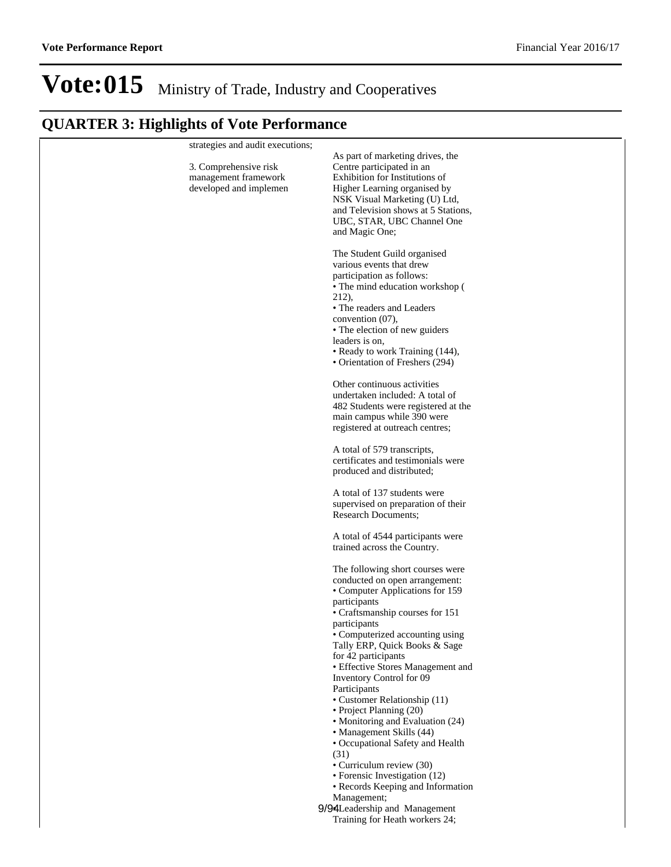| strategies and audit executions;<br>3. Comprehensive risk | As part of marketing drives, the<br>Centre participated in an      |
|-----------------------------------------------------------|--------------------------------------------------------------------|
| management framework                                      | Exhibition for Institutions of                                     |
| developed and implemen                                    | Higher Learning organised by                                       |
|                                                           | NSK Visual Marketing (U) Ltd,                                      |
|                                                           | and Television shows at 5 Stations,                                |
|                                                           | UBC, STAR, UBC Channel One                                         |
|                                                           | and Magic One;                                                     |
|                                                           | The Student Guild organised                                        |
|                                                           | various events that drew                                           |
|                                                           | participation as follows:                                          |
|                                                           | • The mind education workshop (                                    |
|                                                           | 212),<br>• The readers and Leaders                                 |
|                                                           | convention $(07)$ ,                                                |
|                                                           | • The election of new guiders                                      |
|                                                           | leaders is on,                                                     |
|                                                           | • Ready to work Training (144),                                    |
|                                                           | • Orientation of Freshers (294)                                    |
|                                                           | Other continuous activities                                        |
|                                                           | undertaken included: A total of                                    |
|                                                           | 482 Students were registered at the                                |
|                                                           | main campus while 390 were                                         |
|                                                           | registered at outreach centres;                                    |
|                                                           | A total of 579 transcripts,                                        |
|                                                           | certificates and testimonials were                                 |
|                                                           | produced and distributed;                                          |
|                                                           | A total of 137 students were                                       |
|                                                           | supervised on preparation of their                                 |
|                                                           | <b>Research Documents;</b>                                         |
|                                                           | A total of 4544 participants were                                  |
|                                                           | trained across the Country.                                        |
|                                                           |                                                                    |
|                                                           | The following short courses were<br>conducted on open arrangement: |
|                                                           | • Computer Applications for 159                                    |
|                                                           | participants                                                       |
|                                                           | • Craftsmanship courses for 151                                    |
|                                                           | participants                                                       |
|                                                           | • Computerized accounting using                                    |
|                                                           | Tally ERP, Quick Books & Sage<br>for 42 participants               |
|                                                           | • Effective Stores Management and                                  |
|                                                           | Inventory Control for 09                                           |
|                                                           | Participants                                                       |
|                                                           | • Customer Relationship (11)                                       |
|                                                           | • Project Planning (20)<br>• Monitoring and Evaluation (24)        |
|                                                           | • Management Skills (44)                                           |
|                                                           | • Occupational Safety and Health                                   |
|                                                           | (31)                                                               |
|                                                           | • Curriculum review (30)                                           |
|                                                           | • Forensic Investigation (12)<br>• Records Keeping and Information |
|                                                           | Management;                                                        |
|                                                           | 9/94Leadership and Management                                      |
|                                                           | Training for Heath workers 24;                                     |
|                                                           |                                                                    |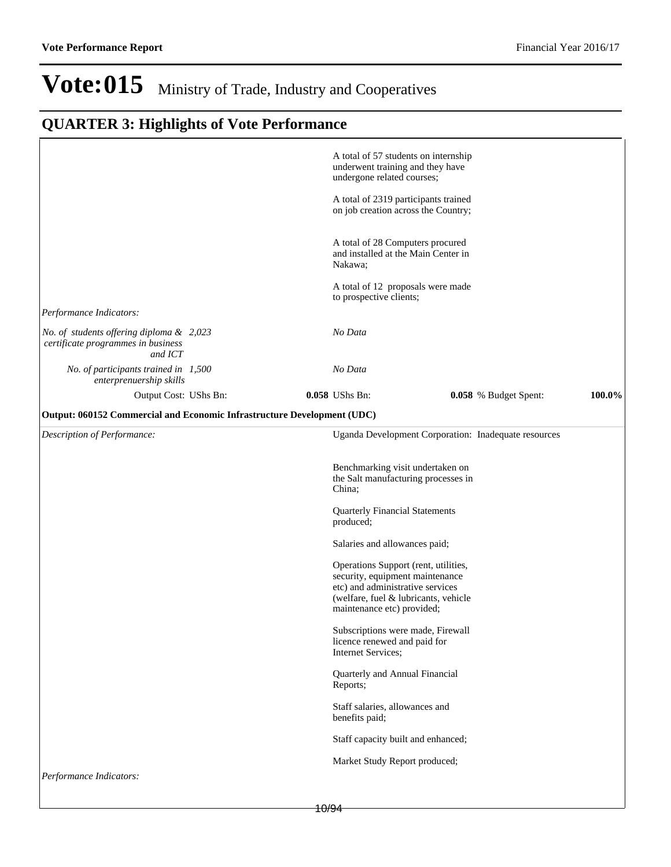|                                                                                           | A total of 57 students on internship<br>underwent training and they have<br>undergone related courses;                                                                            |
|-------------------------------------------------------------------------------------------|-----------------------------------------------------------------------------------------------------------------------------------------------------------------------------------|
|                                                                                           | A total of 2319 participants trained<br>on job creation across the Country;                                                                                                       |
|                                                                                           | A total of 28 Computers procured<br>and installed at the Main Center in<br>Nakawa;                                                                                                |
|                                                                                           | A total of 12 proposals were made<br>to prospective clients;                                                                                                                      |
| Performance Indicators:                                                                   |                                                                                                                                                                                   |
| No. of students offering diploma & 2,023<br>certificate programmes in business<br>and ICT | No Data                                                                                                                                                                           |
| No. of participants trained in 1,500<br>enterprenuership skills                           | No Data                                                                                                                                                                           |
| Output Cost: UShs Bn:                                                                     | 100.0%<br>0.058 UShs Bn:<br>0.058 % Budget Spent:                                                                                                                                 |
| Output: 060152 Commercial and Economic Infrastructure Development (UDC)                   |                                                                                                                                                                                   |
| Description of Performance:                                                               | Uganda Development Corporation: Inadequate resources                                                                                                                              |
|                                                                                           | Benchmarking visit undertaken on<br>the Salt manufacturing processes in<br>China;                                                                                                 |
|                                                                                           | <b>Quarterly Financial Statements</b><br>produced;                                                                                                                                |
|                                                                                           | Salaries and allowances paid;                                                                                                                                                     |
|                                                                                           | Operations Support (rent, utilities,<br>security, equipment maintenance<br>etc) and administrative services<br>(welfare, fuel & lubricants, vehicle<br>maintenance etc) provided; |
|                                                                                           | Subscriptions were made, Firewall<br>licence renewed and paid for<br>Internet Services;                                                                                           |
|                                                                                           | Quarterly and Annual Financial<br>Reports;                                                                                                                                        |
|                                                                                           | Staff salaries, allowances and<br>benefits paid;                                                                                                                                  |
|                                                                                           | Staff capacity built and enhanced;                                                                                                                                                |
|                                                                                           | Market Study Report produced;                                                                                                                                                     |
| Performance Indicators:                                                                   |                                                                                                                                                                                   |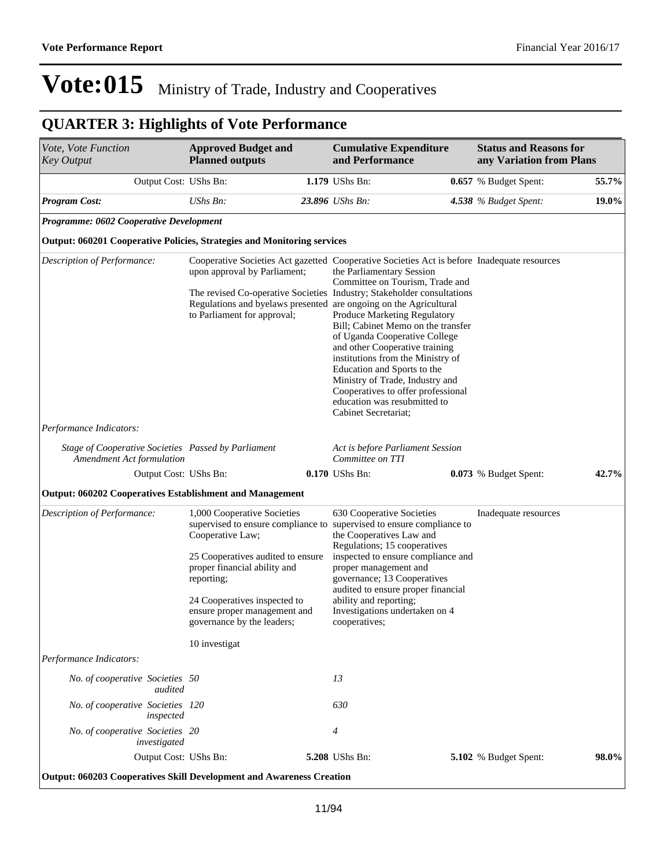| Vote, Vote Function<br><b>Key Output</b>                                                | <b>Approved Budget and</b><br><b>Planned outputs</b>                                                                                                                                                                                              | <b>Cumulative Expenditure</b><br>and Performance                                                                                                                                                                                                                                                                                                                                                                                                                                                                                                                                                                                                         | <b>Status and Reasons for</b><br>any Variation from Plans |       |
|-----------------------------------------------------------------------------------------|---------------------------------------------------------------------------------------------------------------------------------------------------------------------------------------------------------------------------------------------------|----------------------------------------------------------------------------------------------------------------------------------------------------------------------------------------------------------------------------------------------------------------------------------------------------------------------------------------------------------------------------------------------------------------------------------------------------------------------------------------------------------------------------------------------------------------------------------------------------------------------------------------------------------|-----------------------------------------------------------|-------|
| Output Cost: UShs Bn:                                                                   |                                                                                                                                                                                                                                                   | 1.179 UShs Bn:                                                                                                                                                                                                                                                                                                                                                                                                                                                                                                                                                                                                                                           | 0.657 % Budget Spent:                                     | 55.7% |
| <b>Program Cost:</b>                                                                    | UShs Bn:                                                                                                                                                                                                                                          | 23.896 UShs Bn:                                                                                                                                                                                                                                                                                                                                                                                                                                                                                                                                                                                                                                          | 4.538 % Budget Spent:                                     | 19.0% |
| Programme: 0602 Cooperative Development                                                 |                                                                                                                                                                                                                                                   |                                                                                                                                                                                                                                                                                                                                                                                                                                                                                                                                                                                                                                                          |                                                           |       |
| <b>Output: 060201 Cooperative Policies, Strategies and Monitoring services</b>          |                                                                                                                                                                                                                                                   |                                                                                                                                                                                                                                                                                                                                                                                                                                                                                                                                                                                                                                                          |                                                           |       |
| Description of Performance:                                                             | upon approval by Parliament;<br>to Parliament for approval;                                                                                                                                                                                       | Cooperative Societies Act gazetted Cooperative Societies Act is before Inadequate resources<br>the Parliamentary Session<br>Committee on Tourism, Trade and<br>The revised Co-operative Societies Industry; Stakeholder consultations<br>Regulations and byelaws presented are ongoing on the Agricultural<br>Produce Marketing Regulatory<br>Bill; Cabinet Memo on the transfer<br>of Uganda Cooperative College<br>and other Cooperative training<br>institutions from the Ministry of<br>Education and Sports to the<br>Ministry of Trade, Industry and<br>Cooperatives to offer professional<br>education was resubmitted to<br>Cabinet Secretariat; |                                                           |       |
| Performance Indicators:                                                                 |                                                                                                                                                                                                                                                   |                                                                                                                                                                                                                                                                                                                                                                                                                                                                                                                                                                                                                                                          |                                                           |       |
| Stage of Cooperative Societies Passed by Parliament<br><b>Amendment Act formulation</b> |                                                                                                                                                                                                                                                   | Act is before Parliament Session<br>Committee on TTI                                                                                                                                                                                                                                                                                                                                                                                                                                                                                                                                                                                                     |                                                           |       |
| Output Cost: UShs Bn:                                                                   |                                                                                                                                                                                                                                                   | 0.170 UShs Bn:                                                                                                                                                                                                                                                                                                                                                                                                                                                                                                                                                                                                                                           | 0.073 % Budget Spent:                                     | 42.7% |
| <b>Output: 060202 Cooperatives Establishment and Management</b>                         |                                                                                                                                                                                                                                                   |                                                                                                                                                                                                                                                                                                                                                                                                                                                                                                                                                                                                                                                          |                                                           |       |
| Description of Performance:                                                             | 1,000 Cooperative Societies<br>Cooperative Law;<br>25 Cooperatives audited to ensure<br>proper financial ability and<br>reporting;<br>24 Cooperatives inspected to<br>ensure proper management and<br>governance by the leaders;<br>10 investigat | 630 Cooperative Societies<br>supervised to ensure compliance to supervised to ensure compliance to<br>the Cooperatives Law and<br>Regulations; 15 cooperatives<br>inspected to ensure compliance and<br>proper management and<br>governance; 13 Cooperatives<br>audited to ensure proper financial<br>ability and reporting;<br>Investigations undertaken on 4<br>cooperatives;                                                                                                                                                                                                                                                                          | Inadequate resources                                      |       |
| Performance Indicators:                                                                 |                                                                                                                                                                                                                                                   |                                                                                                                                                                                                                                                                                                                                                                                                                                                                                                                                                                                                                                                          |                                                           |       |
| No. of cooperative Societies 50<br>audited                                              |                                                                                                                                                                                                                                                   | 13                                                                                                                                                                                                                                                                                                                                                                                                                                                                                                                                                                                                                                                       |                                                           |       |
| No. of cooperative Societies 120<br>inspected                                           |                                                                                                                                                                                                                                                   | 630                                                                                                                                                                                                                                                                                                                                                                                                                                                                                                                                                                                                                                                      |                                                           |       |
| No. of cooperative Societies 20<br>investigated                                         |                                                                                                                                                                                                                                                   | 4                                                                                                                                                                                                                                                                                                                                                                                                                                                                                                                                                                                                                                                        |                                                           |       |
| Output Cost: UShs Bn:                                                                   |                                                                                                                                                                                                                                                   | 5.208 UShs Bn:                                                                                                                                                                                                                                                                                                                                                                                                                                                                                                                                                                                                                                           | 5.102 % Budget Spent:                                     | 98.0% |
| Output: 060203 Cooperatives Skill Development and Awareness Creation                    |                                                                                                                                                                                                                                                   |                                                                                                                                                                                                                                                                                                                                                                                                                                                                                                                                                                                                                                                          |                                                           |       |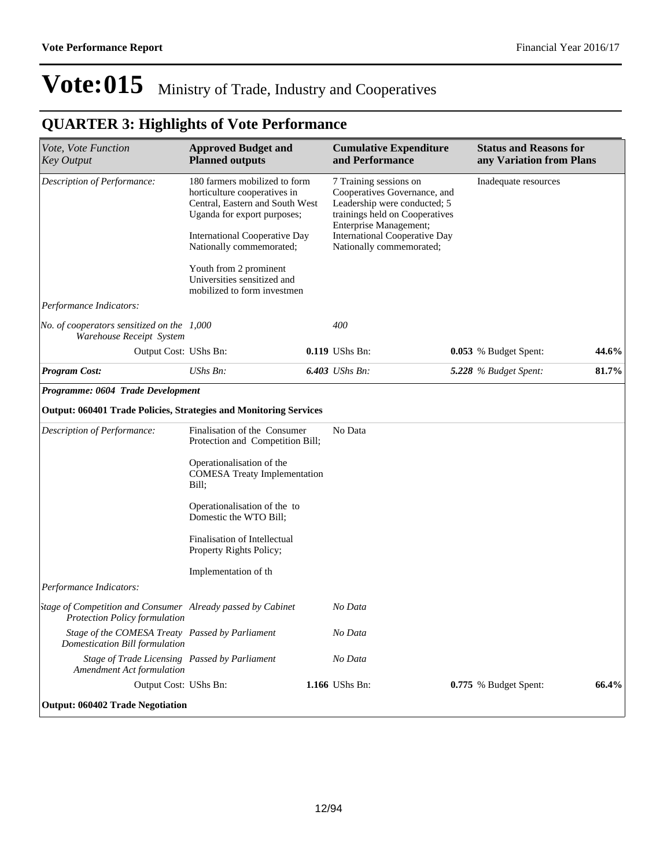| Vote, Vote Function<br><b>Key Output</b>                                                     | <b>Approved Budget and</b><br><b>Planned outputs</b>                                                                            |  | <b>Cumulative Expenditure</b><br>and Performance                 |                                                                                                                                                                            | <b>Status and Reasons for</b><br>any Variation from Plans |       |  |
|----------------------------------------------------------------------------------------------|---------------------------------------------------------------------------------------------------------------------------------|--|------------------------------------------------------------------|----------------------------------------------------------------------------------------------------------------------------------------------------------------------------|-----------------------------------------------------------|-------|--|
| Description of Performance:                                                                  | 180 farmers mobilized to form<br>horticulture cooperatives in<br>Central, Eastern and South West<br>Uganda for export purposes; |  |                                                                  | 7 Training sessions on<br>Inadequate resources<br>Cooperatives Governance, and<br>Leadership were conducted; 5<br>trainings held on Cooperatives<br>Enterprise Management; |                                                           |       |  |
|                                                                                              | <b>International Cooperative Day</b><br>Nationally commemorated;                                                                |  | <b>International Cooperative Day</b><br>Nationally commemorated; |                                                                                                                                                                            |                                                           |       |  |
|                                                                                              | Youth from 2 prominent<br>Universities sensitized and<br>mobilized to form investmen                                            |  |                                                                  |                                                                                                                                                                            |                                                           |       |  |
| Performance Indicators:                                                                      |                                                                                                                                 |  |                                                                  |                                                                                                                                                                            |                                                           |       |  |
| No. of cooperators sensitized on the $1,000$<br>Warehouse Receipt System                     |                                                                                                                                 |  | 400                                                              |                                                                                                                                                                            |                                                           |       |  |
| Output Cost: UShs Bn:                                                                        |                                                                                                                                 |  | 0.119 UShs Bn:                                                   |                                                                                                                                                                            | 0.053 % Budget Spent:                                     | 44.6% |  |
| <b>Program Cost:</b>                                                                         | $UShs Bn$ :                                                                                                                     |  | 6.403 UShs Bn:                                                   |                                                                                                                                                                            | 5.228 % Budget Spent:                                     | 81.7% |  |
| Programme: 0604 Trade Development                                                            |                                                                                                                                 |  |                                                                  |                                                                                                                                                                            |                                                           |       |  |
| Output: 060401 Trade Policies, Strategies and Monitoring Services                            |                                                                                                                                 |  |                                                                  |                                                                                                                                                                            |                                                           |       |  |
| Description of Performance:                                                                  | Finalisation of the Consumer<br>Protection and Competition Bill;                                                                |  | No Data                                                          |                                                                                                                                                                            |                                                           |       |  |
|                                                                                              | Operationalisation of the<br><b>COMESA Treaty Implementation</b><br>Bill:                                                       |  |                                                                  |                                                                                                                                                                            |                                                           |       |  |
|                                                                                              | Operationalisation of the to<br>Domestic the WTO Bill;                                                                          |  |                                                                  |                                                                                                                                                                            |                                                           |       |  |
|                                                                                              | Finalisation of Intellectual<br>Property Rights Policy;                                                                         |  |                                                                  |                                                                                                                                                                            |                                                           |       |  |
|                                                                                              | Implementation of th                                                                                                            |  |                                                                  |                                                                                                                                                                            |                                                           |       |  |
| Performance Indicators:                                                                      |                                                                                                                                 |  |                                                                  |                                                                                                                                                                            |                                                           |       |  |
| stage of Competition and Consumer Already passed by Cabinet<br>Protection Policy formulation |                                                                                                                                 |  | No Data                                                          |                                                                                                                                                                            |                                                           |       |  |
| Stage of the COMESA Treaty Passed by Parliament<br>Domestication Bill formulation            |                                                                                                                                 |  | No Data                                                          |                                                                                                                                                                            |                                                           |       |  |
| Stage of Trade Licensing Passed by Parliament<br>Amendment Act formulation                   |                                                                                                                                 |  | No Data                                                          |                                                                                                                                                                            |                                                           |       |  |
| Output Cost: UShs Bn:                                                                        |                                                                                                                                 |  | 1.166 UShs Bn:                                                   |                                                                                                                                                                            | 0.775 % Budget Spent:                                     | 66.4% |  |
| <b>Output: 060402 Trade Negotiation</b>                                                      |                                                                                                                                 |  |                                                                  |                                                                                                                                                                            |                                                           |       |  |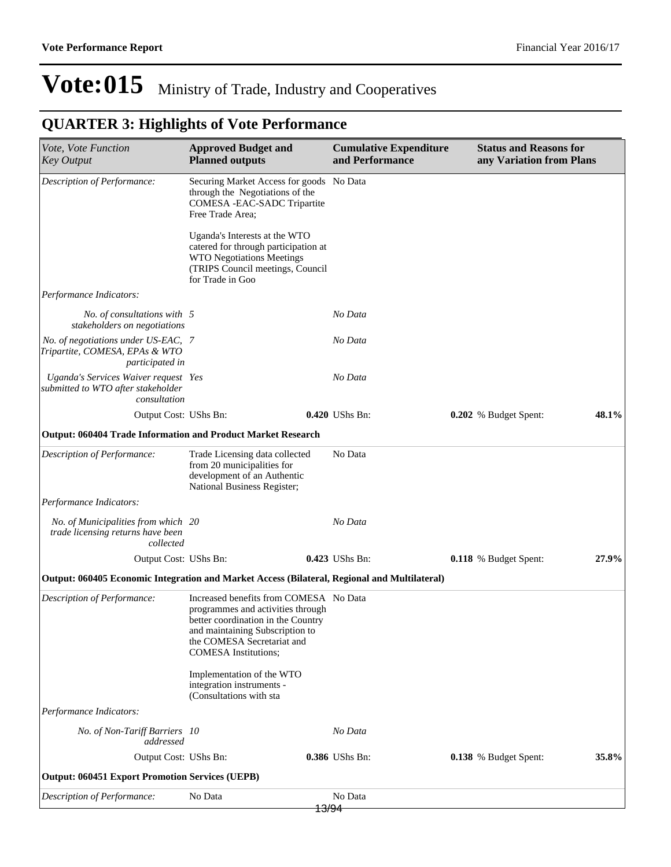| Vote, Vote Function<br><b>Key Output</b>                                                     | <b>Approved Budget and</b><br><b>Planned outputs</b>                                                                                                                                                              | <b>Cumulative Expenditure</b><br>and Performance | <b>Status and Reasons for</b><br>any Variation from Plans |       |
|----------------------------------------------------------------------------------------------|-------------------------------------------------------------------------------------------------------------------------------------------------------------------------------------------------------------------|--------------------------------------------------|-----------------------------------------------------------|-------|
| Description of Performance:                                                                  | Securing Market Access for goods No Data<br>through the Negotiations of the<br>COMESA - EAC-SADC Tripartite<br>Free Trade Area:                                                                                   |                                                  |                                                           |       |
|                                                                                              | Uganda's Interests at the WTO<br>catered for through participation at<br><b>WTO Negotiations Meetings</b><br>(TRIPS Council meetings, Council<br>for Trade in Goo                                                 |                                                  |                                                           |       |
| Performance Indicators:                                                                      |                                                                                                                                                                                                                   |                                                  |                                                           |       |
| No. of consultations with 5<br>stakeholders on negotiations                                  |                                                                                                                                                                                                                   | No Data                                          |                                                           |       |
| No. of negotiations under US-EAC, 7<br>Tripartite, COMESA, EPAs & WTO<br>participated in     |                                                                                                                                                                                                                   | No Data                                          |                                                           |       |
| Uganda's Services Waiver request Yes<br>submitted to WTO after stakeholder<br>consultation   |                                                                                                                                                                                                                   | No Data                                          |                                                           |       |
| Output Cost: UShs Bn:                                                                        |                                                                                                                                                                                                                   | 0.420 UShs Bn:                                   | 0.202 % Budget Spent:                                     | 48.1% |
| <b>Output: 060404 Trade Information and Product Market Research</b>                          |                                                                                                                                                                                                                   |                                                  |                                                           |       |
| Description of Performance:                                                                  | Trade Licensing data collected<br>from 20 municipalities for<br>development of an Authentic<br>National Business Register;                                                                                        | No Data                                          |                                                           |       |
| Performance Indicators:                                                                      |                                                                                                                                                                                                                   |                                                  |                                                           |       |
| No. of Municipalities from which 20<br>trade licensing returns have been<br>collected        |                                                                                                                                                                                                                   | No Data                                          |                                                           |       |
| Output Cost: UShs Bn:                                                                        |                                                                                                                                                                                                                   | 0.423 UShs Bn:                                   | 0.118 % Budget Spent:                                     | 27.9% |
| Output: 060405 Economic Integration and Market Access (Bilateral, Regional and Multilateral) |                                                                                                                                                                                                                   |                                                  |                                                           |       |
| Description of Performance:                                                                  | Increased benefits from COMESA No Data<br>programmes and activities through<br>better coordination in the Country<br>and maintaining Subscription to<br>the COMESA Secretariat and<br><b>COMESA</b> Institutions; |                                                  |                                                           |       |
|                                                                                              | Implementation of the WTO<br>integration instruments -<br>(Consultations with sta                                                                                                                                 |                                                  |                                                           |       |
| Performance Indicators:                                                                      |                                                                                                                                                                                                                   |                                                  |                                                           |       |
| No. of Non-Tariff Barriers 10<br>addressed                                                   |                                                                                                                                                                                                                   | No Data                                          |                                                           |       |
| Output Cost: UShs Bn:                                                                        |                                                                                                                                                                                                                   | 0.386 UShs Bn:                                   | 0.138 % Budget Spent:                                     | 35.8% |
| <b>Output: 060451 Export Promotion Services (UEPB)</b>                                       |                                                                                                                                                                                                                   |                                                  |                                                           |       |
| Description of Performance:                                                                  | No Data                                                                                                                                                                                                           | No Data<br><del>13/94</del>                      |                                                           |       |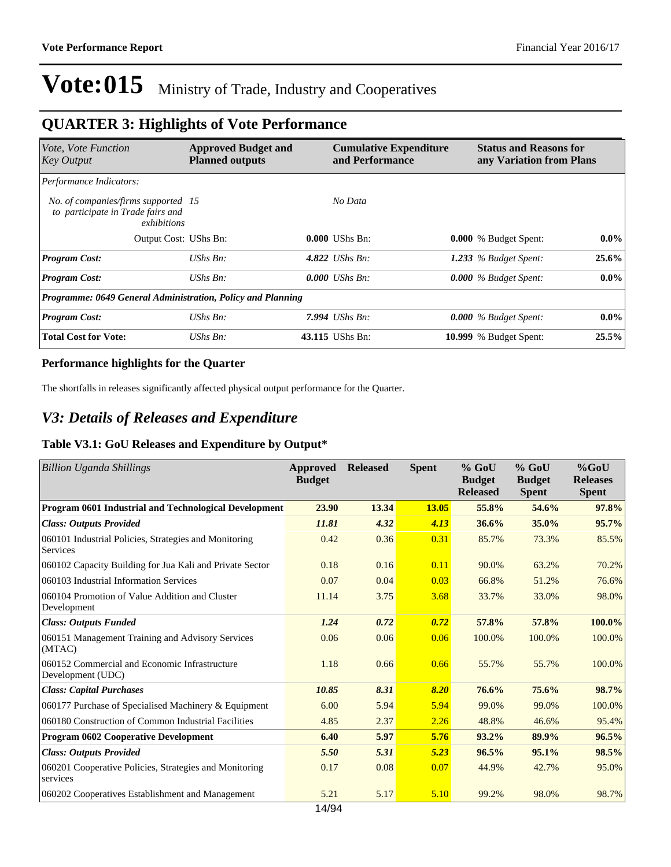### **QUARTER 3: Highlights of Vote Performance**

| Vote, Vote Function<br><b>Key Output</b>                                                | <b>Approved Budget and</b><br><b>Planned outputs</b> | <b>Cumulative Expenditure</b><br>and Performance | <b>Status and Reasons for</b><br>any Variation from Plans |         |
|-----------------------------------------------------------------------------------------|------------------------------------------------------|--------------------------------------------------|-----------------------------------------------------------|---------|
| Performance Indicators:                                                                 |                                                      |                                                  |                                                           |         |
| No. of companies/firms supported 15<br>to participate in Trade fairs and<br>exhibitions |                                                      | No Data                                          |                                                           |         |
| Output Cost: UShs Bn:                                                                   |                                                      | $0.000$ UShs Bn:                                 | 0.000 % Budget Spent:                                     | $0.0\%$ |
| <b>Program Cost:</b>                                                                    | $UShs Bn$ :                                          | 4.822 <i>UShs Bn:</i>                            | 1.233 $%$ Budget Spent:                                   | 25.6%   |
| <b>Program Cost:</b>                                                                    | UShs Bn:                                             | $0.000$ UShs Bn:                                 | $0.000\%$ Budget Spent:                                   | $0.0\%$ |
| Programme: 0649 General Administration, Policy and Planning                             |                                                      |                                                  |                                                           |         |
| <b>Program Cost:</b>                                                                    | UShs Bn:                                             | 7.994 UShs Bn:                                   | $0.000\%$ Budget Spent:                                   | $0.0\%$ |
| <b>Total Cost for Vote:</b>                                                             | $UShs Bn$ :                                          | 43.115 UShs Bn:                                  | <b>10.999</b> % Budget Spent:                             | 25.5%   |

#### **Performance highlights for the Quarter**

The shortfalls in releases significantly affected physical output performance for the Quarter.

### *V3: Details of Releases and Expenditure*

#### **Table V3.1: GoU Releases and Expenditure by Output\***

| <b>Billion Uganda Shillings</b>                                    | <b>Approved</b><br><b>Budget</b> | <b>Released</b> | <b>Spent</b> | $%$ GoU<br><b>Budget</b><br><b>Released</b> | $%$ GoU<br><b>Budget</b><br><b>Spent</b> | $%$ GoU<br><b>Releases</b><br><b>Spent</b> |
|--------------------------------------------------------------------|----------------------------------|-----------------|--------------|---------------------------------------------|------------------------------------------|--------------------------------------------|
| Program 0601 Industrial and Technological Development              | 23.90                            | 13.34           | 13.05        | 55.8%                                       | 54.6%                                    | 97.8%                                      |
| <b>Class: Outputs Provided</b>                                     | 11.81                            | 4.32            | 4.13         | 36.6%                                       | 35.0%                                    | 95.7%                                      |
| 060101 Industrial Policies, Strategies and Monitoring<br>Services  | 0.42                             | 0.36            | 0.31         | 85.7%                                       | 73.3%                                    | 85.5%                                      |
| 060102 Capacity Building for Jua Kali and Private Sector           | 0.18                             | 0.16            | 0.11         | 90.0%                                       | 63.2%                                    | 70.2%                                      |
| 060103 Industrial Information Services                             | 0.07                             | 0.04            | 0.03         | 66.8%                                       | 51.2%                                    | 76.6%                                      |
| 060104 Promotion of Value Addition and Cluster<br>Development      | 11.14                            | 3.75            | 3.68         | 33.7%                                       | 33.0%                                    | 98.0%                                      |
| <b>Class: Outputs Funded</b>                                       | 1.24                             | 0.72            | 0.72         | 57.8%                                       | 57.8%                                    | 100.0%                                     |
| 060151 Management Training and Advisory Services<br>(MTAC)         | 0.06                             | 0.06            | 0.06         | 100.0%                                      | 100.0%                                   | 100.0%                                     |
| 060152 Commercial and Economic Infrastructure<br>Development (UDC) | 1.18                             | 0.66            | 0.66         | 55.7%                                       | 55.7%                                    | 100.0%                                     |
| <b>Class: Capital Purchases</b>                                    | 10.85                            | 8.31            | 8.20         | 76.6%                                       | 75.6%                                    | 98.7%                                      |
| 060177 Purchase of Specialised Machinery & Equipment               | 6.00                             | 5.94            | 5.94         | 99.0%                                       | 99.0%                                    | 100.0%                                     |
| 060180 Construction of Common Industrial Facilities                | 4.85                             | 2.37            | 2.26         | 48.8%                                       | 46.6%                                    | 95.4%                                      |
| Program 0602 Cooperative Development                               | 6.40                             | 5.97            | 5.76         | 93.2%                                       | 89.9%                                    | 96.5%                                      |
| <b>Class: Outputs Provided</b>                                     | 5.50                             | 5.31            | 5.23         | 96.5%                                       | 95.1%                                    | 98.5%                                      |
| 060201 Cooperative Policies, Strategies and Monitoring<br>services | 0.17                             | 0.08            | 0.07         | 44.9%                                       | 42.7%                                    | 95.0%                                      |
| 060202 Cooperatives Establishment and Management                   | 5.21                             | 5.17            | 5.10         | 99.2%                                       | 98.0%                                    | 98.7%                                      |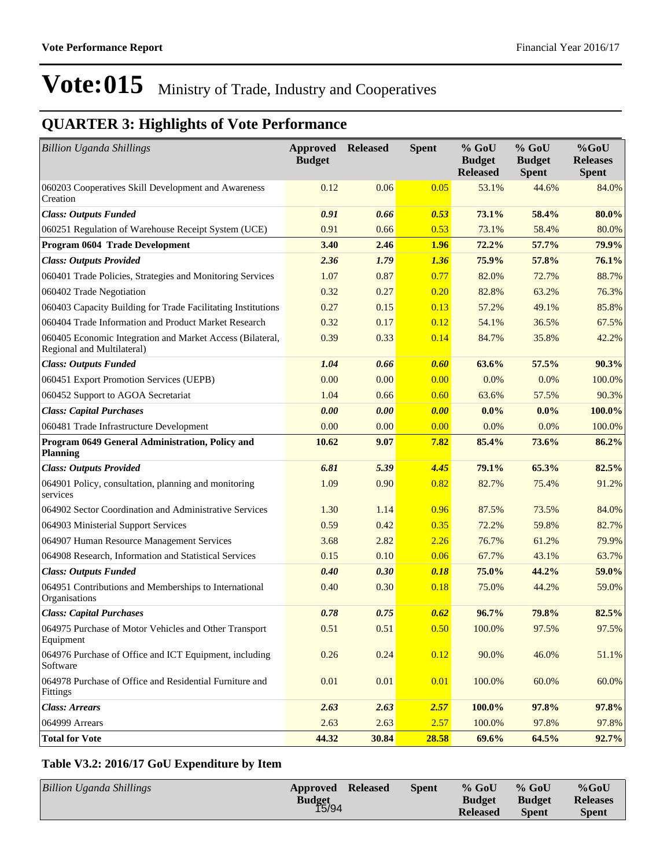### **QUARTER 3: Highlights of Vote Performance**

| <b>Billion Uganda Shillings</b>                                                         | <b>Approved Released</b><br><b>Budget</b> |       | <b>Spent</b> | % GoU<br><b>Budget</b><br><b>Released</b> | $%$ GoU<br><b>Budget</b><br><b>Spent</b> | $%$ GoU<br><b>Releases</b><br><b>Spent</b> |
|-----------------------------------------------------------------------------------------|-------------------------------------------|-------|--------------|-------------------------------------------|------------------------------------------|--------------------------------------------|
| 060203 Cooperatives Skill Development and Awareness<br>Creation                         | 0.12                                      | 0.06  | 0.05         | 53.1%                                     | 44.6%                                    | 84.0%                                      |
| <b>Class: Outputs Funded</b>                                                            | 0.91                                      | 0.66  | 0.53         | 73.1%                                     | 58.4%                                    | 80.0%                                      |
| 060251 Regulation of Warehouse Receipt System (UCE)                                     | 0.91                                      | 0.66  | 0.53         | 73.1%                                     | 58.4%                                    | 80.0%                                      |
| Program 0604 Trade Development                                                          | 3.40                                      | 2.46  | <b>1.96</b>  | 72.2%                                     | 57.7%                                    | 79.9%                                      |
| <b>Class: Outputs Provided</b>                                                          | 2.36                                      | 1.79  | 1.36         | 75.9%                                     | 57.8%                                    | 76.1%                                      |
| 060401 Trade Policies, Strategies and Monitoring Services                               | 1.07                                      | 0.87  | 0.77         | 82.0%                                     | 72.7%                                    | 88.7%                                      |
| 060402 Trade Negotiation                                                                | 0.32                                      | 0.27  | 0.20         | 82.8%                                     | 63.2%                                    | 76.3%                                      |
| 060403 Capacity Building for Trade Facilitating Institutions                            | 0.27                                      | 0.15  | 0.13         | 57.2%                                     | 49.1%                                    | 85.8%                                      |
| 060404 Trade Information and Product Market Research                                    | 0.32                                      | 0.17  | 0.12         | 54.1%                                     | 36.5%                                    | 67.5%                                      |
| 060405 Economic Integration and Market Access (Bilateral,<br>Regional and Multilateral) | 0.39                                      | 0.33  | 0.14         | 84.7%                                     | 35.8%                                    | 42.2%                                      |
| <b>Class: Outputs Funded</b>                                                            | 1.04                                      | 0.66  | 0.60         | 63.6%                                     | 57.5%                                    | 90.3%                                      |
| 060451 Export Promotion Services (UEPB)                                                 | 0.00                                      | 0.00  | 0.00         | 0.0%                                      | 0.0%                                     | 100.0%                                     |
| 060452 Support to AGOA Secretariat                                                      | 1.04                                      | 0.66  | 0.60         | 63.6%                                     | 57.5%                                    | 90.3%                                      |
| <b>Class: Capital Purchases</b>                                                         | 0.00                                      | 0.00  | 0.00         | $0.0\%$                                   | $0.0\%$                                  | 100.0%                                     |
| 060481 Trade Infrastructure Development                                                 | 0.00                                      | 0.00  | 0.00         | 0.0%                                      | 0.0%                                     | 100.0%                                     |
| Program 0649 General Administration, Policy and<br><b>Planning</b>                      | 10.62                                     | 9.07  | 7.82         | 85.4%                                     | 73.6%                                    | 86.2%                                      |
| <b>Class: Outputs Provided</b>                                                          | 6.81                                      | 5.39  | 4.45         | 79.1%                                     | 65.3%                                    | 82.5%                                      |
| 064901 Policy, consultation, planning and monitoring<br>services                        | 1.09                                      | 0.90  | 0.82         | 82.7%                                     | 75.4%                                    | 91.2%                                      |
| 064902 Sector Coordination and Administrative Services                                  | 1.30                                      | 1.14  | 0.96         | 87.5%                                     | 73.5%                                    | 84.0%                                      |
| 064903 Ministerial Support Services                                                     | 0.59                                      | 0.42  | 0.35         | 72.2%                                     | 59.8%                                    | 82.7%                                      |
| 064907 Human Resource Management Services                                               | 3.68                                      | 2.82  | 2.26         | 76.7%                                     | 61.2%                                    | 79.9%                                      |
| 064908 Research, Information and Statistical Services                                   | 0.15                                      | 0.10  | 0.06         | 67.7%                                     | 43.1%                                    | 63.7%                                      |
| <b>Class: Outputs Funded</b>                                                            | 0.40                                      | 0.30  | 0.18         | 75.0%                                     | 44.2%                                    | 59.0%                                      |
| 064951 Contributions and Memberships to International<br>Organisations                  | 0.40                                      | 0.30  | 0.18         | 75.0%                                     | 44.2%                                    | 59.0%                                      |
| <b>Class: Capital Purchases</b>                                                         | 0.78                                      | 0.75  | 0.62         | 96.7%                                     | 79.8%                                    | 82.5%                                      |
| 064975 Purchase of Motor Vehicles and Other Transport<br>Equipment                      | 0.51                                      | 0.51  | 0.50         | 100.0%                                    | 97.5%                                    | 97.5%                                      |
| 064976 Purchase of Office and ICT Equipment, including<br>Software                      | 0.26                                      | 0.24  | 0.12         | 90.0%                                     | 46.0%                                    | 51.1%                                      |
| 064978 Purchase of Office and Residential Furniture and<br>Fittings                     | 0.01                                      | 0.01  | 0.01         | 100.0%                                    | 60.0%                                    | 60.0%                                      |
| <b>Class: Arrears</b>                                                                   | 2.63                                      | 2.63  | 2.57         | 100.0%                                    | 97.8%                                    | 97.8%                                      |
| 064999 Arrears                                                                          | 2.63                                      | 2.63  | 2.57         | 100.0%                                    | 97.8%                                    | 97.8%                                      |
| <b>Total for Vote</b>                                                                   | 44.32                                     | 30.84 | 28.58        | 69.6%                                     | 64.5%                                    | 92.7%                                      |

#### **Table V3.2: 2016/17 GoU Expenditure by Item**

| <b>Billion Uganda Shillings</b> | Approved Released<br><b>Budget</b><br>15/94 | <b>Spent</b> | $%$ GoU<br><b>Budget</b><br><b>Released</b> | $%$ GoU<br><b>Budget</b><br><b>Spent</b> | $%$ GoU<br><b>Releases</b><br><b>Spent</b> |
|---------------------------------|---------------------------------------------|--------------|---------------------------------------------|------------------------------------------|--------------------------------------------|
|                                 |                                             |              |                                             |                                          |                                            |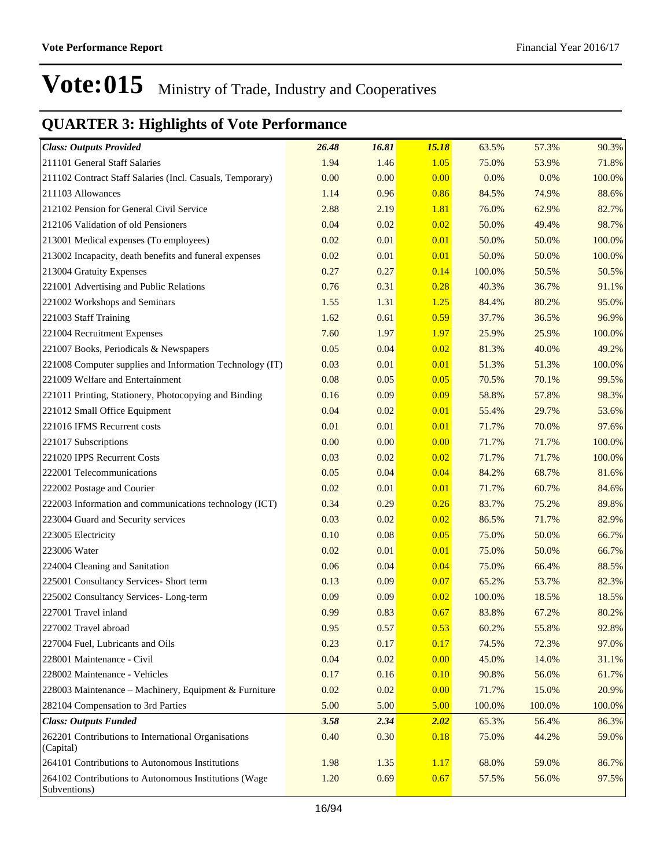| <b>Class: Outputs Provided</b>                                        | 26.48 | 16.81 | 15.18 | 63.5%  | 57.3%  | 90.3%  |
|-----------------------------------------------------------------------|-------|-------|-------|--------|--------|--------|
| 211101 General Staff Salaries                                         | 1.94  | 1.46  | 1.05  | 75.0%  | 53.9%  | 71.8%  |
| 211102 Contract Staff Salaries (Incl. Casuals, Temporary)             | 0.00  | 0.00  | 0.00  | 0.0%   | 0.0%   | 100.0% |
| 211103 Allowances                                                     | 1.14  | 0.96  | 0.86  | 84.5%  | 74.9%  | 88.6%  |
| 212102 Pension for General Civil Service                              | 2.88  | 2.19  | 1.81  | 76.0%  | 62.9%  | 82.7%  |
| 212106 Validation of old Pensioners                                   | 0.04  | 0.02  | 0.02  | 50.0%  | 49.4%  | 98.7%  |
| 213001 Medical expenses (To employees)                                | 0.02  | 0.01  | 0.01  | 50.0%  | 50.0%  | 100.0% |
| 213002 Incapacity, death benefits and funeral expenses                | 0.02  | 0.01  | 0.01  | 50.0%  | 50.0%  | 100.0% |
| 213004 Gratuity Expenses                                              | 0.27  | 0.27  | 0.14  | 100.0% | 50.5%  | 50.5%  |
| 221001 Advertising and Public Relations                               | 0.76  | 0.31  | 0.28  | 40.3%  | 36.7%  | 91.1%  |
| 221002 Workshops and Seminars                                         | 1.55  | 1.31  | 1.25  | 84.4%  | 80.2%  | 95.0%  |
| 221003 Staff Training                                                 | 1.62  | 0.61  | 0.59  | 37.7%  | 36.5%  | 96.9%  |
| 221004 Recruitment Expenses                                           | 7.60  | 1.97  | 1.97  | 25.9%  | 25.9%  | 100.0% |
| 221007 Books, Periodicals & Newspapers                                | 0.05  | 0.04  | 0.02  | 81.3%  | 40.0%  | 49.2%  |
| 221008 Computer supplies and Information Technology (IT)              | 0.03  | 0.01  | 0.01  | 51.3%  | 51.3%  | 100.0% |
| 221009 Welfare and Entertainment                                      | 0.08  | 0.05  | 0.05  | 70.5%  | 70.1%  | 99.5%  |
| 221011 Printing, Stationery, Photocopying and Binding                 | 0.16  | 0.09  | 0.09  | 58.8%  | 57.8%  | 98.3%  |
| 221012 Small Office Equipment                                         | 0.04  | 0.02  | 0.01  | 55.4%  | 29.7%  | 53.6%  |
| 221016 IFMS Recurrent costs                                           | 0.01  | 0.01  | 0.01  | 71.7%  | 70.0%  | 97.6%  |
| 221017 Subscriptions                                                  | 0.00  | 0.00  | 0.00  | 71.7%  | 71.7%  | 100.0% |
| 221020 IPPS Recurrent Costs                                           | 0.03  | 0.02  | 0.02  | 71.7%  | 71.7%  | 100.0% |
| 222001 Telecommunications                                             | 0.05  | 0.04  | 0.04  | 84.2%  | 68.7%  | 81.6%  |
| 222002 Postage and Courier                                            | 0.02  | 0.01  | 0.01  | 71.7%  | 60.7%  | 84.6%  |
| 222003 Information and communications technology (ICT)                | 0.34  | 0.29  | 0.26  | 83.7%  | 75.2%  | 89.8%  |
| 223004 Guard and Security services                                    | 0.03  | 0.02  | 0.02  | 86.5%  | 71.7%  | 82.9%  |
| 223005 Electricity                                                    | 0.10  | 0.08  | 0.05  | 75.0%  | 50.0%  | 66.7%  |
| 223006 Water                                                          | 0.02  | 0.01  | 0.01  | 75.0%  | 50.0%  | 66.7%  |
| 224004 Cleaning and Sanitation                                        | 0.06  | 0.04  | 0.04  | 75.0%  | 66.4%  | 88.5%  |
| 225001 Consultancy Services- Short term                               | 0.13  | 0.09  | 0.07  | 65.2%  | 53.7%  | 82.3%  |
| 225002 Consultancy Services-Long-term                                 | 0.09  | 0.09  | 0.02  | 100.0% | 18.5%  | 18.5%  |
| 227001 Travel inland                                                  | 0.99  | 0.83  | 0.67  | 83.8%  | 67.2%  | 80.2%  |
| 227002 Travel abroad                                                  | 0.95  | 0.57  | 0.53  | 60.2%  | 55.8%  | 92.8%  |
| 227004 Fuel, Lubricants and Oils                                      | 0.23  | 0.17  | 0.17  | 74.5%  | 72.3%  | 97.0%  |
| 228001 Maintenance - Civil                                            | 0.04  | 0.02  | 0.00  | 45.0%  | 14.0%  | 31.1%  |
| 228002 Maintenance - Vehicles                                         | 0.17  | 0.16  | 0.10  | 90.8%  | 56.0%  | 61.7%  |
| 228003 Maintenance - Machinery, Equipment & Furniture                 | 0.02  | 0.02  | 0.00  | 71.7%  | 15.0%  | 20.9%  |
| 282104 Compensation to 3rd Parties                                    | 5.00  | 5.00  | 5.00  | 100.0% | 100.0% | 100.0% |
| <b>Class: Outputs Funded</b>                                          | 3.58  | 2.34  | 2.02  | 65.3%  | 56.4%  | 86.3%  |
| 262201 Contributions to International Organisations<br>(Capital)      | 0.40  | 0.30  | 0.18  | 75.0%  | 44.2%  | 59.0%  |
| 264101 Contributions to Autonomous Institutions                       | 1.98  | 1.35  | 1.17  | 68.0%  | 59.0%  | 86.7%  |
| 264102 Contributions to Autonomous Institutions (Wage<br>Subventions) | 1.20  | 0.69  | 0.67  | 57.5%  | 56.0%  | 97.5%  |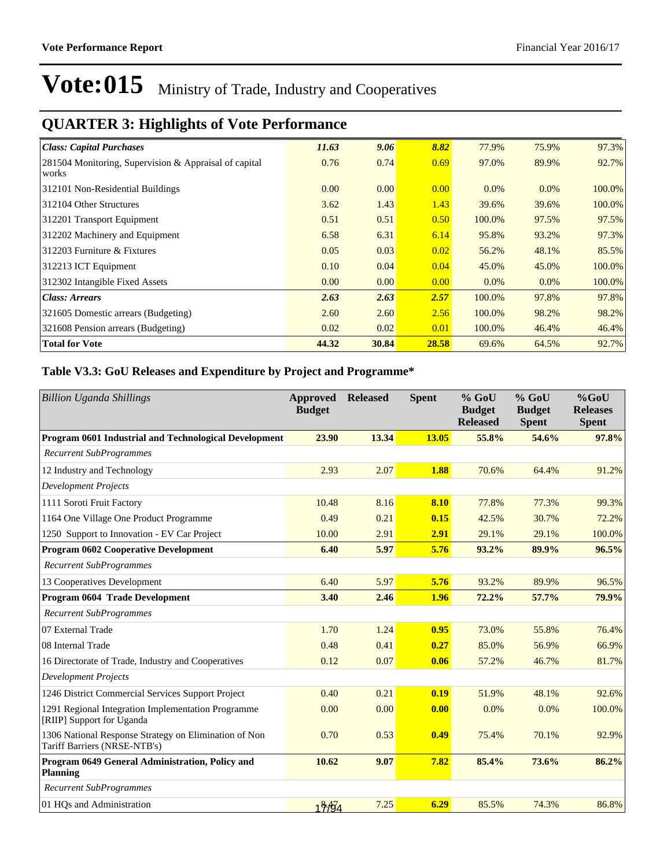### **QUARTER 3: Highlights of Vote Performance**

| <b>Class: Capital Purchases</b>                                | 11.63 | 9.06  | 8.82  | 77.9%   | 75.9%   | 97.3%  |
|----------------------------------------------------------------|-------|-------|-------|---------|---------|--------|
| 281504 Monitoring, Supervision & Appraisal of capital<br>works | 0.76  | 0.74  | 0.69  | 97.0%   | 89.9%   | 92.7%  |
| 312101 Non-Residential Buildings                               | 0.00  | 0.00  | 0.00  | $0.0\%$ | 0.0%    | 100.0% |
| 312104 Other Structures                                        | 3.62  | 1.43  | 1.43  | 39.6%   | 39.6%   | 100.0% |
| 312201 Transport Equipment                                     | 0.51  | 0.51  | 0.50  | 100.0%  | 97.5%   | 97.5%  |
| 312202 Machinery and Equipment                                 | 6.58  | 6.31  | 6.14  | 95.8%   | 93.2%   | 97.3%  |
| 312203 Furniture & Fixtures                                    | 0.05  | 0.03  | 0.02  | 56.2%   | 48.1%   | 85.5%  |
| 312213 ICT Equipment                                           | 0.10  | 0.04  | 0.04  | 45.0%   | 45.0%   | 100.0% |
| 312302 Intangible Fixed Assets                                 | 0.00  | 0.00  | 0.00  | $0.0\%$ | $0.0\%$ | 100.0% |
| <b>Class: Arrears</b>                                          | 2.63  | 2.63  | 2.57  | 100.0%  | 97.8%   | 97.8%  |
| 321605 Domestic arrears (Budgeting)                            | 2.60  | 2.60  | 2.56  | 100.0%  | 98.2%   | 98.2%  |
| 321608 Pension arrears (Budgeting)                             | 0.02  | 0.02  | 0.01  | 100.0%  | 46.4%   | 46.4%  |
| <b>Total for Vote</b>                                          | 44.32 | 30.84 | 28.58 | 69.6%   | 64.5%   | 92.7%  |

#### **Table V3.3: GoU Releases and Expenditure by Project and Programme\***

| <b>Billion Uganda Shillings</b>                                                       | Approved<br><b>Budget</b> | <b>Released</b> | <b>Spent</b> | % GoU<br><b>Budget</b><br><b>Released</b> | % GoU<br><b>Budget</b><br><b>Spent</b> | $%$ GoU<br><b>Releases</b><br><b>Spent</b> |
|---------------------------------------------------------------------------------------|---------------------------|-----------------|--------------|-------------------------------------------|----------------------------------------|--------------------------------------------|
| Program 0601 Industrial and Technological Development                                 | 23.90                     | 13.34           | 13.05        | 55.8%                                     | 54.6%                                  | 97.8%                                      |
| <b>Recurrent SubProgrammes</b>                                                        |                           |                 |              |                                           |                                        |                                            |
| 12 Industry and Technology                                                            | 2.93                      | 2.07            | 1.88         | 70.6%                                     | 64.4%                                  | 91.2%                                      |
| <b>Development Projects</b>                                                           |                           |                 |              |                                           |                                        |                                            |
| 1111 Soroti Fruit Factory                                                             | 10.48                     | 8.16            | 8.10         | 77.8%                                     | 77.3%                                  | 99.3%                                      |
| 1164 One Village One Product Programme                                                | 0.49                      | 0.21            | 0.15         | 42.5%                                     | 30.7%                                  | 72.2%                                      |
| 1250 Support to Innovation - EV Car Project                                           | 10.00                     | 2.91            | 2.91         | 29.1%                                     | 29.1%                                  | 100.0%                                     |
| <b>Program 0602 Cooperative Development</b>                                           | 6.40                      | 5.97            | 5.76         | 93.2%                                     | 89.9%                                  | 96.5%                                      |
| <b>Recurrent SubProgrammes</b>                                                        |                           |                 |              |                                           |                                        |                                            |
| 13 Cooperatives Development                                                           | 6.40                      | 5.97            | 5.76         | 93.2%                                     | 89.9%                                  | 96.5%                                      |
| Program 0604 Trade Development                                                        | 3.40                      | 2.46            | 1.96         | 72.2%                                     | 57.7%                                  | 79.9%                                      |
| <b>Recurrent SubProgrammes</b>                                                        |                           |                 |              |                                           |                                        |                                            |
| 07 External Trade                                                                     | 1.70                      | 1.24            | 0.95         | 73.0%                                     | 55.8%                                  | 76.4%                                      |
| 08 Internal Trade                                                                     | 0.48                      | 0.41            | 0.27         | 85.0%                                     | 56.9%                                  | 66.9%                                      |
| 16 Directorate of Trade, Industry and Cooperatives                                    | 0.12                      | 0.07            | 0.06         | 57.2%                                     | 46.7%                                  | 81.7%                                      |
| <b>Development Projects</b>                                                           |                           |                 |              |                                           |                                        |                                            |
| 1246 District Commercial Services Support Project                                     | 0.40                      | 0.21            | 0.19         | 51.9%                                     | 48.1%                                  | 92.6%                                      |
| 1291 Regional Integration Implementation Programme<br>[RIIP] Support for Uganda       | 0.00                      | 0.00            | 0.00         | 0.0%                                      | 0.0%                                   | 100.0%                                     |
| 1306 National Response Strategy on Elimination of Non<br>Tariff Barriers (NRSE-NTB's) | 0.70                      | 0.53            | 0.49         | 75.4%                                     | 70.1%                                  | 92.9%                                      |
| Program 0649 General Administration, Policy and<br><b>Planning</b>                    | 10.62                     | 9.07            | 7.82         | 85.4%                                     | 73.6%                                  | 86.2%                                      |
| <b>Recurrent SubProgrammes</b>                                                        |                           |                 |              |                                           |                                        |                                            |
| 01 HQs and Administration                                                             | 19.64                     | 7.25            | 6.29         | 85.5%                                     | 74.3%                                  | 86.8%                                      |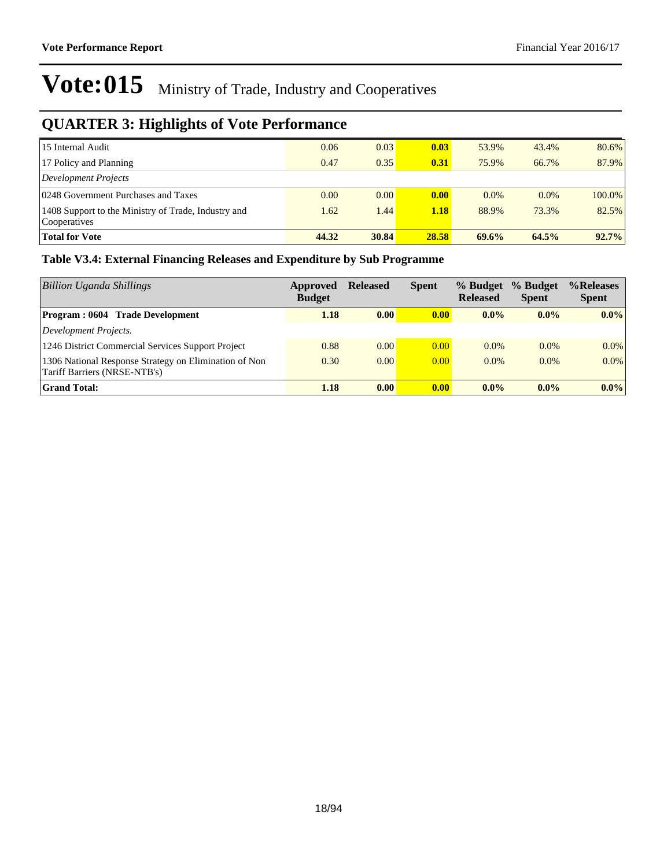### **QUARTER 3: Highlights of Vote Performance**

| 15 Internal Audit                                                   | 0.06  | 0.03  | $\vert 0.03 \vert$ | 53.9%   | 43.4%   | 80.6%     |
|---------------------------------------------------------------------|-------|-------|--------------------|---------|---------|-----------|
| 17 Policy and Planning                                              | 0.47  | 0.35  | 0.31               | 75.9%   | 66.7%   | 87.9%     |
| Development Projects                                                |       |       |                    |         |         |           |
| 0248 Government Purchases and Taxes                                 | 0.00  | 0.00  | $\vert 0.00 \vert$ | $0.0\%$ | $0.0\%$ | $100.0\%$ |
| 1408 Support to the Ministry of Trade, Industry and<br>Cooperatives | 1.62  | 1.44  | 1.18               | 88.9%   | 73.3%   | 82.5%     |
| <b>Total for Vote</b>                                               | 44.32 | 30.84 | 28.58              | 69.6%   | 64.5%   | 92.7%     |

#### **Table V3.4: External Financing Releases and Expenditure by Sub Programme**

| <b>Billion Uganda Shillings</b>                                                       | Approved<br><b>Budget</b> | <b>Released</b> | <b>Spent</b>      | % Budget<br><b>Released</b> | % Budget<br><b>Spent</b> | %Releases<br><b>Spent</b> |
|---------------------------------------------------------------------------------------|---------------------------|-----------------|-------------------|-----------------------------|--------------------------|---------------------------|
| <b>Program: 0604 Trade Development</b>                                                | 1.18                      | 0.00            | 0.00              | $0.0\%$                     | $0.0\%$                  | $0.0\%$                   |
| Development Projects.                                                                 |                           |                 |                   |                             |                          |                           |
| 1246 District Commercial Services Support Project                                     | 0.88                      | 0.00            | 0.00              | $0.0\%$                     | $0.0\%$                  | $0.0\%$                   |
| 1306 National Response Strategy on Elimination of Non<br>Tariff Barriers (NRSE-NTB's) | 0.30                      | 0.00            | 0.00              | $0.0\%$                     | $0.0\%$                  | $0.0\%$                   |
| <b>Grand Total:</b>                                                                   | 1.18                      | 0.00            | 0.00 <sub>1</sub> | $0.0\%$                     | $0.0\%$                  | $0.0\%$                   |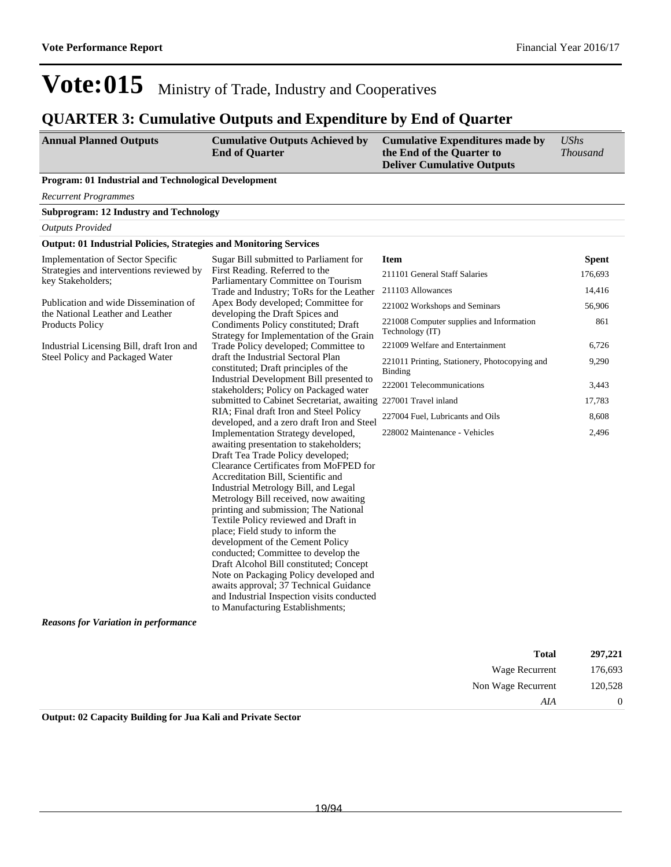### **QUARTER 3: Cumulative Outputs and Expenditure by End of Quarter**

| <b>Annual Planned Outputs</b> | <b>Cumulative Outputs Achieved by</b> | Cumulative Expenditures made by   | UShs            |
|-------------------------------|---------------------------------------|-----------------------------------|-----------------|
|                               | <b>End of Quarter</b>                 | the End of the Quarter to         | <i>Thousand</i> |
|                               |                                       | <b>Deliver Cumulative Outputs</b> |                 |

#### **Program: 01 Industrial and Technological Development**

*Recurrent Programmes*

**Subprogram: 12 Industry and Technology**

*Outputs Provided*

#### **Output: 01 Industrial Policies, Strategies and Monitoring Services**

| Implementation of Sector Specific                                         | Sugar Bill submitted to Parliament for                                               | <b>Item</b>                                                     | <b>Spent</b> |
|---------------------------------------------------------------------------|--------------------------------------------------------------------------------------|-----------------------------------------------------------------|--------------|
| Strategies and interventions reviewed by<br>key Stakeholders;             | First Reading. Referred to the<br>Parliamentary Committee on Tourism                 | 211101 General Staff Salaries                                   | 176,693      |
|                                                                           | Trade and Industry; ToRs for the Leather                                             | 211103 Allowances                                               | 14,416       |
| Publication and wide Dissemination of<br>the National Leather and Leather | Apex Body developed; Committee for<br>developing the Draft Spices and                | 221002 Workshops and Seminars                                   | 56,906       |
| <b>Products Policy</b>                                                    | Condiments Policy constituted; Draft<br>Strategy for Implementation of the Grain     | 221008 Computer supplies and Information<br>Technology (IT)     | 861          |
| Industrial Licensing Bill, draft Iron and                                 | Trade Policy developed; Committee to                                                 | 221009 Welfare and Entertainment                                | 6,726        |
| Steel Policy and Packaged Water                                           | draft the Industrial Sectoral Plan<br>constituted; Draft principles of the           | 221011 Printing, Stationery, Photocopying and<br><b>Binding</b> | 9,290        |
|                                                                           | Industrial Development Bill presented to<br>stakeholders; Policy on Packaged water   | 222001 Telecommunications                                       | 3,443        |
|                                                                           | submitted to Cabinet Secretariat, awaiting 227001 Travel inland                      |                                                                 | 17,783       |
|                                                                           | RIA; Final draft Iron and Steel Policy<br>developed, and a zero draft Iron and Steel | 227004 Fuel, Lubricants and Oils                                | 8,608        |
|                                                                           | Implementation Strategy developed,                                                   | 228002 Maintenance - Vehicles                                   | 2,496        |
|                                                                           | awaiting presentation to stakeholders;                                               |                                                                 |              |
|                                                                           | Draft Tea Trade Policy developed;<br>Clearance Certificates from MoFPED for          |                                                                 |              |
|                                                                           | Accreditation Bill, Scientific and                                                   |                                                                 |              |
|                                                                           | Industrial Metrology Bill, and Legal                                                 |                                                                 |              |
|                                                                           | Metrology Bill received, now awaiting                                                |                                                                 |              |
|                                                                           | printing and submission; The National                                                |                                                                 |              |
|                                                                           | Textile Policy reviewed and Draft in                                                 |                                                                 |              |
|                                                                           | place; Field study to inform the                                                     |                                                                 |              |
|                                                                           | development of the Cement Policy                                                     |                                                                 |              |
|                                                                           | conducted; Committee to develop the                                                  |                                                                 |              |
|                                                                           | Draft Alcohol Bill constituted; Concept                                              |                                                                 |              |
|                                                                           | Note on Packaging Policy developed and                                               |                                                                 |              |
|                                                                           | awaits approval; 37 Technical Guidance                                               |                                                                 |              |
|                                                                           | and Industrial Inspection visits conducted                                           |                                                                 |              |
|                                                                           | to Manufacturing Establishments;                                                     |                                                                 |              |
| <b>Reasons for Variation in performance</b>                               |                                                                                      |                                                                 |              |

| 297,221  | <b>Total</b>       |
|----------|--------------------|
| 176,693  | Wage Recurrent     |
| 120,528  | Non Wage Recurrent |
| $\theta$ | AIA                |

**Output: 02 Capacity Building for Jua Kali and Private Sector**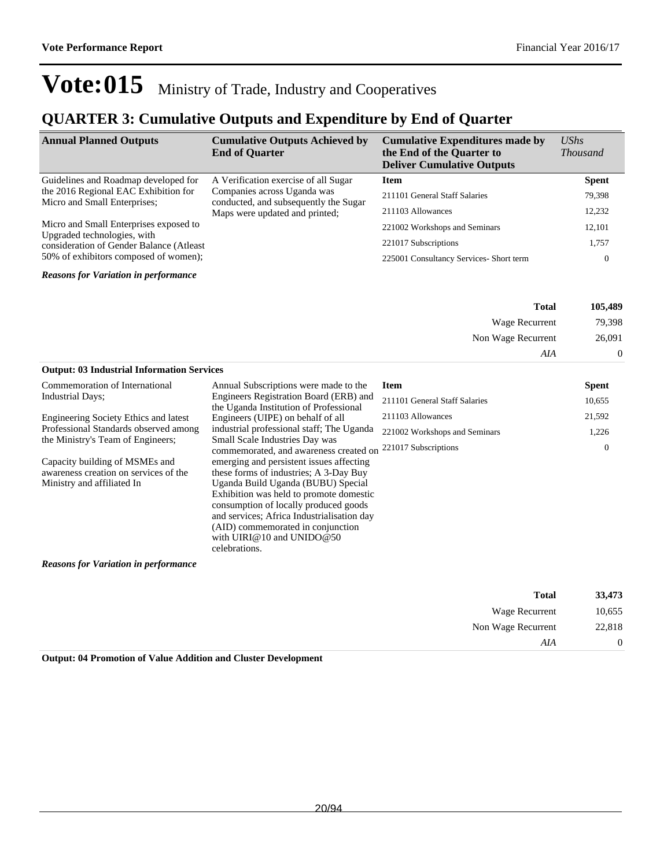### **QUARTER 3: Cumulative Outputs and Expenditure by End of Quarter**

| <b>Annual Planned Outputs</b>                                                                                     | <b>Cumulative Outputs Achieved by</b><br><b>End of Quarter</b>       | <b>Cumulative Expenditures made by</b><br>the End of the Quarter to<br><b>Deliver Cumulative Outputs</b> | $\mathit{UShs}$<br><i>Thousand</i> |
|-------------------------------------------------------------------------------------------------------------------|----------------------------------------------------------------------|----------------------------------------------------------------------------------------------------------|------------------------------------|
| Guidelines and Roadmap developed for                                                                              | A Verification exercise of all Sugar                                 | <b>Item</b>                                                                                              | <b>Spent</b>                       |
| the 2016 Regional EAC Exhibition for<br>Micro and Small Enterprises;                                              | Companies across Uganda was<br>conducted, and subsequently the Sugar | 211101 General Staff Salaries                                                                            | 79,398                             |
|                                                                                                                   | Maps were updated and printed;                                       | 211103 Allowances                                                                                        | 12,232                             |
| Micro and Small Enterprises exposed to                                                                            |                                                                      | 221002 Workshops and Seminars                                                                            | 12,101                             |
| Upgraded technologies, with<br>consideration of Gender Balance (Atleast)<br>50% of exhibitors composed of women); |                                                                      | 221017 Subscriptions                                                                                     | 1,757                              |
|                                                                                                                   |                                                                      | 225001 Consultancy Services- Short term                                                                  | 0                                  |

*Reasons for Variation in performance*

| Total              | 105,489 |
|--------------------|---------|
| Wage Recurrent     | 79.398  |
| Non Wage Recurrent | 26,091  |
| A I A              |         |

#### **Output: 03 Industrial Information Services**

| Annual Subscriptions were made to the                                                                                                                                                                                                                                                                                        | <b>Item</b>                                                                               | <b>Spent</b>                           |
|------------------------------------------------------------------------------------------------------------------------------------------------------------------------------------------------------------------------------------------------------------------------------------------------------------------------------|-------------------------------------------------------------------------------------------|----------------------------------------|
| Engineers Registration Board (ERB) and                                                                                                                                                                                                                                                                                       | 211101 General Staff Salaries                                                             | 10,655                                 |
| Engineers (UIPE) on behalf of all                                                                                                                                                                                                                                                                                            | 211103 Allowances                                                                         | 21,592                                 |
| industrial professional staff; The Uganda                                                                                                                                                                                                                                                                                    | 221002 Workshops and Seminars                                                             | 1,226                                  |
|                                                                                                                                                                                                                                                                                                                              | 221017 Subscriptions                                                                      | $\left($                               |
| emerging and persistent issues affecting<br>these forms of industries; A 3-Day Buy<br>Uganda Build Uganda (BUBU) Special<br>Exhibition was held to promote domestic<br>consumption of locally produced goods<br>and services; Africa Industrialisation day<br>(AID) commemorated in conjunction<br>with UIRI@10 and UNIDO@50 |                                                                                           |                                        |
|                                                                                                                                                                                                                                                                                                                              | the Uganda Institution of Professional<br>Small Scale Industries Day was<br>celebrations. | commemorated, and awareness created on |

*Reasons for Variation in performance*

| 33,473         | <b>Total</b>       |
|----------------|--------------------|
| 10,655         | Wage Recurrent     |
| 22,818         | Non Wage Recurrent |
| $\overline{0}$ | AIA                |

**Output: 04 Promotion of Value Addition and Cluster Development**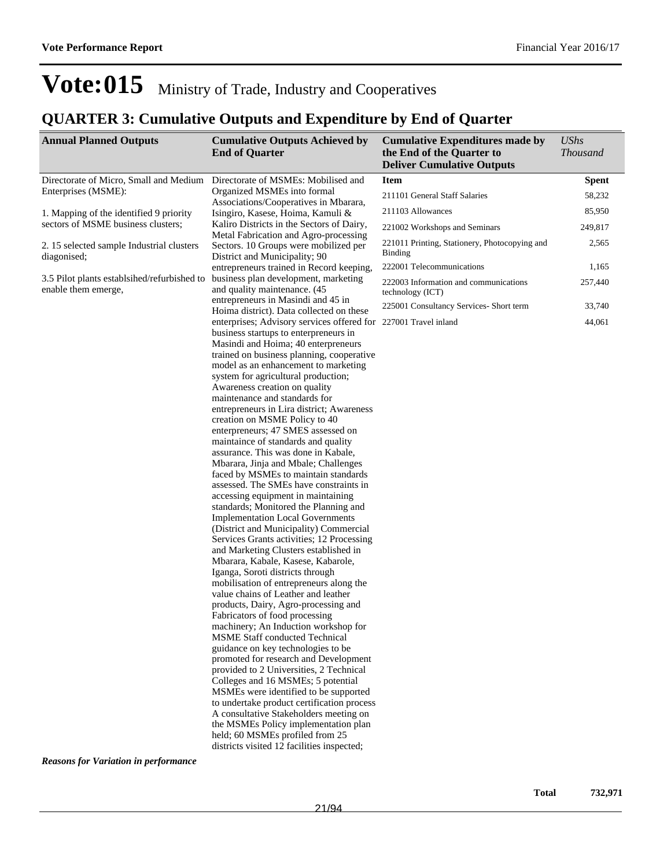### **QUARTER 3: Cumulative Outputs and Expenditure by End of Quarter**

| <b>Annual Planned Outputs</b>                                      | <b>Cumulative Outputs Achieved by</b><br><b>End of Quarter</b>                                                  | <b>Cumulative Expenditures made by</b><br>the End of the Quarter to<br><b>Deliver Cumulative Outputs</b> | <b>UShs</b><br><b>Thousand</b> |
|--------------------------------------------------------------------|-----------------------------------------------------------------------------------------------------------------|----------------------------------------------------------------------------------------------------------|--------------------------------|
| Directorate of Micro, Small and Medium                             | Directorate of MSMEs: Mobilised and                                                                             | <b>Item</b>                                                                                              | <b>Spent</b>                   |
| Enterprises (MSME):                                                | Organized MSMEs into formal                                                                                     | 211101 General Staff Salaries                                                                            | 58,232                         |
| 1. Mapping of the identified 9 priority                            | Associations/Cooperatives in Mbarara,<br>Isingiro, Kasese, Hoima, Kamuli &                                      | 211103 Allowances                                                                                        | 85,950                         |
| sectors of MSME business clusters;                                 | Kaliro Districts in the Sectors of Dairy,                                                                       | 221002 Workshops and Seminars                                                                            | 249,817                        |
| 2. 15 selected sample Industrial clusters<br>diagonised;           | Metal Fabrication and Agro-processing<br>Sectors. 10 Groups were mobilized per<br>District and Municipality; 90 | 221011 Printing, Stationery, Photocopying and<br><b>Binding</b>                                          | 2,565                          |
|                                                                    | entrepreneurs trained in Record keeping,                                                                        | 222001 Telecommunications                                                                                | 1,165                          |
| 3.5 Pilot plants establsihed/refurbished to<br>enable them emerge, | business plan development, marketing<br>and quality maintenance. (45                                            | 222003 Information and communications<br>technology (ICT)                                                | 257,440                        |
|                                                                    | entrepreneurs in Masindi and 45 in                                                                              | 225001 Consultancy Services- Short term                                                                  | 33,740                         |
|                                                                    | Hoima district). Data collected on these<br>enterprises; Advisory services offered for 227001 Travel inland     |                                                                                                          | 44,061                         |
|                                                                    | business startups to enterpreneurs in                                                                           |                                                                                                          |                                |
|                                                                    | Masindi and Hoima; 40 enterpreneurs                                                                             |                                                                                                          |                                |
|                                                                    | trained on business planning, cooperative                                                                       |                                                                                                          |                                |
|                                                                    | model as an enhancement to marketing                                                                            |                                                                                                          |                                |
|                                                                    | system for agricultural production;<br>Awareness creation on quality                                            |                                                                                                          |                                |
|                                                                    | maintenance and standards for                                                                                   |                                                                                                          |                                |
|                                                                    | entrepreneurs in Lira district; Awareness                                                                       |                                                                                                          |                                |
|                                                                    | creation on MSME Policy to 40                                                                                   |                                                                                                          |                                |
|                                                                    | enterpreneurs; 47 SMES assessed on                                                                              |                                                                                                          |                                |
|                                                                    | maintaince of standards and quality                                                                             |                                                                                                          |                                |
|                                                                    | assurance. This was done in Kabale,                                                                             |                                                                                                          |                                |
|                                                                    | Mbarara, Jinja and Mbale; Challenges                                                                            |                                                                                                          |                                |
|                                                                    | faced by MSMEs to maintain standards<br>assessed. The SMEs have constraints in                                  |                                                                                                          |                                |
|                                                                    | accessing equipment in maintaining                                                                              |                                                                                                          |                                |
|                                                                    | standards; Monitored the Planning and                                                                           |                                                                                                          |                                |
|                                                                    | <b>Implementation Local Governments</b>                                                                         |                                                                                                          |                                |
|                                                                    | (District and Municipality) Commercial                                                                          |                                                                                                          |                                |
|                                                                    | Services Grants activities; 12 Processing                                                                       |                                                                                                          |                                |
|                                                                    | and Marketing Clusters established in                                                                           |                                                                                                          |                                |
|                                                                    | Mbarara, Kabale, Kasese, Kabarole,                                                                              |                                                                                                          |                                |
|                                                                    | Iganga, Soroti districts through<br>mobilisation of entrepreneurs along the                                     |                                                                                                          |                                |
|                                                                    | value chains of Leather and leather                                                                             |                                                                                                          |                                |
|                                                                    | products, Dairy, Agro-processing and                                                                            |                                                                                                          |                                |
|                                                                    | Fabricators of food processing                                                                                  |                                                                                                          |                                |
|                                                                    | machinery; An Induction workshop for                                                                            |                                                                                                          |                                |
|                                                                    | <b>MSME Staff conducted Technical</b>                                                                           |                                                                                                          |                                |
|                                                                    | guidance on key technologies to be                                                                              |                                                                                                          |                                |
|                                                                    | promoted for research and Development                                                                           |                                                                                                          |                                |
|                                                                    | provided to 2 Universities, 2 Technical                                                                         |                                                                                                          |                                |
|                                                                    | Colleges and 16 MSMEs; 5 potential<br>MSMEs were identified to be supported                                     |                                                                                                          |                                |
|                                                                    | to undertake product certification process                                                                      |                                                                                                          |                                |
|                                                                    | A consultative Stakeholders meeting on                                                                          |                                                                                                          |                                |
|                                                                    | the MSMEs Policy implementation plan                                                                            |                                                                                                          |                                |
|                                                                    | held; 60 MSMEs profiled from 25                                                                                 |                                                                                                          |                                |
|                                                                    | districts visited 12 facilities inspected;                                                                      |                                                                                                          |                                |

*Reasons for Variation in performance*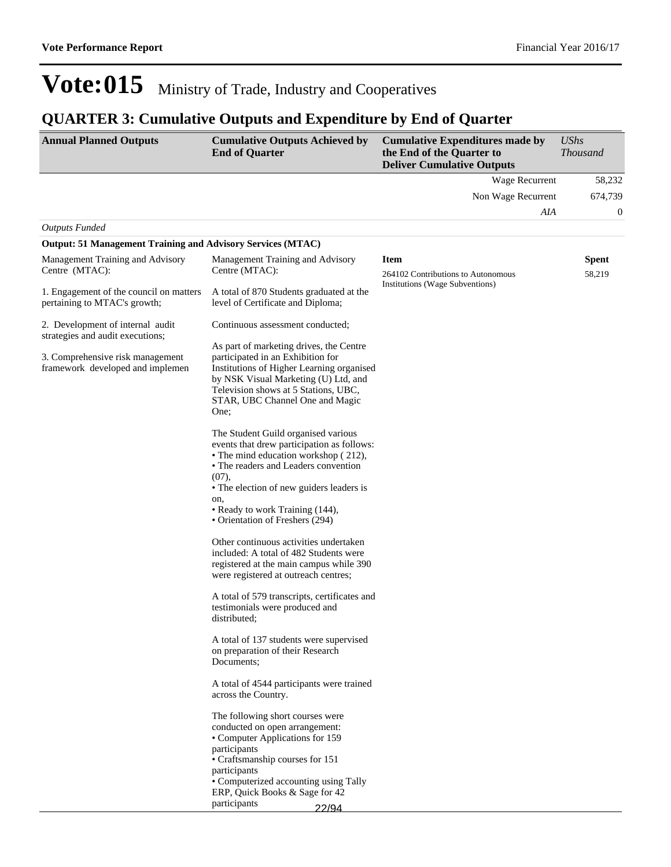### **QUARTER 3: Cumulative Outputs and Expenditure by End of Quarter**

| <b>Annual Planned Outputs</b>                                           | <b>Cumulative Outputs Achieved by</b><br><b>End of Quarter</b>                                                                                                                                                                                                                                                                                                                          | <b>Cumulative Expenditures made by</b><br>the End of the Quarter to<br><b>Deliver Cumulative Outputs</b> | <b>UShs</b><br><b>Thousand</b> |
|-------------------------------------------------------------------------|-----------------------------------------------------------------------------------------------------------------------------------------------------------------------------------------------------------------------------------------------------------------------------------------------------------------------------------------------------------------------------------------|----------------------------------------------------------------------------------------------------------|--------------------------------|
|                                                                         |                                                                                                                                                                                                                                                                                                                                                                                         | Wage Recurrent                                                                                           | 58,232                         |
|                                                                         |                                                                                                                                                                                                                                                                                                                                                                                         | Non Wage Recurrent                                                                                       | 674,739                        |
|                                                                         |                                                                                                                                                                                                                                                                                                                                                                                         | AIA                                                                                                      | $\boldsymbol{0}$               |
| <b>Outputs Funded</b>                                                   |                                                                                                                                                                                                                                                                                                                                                                                         |                                                                                                          |                                |
| <b>Output: 51 Management Training and Advisory Services (MTAC)</b>      |                                                                                                                                                                                                                                                                                                                                                                                         |                                                                                                          |                                |
| Management Training and Advisory<br>Centre (MTAC):                      | Management Training and Advisory<br>Centre (MTAC):                                                                                                                                                                                                                                                                                                                                      | <b>Item</b><br>264102 Contributions to Autonomous                                                        | <b>Spent</b><br>58,219         |
| 1. Engagement of the council on matters<br>pertaining to MTAC's growth; | A total of 870 Students graduated at the<br>level of Certificate and Diploma;                                                                                                                                                                                                                                                                                                           | Institutions (Wage Subventions)                                                                          |                                |
| 2. Development of internal audit<br>strategies and audit executions;    | Continuous assessment conducted;                                                                                                                                                                                                                                                                                                                                                        |                                                                                                          |                                |
| 3. Comprehensive risk management<br>framework developed and implemen    | As part of marketing drives, the Centre<br>participated in an Exhibition for<br>Institutions of Higher Learning organised<br>by NSK Visual Marketing (U) Ltd, and<br>Television shows at 5 Stations, UBC,<br>STAR, UBC Channel One and Magic<br>One;                                                                                                                                    |                                                                                                          |                                |
|                                                                         | The Student Guild organised various<br>events that drew participation as follows:<br>• The mind education workshop (212),<br>• The readers and Leaders convention<br>(07),<br>• The election of new guiders leaders is<br>on,<br>• Ready to work Training (144),<br>• Orientation of Freshers (294)<br>Other continuous activities undertaken<br>included: A total of 482 Students were |                                                                                                          |                                |
|                                                                         | registered at the main campus while 390<br>were registered at outreach centres;<br>A total of 579 transcripts, certificates and<br>testimonials were produced and                                                                                                                                                                                                                       |                                                                                                          |                                |
|                                                                         | distributed;<br>A total of 137 students were supervised<br>on preparation of their Research<br>Documents;                                                                                                                                                                                                                                                                               |                                                                                                          |                                |
|                                                                         | A total of 4544 participants were trained<br>across the Country.                                                                                                                                                                                                                                                                                                                        |                                                                                                          |                                |
|                                                                         | The following short courses were<br>conducted on open arrangement:<br>• Computer Applications for 159<br>participants<br>• Craftsmanship courses for 151<br>participants<br>• Computerized accounting using Tally<br>ERP, Quick Books & Sage for 42<br>participants<br>22/94                                                                                                            |                                                                                                          |                                |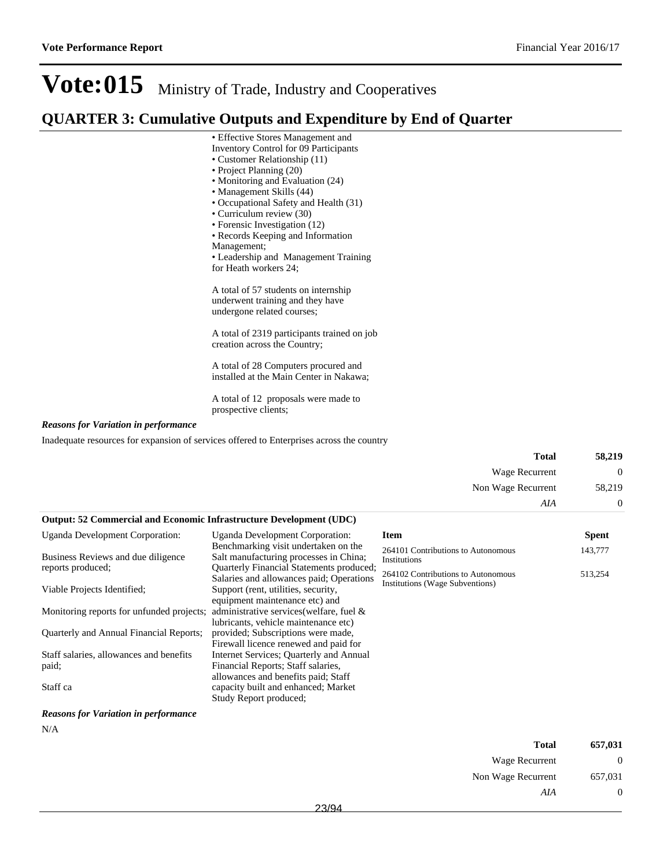### **QUARTER 3: Cumulative Outputs and Expenditure by End of Quarter**

- Effective Stores Management and
	- Inventory Control for 09 Participants
	- Customer Relationship (11)
	- Project Planning (20)
	- Monitoring and Evaluation (24) Management Skills (44)
	-
	- Occupational Safety and Health (31)
	- Curriculum review (30) • Forensic Investigation (12)
	- Records Keeping and Information
	- Management;
	- Leadership and Management Training
	- for Heath workers 24;

A total of 57 students on internship underwent training and they have undergone related courses;

A total of 2319 participants trained on job creation across the Country;

A total of 28 Computers procured and installed at the Main Center in Nakawa;

A total of 12 proposals were made to prospective clients;

#### *Reasons for Variation in performance*

Inadequate resources for expansion of services offered to Enterprises across the country

|                                                                            |                                                                                                      | <b>Total</b>                                                                 | 58,219       |
|----------------------------------------------------------------------------|------------------------------------------------------------------------------------------------------|------------------------------------------------------------------------------|--------------|
|                                                                            |                                                                                                      | Wage Recurrent                                                               | $\theta$     |
|                                                                            |                                                                                                      | Non Wage Recurrent                                                           | 58,219       |
|                                                                            |                                                                                                      | AIA                                                                          | $\theta$     |
| <b>Output: 52 Commercial and Economic Infrastructure Development (UDC)</b> |                                                                                                      |                                                                              |              |
| <b>Uganda Development Corporation:</b>                                     | Uganda Development Corporation:                                                                      | <b>Item</b>                                                                  | <b>Spent</b> |
| Business Reviews and due diligence                                         | Benchmarking visit undertaken on the<br>Salt manufacturing processes in China;                       | 264101 Contributions to Autonomous<br>Institutions                           | 143,777      |
| reports produced;                                                          | Quarterly Financial Statements produced;<br>Salaries and allowances paid; Operations                 | 264102 Contributions to Autonomous<br><b>Institutions (Wage Subventions)</b> | 513,254      |
| Viable Projects Identified;                                                | Support (rent, utilities, security,<br>equipment maintenance etc) and                                |                                                                              |              |
| Monitoring reports for unfunded projects;                                  | administrative services (welfare, fuel &<br>lubricants, vehicle maintenance etc)                     |                                                                              |              |
| Quarterly and Annual Financial Reports;                                    | provided; Subscriptions were made,<br>Firewall licence renewed and paid for                          |                                                                              |              |
| Staff salaries, allowances and benefits                                    | Internet Services: Quarterly and Annual                                                              |                                                                              |              |
| paid;                                                                      | Financial Reports; Staff salaries,                                                                   |                                                                              |              |
| Staff ca                                                                   | allowances and benefits paid; Staff<br>capacity built and enhanced; Market<br>Study Report produced; |                                                                              |              |

*Reasons for Variation in performance*

N/A

| Total              | 657,031           |
|--------------------|-------------------|
| Wage Recurrent     | $\mathbf{\Omega}$ |
| Non Wage Recurrent | 657,031           |
| AIA                | $\theta$          |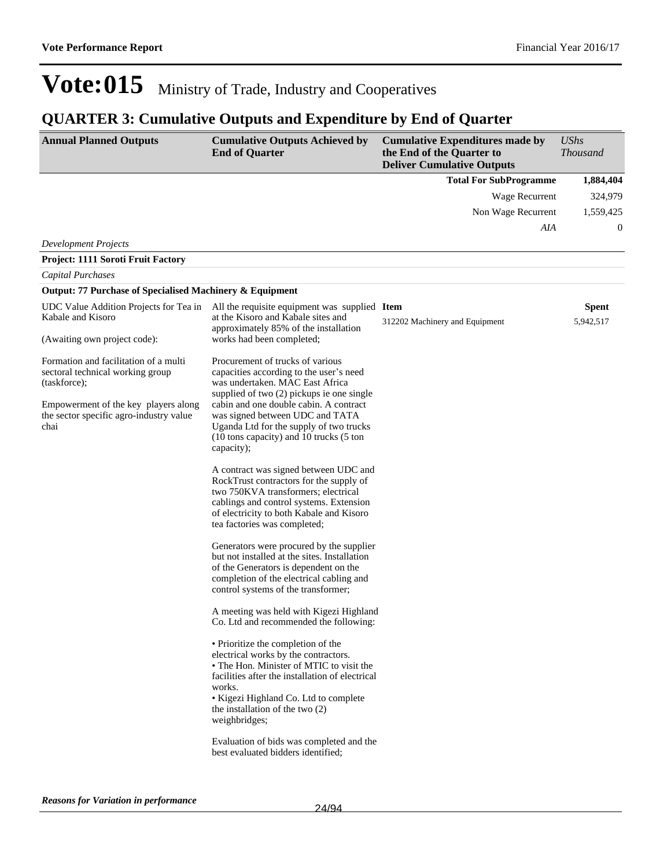### **QUARTER 3: Cumulative Outputs and Expenditure by End of Quarter**

| <b>Annual Planned Outputs</b>                                                                                                                                                                                        | <b>Cumulative Outputs Achieved by</b><br><b>End of Quarter</b>                                                                                                                                                                                                                                                                                                                                                                                                                                                                                                                                                                                                                                                                                                                                                                                                                                                                                                                                                                                                                                                                                                                                                                                                                                                   | <b>Cumulative Expenditures made by</b><br>the End of the Quarter to<br><b>Deliver Cumulative Outputs</b> | <b>UShs</b><br><b>Thousand</b> |
|----------------------------------------------------------------------------------------------------------------------------------------------------------------------------------------------------------------------|------------------------------------------------------------------------------------------------------------------------------------------------------------------------------------------------------------------------------------------------------------------------------------------------------------------------------------------------------------------------------------------------------------------------------------------------------------------------------------------------------------------------------------------------------------------------------------------------------------------------------------------------------------------------------------------------------------------------------------------------------------------------------------------------------------------------------------------------------------------------------------------------------------------------------------------------------------------------------------------------------------------------------------------------------------------------------------------------------------------------------------------------------------------------------------------------------------------------------------------------------------------------------------------------------------------|----------------------------------------------------------------------------------------------------------|--------------------------------|
|                                                                                                                                                                                                                      |                                                                                                                                                                                                                                                                                                                                                                                                                                                                                                                                                                                                                                                                                                                                                                                                                                                                                                                                                                                                                                                                                                                                                                                                                                                                                                                  | <b>Total For SubProgramme</b>                                                                            | 1,884,404                      |
|                                                                                                                                                                                                                      |                                                                                                                                                                                                                                                                                                                                                                                                                                                                                                                                                                                                                                                                                                                                                                                                                                                                                                                                                                                                                                                                                                                                                                                                                                                                                                                  | Wage Recurrent                                                                                           | 324,979                        |
|                                                                                                                                                                                                                      |                                                                                                                                                                                                                                                                                                                                                                                                                                                                                                                                                                                                                                                                                                                                                                                                                                                                                                                                                                                                                                                                                                                                                                                                                                                                                                                  | Non Wage Recurrent                                                                                       | 1,559,425                      |
|                                                                                                                                                                                                                      |                                                                                                                                                                                                                                                                                                                                                                                                                                                                                                                                                                                                                                                                                                                                                                                                                                                                                                                                                                                                                                                                                                                                                                                                                                                                                                                  | AIA                                                                                                      | $\boldsymbol{0}$               |
| <b>Development Projects</b>                                                                                                                                                                                          |                                                                                                                                                                                                                                                                                                                                                                                                                                                                                                                                                                                                                                                                                                                                                                                                                                                                                                                                                                                                                                                                                                                                                                                                                                                                                                                  |                                                                                                          |                                |
| <b>Project: 1111 Soroti Fruit Factory</b>                                                                                                                                                                            |                                                                                                                                                                                                                                                                                                                                                                                                                                                                                                                                                                                                                                                                                                                                                                                                                                                                                                                                                                                                                                                                                                                                                                                                                                                                                                                  |                                                                                                          |                                |
| Capital Purchases                                                                                                                                                                                                    |                                                                                                                                                                                                                                                                                                                                                                                                                                                                                                                                                                                                                                                                                                                                                                                                                                                                                                                                                                                                                                                                                                                                                                                                                                                                                                                  |                                                                                                          |                                |
| Output: 77 Purchase of Specialised Machinery & Equipment                                                                                                                                                             |                                                                                                                                                                                                                                                                                                                                                                                                                                                                                                                                                                                                                                                                                                                                                                                                                                                                                                                                                                                                                                                                                                                                                                                                                                                                                                                  |                                                                                                          |                                |
| UDC Value Addition Projects for Tea in<br>Kabale and Kisoro                                                                                                                                                          | All the requisite equipment was supplied Item<br>at the Kisoro and Kabale sites and<br>approximately 85% of the installation                                                                                                                                                                                                                                                                                                                                                                                                                                                                                                                                                                                                                                                                                                                                                                                                                                                                                                                                                                                                                                                                                                                                                                                     | 312202 Machinery and Equipment                                                                           | <b>Spent</b><br>5,942,517      |
| (Awaiting own project code):<br>Formation and facilitation of a multi<br>sectoral technical working group<br>(taskforce);<br>Empowerment of the key players along<br>the sector specific agro-industry value<br>chai | works had been completed;<br>Procurement of trucks of various<br>capacities according to the user's need<br>was undertaken. MAC East Africa<br>supplied of two (2) pickups ie one single<br>cabin and one double cabin. A contract<br>was signed between UDC and TATA<br>Uganda Ltd for the supply of two trucks<br>(10 tons capacity) and 10 trucks (5 ton<br>capacity);<br>A contract was signed between UDC and<br>RockTrust contractors for the supply of<br>two 750KVA transformers; electrical<br>cablings and control systems. Extension<br>of electricity to both Kabale and Kisoro<br>tea factories was completed;<br>Generators were procured by the supplier<br>but not installed at the sites. Installation<br>of the Generators is dependent on the<br>completion of the electrical cabling and<br>control systems of the transformer;<br>A meeting was held with Kigezi Highland<br>Co. Ltd and recommended the following:<br>• Prioritize the completion of the<br>electrical works by the contractors.<br>• The Hon. Minister of MTIC to visit the<br>facilities after the installation of electrical<br>works.<br>• Kigezi Highland Co. Ltd to complete<br>the installation of the two $(2)$<br>weighbridges;<br>Evaluation of bids was completed and the<br>best evaluated bidders identified: |                                                                                                          |                                |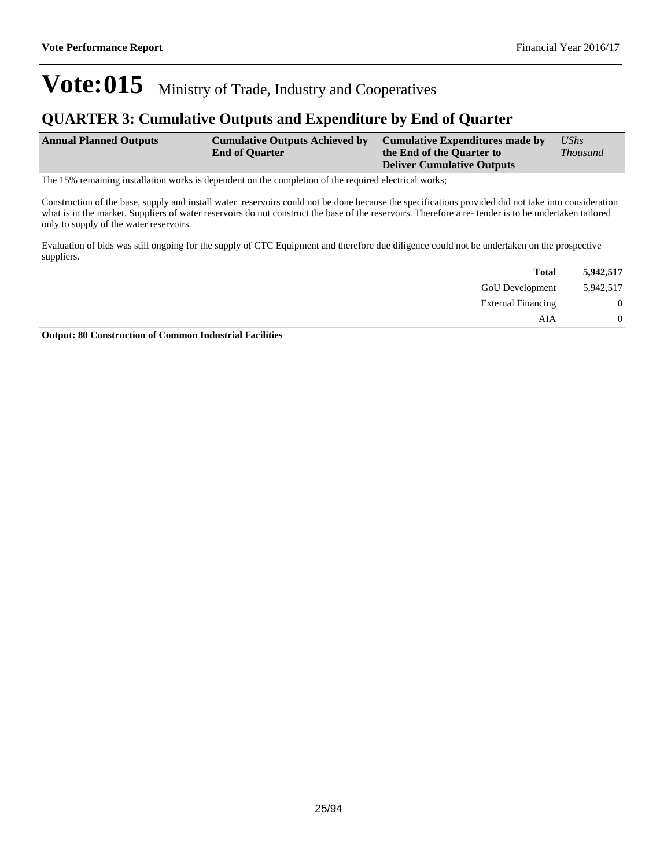### **QUARTER 3: Cumulative Outputs and Expenditure by End of Quarter**

| <b>Annual Planned Outputs</b> | <b>Cumulative Outputs Achieved by</b> | Cumulative Expenditures made by   | UShs            |
|-------------------------------|---------------------------------------|-----------------------------------|-----------------|
|                               | <b>End of Quarter</b>                 | the End of the Quarter to         | <i>Thousand</i> |
|                               |                                       | <b>Deliver Cumulative Outputs</b> |                 |

The 15% remaining installation works is dependent on the completion of the required electrical works;

Construction of the base, supply and install water reservoirs could not be done because the specifications provided did not take into consideration what is in the market. Suppliers of water reservoirs do not construct the base of the reservoirs. Therefore a re- tender is to be undertaken tailored only to supply of the water reservoirs.

Evaluation of bids was still ongoing for the supply of CTC Equipment and therefore due diligence could not be undertaken on the prospective suppliers.

| 5,942,517        | <b>Total</b>              |
|------------------|---------------------------|
| 5,942,517        | <b>GoU</b> Development    |
| $\boldsymbol{0}$ | <b>External Financing</b> |
| $\overline{0}$   | AIA                       |
|                  |                           |

**Output: 80 Construction of Common Industrial Facilities**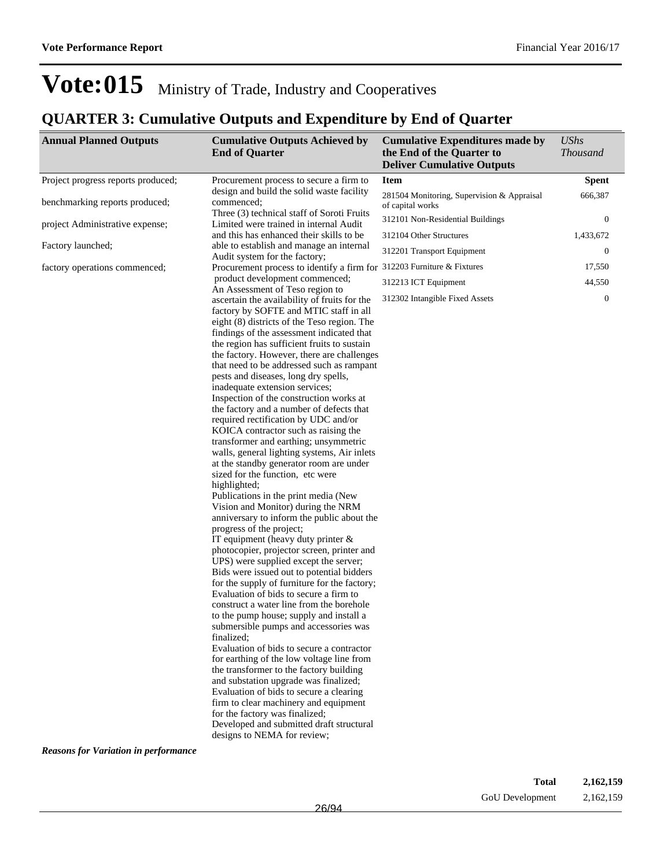### **QUARTER 3: Cumulative Outputs and Expenditure by End of Quarter**

| <b>Annual Planned Outputs</b>               | <b>Cumulative Outputs Achieved by</b><br><b>End of Quarter</b>                                                                                                                                                                                                                                                                                                                                                                                                                                                                                                                                                                                                                                                                                                                                                                                                                                                                                                                                                                                                                                                                                                                                                                                                                                                                                                                                                                                                                                                                                                     | <b>Cumulative Expenditures made by</b><br>the End of the Quarter to<br><b>Deliver Cumulative Outputs</b> | <b>UShs</b><br><b>Thousand</b> |
|---------------------------------------------|--------------------------------------------------------------------------------------------------------------------------------------------------------------------------------------------------------------------------------------------------------------------------------------------------------------------------------------------------------------------------------------------------------------------------------------------------------------------------------------------------------------------------------------------------------------------------------------------------------------------------------------------------------------------------------------------------------------------------------------------------------------------------------------------------------------------------------------------------------------------------------------------------------------------------------------------------------------------------------------------------------------------------------------------------------------------------------------------------------------------------------------------------------------------------------------------------------------------------------------------------------------------------------------------------------------------------------------------------------------------------------------------------------------------------------------------------------------------------------------------------------------------------------------------------------------------|----------------------------------------------------------------------------------------------------------|--------------------------------|
| Project progress reports produced;          | Procurement process to secure a firm to                                                                                                                                                                                                                                                                                                                                                                                                                                                                                                                                                                                                                                                                                                                                                                                                                                                                                                                                                                                                                                                                                                                                                                                                                                                                                                                                                                                                                                                                                                                            | <b>Item</b>                                                                                              | <b>Spent</b>                   |
| benchmarking reports produced;              | design and build the solid waste facility<br>commenced;                                                                                                                                                                                                                                                                                                                                                                                                                                                                                                                                                                                                                                                                                                                                                                                                                                                                                                                                                                                                                                                                                                                                                                                                                                                                                                                                                                                                                                                                                                            | 281504 Monitoring, Supervision & Appraisal<br>of capital works                                           | 666,387                        |
| project Administrative expense;             | Three (3) technical staff of Soroti Fruits<br>Limited were trained in internal Audit                                                                                                                                                                                                                                                                                                                                                                                                                                                                                                                                                                                                                                                                                                                                                                                                                                                                                                                                                                                                                                                                                                                                                                                                                                                                                                                                                                                                                                                                               | 312101 Non-Residential Buildings                                                                         | $\mathbf{0}$                   |
|                                             | and this has enhanced their skills to be                                                                                                                                                                                                                                                                                                                                                                                                                                                                                                                                                                                                                                                                                                                                                                                                                                                                                                                                                                                                                                                                                                                                                                                                                                                                                                                                                                                                                                                                                                                           | 312104 Other Structures                                                                                  | 1,433,672                      |
| Factory launched;                           | able to establish and manage an internal<br>Audit system for the factory;                                                                                                                                                                                                                                                                                                                                                                                                                                                                                                                                                                                                                                                                                                                                                                                                                                                                                                                                                                                                                                                                                                                                                                                                                                                                                                                                                                                                                                                                                          | 312201 Transport Equipment                                                                               | $\mathbf{0}$                   |
| factory operations commenced;               | Procurement process to identify a firm for 312203 Furniture & Fixtures                                                                                                                                                                                                                                                                                                                                                                                                                                                                                                                                                                                                                                                                                                                                                                                                                                                                                                                                                                                                                                                                                                                                                                                                                                                                                                                                                                                                                                                                                             |                                                                                                          | 17,550                         |
|                                             | product development commenced;                                                                                                                                                                                                                                                                                                                                                                                                                                                                                                                                                                                                                                                                                                                                                                                                                                                                                                                                                                                                                                                                                                                                                                                                                                                                                                                                                                                                                                                                                                                                     | 312213 ICT Equipment                                                                                     | 44,550                         |
|                                             | An Assessment of Teso region to<br>ascertain the availability of fruits for the<br>factory by SOFTE and MTIC staff in all<br>eight (8) districts of the Teso region. The<br>findings of the assessment indicated that<br>the region has sufficient fruits to sustain<br>the factory. However, there are challenges<br>that need to be addressed such as rampant<br>pests and diseases, long dry spells,<br>inadequate extension services;<br>Inspection of the construction works at<br>the factory and a number of defects that<br>required rectification by UDC and/or<br>KOICA contractor such as raising the<br>transformer and earthing; unsymmetric<br>walls, general lighting systems, Air inlets<br>at the standby generator room are under<br>sized for the function, etc were<br>highlighted;<br>Publications in the print media (New<br>Vision and Monitor) during the NRM<br>anniversary to inform the public about the<br>progress of the project;<br>IT equipment (heavy duty printer $\&$<br>photocopier, projector screen, printer and<br>UPS) were supplied except the server;<br>Bids were issued out to potential bidders<br>for the supply of furniture for the factory;<br>Evaluation of bids to secure a firm to<br>construct a water line from the borehole<br>to the pump house; supply and install a<br>submersible pumps and accessories was<br>finalized:<br>Evaluation of bids to secure a contractor<br>for earthing of the low voltage line from<br>the transformer to the factory building<br>and substation upgrade was finalized; | 312302 Intangible Fixed Assets                                                                           | $\mathbf{0}$                   |
|                                             | Evaluation of bids to secure a clearing                                                                                                                                                                                                                                                                                                                                                                                                                                                                                                                                                                                                                                                                                                                                                                                                                                                                                                                                                                                                                                                                                                                                                                                                                                                                                                                                                                                                                                                                                                                            |                                                                                                          |                                |
|                                             | firm to clear machinery and equipment<br>for the factory was finalized;                                                                                                                                                                                                                                                                                                                                                                                                                                                                                                                                                                                                                                                                                                                                                                                                                                                                                                                                                                                                                                                                                                                                                                                                                                                                                                                                                                                                                                                                                            |                                                                                                          |                                |
|                                             | Developed and submitted draft structural<br>designs to NEMA for review;                                                                                                                                                                                                                                                                                                                                                                                                                                                                                                                                                                                                                                                                                                                                                                                                                                                                                                                                                                                                                                                                                                                                                                                                                                                                                                                                                                                                                                                                                            |                                                                                                          |                                |
| <b>Reasons for Variation in performance</b> |                                                                                                                                                                                                                                                                                                                                                                                                                                                                                                                                                                                                                                                                                                                                                                                                                                                                                                                                                                                                                                                                                                                                                                                                                                                                                                                                                                                                                                                                                                                                                                    |                                                                                                          |                                |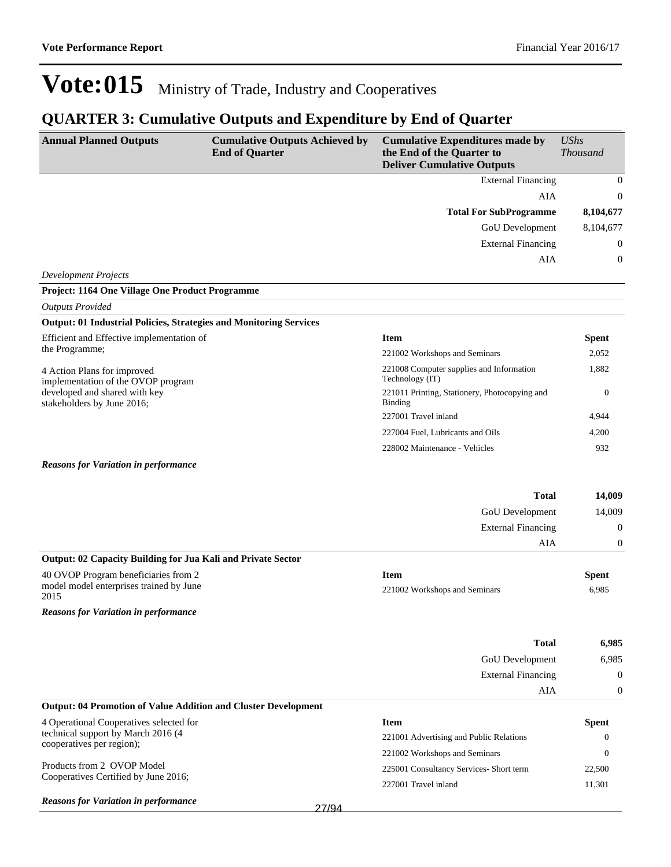### **QUARTER 3: Cumulative Outputs and Expenditure by End of Quarter**

| <b>Annual Planned Outputs</b>                                                           | <b>Cumulative Outputs Achieved by</b><br><b>End of Quarter</b> | <b>Cumulative Expenditures made by</b><br>the End of the Quarter to<br><b>Deliver Cumulative Outputs</b> | <b>UShs</b><br><b>Thousand</b> |
|-----------------------------------------------------------------------------------------|----------------------------------------------------------------|----------------------------------------------------------------------------------------------------------|--------------------------------|
|                                                                                         |                                                                | <b>External Financing</b>                                                                                | $\mathbf{0}$                   |
|                                                                                         |                                                                | AIA                                                                                                      | $\mathbf{0}$                   |
|                                                                                         |                                                                | <b>Total For SubProgramme</b>                                                                            | 8,104,677                      |
|                                                                                         |                                                                | GoU Development                                                                                          | 8,104,677                      |
|                                                                                         |                                                                | <b>External Financing</b>                                                                                | $\boldsymbol{0}$               |
| <b>Development Projects</b>                                                             |                                                                | AIA                                                                                                      | $\boldsymbol{0}$               |
| Project: 1164 One Village One Product Programme                                         |                                                                |                                                                                                          |                                |
| <b>Outputs Provided</b>                                                                 |                                                                |                                                                                                          |                                |
| <b>Output: 01 Industrial Policies, Strategies and Monitoring Services</b>               |                                                                |                                                                                                          |                                |
| Efficient and Effective implementation of                                               |                                                                | <b>Item</b>                                                                                              | <b>Spent</b>                   |
| the Programme;                                                                          |                                                                | 221002 Workshops and Seminars                                                                            | 2,052                          |
| 4 Action Plans for improved<br>implementation of the OVOP program                       |                                                                | 221008 Computer supplies and Information<br>Technology (IT)                                              | 1,882                          |
| developed and shared with key<br>stakeholders by June 2016;                             |                                                                | 221011 Printing, Stationery, Photocopying and<br>Binding                                                 | $\overline{0}$                 |
|                                                                                         |                                                                | 227001 Travel inland                                                                                     | 4,944                          |
|                                                                                         |                                                                | 227004 Fuel, Lubricants and Oils                                                                         | 4,200                          |
|                                                                                         |                                                                | 228002 Maintenance - Vehicles                                                                            | 932                            |
| <b>Reasons for Variation in performance</b>                                             |                                                                |                                                                                                          |                                |
|                                                                                         |                                                                | <b>Total</b>                                                                                             | 14,009                         |
|                                                                                         |                                                                | GoU Development                                                                                          | 14,009                         |
|                                                                                         |                                                                | <b>External Financing</b>                                                                                | $\mathbf{0}$                   |
|                                                                                         |                                                                | AIA                                                                                                      | $\boldsymbol{0}$               |
| Output: 02 Capacity Building for Jua Kali and Private Sector                            |                                                                |                                                                                                          |                                |
| 40 OVOP Program beneficiaries from 2<br>model model enterprises trained by June<br>2015 |                                                                | <b>Item</b><br>221002 Workshops and Seminars                                                             | <b>Spent</b><br>6,985          |
| <b>Reasons for Variation in performance</b>                                             |                                                                |                                                                                                          |                                |
|                                                                                         |                                                                | <b>Total</b>                                                                                             | 6,985                          |
|                                                                                         |                                                                | <b>GoU</b> Development                                                                                   | 6,985                          |
|                                                                                         |                                                                | <b>External Financing</b>                                                                                | $\boldsymbol{0}$               |
|                                                                                         |                                                                | AIA                                                                                                      | $\boldsymbol{0}$               |
| <b>Output: 04 Promotion of Value Addition and Cluster Development</b>                   |                                                                |                                                                                                          |                                |
| 4 Operational Cooperatives selected for                                                 |                                                                | <b>Item</b>                                                                                              | <b>Spent</b>                   |
| technical support by March 2016 (4<br>cooperatives per region);                         |                                                                | 221001 Advertising and Public Relations                                                                  | $\theta$                       |
|                                                                                         |                                                                | 221002 Workshops and Seminars                                                                            | $\theta$                       |
| Products from 2 OVOP Model<br>Cooperatives Certified by June 2016;                      |                                                                | 225001 Consultancy Services- Short term                                                                  | 22,500                         |
|                                                                                         |                                                                | 227001 Travel inland                                                                                     | 11,301                         |
| <b>Reasons for Variation in performance</b>                                             | 27/94                                                          |                                                                                                          |                                |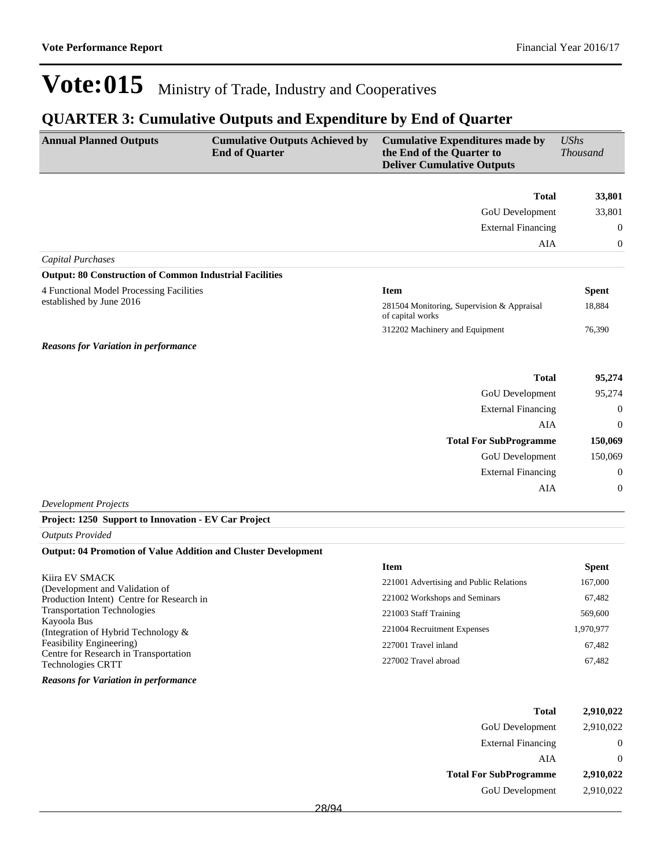### **QUARTER 3: Cumulative Outputs and Expenditure by End of Quarter**

| <b>Annual Planned Outputs</b>                                               | <b>Cumulative Outputs Achieved by</b><br><b>End of Quarter</b> | <b>Cumulative Expenditures made by</b><br>the End of the Quarter to<br><b>Deliver Cumulative Outputs</b> | <b>UShs</b><br><b>Thousand</b> |
|-----------------------------------------------------------------------------|----------------------------------------------------------------|----------------------------------------------------------------------------------------------------------|--------------------------------|
|                                                                             |                                                                | <b>Total</b>                                                                                             | 33,801                         |
|                                                                             |                                                                | GoU Development                                                                                          | 33,801                         |
|                                                                             |                                                                | <b>External Financing</b>                                                                                | $\overline{0}$                 |
|                                                                             |                                                                | <b>AIA</b>                                                                                               | $\mathbf{0}$                   |
| <b>Capital Purchases</b>                                                    |                                                                |                                                                                                          |                                |
| <b>Output: 80 Construction of Common Industrial Facilities</b>              |                                                                |                                                                                                          |                                |
| 4 Functional Model Processing Facilities                                    |                                                                | <b>Item</b>                                                                                              | <b>Spent</b>                   |
| established by June 2016                                                    |                                                                | 281504 Monitoring, Supervision & Appraisal<br>of capital works                                           | 18,884                         |
|                                                                             |                                                                | 312202 Machinery and Equipment                                                                           | 76,390                         |
| <b>Reasons for Variation in performance</b>                                 |                                                                |                                                                                                          |                                |
|                                                                             |                                                                |                                                                                                          |                                |
|                                                                             |                                                                | <b>Total</b>                                                                                             | 95,274                         |
|                                                                             |                                                                | GoU Development                                                                                          | 95,274                         |
|                                                                             |                                                                | <b>External Financing</b>                                                                                | $\mathbf{0}$                   |
|                                                                             |                                                                | AIA                                                                                                      | $\theta$                       |
|                                                                             |                                                                | <b>Total For SubProgramme</b>                                                                            | 150,069                        |
|                                                                             |                                                                | <b>GoU</b> Development                                                                                   | 150,069                        |
|                                                                             |                                                                | <b>External Financing</b>                                                                                | $\mathbf{0}$                   |
|                                                                             |                                                                | AIA                                                                                                      | $\mathbf{0}$                   |
| <b>Development Projects</b>                                                 |                                                                |                                                                                                          |                                |
| Project: 1250 Support to Innovation - EV Car Project                        |                                                                |                                                                                                          |                                |
| <b>Outputs Provided</b>                                                     |                                                                |                                                                                                          |                                |
| <b>Output: 04 Promotion of Value Addition and Cluster Development</b>       |                                                                |                                                                                                          |                                |
|                                                                             |                                                                | <b>Item</b>                                                                                              | <b>Spent</b>                   |
| Kiira EV SMACK                                                              |                                                                | 221001 Advertising and Public Relations                                                                  | 167,000                        |
| (Development and Validation of<br>Production Intent) Centre for Research in |                                                                | 221002 Workshops and Seminars                                                                            | 67,482                         |
| <b>Transportation Technologies</b>                                          |                                                                | 221003 Staff Training                                                                                    | 569,600                        |
| Kayoola Bus<br>(Integration of Hybrid Technology $\&$                       |                                                                | 221004 Recruitment Expenses                                                                              | 1,970,977                      |

Centre for Research in Transportation Technologies CRTT

Feasibility Engineering)

*Reasons for Variation in performance*

| <b>Total</b>                  | 2,910,022 |
|-------------------------------|-----------|
| <b>GoU</b> Development        | 2,910,022 |
| <b>External Financing</b>     | 0         |
| AIA                           | $\theta$  |
| <b>Total For SubProgramme</b> | 2,910,022 |
| <b>GoU</b> Development        | 2,910,022 |

227001 Travel inland 67,482 227002 Travel abroad 67,482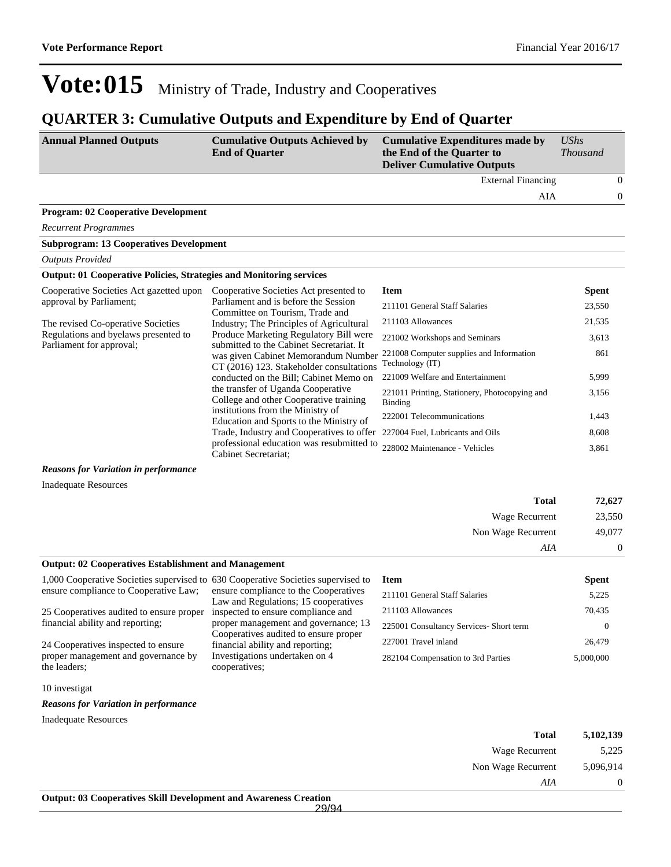### **QUARTER 3: Cumulative Outputs and Expenditure by End of Quarter**

| <b>Annual Planned Outputs</b>                                              | <b>Cumulative Outputs Achieved by</b><br><b>End of Quarter</b>                                                              | <b>Cumulative Expenditures made by</b><br>the End of the Quarter to<br><b>Deliver Cumulative Outputs</b> | <b>UShs</b><br><b>Thousand</b> |
|----------------------------------------------------------------------------|-----------------------------------------------------------------------------------------------------------------------------|----------------------------------------------------------------------------------------------------------|--------------------------------|
|                                                                            |                                                                                                                             | <b>External Financing</b>                                                                                | $\theta$                       |
|                                                                            |                                                                                                                             | AIA                                                                                                      | $\overline{0}$                 |
| <b>Program: 02 Cooperative Development</b>                                 |                                                                                                                             |                                                                                                          |                                |
| <b>Recurrent Programmes</b>                                                |                                                                                                                             |                                                                                                          |                                |
| <b>Subprogram: 13 Cooperatives Development</b>                             |                                                                                                                             |                                                                                                          |                                |
| <b>Outputs Provided</b>                                                    |                                                                                                                             |                                                                                                          |                                |
| <b>Output: 01 Cooperative Policies, Strategies and Monitoring services</b> |                                                                                                                             |                                                                                                          |                                |
| Cooperative Societies Act gazetted upon                                    | Cooperative Societies Act presented to                                                                                      | <b>Item</b>                                                                                              | <b>Spent</b>                   |
| approval by Parliament;                                                    | Parliament and is before the Session<br>Committee on Tourism, Trade and                                                     | 211101 General Staff Salaries                                                                            | 23,550                         |
| The revised Co-operative Societies                                         | Industry; The Principles of Agricultural                                                                                    | 211103 Allowances                                                                                        | 21,535                         |
| Regulations and byelaws presented to                                       | Produce Marketing Regulatory Bill were                                                                                      | 221002 Workshops and Seminars                                                                            | 3,613                          |
| Parliament for approval;                                                   | submitted to the Cabinet Secretariat. It<br>was given Cabinet Memorandum Number<br>CT (2016) 123. Stakeholder consultations | 221008 Computer supplies and Information<br>Technology (IT)                                              | 861                            |
|                                                                            | conducted on the Bill; Cabinet Memo on                                                                                      | 221009 Welfare and Entertainment                                                                         | 5,999                          |
|                                                                            | the transfer of Uganda Cooperative<br>College and other Cooperative training                                                | 221011 Printing, Stationery, Photocopying and<br>Binding                                                 | 3,156                          |
|                                                                            | institutions from the Ministry of<br>Education and Sports to the Ministry of                                                | 222001 Telecommunications                                                                                | 1,443                          |
|                                                                            | Trade, Industry and Cooperatives to offer                                                                                   | 227004 Fuel, Lubricants and Oils                                                                         | 8,608                          |
|                                                                            | professional education was resubmitted to<br>Cabinet Secretariat:                                                           | 228002 Maintenance - Vehicles                                                                            | 3,861                          |

*Reasons for Variation in performance*

Inadequate Resources

| 72,627         | <b>Total</b>                                                                                                                             |
|----------------|------------------------------------------------------------------------------------------------------------------------------------------|
| 23,550         | Wage Recurrent                                                                                                                           |
| 49,077         | Non Wage Recurrent                                                                                                                       |
| $\overline{0}$ | AIA                                                                                                                                      |
|                | __ _ _ _ _ _ _ _ _ _ _<br>$\sim$ $\sim$ $\sim$ $\sim$<br>the contract of the contract of the contract of the contract of the contract of |

#### **Output: 02 Cooperatives Establishment and Management**

| 1,000 Cooperative Societies supervised to 630 Cooperative Societies supervised to |                                                                            | <b>Item</b>                             | <b>Spent</b> |
|-----------------------------------------------------------------------------------|----------------------------------------------------------------------------|-----------------------------------------|--------------|
| ensure compliance to Cooperative Law;                                             | ensure compliance to the Cooperatives                                      | 211101 General Staff Salaries           | 5.225        |
| 25 Cooperatives audited to ensure proper                                          | Law and Regulations; 15 cooperatives<br>inspected to ensure compliance and | 211103 Allowances                       | 70,435       |
| financial ability and reporting;                                                  | proper management and governance; 13                                       | 225001 Consultancy Services- Short term |              |
| 24 Cooperatives inspected to ensure                                               | Cooperatives audited to ensure proper<br>financial ability and reporting;  | 227001 Travel inland                    | 26,479       |
| proper management and governance by                                               | Investigations undertaken on 4                                             | 282104 Compensation to 3rd Parties      | 5,000,000    |
| the leaders;                                                                      | cooperatives:                                                              |                                         |              |

10 investigat

*Reasons for Variation in performance*

Inadequate Resources

| <b>Total</b>                                                            | 5,102,139 |
|-------------------------------------------------------------------------|-----------|
| Wage Recurrent                                                          | 5,225     |
| Non Wage Recurrent                                                      | 5,096,914 |
| AIA                                                                     | 0         |
| <b>Output: 03 Cooperatives Skill Development and Awareness Creation</b> |           |
| 29/94                                                                   |           |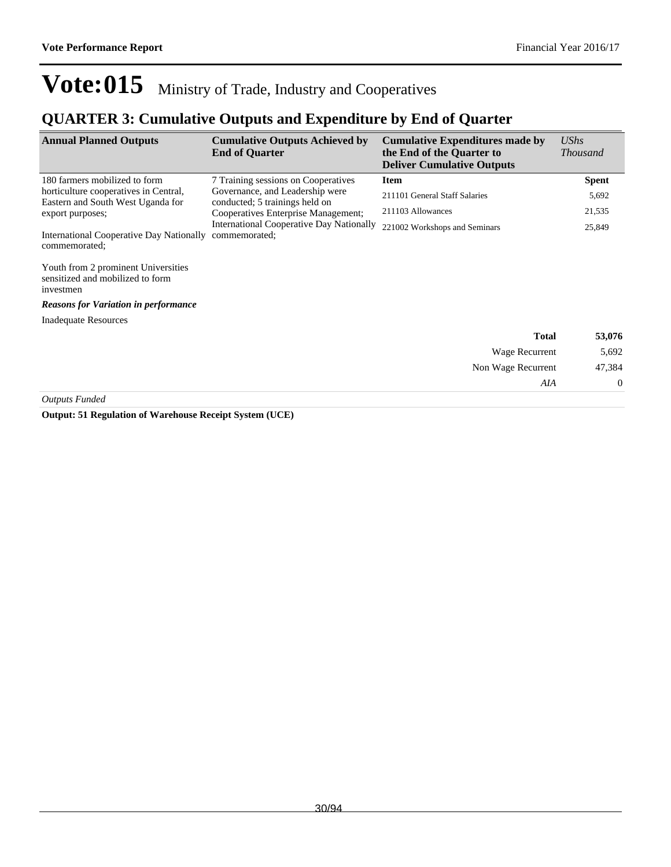### **QUARTER 3: Cumulative Outputs and Expenditure by End of Quarter**

| <b>Annual Planned Outputs</b>                                                        | <b>Cumulative Outputs Achieved by</b><br><b>End of Quarter</b>                                     | <b>Cumulative Expenditures made by</b><br>the End of the Quarter to<br><b>Deliver Cumulative Outputs</b> | <b>UShs</b><br><i>Thousand</i> |
|--------------------------------------------------------------------------------------|----------------------------------------------------------------------------------------------------|----------------------------------------------------------------------------------------------------------|--------------------------------|
| 180 farmers mobilized to form                                                        | 7 Training sessions on Cooperatives                                                                | Item                                                                                                     | <b>Spent</b>                   |
| horticulture cooperatives in Central,<br>Eastern and South West Uganda for           | Governance, and Leadership were<br>211101 General Staff Salaries<br>conducted; 5 trainings held on |                                                                                                          | 5,692                          |
| export purposes;                                                                     | Cooperatives Enterprise Management;                                                                | 211103 Allowances                                                                                        | 21,535                         |
| International Cooperative Day Nationally<br>commemorated;                            | <b>International Cooperative Day Nationally</b><br>commemorated;                                   | 221002 Workshops and Seminars                                                                            | 25,849                         |
| Youth from 2 prominent Universities<br>sensitized and mobilized to form<br>investmen |                                                                                                    |                                                                                                          |                                |
| <b>Reasons for Variation in performance</b>                                          |                                                                                                    |                                                                                                          |                                |
| <b>Inadequate Resources</b>                                                          |                                                                                                    |                                                                                                          |                                |
|                                                                                      |                                                                                                    | <b>Total</b>                                                                                             | 53,076                         |
|                                                                                      |                                                                                                    | Wage Recurrent                                                                                           | 5,692                          |
|                                                                                      |                                                                                                    | Non Wage Recurrent                                                                                       | 47,384                         |
|                                                                                      |                                                                                                    | AIA                                                                                                      | $\theta$                       |

*Outputs Funded*

**Output: 51 Regulation of Warehouse Receipt System (UCE)**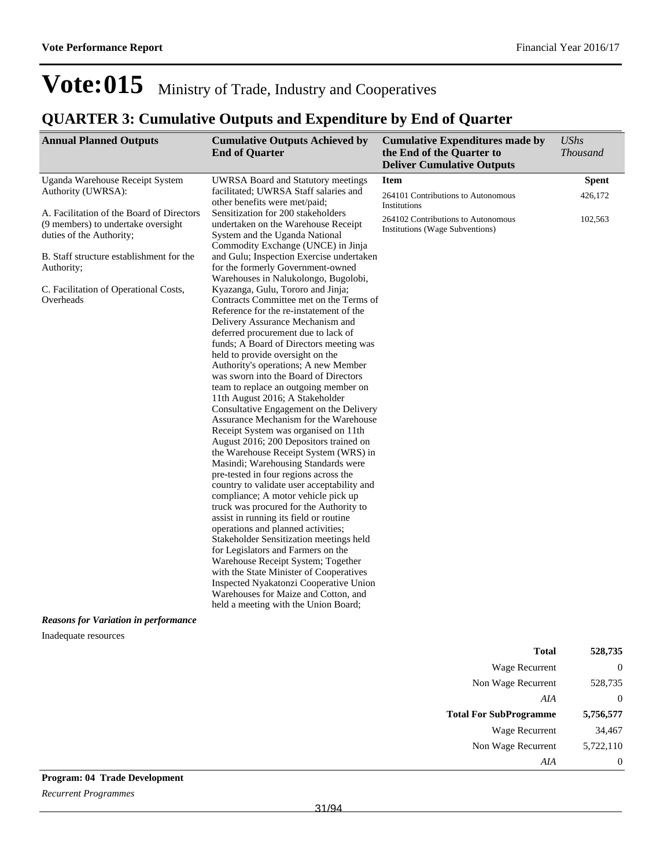Wage Recurrent 34,467 Non Wage Recurrent 5,722,110

*AIA* 0

## Vote:015 Ministry of Trade, Industry and Cooperatives

### **QUARTER 3: Cumulative Outputs and Expenditure by End of Quarter**

| <b>Annual Planned Outputs</b>                                                                                                                                                                                                                                              | <b>Cumulative Outputs Achieved by</b><br><b>End of Quarter</b>                                                                                                                                                                                                                                                                                                                                                                                                                                                                                                                                                                                                                                                                                                                                                                                                                                                                                                                                                                                                                                                                                                                                                                                                                                                                                                                                                                                                                                                                          | <b>Cumulative Expenditures made by</b><br>the End of the Quarter to<br><b>Deliver Cumulative Outputs</b> | <b>UShs</b><br><b>Thousand</b> |
|----------------------------------------------------------------------------------------------------------------------------------------------------------------------------------------------------------------------------------------------------------------------------|-----------------------------------------------------------------------------------------------------------------------------------------------------------------------------------------------------------------------------------------------------------------------------------------------------------------------------------------------------------------------------------------------------------------------------------------------------------------------------------------------------------------------------------------------------------------------------------------------------------------------------------------------------------------------------------------------------------------------------------------------------------------------------------------------------------------------------------------------------------------------------------------------------------------------------------------------------------------------------------------------------------------------------------------------------------------------------------------------------------------------------------------------------------------------------------------------------------------------------------------------------------------------------------------------------------------------------------------------------------------------------------------------------------------------------------------------------------------------------------------------------------------------------------------|----------------------------------------------------------------------------------------------------------|--------------------------------|
| Uganda Warehouse Receipt System                                                                                                                                                                                                                                            | <b>UWRSA Board and Statutory meetings</b>                                                                                                                                                                                                                                                                                                                                                                                                                                                                                                                                                                                                                                                                                                                                                                                                                                                                                                                                                                                                                                                                                                                                                                                                                                                                                                                                                                                                                                                                                               | <b>Item</b>                                                                                              | <b>Spent</b>                   |
| Authority (UWRSA):                                                                                                                                                                                                                                                         | facilitated; UWRSA Staff salaries and<br>other benefits were met/paid;                                                                                                                                                                                                                                                                                                                                                                                                                                                                                                                                                                                                                                                                                                                                                                                                                                                                                                                                                                                                                                                                                                                                                                                                                                                                                                                                                                                                                                                                  | 264101 Contributions to Autonomous<br>Institutions                                                       | 426,172                        |
| A. Facilitation of the Board of Directors<br>(9 members) to undertake oversight<br>duties of the Authority;<br>B. Staff structure establishment for the<br>Authority;<br>C. Facilitation of Operational Costs,<br>Overheads<br><b>Reasons for Variation in performance</b> | Sensitization for 200 stakeholders<br>undertaken on the Warehouse Receipt<br>System and the Uganda National<br>Commodity Exchange (UNCE) in Jinja<br>and Gulu; Inspection Exercise undertaken<br>for the formerly Government-owned<br>Warehouses in Nalukolongo, Bugolobi,<br>Kyazanga, Gulu, Tororo and Jinja;<br>Contracts Committee met on the Terms of<br>Reference for the re-instatement of the<br>Delivery Assurance Mechanism and<br>deferred procurement due to lack of<br>funds; A Board of Directors meeting was<br>held to provide oversight on the<br>Authority's operations; A new Member<br>was sworn into the Board of Directors<br>team to replace an outgoing member on<br>11th August 2016; A Stakeholder<br>Consultative Engagement on the Delivery<br>Assurance Mechanism for the Warehouse<br>Receipt System was organised on 11th<br>August 2016; 200 Depositors trained on<br>the Warehouse Receipt System (WRS) in<br>Masindi; Warehousing Standards were<br>pre-tested in four regions across the<br>country to validate user acceptability and<br>compliance; A motor vehicle pick up<br>truck was procured for the Authority to<br>assist in running its field or routine<br>operations and planned activities;<br>Stakeholder Sensitization meetings held<br>for Legislators and Farmers on the<br>Warehouse Receipt System; Together<br>with the State Minister of Cooperatives<br>Inspected Nyakatonzi Cooperative Union<br>Warehouses for Maize and Cotton, and<br>held a meeting with the Union Board; | 264102 Contributions to Autonomous<br>Institutions (Wage Subventions)                                    | 102,563                        |
| Inadequate resources                                                                                                                                                                                                                                                       |                                                                                                                                                                                                                                                                                                                                                                                                                                                                                                                                                                                                                                                                                                                                                                                                                                                                                                                                                                                                                                                                                                                                                                                                                                                                                                                                                                                                                                                                                                                                         |                                                                                                          |                                |
|                                                                                                                                                                                                                                                                            |                                                                                                                                                                                                                                                                                                                                                                                                                                                                                                                                                                                                                                                                                                                                                                                                                                                                                                                                                                                                                                                                                                                                                                                                                                                                                                                                                                                                                                                                                                                                         | <b>Total</b>                                                                                             | 528,735                        |
|                                                                                                                                                                                                                                                                            |                                                                                                                                                                                                                                                                                                                                                                                                                                                                                                                                                                                                                                                                                                                                                                                                                                                                                                                                                                                                                                                                                                                                                                                                                                                                                                                                                                                                                                                                                                                                         | <b>Wage Recurrent</b>                                                                                    | $\boldsymbol{0}$               |
|                                                                                                                                                                                                                                                                            |                                                                                                                                                                                                                                                                                                                                                                                                                                                                                                                                                                                                                                                                                                                                                                                                                                                                                                                                                                                                                                                                                                                                                                                                                                                                                                                                                                                                                                                                                                                                         | Non Wage Recurrent                                                                                       | 528,735                        |
|                                                                                                                                                                                                                                                                            |                                                                                                                                                                                                                                                                                                                                                                                                                                                                                                                                                                                                                                                                                                                                                                                                                                                                                                                                                                                                                                                                                                                                                                                                                                                                                                                                                                                                                                                                                                                                         | $A I\!A$<br><b>Total For SubProgramme</b>                                                                | $\boldsymbol{0}$<br>5,756,577  |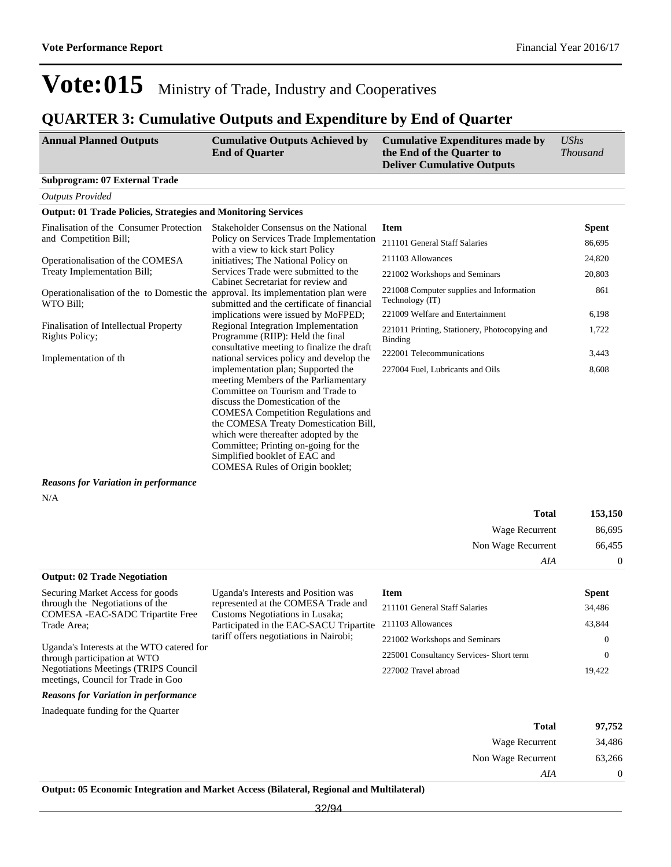### **QUARTER 3: Cumulative Outputs and Expenditure by End of Quarter**

| <b>Annual Planned Outputs</b>                                                                 | <b>Cumulative Outputs Achieved by</b><br><b>End of Quarter</b>                                                                                                                                                                                                                                                                                                                                | <b>Cumulative Expenditures made by</b><br>the End of the Quarter to<br><b>Deliver Cumulative Outputs</b> | <b>UShs</b><br><b>Thousand</b> |
|-----------------------------------------------------------------------------------------------|-----------------------------------------------------------------------------------------------------------------------------------------------------------------------------------------------------------------------------------------------------------------------------------------------------------------------------------------------------------------------------------------------|----------------------------------------------------------------------------------------------------------|--------------------------------|
| <b>Subprogram: 07 External Trade</b>                                                          |                                                                                                                                                                                                                                                                                                                                                                                               |                                                                                                          |                                |
| <b>Outputs Provided</b>                                                                       |                                                                                                                                                                                                                                                                                                                                                                                               |                                                                                                          |                                |
| <b>Output: 01 Trade Policies, Strategies and Monitoring Services</b>                          |                                                                                                                                                                                                                                                                                                                                                                                               |                                                                                                          |                                |
| Finalisation of the Consumer Protection                                                       | Stakeholder Consensus on the National                                                                                                                                                                                                                                                                                                                                                         | <b>Item</b>                                                                                              | <b>Spent</b>                   |
| and Competition Bill;                                                                         | Policy on Services Trade Implementation<br>with a view to kick start Policy                                                                                                                                                                                                                                                                                                                   | 211101 General Staff Salaries                                                                            | 86,695                         |
| Operationalisation of the COMESA                                                              | initiatives; The National Policy on                                                                                                                                                                                                                                                                                                                                                           | 211103 Allowances                                                                                        | 24,820                         |
| Treaty Implementation Bill;                                                                   | Services Trade were submitted to the<br>Cabinet Secretariat for review and                                                                                                                                                                                                                                                                                                                    | 221002 Workshops and Seminars                                                                            | 20,803                         |
| Operationalisation of the to Domestic the approval. Its implementation plan were<br>WTO Bill: | submitted and the certificate of financial                                                                                                                                                                                                                                                                                                                                                    | 221008 Computer supplies and Information<br>Technology (IT)                                              | 861                            |
|                                                                                               | implications were issued by MoFPED;                                                                                                                                                                                                                                                                                                                                                           | 221009 Welfare and Entertainment                                                                         | 6,198                          |
| Finalisation of Intellectual Property<br>Rights Policy;                                       | Regional Integration Implementation<br>Programme (RIIP): Held the final<br>consultative meeting to finalize the draft                                                                                                                                                                                                                                                                         | 221011 Printing, Stationery, Photocopying and<br><b>Binding</b>                                          | 1,722                          |
| Implementation of th                                                                          | national services policy and develop the                                                                                                                                                                                                                                                                                                                                                      | 222001 Telecommunications                                                                                | 3,443                          |
|                                                                                               | implementation plan; Supported the<br>meeting Members of the Parliamentary<br>Committee on Tourism and Trade to<br>discuss the Domestication of the<br><b>COMESA</b> Competition Regulations and<br>the COMESA Treaty Domestication Bill,<br>which were thereafter adopted by the<br>Committee; Printing on-going for the<br>Simplified booklet of EAC and<br>COMESA Rules of Origin booklet; | 227004 Fuel, Lubricants and Oils                                                                         | 8,608                          |
| <b>Reasons for Variation in performance</b>                                                   |                                                                                                                                                                                                                                                                                                                                                                                               |                                                                                                          |                                |
| N/A                                                                                           |                                                                                                                                                                                                                                                                                                                                                                                               |                                                                                                          |                                |
|                                                                                               |                                                                                                                                                                                                                                                                                                                                                                                               | <b>Total</b>                                                                                             | 153,150                        |
|                                                                                               |                                                                                                                                                                                                                                                                                                                                                                                               | Wage Recurrent                                                                                           | 86,695                         |
|                                                                                               |                                                                                                                                                                                                                                                                                                                                                                                               | Non Wage Recurrent                                                                                       | 66,455                         |
|                                                                                               |                                                                                                                                                                                                                                                                                                                                                                                               | AIA                                                                                                      | $\boldsymbol{0}$               |
| <b>Output: 02 Trade Negotiation</b>                                                           |                                                                                                                                                                                                                                                                                                                                                                                               |                                                                                                          |                                |
| Securing Market Access for goods                                                              | Uganda's Interests and Position was                                                                                                                                                                                                                                                                                                                                                           | <b>Item</b>                                                                                              | <b>Spent</b>                   |
| through the Negotiations of the<br>COMESA - EAC-SADC Tripartite Free                          | represented at the COMESA Trade and<br>Customs Negotiations in Lusaka;                                                                                                                                                                                                                                                                                                                        | 211101 General Staff Salaries                                                                            | 34,486                         |
| Trade Area;                                                                                   | Participated in the EAC-SACU Tripartite                                                                                                                                                                                                                                                                                                                                                       | 211103 Allowances                                                                                        | 43,844                         |
|                                                                                               | tariff offers negotiations in Nairobi;                                                                                                                                                                                                                                                                                                                                                        | 221002 Workshops and Seminars                                                                            | 0                              |
| Uganda's Interests at the WTO catered for<br>through participation at WTO                     |                                                                                                                                                                                                                                                                                                                                                                                               | 225001 Consultancy Services- Short term                                                                  | $\mathbf{0}$                   |
| <b>Negotiations Meetings (TRIPS Council</b><br>meetings, Council for Trade in Goo             |                                                                                                                                                                                                                                                                                                                                                                                               | 227002 Travel abroad                                                                                     | 19,422                         |
| <b>Reasons for Variation in performance</b>                                                   |                                                                                                                                                                                                                                                                                                                                                                                               |                                                                                                          |                                |
| Inadequate funding for the Quarter                                                            |                                                                                                                                                                                                                                                                                                                                                                                               |                                                                                                          |                                |
|                                                                                               |                                                                                                                                                                                                                                                                                                                                                                                               | <b>Total</b>                                                                                             | 97,752                         |
|                                                                                               |                                                                                                                                                                                                                                                                                                                                                                                               | <b>Wage Recurrent</b>                                                                                    | 34.486                         |

| Wage Recurrent     | 34,486 |
|--------------------|--------|
| Non Wage Recurrent | 63,266 |
| AIA                |        |

**Output: 05 Economic Integration and Market Access (Bilateral, Regional and Multilateral)**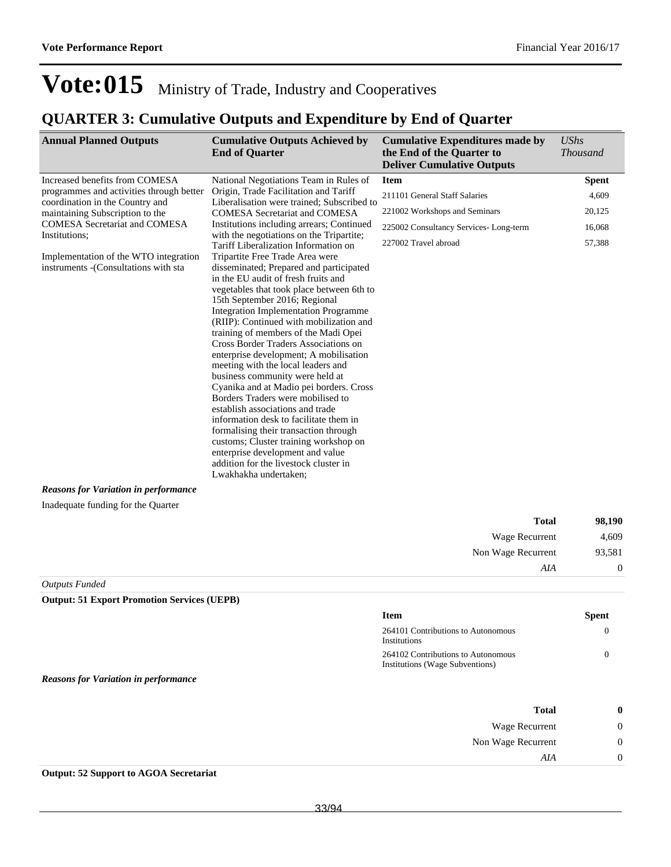*UShs* 

## Vote:015 Ministry of Trade, Industry and Cooperatives

### **QUARTER 3: Cumulative Outputs and Expenditure by End of Quarter**

**Annual Planned Outputs Cumulative Outputs Achieved by Cumulative Expenditures made by** 

|                                                                                | <b>End of Quarter</b>                                                                                                                                                                                                                                                                                                                                                                                                                                                                                                                                                                                                                                                                                                                                                                                                                              | the End of the Quarter to<br><b>Deliver Cumulative Outputs</b>        | <b>Thousand</b>  |
|--------------------------------------------------------------------------------|----------------------------------------------------------------------------------------------------------------------------------------------------------------------------------------------------------------------------------------------------------------------------------------------------------------------------------------------------------------------------------------------------------------------------------------------------------------------------------------------------------------------------------------------------------------------------------------------------------------------------------------------------------------------------------------------------------------------------------------------------------------------------------------------------------------------------------------------------|-----------------------------------------------------------------------|------------------|
| Increased benefits from COMESA                                                 | National Negotiations Team in Rules of                                                                                                                                                                                                                                                                                                                                                                                                                                                                                                                                                                                                                                                                                                                                                                                                             | <b>Item</b>                                                           | <b>Spent</b>     |
| programmes and activities through better                                       | Origin, Trade Facilitation and Tariff                                                                                                                                                                                                                                                                                                                                                                                                                                                                                                                                                                                                                                                                                                                                                                                                              | 211101 General Staff Salaries                                         | 4,609            |
| coordination in the Country and<br>maintaining Subscription to the             | Liberalisation were trained; Subscribed to<br><b>COMESA Secretariat and COMESA</b>                                                                                                                                                                                                                                                                                                                                                                                                                                                                                                                                                                                                                                                                                                                                                                 | 221002 Workshops and Seminars                                         | 20,125           |
| <b>COMESA Secretariat and COMESA</b>                                           | Institutions including arrears; Continued                                                                                                                                                                                                                                                                                                                                                                                                                                                                                                                                                                                                                                                                                                                                                                                                          | 225002 Consultancy Services-Long-term                                 | 16,068           |
| Institutions;                                                                  | with the negotiations on the Tripartite;<br>Tariff Liberalization Information on                                                                                                                                                                                                                                                                                                                                                                                                                                                                                                                                                                                                                                                                                                                                                                   | 227002 Travel abroad                                                  | 57,388           |
| Implementation of the WTO integration<br>instruments - (Consultations with sta | Tripartite Free Trade Area were<br>disseminated; Prepared and participated<br>in the EU audit of fresh fruits and<br>vegetables that took place between 6th to<br>15th September 2016; Regional<br><b>Integration Implementation Programme</b><br>(RIIP): Continued with mobilization and<br>training of members of the Madi Opei<br>Cross Border Traders Associations on<br>enterprise development; A mobilisation<br>meeting with the local leaders and<br>business community were held at<br>Cyanika and at Madio pei borders. Cross<br>Borders Traders were mobilised to<br>establish associations and trade<br>information desk to facilitate them in<br>formalising their transaction through<br>customs; Cluster training workshop on<br>enterprise development and value<br>addition for the livestock cluster in<br>Lwakhakha undertaken; |                                                                       |                  |
| <b>Reasons for Variation in performance</b>                                    |                                                                                                                                                                                                                                                                                                                                                                                                                                                                                                                                                                                                                                                                                                                                                                                                                                                    |                                                                       |                  |
| Inadequate funding for the Quarter                                             |                                                                                                                                                                                                                                                                                                                                                                                                                                                                                                                                                                                                                                                                                                                                                                                                                                                    |                                                                       |                  |
|                                                                                |                                                                                                                                                                                                                                                                                                                                                                                                                                                                                                                                                                                                                                                                                                                                                                                                                                                    | <b>Total</b>                                                          | 98,190           |
|                                                                                |                                                                                                                                                                                                                                                                                                                                                                                                                                                                                                                                                                                                                                                                                                                                                                                                                                                    | Wage Recurrent                                                        | 4,609            |
|                                                                                |                                                                                                                                                                                                                                                                                                                                                                                                                                                                                                                                                                                                                                                                                                                                                                                                                                                    | Non Wage Recurrent                                                    | 93,581           |
|                                                                                |                                                                                                                                                                                                                                                                                                                                                                                                                                                                                                                                                                                                                                                                                                                                                                                                                                                    | AIA                                                                   | $\mathbf{0}$     |
| <b>Outputs Funded</b>                                                          |                                                                                                                                                                                                                                                                                                                                                                                                                                                                                                                                                                                                                                                                                                                                                                                                                                                    |                                                                       |                  |
| <b>Output: 51 Export Promotion Services (UEPB)</b>                             |                                                                                                                                                                                                                                                                                                                                                                                                                                                                                                                                                                                                                                                                                                                                                                                                                                                    |                                                                       |                  |
|                                                                                |                                                                                                                                                                                                                                                                                                                                                                                                                                                                                                                                                                                                                                                                                                                                                                                                                                                    | Item                                                                  | <b>Spent</b>     |
|                                                                                |                                                                                                                                                                                                                                                                                                                                                                                                                                                                                                                                                                                                                                                                                                                                                                                                                                                    | 264101 Contributions to Autonomous<br>Institutions                    | $\mathbf{0}$     |
|                                                                                |                                                                                                                                                                                                                                                                                                                                                                                                                                                                                                                                                                                                                                                                                                                                                                                                                                                    | 264102 Contributions to Autonomous<br>Institutions (Wage Subventions) | $\mathbf{0}$     |
| <b>Reasons for Variation in performance</b>                                    |                                                                                                                                                                                                                                                                                                                                                                                                                                                                                                                                                                                                                                                                                                                                                                                                                                                    |                                                                       |                  |
|                                                                                |                                                                                                                                                                                                                                                                                                                                                                                                                                                                                                                                                                                                                                                                                                                                                                                                                                                    | <b>Total</b>                                                          | 0                |
|                                                                                |                                                                                                                                                                                                                                                                                                                                                                                                                                                                                                                                                                                                                                                                                                                                                                                                                                                    | Wage Recurrent                                                        | 0                |
|                                                                                |                                                                                                                                                                                                                                                                                                                                                                                                                                                                                                                                                                                                                                                                                                                                                                                                                                                    | Non Wage Recurrent                                                    | $\boldsymbol{0}$ |
|                                                                                |                                                                                                                                                                                                                                                                                                                                                                                                                                                                                                                                                                                                                                                                                                                                                                                                                                                    | AIA                                                                   | $\boldsymbol{0}$ |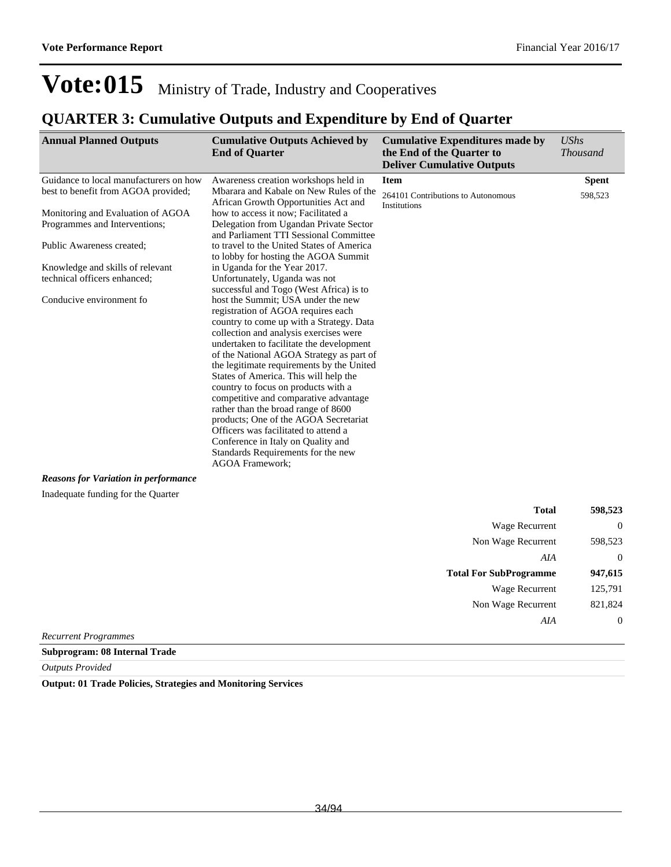### **QUARTER 3: Cumulative Outputs and Expenditure by End of Quarter**

| <b>Annual Planned Outputs</b>                                                                | <b>Cumulative Outputs Achieved by</b><br><b>End of Quarter</b>                                                                                                                                                                                                                                                                                                                                                                                                                                                                                                                                                       | <b>Cumulative Expenditures made by</b><br>the End of the Quarter to<br><b>Deliver Cumulative Outputs</b> | <b>UShs</b><br><b>Thousand</b> |
|----------------------------------------------------------------------------------------------|----------------------------------------------------------------------------------------------------------------------------------------------------------------------------------------------------------------------------------------------------------------------------------------------------------------------------------------------------------------------------------------------------------------------------------------------------------------------------------------------------------------------------------------------------------------------------------------------------------------------|----------------------------------------------------------------------------------------------------------|--------------------------------|
| Guidance to local manufacturers on how<br>best to benefit from AGOA provided;                | Awareness creation workshops held in<br>Mbarara and Kabale on New Rules of the<br>African Growth Opportunities Act and                                                                                                                                                                                                                                                                                                                                                                                                                                                                                               | <b>Item</b><br>264101 Contributions to Autonomous                                                        | <b>Spent</b><br>598,523        |
| Monitoring and Evaluation of AGOA<br>Programmes and Interventions;                           | how to access it now; Facilitated a<br>Delegation from Ugandan Private Sector<br>and Parliament TTI Sessional Committee                                                                                                                                                                                                                                                                                                                                                                                                                                                                                              | Institutions                                                                                             |                                |
| Public Awareness created;                                                                    | to travel to the United States of America<br>to lobby for hosting the AGOA Summit                                                                                                                                                                                                                                                                                                                                                                                                                                                                                                                                    |                                                                                                          |                                |
| Knowledge and skills of relevant<br>technical officers enhanced;<br>Conducive environment fo | in Uganda for the Year 2017.<br>Unfortunately, Uganda was not<br>successful and Togo (West Africa) is to<br>host the Summit; USA under the new                                                                                                                                                                                                                                                                                                                                                                                                                                                                       |                                                                                                          |                                |
|                                                                                              | registration of AGOA requires each<br>country to come up with a Strategy. Data<br>collection and analysis exercises were<br>undertaken to facilitate the development<br>of the National AGOA Strategy as part of<br>the legitimate requirements by the United<br>States of America. This will help the<br>country to focus on products with a<br>competitive and comparative advantage<br>rather than the broad range of 8600<br>products; One of the AGOA Secretariat<br>Officers was facilitated to attend a<br>Conference in Italy on Quality and<br>Standards Requirements for the new<br><b>AGOA Framework;</b> |                                                                                                          |                                |
| <b>Reasons for Variation in performance</b>                                                  |                                                                                                                                                                                                                                                                                                                                                                                                                                                                                                                                                                                                                      |                                                                                                          |                                |
| Inadequate funding for the Quarter                                                           |                                                                                                                                                                                                                                                                                                                                                                                                                                                                                                                                                                                                                      |                                                                                                          |                                |
|                                                                                              |                                                                                                                                                                                                                                                                                                                                                                                                                                                                                                                                                                                                                      | <b>Total</b>                                                                                             | 598,523                        |
|                                                                                              |                                                                                                                                                                                                                                                                                                                                                                                                                                                                                                                                                                                                                      | Wage Recurrent                                                                                           | $\mathbf{0}$                   |
|                                                                                              |                                                                                                                                                                                                                                                                                                                                                                                                                                                                                                                                                                                                                      | Non Wage Recurrent                                                                                       | 598,523                        |
|                                                                                              |                                                                                                                                                                                                                                                                                                                                                                                                                                                                                                                                                                                                                      | AIA                                                                                                      | $\overline{0}$                 |
|                                                                                              |                                                                                                                                                                                                                                                                                                                                                                                                                                                                                                                                                                                                                      | <b>Total For SubProgramme</b>                                                                            | 947,615                        |
|                                                                                              |                                                                                                                                                                                                                                                                                                                                                                                                                                                                                                                                                                                                                      | Wage Recurrent                                                                                           | 125,791                        |
|                                                                                              |                                                                                                                                                                                                                                                                                                                                                                                                                                                                                                                                                                                                                      | Non Wage Recurrent                                                                                       | 821,824                        |
|                                                                                              |                                                                                                                                                                                                                                                                                                                                                                                                                                                                                                                                                                                                                      | AIA                                                                                                      | $\overline{0}$                 |

*Recurrent Programmes*

**Subprogram: 08 Internal Trade**

*Outputs Provided*

**Output: 01 Trade Policies, Strategies and Monitoring Services**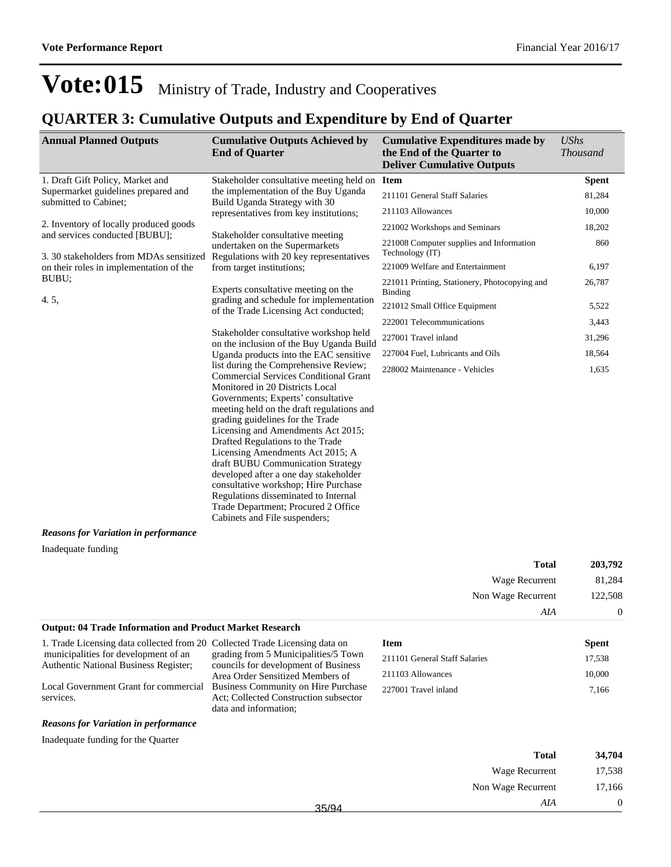### **QUARTER 3: Cumulative Outputs and Expenditure by End of Quarter**

| <b>Annual Planned Outputs</b>                                                                                                                                                                                                                                                                                                                                                                                                                                                                                                                                                                       | <b>Cumulative Outputs Achieved by</b><br><b>End of Quarter</b>                                                          | <b>Cumulative Expenditures made by</b><br>the End of the Quarter to<br><b>Deliver Cumulative Outputs</b> | <b>UShs</b><br><b>Thousand</b> |
|-----------------------------------------------------------------------------------------------------------------------------------------------------------------------------------------------------------------------------------------------------------------------------------------------------------------------------------------------------------------------------------------------------------------------------------------------------------------------------------------------------------------------------------------------------------------------------------------------------|-------------------------------------------------------------------------------------------------------------------------|----------------------------------------------------------------------------------------------------------|--------------------------------|
| 1. Draft Gift Policy, Market and                                                                                                                                                                                                                                                                                                                                                                                                                                                                                                                                                                    | Stakeholder consultative meeting held on                                                                                | <b>Item</b>                                                                                              | <b>Spent</b>                   |
| Supermarket guidelines prepared and<br>submitted to Cabinet;                                                                                                                                                                                                                                                                                                                                                                                                                                                                                                                                        | the implementation of the Buy Uganda                                                                                    | 211101 General Staff Salaries                                                                            | 81,284                         |
|                                                                                                                                                                                                                                                                                                                                                                                                                                                                                                                                                                                                     | Build Uganda Strategy with 30<br>representatives from key institutions;                                                 | 211103 Allowances                                                                                        | 10,000                         |
| 2. Inventory of locally produced goods                                                                                                                                                                                                                                                                                                                                                                                                                                                                                                                                                              |                                                                                                                         | 221002 Workshops and Seminars                                                                            | 18,202                         |
| and services conducted [BUBU];<br>3. 30 stakeholders from MDAs sensitized                                                                                                                                                                                                                                                                                                                                                                                                                                                                                                                           | Stakeholder consultative meeting<br>undertaken on the Supermarkets<br>Regulations with 20 key representatives           | 221008 Computer supplies and Information<br>Technology (IT)                                              | 860                            |
| on their roles in implementation of the                                                                                                                                                                                                                                                                                                                                                                                                                                                                                                                                                             | from target institutions;                                                                                               | 221009 Welfare and Entertainment                                                                         | 6,197                          |
| BUBU;                                                                                                                                                                                                                                                                                                                                                                                                                                                                                                                                                                                               | Experts consultative meeting on the<br>grading and schedule for implementation<br>of the Trade Licensing Act conducted; | 221011 Printing, Stationery, Photocopying and<br>Binding                                                 | 26,787                         |
| 4.5,                                                                                                                                                                                                                                                                                                                                                                                                                                                                                                                                                                                                |                                                                                                                         | 221012 Small Office Equipment                                                                            | 5,522                          |
|                                                                                                                                                                                                                                                                                                                                                                                                                                                                                                                                                                                                     |                                                                                                                         | 222001 Telecommunications                                                                                | 3,443                          |
|                                                                                                                                                                                                                                                                                                                                                                                                                                                                                                                                                                                                     | Stakeholder consultative workshop held<br>on the inclusion of the Buy Uganda Build                                      | 227001 Travel inland                                                                                     | 31,296                         |
|                                                                                                                                                                                                                                                                                                                                                                                                                                                                                                                                                                                                     | Uganda products into the EAC sensitive                                                                                  | 227004 Fuel, Lubricants and Oils                                                                         | 18,564                         |
| list during the Comprehensive Review;<br><b>Commercial Services Conditional Grant</b><br>Monitored in 20 Districts Local<br>Governments; Experts' consultative<br>meeting held on the draft regulations and<br>grading guidelines for the Trade<br>Licensing and Amendments Act 2015;<br>Drafted Regulations to the Trade<br>Licensing Amendments Act 2015; A<br>draft BUBU Communication Strategy<br>developed after a one day stakeholder<br>consultative workshop; Hire Purchase<br>Regulations disseminated to Internal<br>Trade Department; Procured 2 Office<br>Cabinets and File suspenders; | 228002 Maintenance - Vehicles                                                                                           | 1,635                                                                                                    |                                |
| <b>Reasons for Variation in performance</b>                                                                                                                                                                                                                                                                                                                                                                                                                                                                                                                                                         |                                                                                                                         |                                                                                                          |                                |

Inadequate funding

| 203,792        | <b>Total</b>       |
|----------------|--------------------|
| 81,284         | Wage Recurrent     |
| 122,508        | Non Wage Recurrent |
| $\overline{0}$ | AIA                |

#### **Output: 04 Trade Information and Product Market Research**

1. Trade Licensing data collected from 20 municipalities for development of an Authentic National Business Register;

Local Government Grant for commercial services.

#### *Reasons for Variation in performance*

Inadequate funding for the Quarter

| Collected Trade Licensing data on            |
|----------------------------------------------|
| grading from 5 Municipalities/5 Town         |
| councils for development of Business         |
| Area Order Sensitized Members of             |
| <b>Business Community on Hire Purchase</b>   |
| <b>Act: Collected Construction subsector</b> |
| data and information:                        |

| <b>Item</b>                   | <b>Spent</b> |
|-------------------------------|--------------|
| 211101 General Staff Salaries | 17.538       |
| 211103 Allowances             | 10,000       |
| 227001 Travel inland          | 7.166        |

|       | <b>Total</b>       | 34,704 |
|-------|--------------------|--------|
|       | Wage Recurrent     | 17,538 |
|       | Non Wage Recurrent | 17,166 |
| 35/94 | AIA                |        |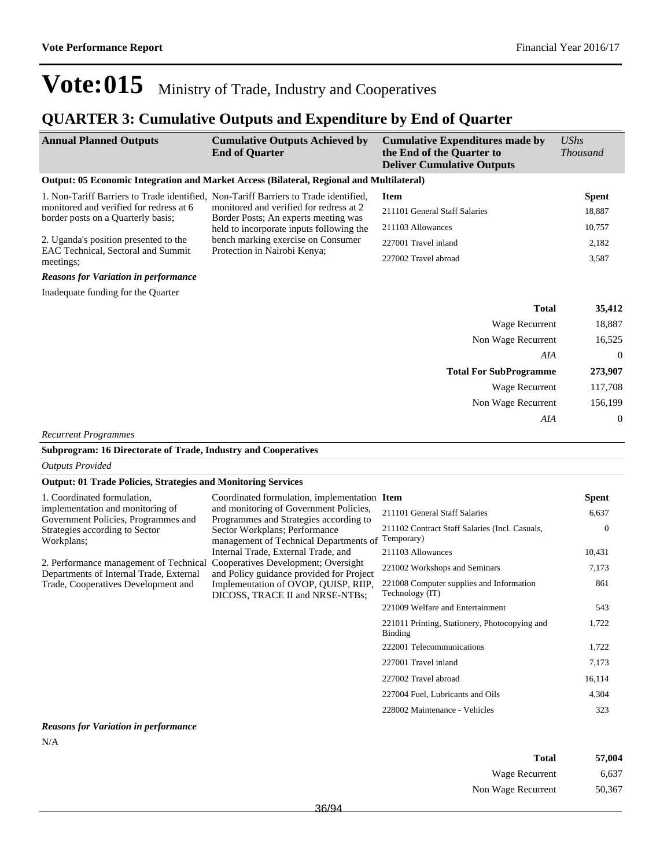### **QUARTER 3: Cumulative Outputs and Expenditure by End of Quarter**

| <b>Annual Planned Outputs</b>                                                        | <b>Cumulative Outputs Achieved by</b><br><b>End of Quarter</b>                                                                                                                                    | <b>Cumulative Expenditures made by</b><br>the End of the Quarter to<br><b>Deliver Cumulative Outputs</b> | <b>UShs</b><br><b>Thousand</b> |
|--------------------------------------------------------------------------------------|---------------------------------------------------------------------------------------------------------------------------------------------------------------------------------------------------|----------------------------------------------------------------------------------------------------------|--------------------------------|
|                                                                                      | Output: 05 Economic Integration and Market Access (Bilateral, Regional and Multilateral)                                                                                                          |                                                                                                          |                                |
| 1. Non-Tariff Barriers to Trade identified, Non-Tariff Barriers to Trade identified, |                                                                                                                                                                                                   | <b>Item</b>                                                                                              | <b>Spent</b>                   |
| monitored and verified for redress at 6<br>border posts on a Quarterly basis;        | monitored and verified for redress at 2                                                                                                                                                           | 211101 General Staff Salaries                                                                            | 18,887                         |
|                                                                                      | Border Posts; An experts meeting was<br>held to incorporate inputs following the                                                                                                                  | 211103 Allowances                                                                                        | 10,757                         |
| 2. Uganda's position presented to the                                                | bench marking exercise on Consumer                                                                                                                                                                | 227001 Travel inland                                                                                     | 2,182                          |
| EAC Technical, Sectoral and Summit<br>meetings;                                      | Protection in Nairobi Kenya;                                                                                                                                                                      | 227002 Travel abroad                                                                                     | 3,587                          |
| <b>Reasons for Variation in performance</b>                                          |                                                                                                                                                                                                   |                                                                                                          |                                |
| Inadequate funding for the Quarter                                                   |                                                                                                                                                                                                   |                                                                                                          |                                |
|                                                                                      |                                                                                                                                                                                                   | <b>Total</b>                                                                                             | 35,412                         |
|                                                                                      |                                                                                                                                                                                                   | Wage Recurrent                                                                                           | 18,887                         |
|                                                                                      |                                                                                                                                                                                                   | Non Wage Recurrent                                                                                       | 16,525                         |
|                                                                                      |                                                                                                                                                                                                   | AIA                                                                                                      | $\boldsymbol{0}$               |
|                                                                                      |                                                                                                                                                                                                   | <b>Total For SubProgramme</b>                                                                            | 273,907                        |
|                                                                                      |                                                                                                                                                                                                   | Wage Recurrent                                                                                           | 117,708                        |
|                                                                                      |                                                                                                                                                                                                   | Non Wage Recurrent                                                                                       | 156,199                        |
|                                                                                      |                                                                                                                                                                                                   | AIA                                                                                                      | $\boldsymbol{0}$               |
| <b>Recurrent Programmes</b>                                                          |                                                                                                                                                                                                   |                                                                                                          |                                |
| Subprogram: 16 Directorate of Trade, Industry and Cooperatives                       |                                                                                                                                                                                                   |                                                                                                          |                                |
| <b>Outputs Provided</b>                                                              |                                                                                                                                                                                                   |                                                                                                          |                                |
| <b>Output: 01 Trade Policies, Strategies and Monitoring Services</b>                 |                                                                                                                                                                                                   |                                                                                                          |                                |
| 1. Coordinated formulation,                                                          | Coordinated formulation, implementation Item                                                                                                                                                      |                                                                                                          | <b>Spent</b>                   |
| implementation and monitoring of<br>Government Policies, Programmes and              | and monitoring of Government Policies,<br>Programmes and Strategies according to<br>Sector Workplans; Performance<br>management of Technical Departments of                                       | 211101 General Staff Salaries                                                                            | 6,637                          |
| Strategies according to Sector<br>Workplans;                                         |                                                                                                                                                                                                   | 211102 Contract Staff Salaries (Incl. Casuals,<br>Temporary)                                             | $\mathbf{0}$                   |
|                                                                                      | Internal Trade, External Trade, and                                                                                                                                                               | 211103 Allowances                                                                                        | 10,431                         |
| Departments of Internal Trade, External                                              | 2. Performance management of Technical Cooperatives Development; Oversight<br>and Policy guidance provided for Project<br>Implementation of OVOP, QUISP, RIIP,<br>DICOSS, TRACE II and NRSE-NTBs; | 221002 Workshops and Seminars                                                                            | 7,173                          |
| Trade, Cooperatives Development and                                                  |                                                                                                                                                                                                   | 221008 Computer supplies and Information<br>Technology (IT)                                              | 861                            |
|                                                                                      |                                                                                                                                                                                                   | 221009 Welfare and Entertainment                                                                         | 543                            |
|                                                                                      |                                                                                                                                                                                                   | 221011 Printing, Stationery, Photocopying and<br><b>Binding</b>                                          | 1,722                          |
|                                                                                      |                                                                                                                                                                                                   | 222001 Telecommunications                                                                                | 1,722                          |

*Reasons for Variation in performance* N/A

| Total              | 57,004 |
|--------------------|--------|
| Wage Recurrent     | 6.637  |
| Non Wage Recurrent | 50,367 |

227001 Travel inland 7,173 227002 Travel abroad 16,114 227004 Fuel, Lubricants and Oils 4,304 228002 Maintenance - Vehicles 323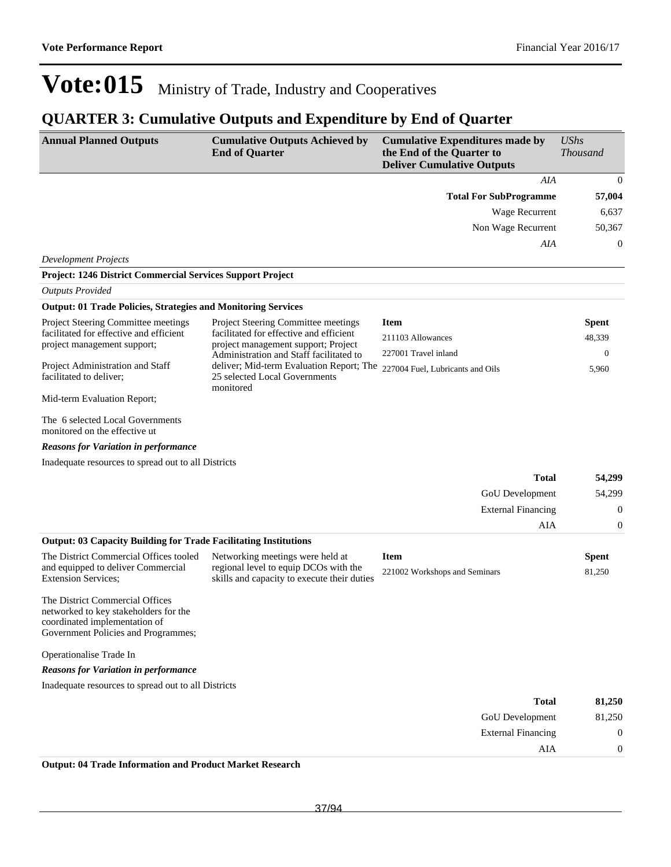### **QUARTER 3: Cumulative Outputs and Expenditure by End of Quarter**

| <b>Annual Planned Outputs</b>                                                                                                                    | <b>Cumulative Outputs Achieved by</b><br><b>End of Quarter</b>                         | <b>Cumulative Expenditures made by</b><br>the End of the Quarter to<br><b>Deliver Cumulative Outputs</b> | <b>UShs</b><br><b>Thousand</b> |
|--------------------------------------------------------------------------------------------------------------------------------------------------|----------------------------------------------------------------------------------------|----------------------------------------------------------------------------------------------------------|--------------------------------|
|                                                                                                                                                  |                                                                                        | AIA                                                                                                      | $\mathbf{0}$                   |
|                                                                                                                                                  |                                                                                        | <b>Total For SubProgramme</b>                                                                            | 57,004                         |
|                                                                                                                                                  |                                                                                        | <b>Wage Recurrent</b>                                                                                    | 6,637                          |
|                                                                                                                                                  |                                                                                        | Non Wage Recurrent                                                                                       | 50,367                         |
|                                                                                                                                                  |                                                                                        | AIA                                                                                                      | $\mathbf{0}$                   |
| <b>Development Projects</b>                                                                                                                      |                                                                                        |                                                                                                          |                                |
| <b>Project: 1246 District Commercial Services Support Project</b>                                                                                |                                                                                        |                                                                                                          |                                |
| <b>Outputs Provided</b>                                                                                                                          |                                                                                        |                                                                                                          |                                |
| <b>Output: 01 Trade Policies, Strategies and Monitoring Services</b>                                                                             |                                                                                        |                                                                                                          |                                |
| Project Steering Committee meetings                                                                                                              | Project Steering Committee meetings                                                    | <b>Item</b>                                                                                              | <b>Spent</b>                   |
| facilitated for effective and efficient<br>project management support;                                                                           | facilitated for effective and efficient<br>project management support; Project         | 211103 Allowances                                                                                        | 48,339                         |
|                                                                                                                                                  | Administration and Staff facilitated to                                                | 227001 Travel inland                                                                                     | $\boldsymbol{0}$               |
| Project Administration and Staff<br>facilitated to deliver:                                                                                      | deliver; Mid-term Evaluation Report; The<br>25 selected Local Governments<br>monitored | 227004 Fuel, Lubricants and Oils                                                                         | 5,960                          |
| Mid-term Evaluation Report;                                                                                                                      |                                                                                        |                                                                                                          |                                |
| The 6 selected Local Governments<br>monitored on the effective ut                                                                                |                                                                                        |                                                                                                          |                                |
| <b>Reasons for Variation in performance</b>                                                                                                      |                                                                                        |                                                                                                          |                                |
| Inadequate resources to spread out to all Districts                                                                                              |                                                                                        |                                                                                                          |                                |
|                                                                                                                                                  |                                                                                        | <b>Total</b>                                                                                             | 54,299                         |
|                                                                                                                                                  |                                                                                        | GoU Development                                                                                          | 54,299                         |
|                                                                                                                                                  |                                                                                        | <b>External Financing</b>                                                                                | $\boldsymbol{0}$               |
|                                                                                                                                                  |                                                                                        | AIA                                                                                                      | $\mathbf{0}$                   |
| <b>Output: 03 Capacity Building for Trade Facilitating Institutions</b>                                                                          |                                                                                        |                                                                                                          |                                |
| The District Commercial Offices tooled                                                                                                           | Networking meetings were held at                                                       | <b>Item</b>                                                                                              | <b>Spent</b>                   |
| and equipped to deliver Commercial<br><b>Extension Services;</b>                                                                                 | regional level to equip DCOs with the<br>skills and capacity to execute their duties   | 221002 Workshops and Seminars                                                                            | 81,250                         |
| The District Commercial Offices<br>networked to key stakeholders for the<br>coordinated implementation of<br>Government Policies and Programmes; |                                                                                        |                                                                                                          |                                |
| Operationalise Trade In                                                                                                                          |                                                                                        |                                                                                                          |                                |
| <b>Reasons for Variation in performance</b>                                                                                                      |                                                                                        |                                                                                                          |                                |
| Inadequate resources to spread out to all Districts                                                                                              |                                                                                        |                                                                                                          |                                |
|                                                                                                                                                  |                                                                                        | <b>Total</b>                                                                                             | 81,250                         |
|                                                                                                                                                  |                                                                                        | GoU Development                                                                                          | 81,250                         |
|                                                                                                                                                  |                                                                                        | <b>External Financing</b>                                                                                | $\boldsymbol{0}$               |
|                                                                                                                                                  |                                                                                        | AIA                                                                                                      | $\boldsymbol{0}$               |
| Output: 04 Trade Information and Product Market Pessarch                                                                                         |                                                                                        |                                                                                                          |                                |

**Output: 04 Trade Information and Product Market Research**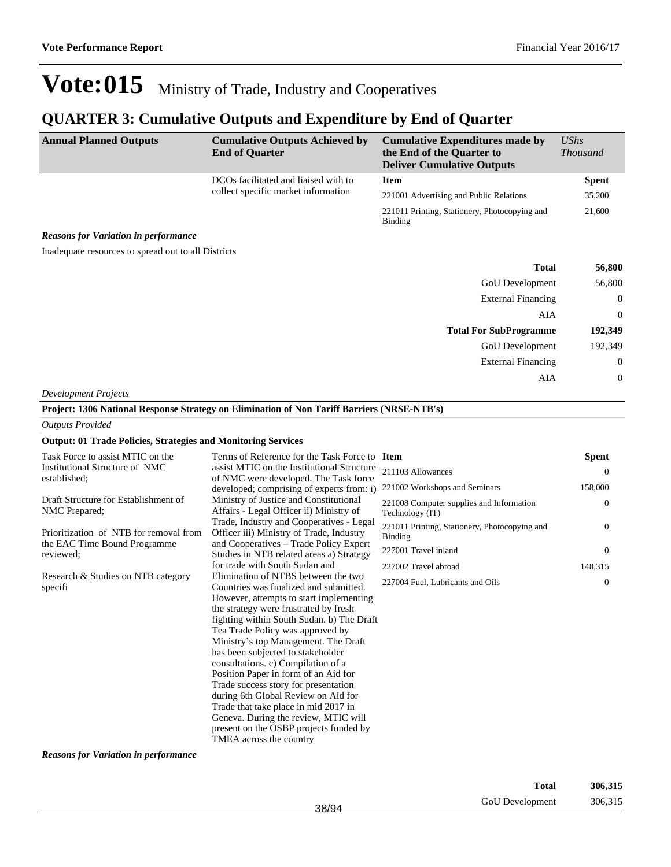### **QUARTER 3: Cumulative Outputs and Expenditure by End of Quarter**

| <b>Annual Planned Outputs</b>                       | <b>Cumulative Outputs Achieved by</b><br><b>End of Quarter</b> | <b>Cumulative Expenditures made by</b><br>the End of the Quarter to<br><b>Deliver Cumulative Outputs</b> | <b>UShs</b><br><i>Thousand</i> |
|-----------------------------------------------------|----------------------------------------------------------------|----------------------------------------------------------------------------------------------------------|--------------------------------|
|                                                     | DCOs facilitated and liaised with to                           | <b>Item</b>                                                                                              | <b>Spent</b>                   |
|                                                     | collect specific market information                            | 221001 Advertising and Public Relations                                                                  | 35,200                         |
|                                                     |                                                                | 221011 Printing, Stationery, Photocopying and<br><b>Binding</b>                                          | 21,600                         |
| <b>Reasons for Variation in performance</b>         |                                                                |                                                                                                          |                                |
| Inadequate resources to spread out to all Districts |                                                                |                                                                                                          |                                |
|                                                     |                                                                | <b>Total</b>                                                                                             | 56,800                         |
|                                                     |                                                                | <b>GoU</b> Development                                                                                   | 56,800                         |
|                                                     |                                                                | <b>External Financing</b>                                                                                | $\overline{0}$                 |
|                                                     |                                                                | AIA                                                                                                      | $\overline{0}$                 |
|                                                     |                                                                | <b>Total For SubProgramme</b>                                                                            | 192,349                        |
|                                                     |                                                                | <b>GoU</b> Development                                                                                   | 192,349                        |
|                                                     |                                                                | <b>External Financing</b>                                                                                | $\overline{0}$                 |
|                                                     |                                                                | AIA                                                                                                      | $\overline{0}$                 |

*Development Projects*

**Project: 1306 National Response Strategy on Elimination of Non Tariff Barriers (NRSE-NTB's)**

#### *Outputs Provided*

#### **Output: 01 Trade Policies, Strategies and Monitoring Services**

| Task Force to assist MTIC on the                                       | Terms of Reference for the Task Force to Item                                                                                 |                                                                 | <b>Spent</b>   |
|------------------------------------------------------------------------|-------------------------------------------------------------------------------------------------------------------------------|-----------------------------------------------------------------|----------------|
| Institutional Structure of NMC<br>established;                         | assist MTIC on the Institutional Structure<br>of NMC were developed. The Task force                                           | 211103 Allowances                                               | $\Omega$       |
|                                                                        | developed; comprising of experts from: i)                                                                                     | 221002 Workshops and Seminars                                   | 158,000        |
| Draft Structure for Establishment of<br>NMC Prepared;                  | Ministry of Justice and Constitutional<br>Affairs - Legal Officer ii) Ministry of<br>Trade, Industry and Cooperatives - Legal | 221008 Computer supplies and Information<br>Technology (IT)     | $\Omega$       |
| Prioritization of NTB for removal from<br>the EAC Time Bound Programme | Officer iii) Ministry of Trade, Industry<br>and Cooperatives - Trade Policy Expert                                            | 221011 Printing, Stationery, Photocopying and<br><b>Binding</b> | $\Omega$       |
| reviewed:                                                              | Studies in NTB related areas a) Strategy                                                                                      | 227001 Travel inland                                            | $\overline{0}$ |
|                                                                        | for trade with South Sudan and                                                                                                | 227002 Travel abroad                                            | 148,315        |
| Research & Studies on NTB category<br>specifi                          | Elimination of NTBS between the two<br>Countries was finalized and submitted.                                                 | 227004 Fuel, Lubricants and Oils                                | $\Omega$       |
|                                                                        | However, attempts to start implementing                                                                                       |                                                                 |                |
|                                                                        | the strategy were frustrated by fresh<br>fighting within South Sudan. b) The Draft                                            |                                                                 |                |
|                                                                        | Tea Trade Policy was approved by                                                                                              |                                                                 |                |
|                                                                        | Ministry's top Management. The Draft                                                                                          |                                                                 |                |
|                                                                        | has been subjected to stakeholder                                                                                             |                                                                 |                |
|                                                                        | consultations. c) Compilation of a                                                                                            |                                                                 |                |
|                                                                        | Position Paper in form of an Aid for                                                                                          |                                                                 |                |
|                                                                        | Trade success story for presentation                                                                                          |                                                                 |                |
|                                                                        | during 6th Global Review on Aid for                                                                                           |                                                                 |                |
|                                                                        | Trade that take place in mid 2017 in                                                                                          |                                                                 |                |
|                                                                        | Geneva. During the review, MTIC will                                                                                          |                                                                 |                |
|                                                                        | present on the OSBP projects funded by                                                                                        |                                                                 |                |
|                                                                        | TMEA across the country                                                                                                       |                                                                 |                |

*Reasons for Variation in performance*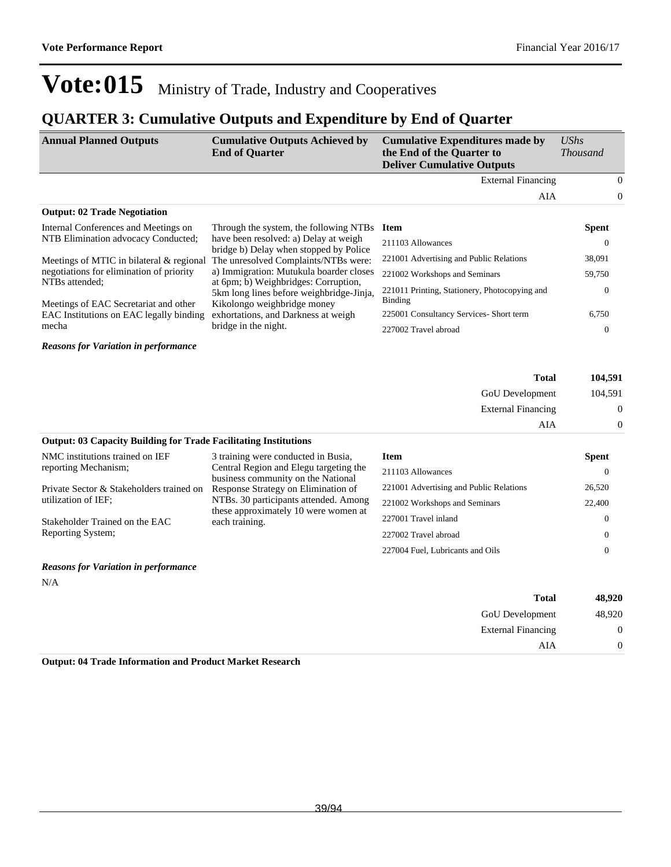### **QUARTER 3: Cumulative Outputs and Expenditure by End of Quarter**

| <b>Annual Planned Outputs</b>                                                                                                                                              | <b>Cumulative Outputs Achieved by</b><br><b>End of Quarter</b>                  | <b>Cumulative Expenditures made by</b><br>the End of the Quarter to<br><b>Deliver Cumulative Outputs</b> | UShs<br><i>Thousand</i> |                |
|----------------------------------------------------------------------------------------------------------------------------------------------------------------------------|---------------------------------------------------------------------------------|----------------------------------------------------------------------------------------------------------|-------------------------|----------------|
|                                                                                                                                                                            |                                                                                 | <b>External Financing</b>                                                                                |                         | $\overline{0}$ |
|                                                                                                                                                                            |                                                                                 | AIA                                                                                                      |                         | $\overline{0}$ |
| <b>Output: 02 Trade Negotiation</b>                                                                                                                                        |                                                                                 |                                                                                                          |                         |                |
| Internal Conferences and Meetings on                                                                                                                                       | Through the system, the following NTBs                                          | <b>Item</b>                                                                                              | <b>Spent</b>            |                |
| NTB Elimination advocacy Conducted;                                                                                                                                        | have been resolved: a) Delay at weigh<br>bridge b) Delay when stopped by Police | 211103 Allowances                                                                                        | $\Omega$                |                |
| Meetings of MTIC in bilateral $&$ regional                                                                                                                                 | The unresolved Complaints/NTBs were:                                            | 221001 Advertising and Public Relations                                                                  | 38,091                  |                |
| negotiations for elimination of priority                                                                                                                                   | a) Immigration: Mutukula boarder closes                                         | 221002 Workshops and Seminars                                                                            | 59,750                  |                |
| at 6pm; b) Weighbridges: Corruption,<br>NTBs attended;<br>5km long lines before weighbridge-Jinja,<br>Kikolongo weighbridge money<br>Meetings of EAC Secretariat and other | 221011 Printing, Stationery, Photocopying and<br>Binding                        | $\mathbf{0}$                                                                                             |                         |                |
| EAC Institutions on EAC legally binding                                                                                                                                    | exhortations, and Darkness at weigh                                             | 225001 Consultancy Services- Short term                                                                  | 6,750                   |                |
| mecha                                                                                                                                                                      | bridge in the night.                                                            | 227002 Travel abroad                                                                                     | $\Omega$                |                |
| <b>Reasons for Variation in performance</b>                                                                                                                                |                                                                                 |                                                                                                          |                         |                |

| 104,591 | <b>Total</b>              |
|---------|---------------------------|
| 104,591 | <b>GoU</b> Development    |
| 0       | <b>External Financing</b> |
| 0       | AIA                       |

### **Output: 03 Capacity Building for Trade Facilitating Institutions**

| NMC institutions trained on IEF            | 3 training were conducted in Busia,                                          | Item                                    | <b>Spent</b> |
|--------------------------------------------|------------------------------------------------------------------------------|-----------------------------------------|--------------|
| reporting Mechanism;                       | Central Region and Elegu targeting the<br>business community on the National | 211103 Allowances                       |              |
| Private Sector & Stakeholders trained on   | Response Strategy on Elimination of                                          | 221001 Advertising and Public Relations | 26,520       |
| utilization of IEF;                        | NTBs. 30 participants attended. Among                                        | 221002 Workshops and Seminars           | 22,400       |
| Stakeholder Trained on the EAC             | these approximately 10 were women at<br>each training.                       | 227001 Travel inland                    |              |
| Reporting System;                          |                                                                              | 227002 Travel abroad                    |              |
|                                            |                                                                              | 227004 Fuel, Lubricants and Oils        |              |
| $\mathbf{r}$ , $\mathbf{r}$ , $\mathbf{r}$ |                                                                              |                                         |              |

#### *Reasons for Variation in performance*

N/A

| 48,920   | <b>Total</b>              |
|----------|---------------------------|
| 48,920   | <b>GoU</b> Development    |
| 0        | <b>External Financing</b> |
| $\Omega$ | AIA                       |
|          |                           |

**Output: 04 Trade Information and Product Market Research**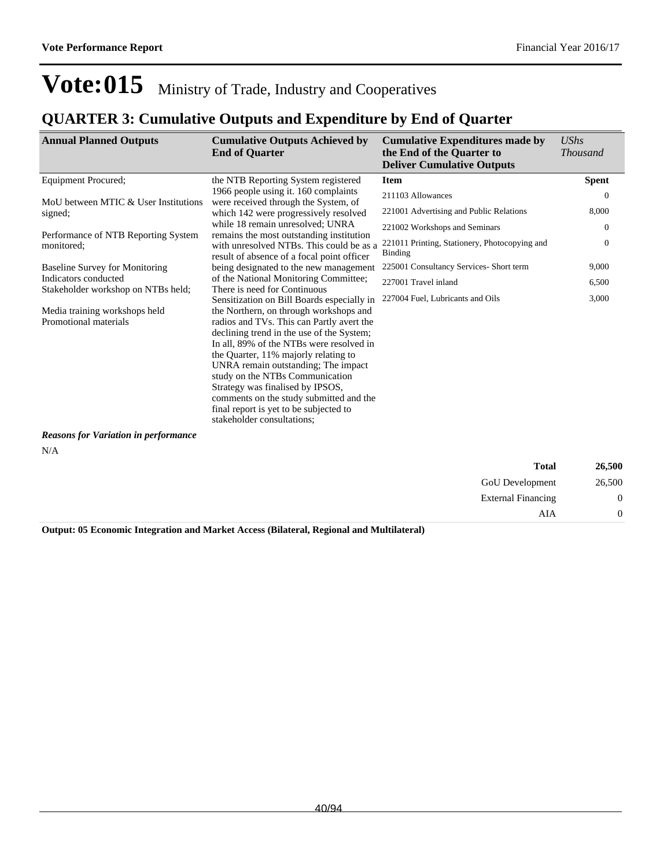External Financing 0

AIA 0

## Vote: 015 Ministry of Trade, Industry and Cooperatives

### **QUARTER 3: Cumulative Outputs and Expenditure by End of Quarter**

| <b>Annual Planned Outputs</b>                              | <b>Cumulative Outputs Achieved by</b><br><b>End of Quarter</b>                                                                                                                                                                                                                                                                                                                                                                                        | <b>Cumulative Expenditures made by</b><br>the End of the Quarter to<br><b>Deliver Cumulative Outputs</b> | <b>UShs</b><br><b>Thousand</b> |
|------------------------------------------------------------|-------------------------------------------------------------------------------------------------------------------------------------------------------------------------------------------------------------------------------------------------------------------------------------------------------------------------------------------------------------------------------------------------------------------------------------------------------|----------------------------------------------------------------------------------------------------------|--------------------------------|
| <b>Equipment Procured:</b>                                 | the NTB Reporting System registered                                                                                                                                                                                                                                                                                                                                                                                                                   | <b>Item</b>                                                                                              | <b>Spent</b>                   |
| MoU between MTIC & User Institutions                       | 1966 people using it. 160 complaints<br>were received through the System, of                                                                                                                                                                                                                                                                                                                                                                          | 211103 Allowances                                                                                        | $\Omega$                       |
| signed;                                                    | which 142 were progressively resolved                                                                                                                                                                                                                                                                                                                                                                                                                 | 221001 Advertising and Public Relations                                                                  | 8,000                          |
| Performance of NTB Reporting System                        | while 18 remain unresolved: UNRA<br>remains the most outstanding institution                                                                                                                                                                                                                                                                                                                                                                          | 221002 Workshops and Seminars                                                                            | $\theta$                       |
| monitored:                                                 | with unresolved NTBs. This could be as a<br>result of absence of a focal point officer                                                                                                                                                                                                                                                                                                                                                                | 221011 Printing, Stationery, Photocopying and<br>Binding                                                 | $\theta$                       |
| <b>Baseline Survey for Monitoring</b>                      | being designated to the new management                                                                                                                                                                                                                                                                                                                                                                                                                | 225001 Consultancy Services- Short term                                                                  | 9,000                          |
| Indicators conducted<br>Stakeholder workshop on NTBs held; | of the National Monitoring Committee;<br>There is need for Continuous                                                                                                                                                                                                                                                                                                                                                                                 | 227001 Travel inland                                                                                     | 6,500                          |
|                                                            | Sensitization on Bill Boards especially in                                                                                                                                                                                                                                                                                                                                                                                                            | 227004 Fuel, Lubricants and Oils                                                                         | 3,000                          |
| Media training workshops held<br>Promotional materials     | the Northern, on through workshops and<br>radios and TVs. This can Partly avert the<br>declining trend in the use of the System;<br>In all, 89% of the NTBs were resolved in<br>the Quarter, 11% majorly relating to<br>UNRA remain outstanding; The impact<br>study on the NTBs Communication<br>Strategy was finalised by IPSOS,<br>comments on the study submitted and the<br>final report is yet to be subjected to<br>stakeholder consultations: |                                                                                                          |                                |
| <b>Reasons for Variation in performance</b>                |                                                                                                                                                                                                                                                                                                                                                                                                                                                       |                                                                                                          |                                |
| N/A                                                        |                                                                                                                                                                                                                                                                                                                                                                                                                                                       |                                                                                                          |                                |
|                                                            |                                                                                                                                                                                                                                                                                                                                                                                                                                                       | <b>Total</b>                                                                                             | 26,500                         |
|                                                            |                                                                                                                                                                                                                                                                                                                                                                                                                                                       | <b>GoU</b> Development                                                                                   | 26,500                         |

**Output: 05 Economic Integration and Market Access (Bilateral, Regional and Multilateral)**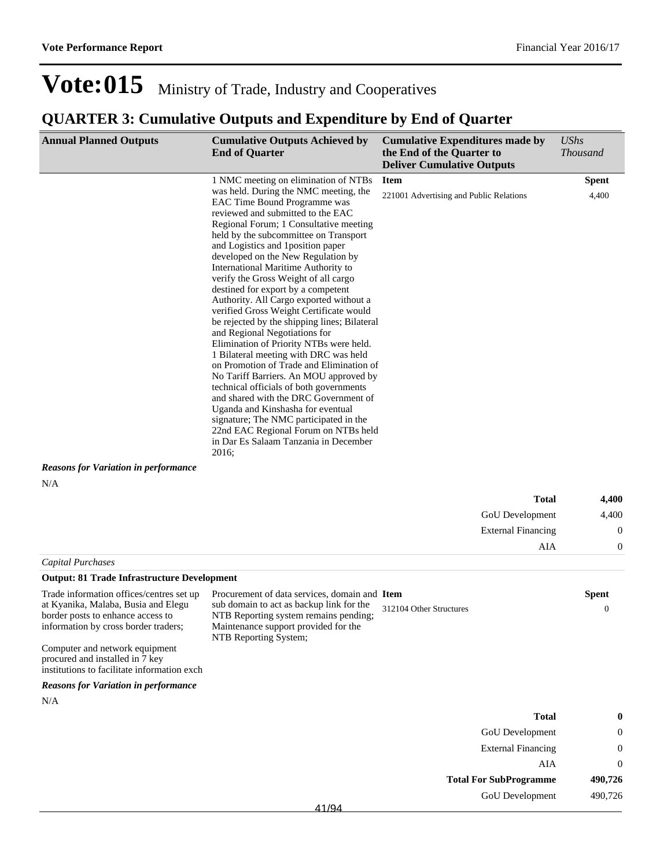| <b>Annual Planned Outputs</b>                                                                                                                                                                                                                                                    | <b>Cumulative Outputs Achieved by</b><br><b>End of Quarter</b>                                                                                                                                                                                                                                                                                                                                                                                                                                                                                                                                                                                                                                                                                                                                                                                                                                                                                                                                               | <b>Cumulative Expenditures made by</b><br>the End of the Quarter to<br><b>Deliver Cumulative Outputs</b> | <b>UShs</b><br><b>Thousand</b> |
|----------------------------------------------------------------------------------------------------------------------------------------------------------------------------------------------------------------------------------------------------------------------------------|--------------------------------------------------------------------------------------------------------------------------------------------------------------------------------------------------------------------------------------------------------------------------------------------------------------------------------------------------------------------------------------------------------------------------------------------------------------------------------------------------------------------------------------------------------------------------------------------------------------------------------------------------------------------------------------------------------------------------------------------------------------------------------------------------------------------------------------------------------------------------------------------------------------------------------------------------------------------------------------------------------------|----------------------------------------------------------------------------------------------------------|--------------------------------|
|                                                                                                                                                                                                                                                                                  | 1 NMC meeting on elimination of NTBs                                                                                                                                                                                                                                                                                                                                                                                                                                                                                                                                                                                                                                                                                                                                                                                                                                                                                                                                                                         | <b>Item</b>                                                                                              | <b>Spent</b>                   |
| <b>Reasons for Variation in performance</b>                                                                                                                                                                                                                                      | was held. During the NMC meeting, the<br>EAC Time Bound Programme was<br>reviewed and submitted to the EAC<br>Regional Forum; 1 Consultative meeting<br>held by the subcommittee on Transport<br>and Logistics and 1 position paper<br>developed on the New Regulation by<br>International Maritime Authority to<br>verify the Gross Weight of all cargo<br>destined for export by a competent<br>Authority. All Cargo exported without a<br>verified Gross Weight Certificate would<br>be rejected by the shipping lines; Bilateral<br>and Regional Negotiations for<br>Elimination of Priority NTBs were held.<br>1 Bilateral meeting with DRC was held<br>on Promotion of Trade and Elimination of<br>No Tariff Barriers. An MOU approved by<br>technical officials of both governments<br>and shared with the DRC Government of<br>Uganda and Kinshasha for eventual<br>signature; The NMC participated in the<br>22nd EAC Regional Forum on NTBs held<br>in Dar Es Salaam Tanzania in December<br>2016; | 221001 Advertising and Public Relations                                                                  | 4,400                          |
| N/A                                                                                                                                                                                                                                                                              |                                                                                                                                                                                                                                                                                                                                                                                                                                                                                                                                                                                                                                                                                                                                                                                                                                                                                                                                                                                                              |                                                                                                          |                                |
|                                                                                                                                                                                                                                                                                  |                                                                                                                                                                                                                                                                                                                                                                                                                                                                                                                                                                                                                                                                                                                                                                                                                                                                                                                                                                                                              | Total                                                                                                    | 4,400                          |
|                                                                                                                                                                                                                                                                                  |                                                                                                                                                                                                                                                                                                                                                                                                                                                                                                                                                                                                                                                                                                                                                                                                                                                                                                                                                                                                              | GoU Development                                                                                          | 4,400                          |
|                                                                                                                                                                                                                                                                                  |                                                                                                                                                                                                                                                                                                                                                                                                                                                                                                                                                                                                                                                                                                                                                                                                                                                                                                                                                                                                              | <b>External Financing</b>                                                                                | $\boldsymbol{0}$               |
|                                                                                                                                                                                                                                                                                  |                                                                                                                                                                                                                                                                                                                                                                                                                                                                                                                                                                                                                                                                                                                                                                                                                                                                                                                                                                                                              |                                                                                                          | AIA<br>0                       |
| <b>Capital Purchases</b>                                                                                                                                                                                                                                                         |                                                                                                                                                                                                                                                                                                                                                                                                                                                                                                                                                                                                                                                                                                                                                                                                                                                                                                                                                                                                              |                                                                                                          |                                |
| <b>Output: 81 Trade Infrastructure Development</b>                                                                                                                                                                                                                               |                                                                                                                                                                                                                                                                                                                                                                                                                                                                                                                                                                                                                                                                                                                                                                                                                                                                                                                                                                                                              |                                                                                                          |                                |
| Trade information offices/centres set up<br>at Kyanika, Malaba, Busia and Elegu<br>border posts to enhance access to<br>information by cross border traders;<br>Computer and network equipment<br>procured and installed in 7 key<br>institutions to facilitate information exch | Procurement of data services, domain and Item<br>sub domain to act as backup link for the<br>NTB Reporting system remains pending;<br>Maintenance support provided for the<br>NTB Reporting System;                                                                                                                                                                                                                                                                                                                                                                                                                                                                                                                                                                                                                                                                                                                                                                                                          | 312104 Other Structures                                                                                  | Spent<br>$\mathbf{0}$          |
| <b>Reasons for Variation in performance</b>                                                                                                                                                                                                                                      |                                                                                                                                                                                                                                                                                                                                                                                                                                                                                                                                                                                                                                                                                                                                                                                                                                                                                                                                                                                                              |                                                                                                          |                                |
| N/A                                                                                                                                                                                                                                                                              |                                                                                                                                                                                                                                                                                                                                                                                                                                                                                                                                                                                                                                                                                                                                                                                                                                                                                                                                                                                                              |                                                                                                          |                                |
|                                                                                                                                                                                                                                                                                  |                                                                                                                                                                                                                                                                                                                                                                                                                                                                                                                                                                                                                                                                                                                                                                                                                                                                                                                                                                                                              | <b>Total</b>                                                                                             |                                |
|                                                                                                                                                                                                                                                                                  |                                                                                                                                                                                                                                                                                                                                                                                                                                                                                                                                                                                                                                                                                                                                                                                                                                                                                                                                                                                                              | GoU Development                                                                                          | $\theta$                       |
|                                                                                                                                                                                                                                                                                  |                                                                                                                                                                                                                                                                                                                                                                                                                                                                                                                                                                                                                                                                                                                                                                                                                                                                                                                                                                                                              | <b>External Financing</b>                                                                                | 0                              |
|                                                                                                                                                                                                                                                                                  |                                                                                                                                                                                                                                                                                                                                                                                                                                                                                                                                                                                                                                                                                                                                                                                                                                                                                                                                                                                                              |                                                                                                          | AIA<br>$\boldsymbol{0}$        |
|                                                                                                                                                                                                                                                                                  |                                                                                                                                                                                                                                                                                                                                                                                                                                                                                                                                                                                                                                                                                                                                                                                                                                                                                                                                                                                                              | <b>Total For SubProgramme</b>                                                                            | 490,726                        |
|                                                                                                                                                                                                                                                                                  |                                                                                                                                                                                                                                                                                                                                                                                                                                                                                                                                                                                                                                                                                                                                                                                                                                                                                                                                                                                                              | GoU Development                                                                                          | 490,726                        |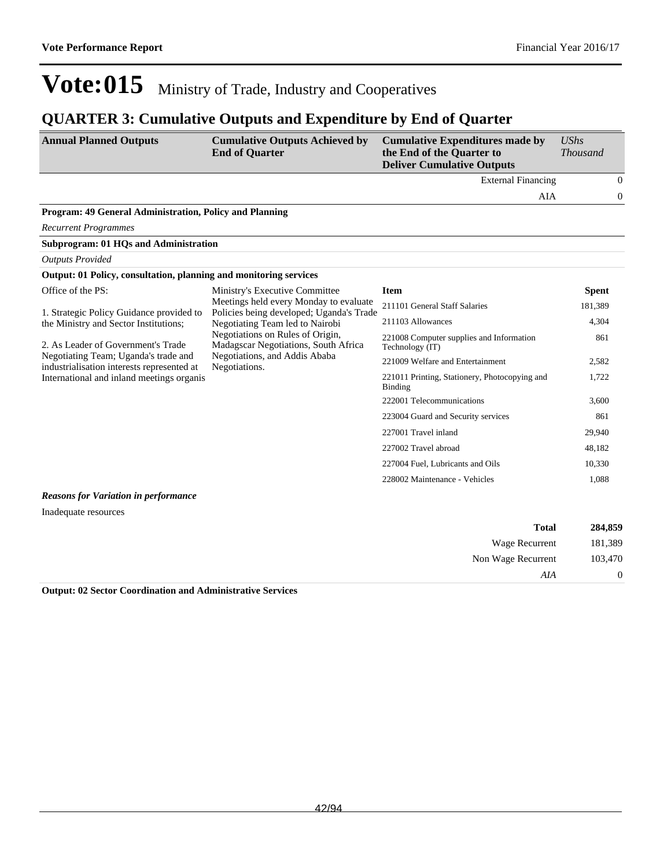### **QUARTER 3: Cumulative Outputs and Expenditure by End of Quarter**

| <b>Annual Planned Outputs</b>                                                      | <b>Cumulative Outputs Achieved by</b><br><b>End of Quarter</b>                     | <b>Cumulative Expenditures made by</b><br>the End of the Quarter to<br><b>Deliver Cumulative Outputs</b> | <b>UShs</b><br><b>Thousand</b> |              |
|------------------------------------------------------------------------------------|------------------------------------------------------------------------------------|----------------------------------------------------------------------------------------------------------|--------------------------------|--------------|
|                                                                                    |                                                                                    | <b>External Financing</b>                                                                                |                                | $\theta$     |
|                                                                                    |                                                                                    | AIA                                                                                                      |                                | $\mathbf{0}$ |
| Program: 49 General Administration, Policy and Planning                            |                                                                                    |                                                                                                          |                                |              |
| <b>Recurrent Programmes</b>                                                        |                                                                                    |                                                                                                          |                                |              |
| <b>Subprogram: 01 HQs and Administration</b>                                       |                                                                                    |                                                                                                          |                                |              |
| <b>Outputs Provided</b>                                                            |                                                                                    |                                                                                                          |                                |              |
| Output: 01 Policy, consultation, planning and monitoring services                  |                                                                                    |                                                                                                          |                                |              |
| Office of the PS:                                                                  | Ministry's Executive Committee                                                     | <b>Item</b>                                                                                              | <b>Spent</b>                   |              |
| 1. Strategic Policy Guidance provided to                                           | Meetings held every Monday to evaluate<br>Policies being developed; Uganda's Trade | 211101 General Staff Salaries                                                                            | 181,389                        |              |
| the Ministry and Sector Institutions;                                              | Negotiating Team led to Nairobi                                                    | 211103 Allowances                                                                                        | 4.304                          |              |
| 2. As Leader of Government's Trade                                                 | Negotiations on Rules of Origin,<br>Madagscar Negotiations, South Africa           | 221008 Computer supplies and Information<br>Technology (IT)                                              | 861                            |              |
| Negotiating Team; Uganda's trade and<br>industrialisation interests represented at | Negotiations, and Addis Ababa<br>Negotiations.                                     | 221009 Welfare and Entertainment                                                                         | 2,582                          |              |
| International and inland meetings organis                                          |                                                                                    | 221011 Printing, Stationery, Photocopying and<br>Binding                                                 | 1,722                          |              |
|                                                                                    |                                                                                    | 222001 Telecommunications                                                                                | 3,600                          |              |
|                                                                                    |                                                                                    | 223004 Guard and Security services                                                                       | 861                            |              |
|                                                                                    |                                                                                    | 227001 Travel inland                                                                                     | 29,940                         |              |
|                                                                                    |                                                                                    | 227002 Travel abroad                                                                                     | 48,182                         |              |
|                                                                                    |                                                                                    | 227004 Fuel, Lubricants and Oils                                                                         | 10,330                         |              |
|                                                                                    |                                                                                    | 228002 Maintenance - Vehicles                                                                            | 1,088                          |              |
| <b>Reasons for Variation in performance</b>                                        |                                                                                    |                                                                                                          |                                |              |
| Inadequate resources                                                               |                                                                                    |                                                                                                          |                                |              |
|                                                                                    |                                                                                    | <b>Total</b>                                                                                             | 284,859                        |              |

| 284,859  | <b>Total</b>       |
|----------|--------------------|
| 181,389  | Wage Recurrent     |
| 103,470  | Non Wage Recurrent |
| $\theta$ | AIA                |
|          |                    |

**Output: 02 Sector Coordination and Administrative Services**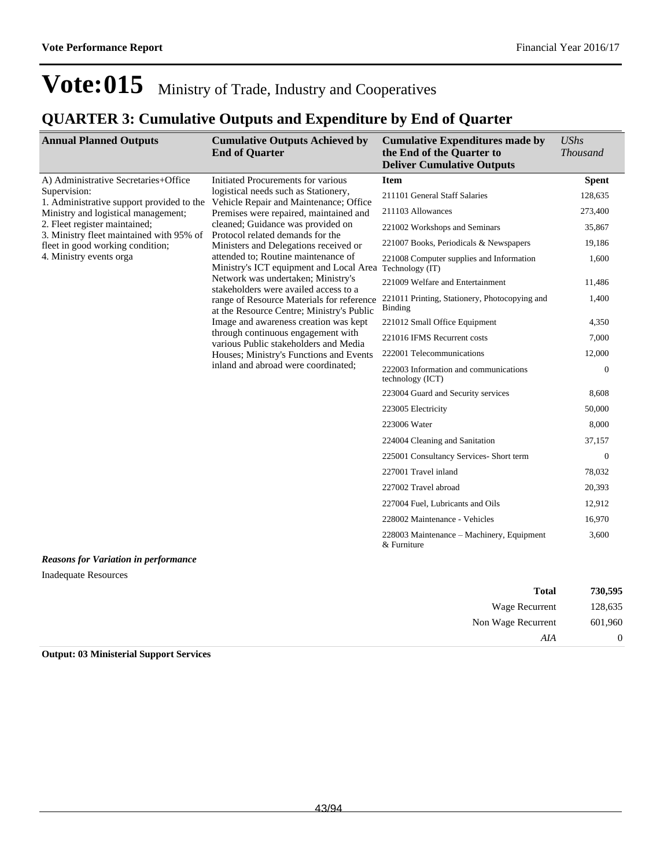### **QUARTER 3: Cumulative Outputs and Expenditure by End of Quarter**

| <b>Annual Planned Outputs</b>                                                                                                     | <b>Cumulative Outputs Achieved by</b><br><b>End of Quarter</b>                                                                                                                                                 | <b>Cumulative Expenditures made by</b><br>the End of the Quarter to<br><b>Deliver Cumulative Outputs</b> | <b>UShs</b><br><b>Thousand</b> |
|-----------------------------------------------------------------------------------------------------------------------------------|----------------------------------------------------------------------------------------------------------------------------------------------------------------------------------------------------------------|----------------------------------------------------------------------------------------------------------|--------------------------------|
| A) Administrative Secretaries+Office                                                                                              | Initiated Procurements for various<br>logistical needs such as Stationery,<br>Vehicle Repair and Maintenance; Office<br>Premises were repaired, maintained and                                                 | <b>Item</b>                                                                                              | <b>Spent</b>                   |
| Supervision:<br>1. Administrative support provided to the<br>Ministry and logistical management;<br>2. Fleet register maintained; |                                                                                                                                                                                                                | 211101 General Staff Salaries                                                                            | 128,635                        |
|                                                                                                                                   |                                                                                                                                                                                                                | 211103 Allowances                                                                                        | 273,400                        |
|                                                                                                                                   | cleaned; Guidance was provided on<br>Protocol related demands for the                                                                                                                                          | 221002 Workshops and Seminars                                                                            | 35,867                         |
| 3. Ministry fleet maintained with 95% of<br>fleet in good working condition;                                                      | Ministers and Delegations received or                                                                                                                                                                          | 221007 Books, Periodicals & Newspapers                                                                   | 19,186                         |
| 4. Ministry events orga                                                                                                           | attended to: Routine maintenance of<br>Ministry's ICT equipment and Local Area                                                                                                                                 | 221008 Computer supplies and Information<br>Technology (IT)                                              | 1,600                          |
|                                                                                                                                   | Network was undertaken; Ministry's<br>stakeholders were availed access to a                                                                                                                                    | 221009 Welfare and Entertainment                                                                         | 11,486                         |
|                                                                                                                                   | range of Resource Materials for reference<br>at the Resource Centre; Ministry's Public<br>Image and awareness creation was kept<br>through continuous engagement with<br>various Public stakeholders and Media | 221011 Printing, Stationery, Photocopying and<br>Binding                                                 | 1,400                          |
|                                                                                                                                   |                                                                                                                                                                                                                | 221012 Small Office Equipment                                                                            | 4,350                          |
|                                                                                                                                   |                                                                                                                                                                                                                | 221016 IFMS Recurrent costs                                                                              | 7,000                          |
|                                                                                                                                   | Houses; Ministry's Functions and Events                                                                                                                                                                        | 222001 Telecommunications                                                                                | 12,000                         |
|                                                                                                                                   | inland and abroad were coordinated;                                                                                                                                                                            | 222003 Information and communications<br>technology (ICT)                                                | $\mathbf{0}$                   |
|                                                                                                                                   |                                                                                                                                                                                                                | 223004 Guard and Security services                                                                       | 8,608                          |
|                                                                                                                                   |                                                                                                                                                                                                                | 223005 Electricity                                                                                       | 50,000                         |
|                                                                                                                                   |                                                                                                                                                                                                                | 223006 Water                                                                                             | 8,000                          |
|                                                                                                                                   |                                                                                                                                                                                                                | 224004 Cleaning and Sanitation                                                                           | 37,157                         |
|                                                                                                                                   |                                                                                                                                                                                                                | 225001 Consultancy Services- Short term                                                                  | $\mathbf{0}$                   |
|                                                                                                                                   |                                                                                                                                                                                                                | 227001 Travel inland                                                                                     | 78,032                         |
|                                                                                                                                   |                                                                                                                                                                                                                | 227002 Travel abroad                                                                                     | 20,393                         |
|                                                                                                                                   |                                                                                                                                                                                                                | 227004 Fuel, Lubricants and Oils                                                                         | 12,912                         |
|                                                                                                                                   |                                                                                                                                                                                                                | 228002 Maintenance - Vehicles                                                                            | 16,970                         |
|                                                                                                                                   |                                                                                                                                                                                                                | 228003 Maintenance – Machinery, Equipment<br>& Furniture                                                 | 3,600                          |

*Reasons for Variation in performance*

Inadequate Resources

| 730,595  | <b>Total</b>       |
|----------|--------------------|
| 128,635  | Wage Recurrent     |
| 601,960  | Non Wage Recurrent |
| $\theta$ | AIA                |

**Output: 03 Ministerial Support Services**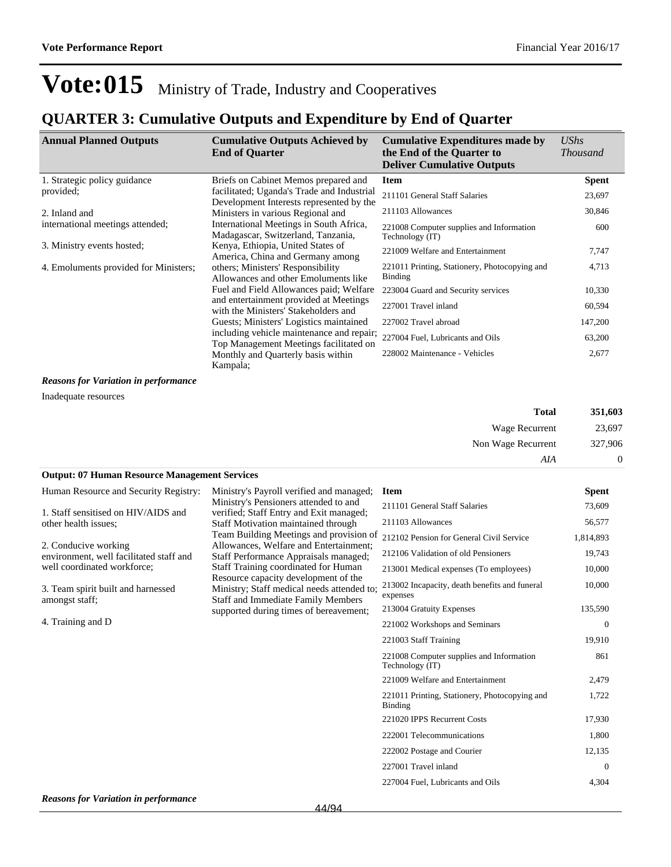### **QUARTER 3: Cumulative Outputs and Expenditure by End of Quarter**

| <b>Annual Planned Outputs</b>         | <b>Cumulative Outputs Achieved by</b><br><b>End of Quarter</b>                      | <b>Cumulative Expenditures made by</b><br>the End of the Quarter to<br><b>Deliver Cumulative Outputs</b> | UShs<br><i>Thousand</i> |
|---------------------------------------|-------------------------------------------------------------------------------------|----------------------------------------------------------------------------------------------------------|-------------------------|
| 1. Strategic policy guidance          | Briefs on Cabinet Memos prepared and                                                | <b>Item</b>                                                                                              | <b>Spent</b>            |
| provided;                             | facilitated; Uganda's Trade and Industrial                                          | 211101 General Staff Salaries                                                                            | 23,697                  |
| 2. Inland and                         | Development Interests represented by the<br>Ministers in various Regional and       | 211103 Allowances                                                                                        | 30,846                  |
| international meetings attended;      | International Meetings in South Africa,<br>Madagascar, Switzerland, Tanzania,       | 221008 Computer supplies and Information<br>Technology (IT)                                              | 600                     |
| 3. Ministry events hosted;            | Kenya, Ethiopia, United States of<br>America, China and Germany among               | 221009 Welfare and Entertainment                                                                         | 7,747                   |
| 4. Emoluments provided for Ministers; | others; Ministers' Responsibility<br>Allowances and other Emoluments like           | 221011 Printing, Stationery, Photocopying and<br>Binding                                                 | 4,713                   |
|                                       | Fuel and Field Allowances paid; Welfare                                             | 223004 Guard and Security services                                                                       | 10,330                  |
|                                       | and entertainment provided at Meetings<br>with the Ministers' Stakeholders and      | 227001 Travel inland                                                                                     | 60,594                  |
|                                       | Guests; Ministers' Logistics maintained                                             | 227002 Travel abroad                                                                                     | 147,200                 |
|                                       | including vehicle maintenance and repair;<br>Top Management Meetings facilitated on | 227004 Fuel, Lubricants and Oils                                                                         | 63,200                  |
|                                       | Monthly and Quarterly basis within<br>Kampala;                                      | 228002 Maintenance - Vehicles                                                                            | 2,677                   |

*Reasons for Variation in performance*

Inadequate resources

| Total              | 351,603 |
|--------------------|---------|
| Wage Recurrent     | 23,697  |
| Non Wage Recurrent | 327,906 |
| AIA                | 0       |

### **Output: 07 Human Resource Management Services**

| Human Resource and Security Registry:                           | Ministry's Payroll verified and managed;                                                                                        | <b>Item</b>                                                 | <b>Spent</b>   |
|-----------------------------------------------------------------|---------------------------------------------------------------------------------------------------------------------------------|-------------------------------------------------------------|----------------|
| 1. Staff sensitised on HIV/AIDS and                             | Ministry's Pensioners attended to and<br>verified; Staff Entry and Exit managed;                                                | 211101 General Staff Salaries                               | 73,609         |
| other health issues;                                            | <b>Staff Motivation maintained through</b>                                                                                      | 211103 Allowances                                           | 56,577         |
|                                                                 | Team Building Meetings and provision of                                                                                         | 212102 Pension for General Civil Service                    | 1,814,893      |
| 2. Conducive working<br>environment, well facilitated staff and | Allowances, Welfare and Entertainment;<br>Staff Performance Appraisals managed;                                                 | 212106 Validation of old Pensioners                         | 19,743         |
| well coordinated workforce;                                     | Staff Training coordinated for Human                                                                                            | 213001 Medical expenses (To employees)                      | 10,000         |
| 3. Team spirit built and harnessed<br>amongst staff;            | Resource capacity development of the<br>Ministry; Staff medical needs attended to;<br><b>Staff and Immediate Family Members</b> | 213002 Incapacity, death benefits and funeral<br>expenses   | 10,000         |
|                                                                 | supported during times of bereavement;                                                                                          | 213004 Gratuity Expenses                                    | 135,590        |
| 4. Training and D                                               |                                                                                                                                 | 221002 Workshops and Seminars                               | $\overline{0}$ |
|                                                                 |                                                                                                                                 | 221003 Staff Training                                       | 19,910         |
|                                                                 |                                                                                                                                 | 221008 Computer supplies and Information<br>Technology (IT) | 861            |
|                                                                 |                                                                                                                                 | 221009 Welfare and Entertainment                            | 2,479          |
|                                                                 |                                                                                                                                 | 221011 Printing, Stationery, Photocopying and<br>Binding    | 1,722          |
|                                                                 |                                                                                                                                 | 221020 IPPS Recurrent Costs                                 | 17,930         |
|                                                                 |                                                                                                                                 | 222001 Telecommunications                                   | 1,800          |
|                                                                 |                                                                                                                                 | 222002 Postage and Courier                                  | 12,135         |
|                                                                 |                                                                                                                                 | 227001 Travel inland                                        | $\mathbf{0}$   |
|                                                                 |                                                                                                                                 | 227004 Fuel, Lubricants and Oils                            | 4,304          |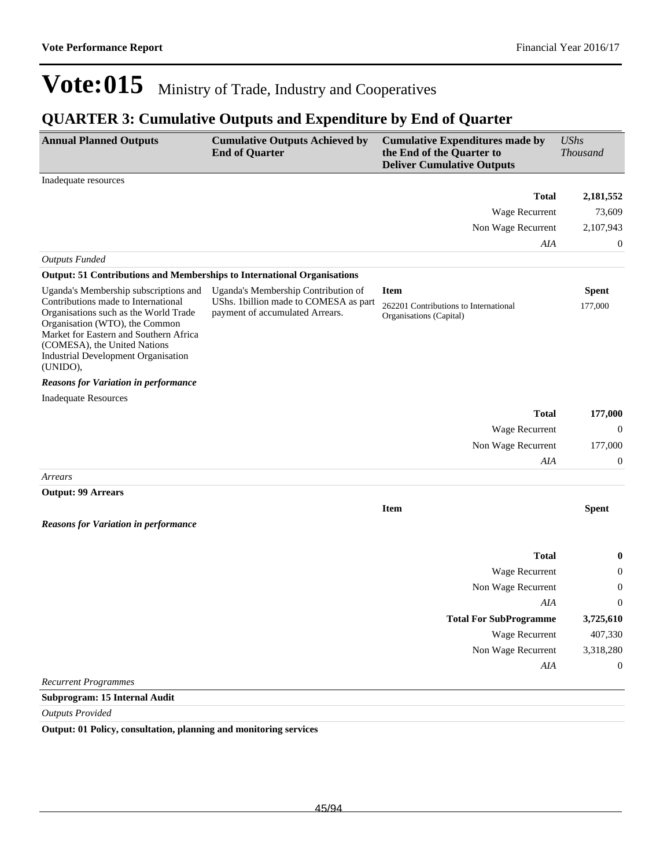## **QUARTER 3: Cumulative Outputs and Expenditure by End of Quarter**

| <b>Annual Planned Outputs</b>                                                                                                                                                                                                                                                               | <b>Cumulative Outputs Achieved by</b><br><b>End of Quarter</b>                                                   | <b>Cumulative Expenditures made by</b><br>the End of the Quarter to<br><b>Deliver Cumulative Outputs</b> | <b>UShs</b><br><b>Thousand</b> |
|---------------------------------------------------------------------------------------------------------------------------------------------------------------------------------------------------------------------------------------------------------------------------------------------|------------------------------------------------------------------------------------------------------------------|----------------------------------------------------------------------------------------------------------|--------------------------------|
| Inadequate resources                                                                                                                                                                                                                                                                        |                                                                                                                  |                                                                                                          |                                |
|                                                                                                                                                                                                                                                                                             |                                                                                                                  | <b>Total</b>                                                                                             | 2,181,552                      |
|                                                                                                                                                                                                                                                                                             |                                                                                                                  | Wage Recurrent                                                                                           | 73,609                         |
|                                                                                                                                                                                                                                                                                             |                                                                                                                  | Non Wage Recurrent                                                                                       | 2,107,943                      |
|                                                                                                                                                                                                                                                                                             |                                                                                                                  | AIA                                                                                                      | $\boldsymbol{0}$               |
| <b>Outputs Funded</b>                                                                                                                                                                                                                                                                       |                                                                                                                  |                                                                                                          |                                |
| <b>Output: 51 Contributions and Memberships to International Organisations</b>                                                                                                                                                                                                              |                                                                                                                  |                                                                                                          |                                |
| Uganda's Membership subscriptions and<br>Contributions made to International<br>Organisations such as the World Trade<br>Organisation (WTO), the Common<br>Market for Eastern and Southern Africa<br>(COMESA), the United Nations<br><b>Industrial Development Organisation</b><br>(UNIDO), | Uganda's Membership Contribution of<br>UShs. 1 billion made to COMESA as part<br>payment of accumulated Arrears. | <b>Item</b><br>262201 Contributions to International<br>Organisations (Capital)                          | <b>Spent</b><br>177,000        |
| <b>Reasons for Variation in performance</b>                                                                                                                                                                                                                                                 |                                                                                                                  |                                                                                                          |                                |
| <b>Inadequate Resources</b>                                                                                                                                                                                                                                                                 |                                                                                                                  |                                                                                                          |                                |
|                                                                                                                                                                                                                                                                                             |                                                                                                                  | <b>Total</b>                                                                                             | 177,000                        |
|                                                                                                                                                                                                                                                                                             |                                                                                                                  | Wage Recurrent                                                                                           | $\boldsymbol{0}$               |
|                                                                                                                                                                                                                                                                                             |                                                                                                                  | Non Wage Recurrent                                                                                       | 177,000                        |
|                                                                                                                                                                                                                                                                                             |                                                                                                                  | AIA                                                                                                      | $\mathbf{0}$                   |
| Arrears                                                                                                                                                                                                                                                                                     |                                                                                                                  |                                                                                                          |                                |
| <b>Output: 99 Arrears</b>                                                                                                                                                                                                                                                                   |                                                                                                                  |                                                                                                          |                                |
|                                                                                                                                                                                                                                                                                             |                                                                                                                  | <b>Item</b>                                                                                              | <b>Spent</b>                   |
| <b>Reasons for Variation in performance</b>                                                                                                                                                                                                                                                 |                                                                                                                  |                                                                                                          |                                |
|                                                                                                                                                                                                                                                                                             |                                                                                                                  | <b>Total</b>                                                                                             | $\bf{0}$                       |
|                                                                                                                                                                                                                                                                                             |                                                                                                                  | Wage Recurrent                                                                                           | $\boldsymbol{0}$               |
|                                                                                                                                                                                                                                                                                             |                                                                                                                  | Non Wage Recurrent                                                                                       | 0                              |
|                                                                                                                                                                                                                                                                                             |                                                                                                                  | AIA                                                                                                      | $\boldsymbol{0}$               |
|                                                                                                                                                                                                                                                                                             |                                                                                                                  | <b>Total For SubProgramme</b>                                                                            | 3,725,610                      |
|                                                                                                                                                                                                                                                                                             |                                                                                                                  | Wage Recurrent                                                                                           | 407,330                        |
|                                                                                                                                                                                                                                                                                             |                                                                                                                  | Non Wage Recurrent                                                                                       | 3,318,280                      |
|                                                                                                                                                                                                                                                                                             |                                                                                                                  | AIA                                                                                                      | $\boldsymbol{0}$               |
| <b>Recurrent Programmes</b>                                                                                                                                                                                                                                                                 |                                                                                                                  |                                                                                                          |                                |
| Subprogram: 15 Internal Audit                                                                                                                                                                                                                                                               |                                                                                                                  |                                                                                                          |                                |

*Outputs Provided*

**Output: 01 Policy, consultation, planning and monitoring services**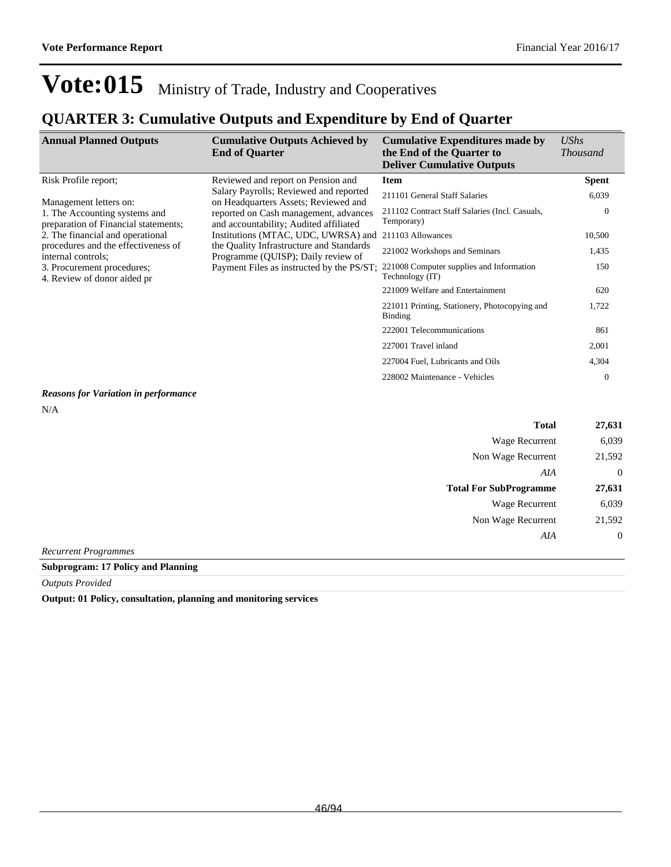### **QUARTER 3: Cumulative Outputs and Expenditure by End of Quarter**

| <b>Annual Planned Outputs</b>                                                                                                                                                                             | <b>Cumulative Outputs Achieved by</b><br><b>End of Quarter</b>                  | <b>Cumulative Expenditures made by</b><br>the End of the Quarter to<br><b>Deliver Cumulative Outputs</b> | $\mathit{UShs}$<br><i>Thousand</i> |
|-----------------------------------------------------------------------------------------------------------------------------------------------------------------------------------------------------------|---------------------------------------------------------------------------------|----------------------------------------------------------------------------------------------------------|------------------------------------|
| Risk Profile report;                                                                                                                                                                                      | Reviewed and report on Pension and                                              | <b>Item</b>                                                                                              | <b>Spent</b>                       |
| Management letters on:                                                                                                                                                                                    | Salary Payrolls; Reviewed and reported<br>on Headquarters Assets; Reviewed and  | 211101 General Staff Salaries                                                                            | 6,039                              |
| 1. The Accounting systems and<br>preparation of Financial statements;                                                                                                                                     | reported on Cash management, advances<br>and accountability; Audited affiliated | 211102 Contract Staff Salaries (Incl. Casuals,<br>Temporary)                                             | $\theta$                           |
| 2. The financial and operational                                                                                                                                                                          | Institutions (MTAC, UDC, UWRSA) and<br>the Quality Infrastructure and Standards | 211103 Allowances                                                                                        | 10,500                             |
| procedures and the effectiveness of<br>Programme (QUISP); Daily review of<br>internal controls;<br>Payment Files as instructed by the PS/ST;<br>3. Procurement procedures;<br>4. Review of donor aided pr |                                                                                 | 221002 Workshops and Seminars                                                                            | 1,435                              |
|                                                                                                                                                                                                           | 221008 Computer supplies and Information<br>Technology (IT)                     | 150                                                                                                      |                                    |
|                                                                                                                                                                                                           | 221009 Welfare and Entertainment                                                | 620                                                                                                      |                                    |
|                                                                                                                                                                                                           | 221011 Printing, Stationery, Photocopying and<br>Binding                        | 1,722                                                                                                    |                                    |
|                                                                                                                                                                                                           |                                                                                 | 222001 Telecommunications                                                                                | 861                                |
|                                                                                                                                                                                                           |                                                                                 | 227001 Travel inland                                                                                     | 2,001                              |
|                                                                                                                                                                                                           |                                                                                 | 227004 Fuel, Lubricants and Oils                                                                         | 4,304                              |
|                                                                                                                                                                                                           |                                                                                 | 228002 Maintenance - Vehicles                                                                            | $\theta$                           |

*Reasons for Variation in performance*

N/A

| <b>Total</b>                  | 27,631           |
|-------------------------------|------------------|
| Wage Recurrent                | 6,039            |
| Non Wage Recurrent            | 21,592           |
| AIA                           | $\overline{0}$   |
| <b>Total For SubProgramme</b> | 27,631           |
| Wage Recurrent                | 6,039            |
| Non Wage Recurrent            | 21,592           |
| AIA                           | $\boldsymbol{0}$ |
| Recurrent Programmes          |                  |

**Subprogram: 17 Policy and Planning**

*Outputs Provided*

**Output: 01 Policy, consultation, planning and monitoring services**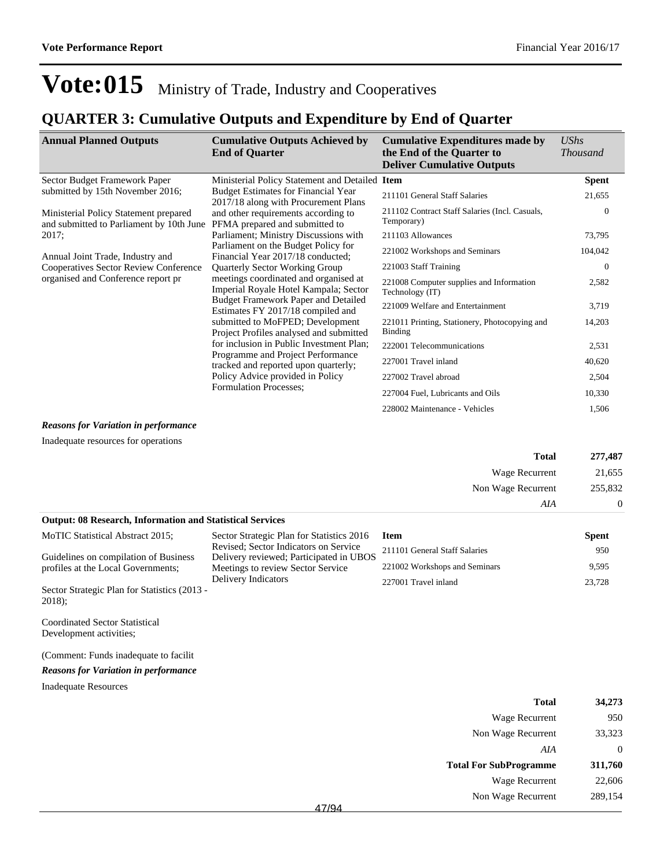### **QUARTER 3: Cumulative Outputs and Expenditure by End of Quarter**

| <b>Annual Planned Outputs</b>                                                                                          | <b>Cumulative Outputs Achieved by</b><br><b>End of Quarter</b>                                                                                                                                                                                                                                                                                                                                                                                                                                                                                                      | <b>Cumulative Expenditures made by</b><br>the End of the Quarter to<br><b>Deliver Cumulative Outputs</b> | <b>UShs</b><br><i>Thousand</i> |
|------------------------------------------------------------------------------------------------------------------------|---------------------------------------------------------------------------------------------------------------------------------------------------------------------------------------------------------------------------------------------------------------------------------------------------------------------------------------------------------------------------------------------------------------------------------------------------------------------------------------------------------------------------------------------------------------------|----------------------------------------------------------------------------------------------------------|--------------------------------|
| Sector Budget Framework Paper                                                                                          | Ministerial Policy Statement and Detailed Item                                                                                                                                                                                                                                                                                                                                                                                                                                                                                                                      |                                                                                                          | <b>Spent</b>                   |
| submitted by 15th November 2016;                                                                                       | <b>Budget Estimates for Financial Year</b><br>2017/18 along with Procurement Plans                                                                                                                                                                                                                                                                                                                                                                                                                                                                                  | 211101 General Staff Salaries                                                                            | 21,655                         |
| Ministerial Policy Statement prepared<br>and submitted to Parliament by 10th June                                      | and other requirements according to<br>PFMA prepared and submitted to                                                                                                                                                                                                                                                                                                                                                                                                                                                                                               | 211102 Contract Staff Salaries (Incl. Casuals,<br>Temporary)                                             | $\Omega$                       |
| 2017;                                                                                                                  | Parliament; Ministry Discussions with                                                                                                                                                                                                                                                                                                                                                                                                                                                                                                                               | 211103 Allowances                                                                                        | 73,795                         |
| Annual Joint Trade, Industry and<br><b>Cooperatives Sector Review Conference</b><br>organised and Conference report pr | Parliament on the Budget Policy for<br>Financial Year 2017/18 conducted;<br><b>Quarterly Sector Working Group</b><br>meetings coordinated and organised at<br>Imperial Royale Hotel Kampala; Sector<br><b>Budget Framework Paper and Detailed</b><br>Estimates FY 2017/18 compiled and<br>submitted to MoFPED; Development<br>Project Profiles analysed and submitted<br>for inclusion in Public Investment Plan;<br>Programme and Project Performance<br>tracked and reported upon quarterly;<br>Policy Advice provided in Policy<br><b>Formulation Processes:</b> | 221002 Workshops and Seminars                                                                            | 104,042                        |
|                                                                                                                        |                                                                                                                                                                                                                                                                                                                                                                                                                                                                                                                                                                     | 221003 Staff Training                                                                                    | $\theta$                       |
|                                                                                                                        |                                                                                                                                                                                                                                                                                                                                                                                                                                                                                                                                                                     | 221008 Computer supplies and Information<br>Technology (IT)                                              | 2,582                          |
|                                                                                                                        |                                                                                                                                                                                                                                                                                                                                                                                                                                                                                                                                                                     | 221009 Welfare and Entertainment                                                                         | 3,719                          |
|                                                                                                                        |                                                                                                                                                                                                                                                                                                                                                                                                                                                                                                                                                                     | 221011 Printing, Stationery, Photocopying and<br>Binding                                                 | 14,203                         |
|                                                                                                                        |                                                                                                                                                                                                                                                                                                                                                                                                                                                                                                                                                                     | 222001 Telecommunications                                                                                | 2,531                          |
|                                                                                                                        |                                                                                                                                                                                                                                                                                                                                                                                                                                                                                                                                                                     | 227001 Travel inland                                                                                     | 40,620                         |
|                                                                                                                        |                                                                                                                                                                                                                                                                                                                                                                                                                                                                                                                                                                     | 227002 Travel abroad                                                                                     | 2,504                          |
|                                                                                                                        |                                                                                                                                                                                                                                                                                                                                                                                                                                                                                                                                                                     | 227004 Fuel, Lubricants and Oils                                                                         | 10,330                         |
|                                                                                                                        |                                                                                                                                                                                                                                                                                                                                                                                                                                                                                                                                                                     | 228002 Maintenance - Vehicles                                                                            | 1,506                          |

#### *Reasons for Variation in performance*

Inadequate resources for operations

|                                                                  |                                                                                                                       | Total                         | 277,487      |
|------------------------------------------------------------------|-----------------------------------------------------------------------------------------------------------------------|-------------------------------|--------------|
|                                                                  |                                                                                                                       | Wage Recurrent                | 21,655       |
|                                                                  |                                                                                                                       | Non Wage Recurrent            | 255,832      |
|                                                                  |                                                                                                                       | AIA                           | $\theta$     |
| <b>Output: 08 Research, Information and Statistical Services</b> |                                                                                                                       |                               |              |
| MoTIC Statistical Abstract 2015;                                 | Sector Strategic Plan for Statistics 2016                                                                             | <b>Item</b>                   | <b>Spent</b> |
| Guidelines on compilation of Business                            | Revised; Sector Indicators on Service<br>Delivery reviewed; Participated in UBOS<br>Meetings to review Sector Service | 211101 General Staff Salaries | 950          |
| profiles at the Local Governments;                               |                                                                                                                       | 221002 Workshops and Seminars | 9,595        |
| Sector Strategic Plan for Statistics (2013 -<br>$2018$ :         | Delivery Indicators                                                                                                   | 227001 Travel inland          | 23,728       |
| <b>Coordinated Sector Statistical</b><br>Development activities; |                                                                                                                       |                               |              |

(Comment: Funds inadequate to facilit

#### *Reasons for Variation in performance*

Inadequate Resources

| <b>Total</b>                  | 34,273  |
|-------------------------------|---------|
| Wage Recurrent                | 950     |
| Non Wage Recurrent            | 33,323  |
| AIA                           | 0       |
| <b>Total For SubProgramme</b> | 311,760 |
| Wage Recurrent                | 22,606  |
| Non Wage Recurrent            | 289,154 |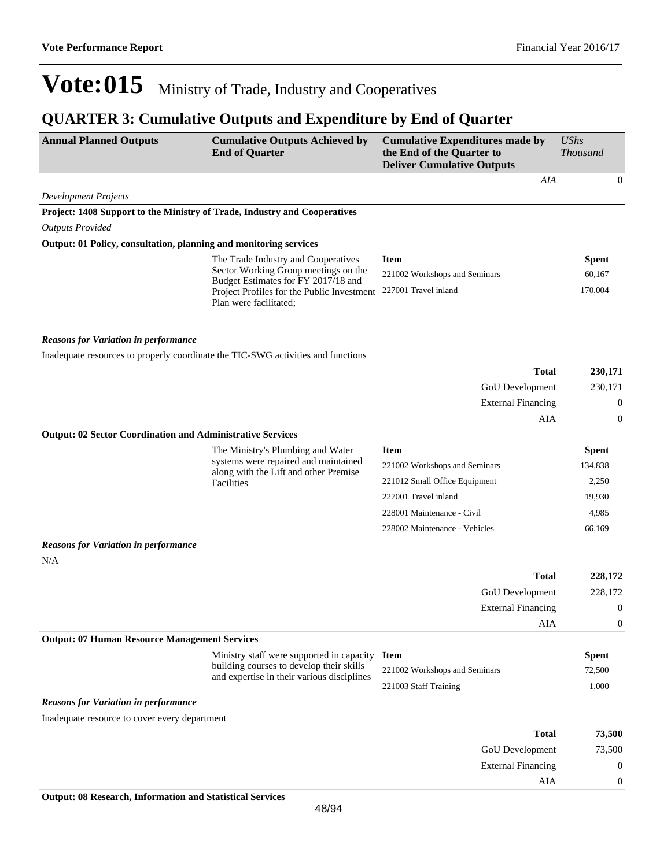| <b>Annual Planned Outputs</b>                                             | <b>Cumulative Outputs Achieved by</b><br><b>End of Quarter</b>                        | <b>Cumulative Expenditures made by</b><br>the End of the Quarter to<br><b>Deliver Cumulative Outputs</b> | <b>UShs</b><br><b>Thousand</b>       |
|---------------------------------------------------------------------------|---------------------------------------------------------------------------------------|----------------------------------------------------------------------------------------------------------|--------------------------------------|
|                                                                           |                                                                                       | AIA                                                                                                      | $\mathbf{0}$                         |
| <b>Development Projects</b>                                               |                                                                                       |                                                                                                          |                                      |
| Project: 1408 Support to the Ministry of Trade, Industry and Cooperatives |                                                                                       |                                                                                                          |                                      |
| <b>Outputs Provided</b>                                                   |                                                                                       |                                                                                                          |                                      |
| Output: 01 Policy, consultation, planning and monitoring services         |                                                                                       |                                                                                                          |                                      |
|                                                                           | The Trade Industry and Cooperatives<br>Sector Working Group meetings on the           | <b>Item</b>                                                                                              | <b>Spent</b>                         |
|                                                                           | Budget Estimates for FY 2017/18 and                                                   | 221002 Workshops and Seminars<br>227001 Travel inland                                                    | 60,167<br>170,004                    |
|                                                                           | Project Profiles for the Public Investment<br>Plan were facilitated;                  |                                                                                                          |                                      |
| <b>Reasons for Variation in performance</b>                               |                                                                                       |                                                                                                          |                                      |
|                                                                           | Inadequate resources to properly coordinate the TIC-SWG activities and functions      |                                                                                                          |                                      |
|                                                                           |                                                                                       | <b>Total</b>                                                                                             | 230,171                              |
|                                                                           |                                                                                       | GoU Development                                                                                          | 230,171                              |
|                                                                           |                                                                                       | <b>External Financing</b>                                                                                | $\boldsymbol{0}$                     |
|                                                                           |                                                                                       | AIA                                                                                                      | $\boldsymbol{0}$                     |
| <b>Output: 02 Sector Coordination and Administrative Services</b>         |                                                                                       |                                                                                                          |                                      |
|                                                                           | The Ministry's Plumbing and Water                                                     | <b>Item</b>                                                                                              | <b>Spent</b>                         |
|                                                                           | systems were repaired and maintained<br>along with the Lift and other Premise         | 221002 Workshops and Seminars                                                                            | 134,838                              |
|                                                                           | Facilities                                                                            | 221012 Small Office Equipment                                                                            | 2,250                                |
|                                                                           |                                                                                       | 227001 Travel inland                                                                                     | 19,930                               |
|                                                                           |                                                                                       | 228001 Maintenance - Civil                                                                               | 4,985                                |
|                                                                           |                                                                                       | 228002 Maintenance - Vehicles                                                                            | 66,169                               |
| <b>Reasons for Variation in performance</b>                               |                                                                                       |                                                                                                          |                                      |
| N/A                                                                       |                                                                                       |                                                                                                          |                                      |
|                                                                           |                                                                                       | <b>Total</b>                                                                                             | 228,172                              |
|                                                                           |                                                                                       | GoU Development                                                                                          | 228,172                              |
|                                                                           |                                                                                       | <b>External Financing</b>                                                                                | $\mathbf{0}$                         |
|                                                                           |                                                                                       | AIA                                                                                                      | $\boldsymbol{0}$                     |
| <b>Output: 07 Human Resource Management Services</b>                      |                                                                                       |                                                                                                          |                                      |
|                                                                           | Ministry staff were supported in capacity<br>building courses to develop their skills | <b>Item</b>                                                                                              | <b>Spent</b>                         |
|                                                                           | and expertise in their various disciplines                                            | 221002 Workshops and Seminars                                                                            | 72,500                               |
|                                                                           |                                                                                       | 221003 Staff Training                                                                                    | 1,000                                |
| <b>Reasons for Variation in performance</b>                               |                                                                                       |                                                                                                          |                                      |
| Inadequate resource to cover every department                             |                                                                                       |                                                                                                          |                                      |
|                                                                           |                                                                                       | <b>Total</b>                                                                                             | 73,500                               |
|                                                                           |                                                                                       | GoU Development                                                                                          | 73,500                               |
|                                                                           |                                                                                       | <b>External Financing</b><br>AIA                                                                         | $\boldsymbol{0}$<br>$\boldsymbol{0}$ |
| <b>Output: 08 Research, Information and Statistical Services</b>          |                                                                                       |                                                                                                          |                                      |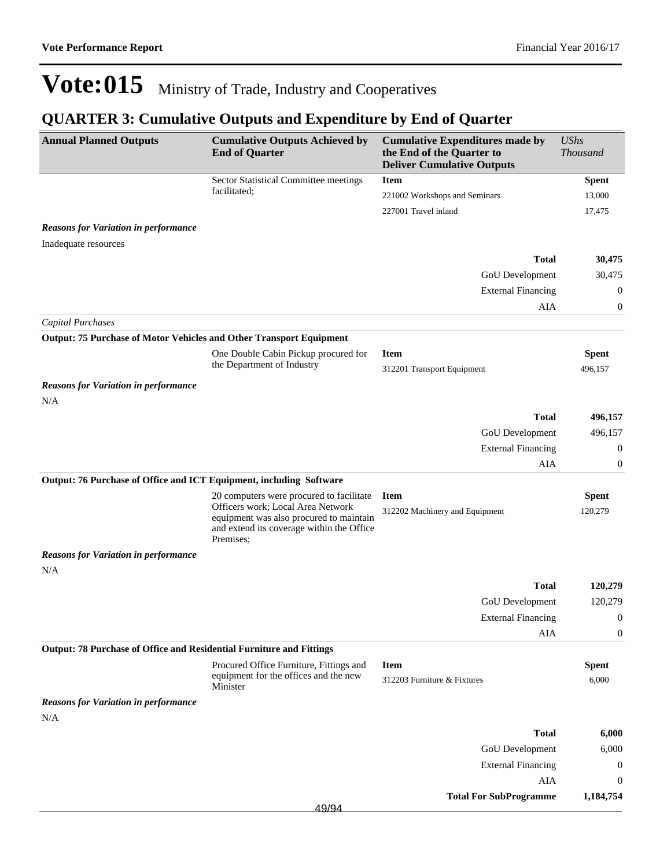| <b>Annual Planned Outputs</b>                                        | <b>Cumulative Outputs Achieved by</b><br><b>End of Quarter</b>                                                                                                                     | <b>Cumulative Expenditures made by</b><br>the End of the Quarter to<br><b>Deliver Cumulative Outputs</b> | <b>UShs</b><br><b>Thousand</b> |
|----------------------------------------------------------------------|------------------------------------------------------------------------------------------------------------------------------------------------------------------------------------|----------------------------------------------------------------------------------------------------------|--------------------------------|
|                                                                      | Sector Statistical Committee meetings                                                                                                                                              | <b>Item</b>                                                                                              | <b>Spent</b>                   |
|                                                                      | facilitated;                                                                                                                                                                       | 221002 Workshops and Seminars                                                                            | 13,000                         |
|                                                                      |                                                                                                                                                                                    | 227001 Travel inland                                                                                     | 17,475                         |
| <b>Reasons for Variation in performance</b>                          |                                                                                                                                                                                    |                                                                                                          |                                |
| Inadequate resources                                                 |                                                                                                                                                                                    |                                                                                                          |                                |
|                                                                      |                                                                                                                                                                                    | <b>Total</b>                                                                                             | 30,475                         |
|                                                                      |                                                                                                                                                                                    | GoU Development                                                                                          | 30,475                         |
|                                                                      |                                                                                                                                                                                    | <b>External Financing</b>                                                                                | 0                              |
|                                                                      |                                                                                                                                                                                    | AIA                                                                                                      | $\boldsymbol{0}$               |
| <b>Capital Purchases</b>                                             |                                                                                                                                                                                    |                                                                                                          |                                |
| Output: 75 Purchase of Motor Vehicles and Other Transport Equipment  |                                                                                                                                                                                    |                                                                                                          |                                |
|                                                                      | One Double Cabin Pickup procured for                                                                                                                                               | <b>Item</b>                                                                                              | <b>Spent</b>                   |
|                                                                      | the Department of Industry                                                                                                                                                         | 312201 Transport Equipment                                                                               | 496,157                        |
| <b>Reasons for Variation in performance</b>                          |                                                                                                                                                                                    |                                                                                                          |                                |
| N/A                                                                  |                                                                                                                                                                                    |                                                                                                          |                                |
|                                                                      |                                                                                                                                                                                    | <b>Total</b>                                                                                             | 496,157                        |
|                                                                      |                                                                                                                                                                                    | GoU Development                                                                                          | 496,157                        |
|                                                                      |                                                                                                                                                                                    | <b>External Financing</b>                                                                                | $\boldsymbol{0}$               |
|                                                                      |                                                                                                                                                                                    | AIA                                                                                                      | $\boldsymbol{0}$               |
| Output: 76 Purchase of Office and ICT Equipment, including Software  |                                                                                                                                                                                    |                                                                                                          |                                |
|                                                                      | 20 computers were procured to facilitate<br>Officers work; Local Area Network<br>equipment was also procured to maintain<br>and extend its coverage within the Office<br>Premises; | <b>Item</b><br>312202 Machinery and Equipment                                                            | <b>Spent</b><br>120,279        |
| <b>Reasons for Variation in performance</b>                          |                                                                                                                                                                                    |                                                                                                          |                                |
| N/A                                                                  |                                                                                                                                                                                    |                                                                                                          |                                |
|                                                                      |                                                                                                                                                                                    | <b>Total</b>                                                                                             | 120,279                        |
|                                                                      |                                                                                                                                                                                    | GoU Development                                                                                          | 120,279                        |
|                                                                      |                                                                                                                                                                                    | <b>External Financing</b>                                                                                | $\boldsymbol{0}$               |
|                                                                      |                                                                                                                                                                                    | AIA                                                                                                      | $\boldsymbol{0}$               |
| Output: 78 Purchase of Office and Residential Furniture and Fittings |                                                                                                                                                                                    |                                                                                                          |                                |
|                                                                      | Procured Office Furniture, Fittings and<br>equipment for the offices and the new<br>Minister                                                                                       | <b>Item</b><br>312203 Furniture & Fixtures                                                               | <b>Spent</b><br>6,000          |
| <b>Reasons for Variation in performance</b>                          |                                                                                                                                                                                    |                                                                                                          |                                |
| N/A                                                                  |                                                                                                                                                                                    |                                                                                                          |                                |
|                                                                      |                                                                                                                                                                                    | <b>Total</b>                                                                                             | 6,000                          |
|                                                                      |                                                                                                                                                                                    | GoU Development                                                                                          | 6,000                          |
|                                                                      |                                                                                                                                                                                    | <b>External Financing</b><br><b>AIA</b>                                                                  | $\boldsymbol{0}$               |
|                                                                      |                                                                                                                                                                                    | <b>Total For SubProgramme</b>                                                                            | $\boldsymbol{0}$<br>1,184,754  |
|                                                                      | 49/94                                                                                                                                                                              |                                                                                                          |                                |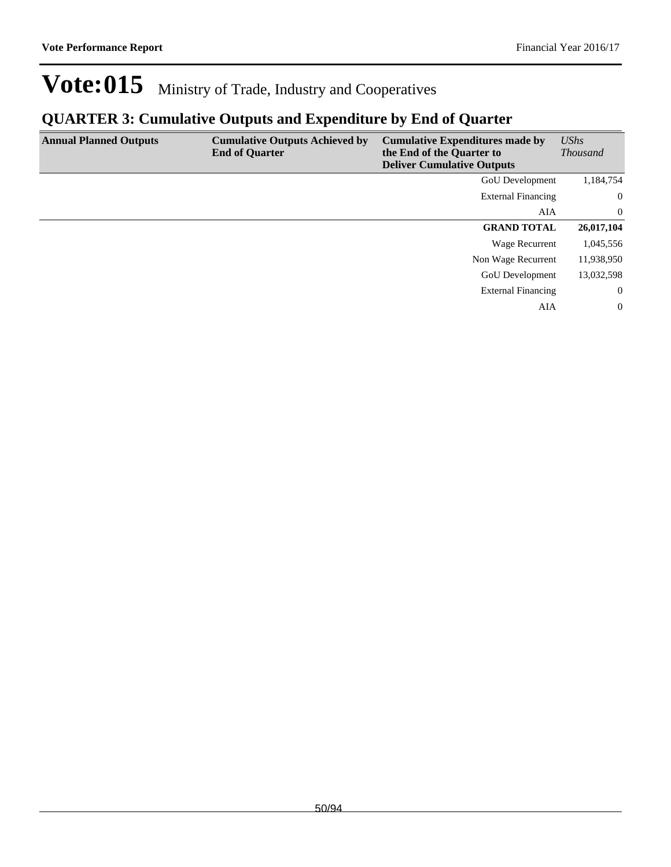| <b>Annual Planned Outputs</b> | <b>Cumulative Outputs Achieved by</b><br><b>End of Quarter</b> | <b>Cumulative Expenditures made by</b><br>the End of the Quarter to<br><b>Deliver Cumulative Outputs</b> | <b>UShs</b><br><b>Thousand</b> |
|-------------------------------|----------------------------------------------------------------|----------------------------------------------------------------------------------------------------------|--------------------------------|
|                               |                                                                | GoU Development                                                                                          | 1,184,754                      |
|                               |                                                                | <b>External Financing</b>                                                                                | $\overline{0}$                 |
|                               |                                                                | AIA                                                                                                      | $\overline{0}$                 |
|                               |                                                                | <b>GRAND TOTAL</b>                                                                                       | 26,017,104                     |
|                               |                                                                | Wage Recurrent                                                                                           | 1,045,556                      |
|                               |                                                                | Non Wage Recurrent                                                                                       | 11,938,950                     |
|                               |                                                                | <b>GoU</b> Development                                                                                   | 13,032,598                     |
|                               |                                                                | <b>External Financing</b>                                                                                | $\overline{0}$                 |
|                               |                                                                | AIA                                                                                                      | $\overline{0}$                 |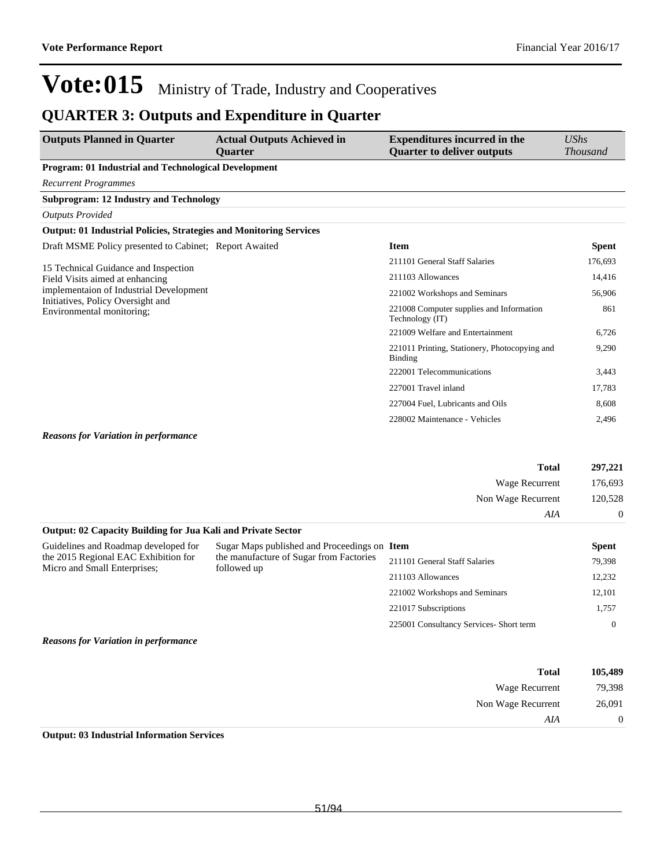### **QUARTER 3: Outputs and Expenditure in Quarter**

| <b>Outputs Planned in Quarter</b>                                         | <b>Actual Outputs Achieved in</b><br><b>Ouarter</b> | <b>Expenditures incurred in the</b><br><b>Quarter to deliver outputs</b> | <b>UShs</b><br><i>Thousand</i> |
|---------------------------------------------------------------------------|-----------------------------------------------------|--------------------------------------------------------------------------|--------------------------------|
| Program: 01 Industrial and Technological Development                      |                                                     |                                                                          |                                |
| <b>Recurrent Programmes</b>                                               |                                                     |                                                                          |                                |
| <b>Subprogram: 12 Industry and Technology</b>                             |                                                     |                                                                          |                                |
| <b>Outputs Provided</b>                                                   |                                                     |                                                                          |                                |
| <b>Output: 01 Industrial Policies, Strategies and Monitoring Services</b> |                                                     |                                                                          |                                |
| Draft MSME Policy presented to Cabinet; Report Awaited                    |                                                     | <b>Item</b>                                                              | <b>Spent</b>                   |
| 15 Technical Guidance and Inspection                                      | 211101 General Staff Salaries                       | 176,693                                                                  |                                |
| Field Visits aimed at enhancing                                           |                                                     | 211103 Allowances                                                        | 14,416                         |
| implementaion of Industrial Development                                   |                                                     | 221002 Workshops and Seminars                                            | 56,906                         |
| Initiatives, Policy Oversight and<br>Environmental monitoring;            |                                                     | 221008 Computer supplies and Information<br>Technology (IT)              | 861                            |
|                                                                           |                                                     | 221009 Welfare and Entertainment                                         | 6,726                          |
|                                                                           |                                                     | 221011 Printing, Stationery, Photocopying and<br>Binding                 | 9,290                          |
|                                                                           |                                                     | 222001 Telecommunications                                                | 3,443                          |
|                                                                           |                                                     | 227001 Travel inland                                                     | 17,783                         |
|                                                                           |                                                     | 227004 Fuel, Lubricants and Oils                                         | 8,608                          |
|                                                                           |                                                     | 228002 Maintenance - Vehicles                                            | 2,496                          |

#### *Reasons for Variation in performance*

|                                                                      |                                                        | <b>Total</b>                  | 297,221        |
|----------------------------------------------------------------------|--------------------------------------------------------|-------------------------------|----------------|
|                                                                      |                                                        | Wage Recurrent                | 176,693        |
|                                                                      |                                                        | Non Wage Recurrent            | 120,528        |
|                                                                      |                                                        | AIA                           | $\overline{0}$ |
| <b>Output: 02 Capacity Building for Jua Kali and Private Sector</b>  |                                                        |                               |                |
| Guidelines and Roadmap developed for                                 | Sugar Maps published and Proceedings on Item           |                               | <b>Spent</b>   |
| the 2015 Regional EAC Exhibition for<br>Micro and Small Enterprises; | the manufacture of Sugar from Factories<br>followed up | 211101 General Staff Salaries | 79,398         |
|                                                                      |                                                        | 211103 Allowances             | 12,232         |
|                                                                      |                                                        | 221002 Workshops and Seminars | 12,101         |
|                                                                      |                                                        | 221017 Subscriptions          | 1,757          |
|                                                                      | 225001 Consultancy Services- Short term                | $\theta$                      |                |
| <b>Reasons for Variation in performance</b>                          |                                                        |                               |                |

| 105,489        | <b>Total</b>          |
|----------------|-----------------------|
| 79,398         | <b>Wage Recurrent</b> |
| 26,091         | Non Wage Recurrent    |
| $\overline{0}$ | AIA                   |
|                |                       |

### **Output: 03 Industrial Information Services**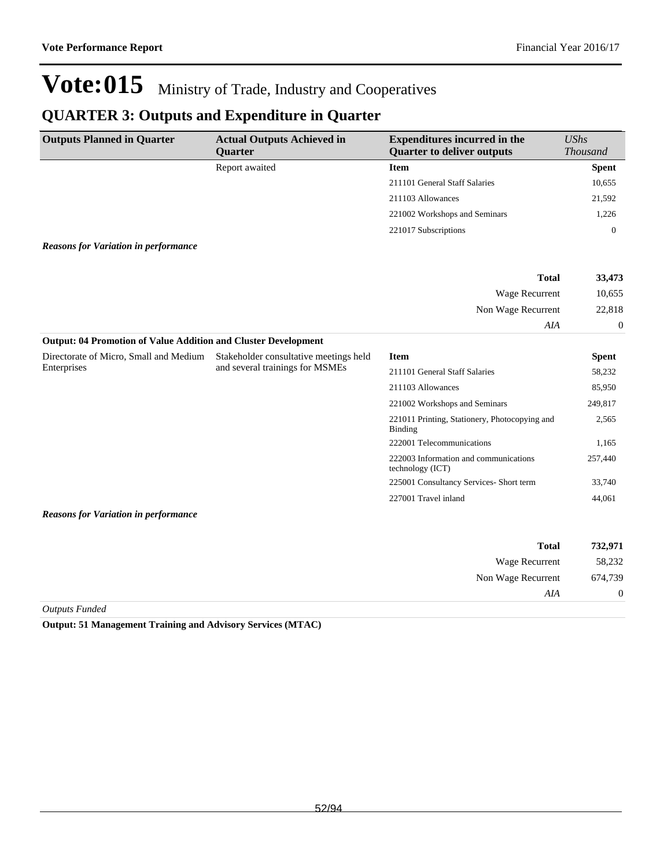*AIA* 0

# Vote:015 Ministry of Trade, Industry and Cooperatives

## **QUARTER 3: Outputs and Expenditure in Quarter**

| <b>Outputs Planned in Quarter</b>                                     | <b>Actual Outputs Achieved in</b><br>Quarter | <b>Expenditures incurred in the</b><br><b>Quarter to deliver outputs</b> | <b>UShs</b><br><b>Thousand</b> |
|-----------------------------------------------------------------------|----------------------------------------------|--------------------------------------------------------------------------|--------------------------------|
|                                                                       | Report awaited                               | <b>Item</b>                                                              | <b>Spent</b>                   |
|                                                                       |                                              | 211101 General Staff Salaries                                            | 10,655                         |
|                                                                       |                                              | 211103 Allowances                                                        | 21,592                         |
|                                                                       |                                              | 221002 Workshops and Seminars                                            | 1,226                          |
|                                                                       |                                              | 221017 Subscriptions                                                     | $\overline{0}$                 |
| <b>Reasons for Variation in performance</b>                           |                                              |                                                                          |                                |
|                                                                       |                                              | <b>Total</b>                                                             | 33,473                         |
|                                                                       |                                              | Wage Recurrent                                                           | 10,655                         |
|                                                                       |                                              | Non Wage Recurrent                                                       | 22,818                         |
|                                                                       |                                              | AIA                                                                      | $\boldsymbol{0}$               |
| <b>Output: 04 Promotion of Value Addition and Cluster Development</b> |                                              |                                                                          |                                |
| Directorate of Micro, Small and Medium                                | Stakeholder consultative meetings held       | <b>Item</b>                                                              | <b>Spent</b>                   |
| Enterprises                                                           | and several trainings for MSMEs              | 211101 General Staff Salaries                                            | 58,232                         |
|                                                                       |                                              | 211103 Allowances                                                        | 85,950                         |
|                                                                       |                                              | 221002 Workshops and Seminars                                            | 249,817                        |
|                                                                       |                                              | 221011 Printing, Stationery, Photocopying and<br><b>Binding</b>          | 2,565                          |
|                                                                       |                                              | 222001 Telecommunications                                                | 1,165                          |
|                                                                       |                                              | 222003 Information and communications<br>technology (ICT)                | 257,440                        |
|                                                                       |                                              | 225001 Consultancy Services- Short term                                  | 33,740                         |
|                                                                       |                                              | 227001 Travel inland                                                     | 44,061                         |
| <b>Reasons for Variation in performance</b>                           |                                              |                                                                          |                                |
|                                                                       |                                              | <b>Total</b>                                                             | 732,971                        |
|                                                                       |                                              | Wage Recurrent                                                           | 58,232                         |
|                                                                       |                                              | Non Wage Recurrent                                                       | 674,739                        |

*Outputs Funded*

**Output: 51 Management Training and Advisory Services (MTAC)**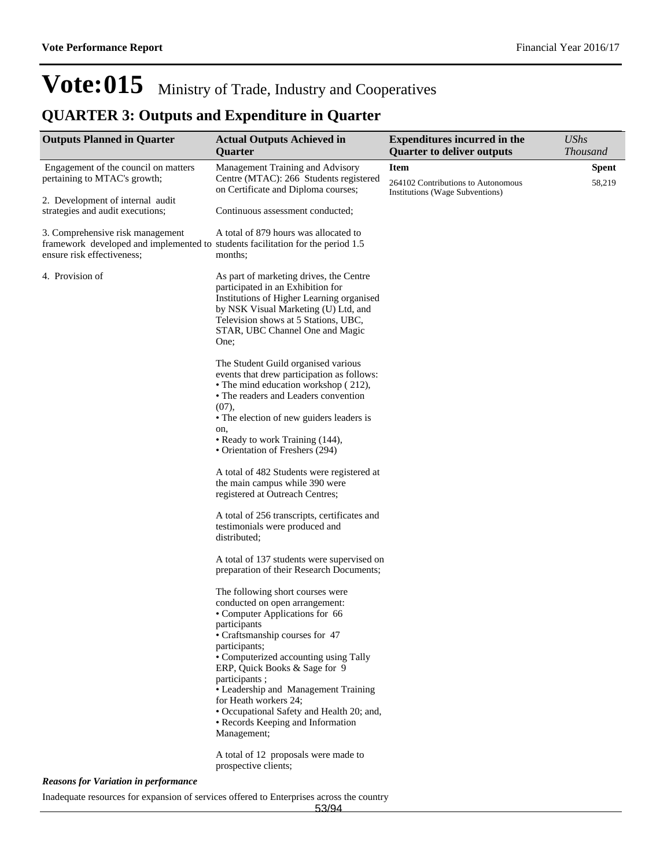## **QUARTER 3: Outputs and Expenditure in Quarter**

| <b>Outputs Planned in Quarter</b>                                                                                                                 | <b>Actual Outputs Achieved in</b><br><b>Ouarter</b>                                                                                                                                                                                                  | <b>Expenditures incurred in the</b><br><b>Quarter to deliver outputs</b>             | <b>UShs</b><br><b>Thousand</b> |
|---------------------------------------------------------------------------------------------------------------------------------------------------|------------------------------------------------------------------------------------------------------------------------------------------------------------------------------------------------------------------------------------------------------|--------------------------------------------------------------------------------------|--------------------------------|
| Engagement of the council on matters<br>pertaining to MTAC's growth;                                                                              | Management Training and Advisory<br>Centre (MTAC): 266 Students registered<br>on Certificate and Diploma courses;                                                                                                                                    | <b>Item</b><br>264102 Contributions to Autonomous<br>Institutions (Wage Subventions) | <b>Spent</b><br>58,219         |
| 2. Development of internal audit<br>strategies and audit executions;                                                                              | Continuous assessment conducted;                                                                                                                                                                                                                     |                                                                                      |                                |
| 3. Comprehensive risk management<br>framework developed and implemented to students facilitation for the period 1.5<br>ensure risk effectiveness; | A total of 879 hours was allocated to<br>months;                                                                                                                                                                                                     |                                                                                      |                                |
| 4. Provision of                                                                                                                                   | As part of marketing drives, the Centre<br>participated in an Exhibition for<br>Institutions of Higher Learning organised<br>by NSK Visual Marketing (U) Ltd, and<br>Television shows at 5 Stations, UBC,<br>STAR, UBC Channel One and Magic<br>One; |                                                                                      |                                |
|                                                                                                                                                   | The Student Guild organised various<br>events that drew participation as follows:<br>• The mind education workshop (212),<br>• The readers and Leaders convention<br>(07),<br>• The election of new guiders leaders is<br>on,                        |                                                                                      |                                |
|                                                                                                                                                   | • Ready to work Training (144),<br>• Orientation of Freshers (294)                                                                                                                                                                                   |                                                                                      |                                |
|                                                                                                                                                   | A total of 482 Students were registered at<br>the main campus while 390 were<br>registered at Outreach Centres;                                                                                                                                      |                                                                                      |                                |
|                                                                                                                                                   | A total of 256 transcripts, certificates and<br>testimonials were produced and<br>distributed;                                                                                                                                                       |                                                                                      |                                |
|                                                                                                                                                   | A total of 137 students were supervised on<br>preparation of their Research Documents;                                                                                                                                                               |                                                                                      |                                |
|                                                                                                                                                   | The following short courses were<br>conducted on open arrangement:<br>• Computer Applications for 66<br>participants<br>• Craftsmanship courses for 47                                                                                               |                                                                                      |                                |
|                                                                                                                                                   | participants;<br>• Computerized accounting using Tally<br>ERP, Quick Books & Sage for 9<br>participants;                                                                                                                                             |                                                                                      |                                |
|                                                                                                                                                   | • Leadership and Management Training<br>for Heath workers 24;<br>• Occupational Safety and Health 20; and,<br>• Records Keeping and Information<br>Management;                                                                                       |                                                                                      |                                |
|                                                                                                                                                   | A total of 12 proposals were made to<br>prospective clients;                                                                                                                                                                                         |                                                                                      |                                |
| <b>Reasons for Variation in performance</b>                                                                                                       |                                                                                                                                                                                                                                                      |                                                                                      |                                |

Inadequate resources for expansion of services offered to Enterprises across the country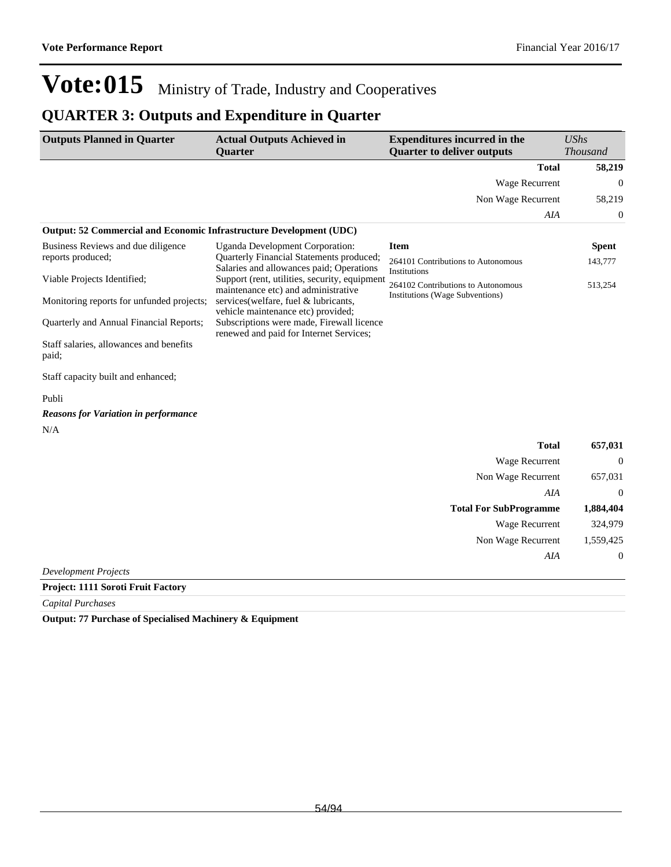## **QUARTER 3: Outputs and Expenditure in Quarter**

| <b>Outputs Planned in Quarter</b>                                   | <b>Actual Outputs Achieved in</b>                                                    | <b>Expenditures incurred in the</b>                | <b>UShs</b>      |
|---------------------------------------------------------------------|--------------------------------------------------------------------------------------|----------------------------------------------------|------------------|
|                                                                     | <b>Quarter</b>                                                                       | <b>Quarter to deliver outputs</b>                  | Thousand         |
|                                                                     |                                                                                      | <b>Total</b>                                       | 58,219           |
|                                                                     |                                                                                      | Wage Recurrent                                     | $\Omega$         |
|                                                                     |                                                                                      | Non Wage Recurrent                                 | 58,219           |
|                                                                     |                                                                                      | AIA                                                | $\boldsymbol{0}$ |
| Output: 52 Commercial and Economic Infrastructure Development (UDC) |                                                                                      |                                                    |                  |
| Business Reviews and due diligence                                  | Uganda Development Corporation:                                                      | <b>Item</b>                                        | <b>Spent</b>     |
| reports produced;                                                   | Quarterly Financial Statements produced;<br>Salaries and allowances paid; Operations | 264101 Contributions to Autonomous<br>Institutions | 143,777          |
| Viable Projects Identified;                                         | Support (rent, utilities, security, equipment<br>maintenance etc) and administrative | 264102 Contributions to Autonomous                 | 513,254          |
| Monitoring reports for unfunded projects;                           | services (welfare, fuel & lubricants,<br>vehicle maintenance etc) provided;          | Institutions (Wage Subventions)                    |                  |
| Quarterly and Annual Financial Reports;                             | Subscriptions were made, Firewall licence<br>renewed and paid for Internet Services; |                                                    |                  |
| Staff salaries, allowances and benefits<br>paid;                    |                                                                                      |                                                    |                  |
| Staff capacity built and enhanced;                                  |                                                                                      |                                                    |                  |
| Publi                                                               |                                                                                      |                                                    |                  |
| <b>Reasons for Variation in performance</b>                         |                                                                                      |                                                    |                  |
| N/A                                                                 |                                                                                      |                                                    |                  |
|                                                                     |                                                                                      | <b>Total</b>                                       | 657,031          |
|                                                                     |                                                                                      | Wage Recurrent                                     | $\theta$         |
|                                                                     |                                                                                      | Non Wage Recurrent                                 | 657,031          |
|                                                                     |                                                                                      | AIA                                                | $\Omega$         |
|                                                                     |                                                                                      | <b>Total For SubProgramme</b>                      | 1,884,404        |
|                                                                     |                                                                                      | <b>Wage Recurrent</b>                              | 324,979          |
|                                                                     |                                                                                      | Non Wage Recurrent                                 | 1,559,425        |
|                                                                     |                                                                                      | AIA                                                | $\mathbf 0$      |
| <b>Development Projects</b>                                         |                                                                                      |                                                    |                  |
| <b>Droitet: 1111 Coroti Fruit Foctory</b>                           |                                                                                      |                                                    |                  |

**Project: 1111 Soroti Fruit Factory**

*Capital Purchases*

**Output: 77 Purchase of Specialised Machinery & Equipment**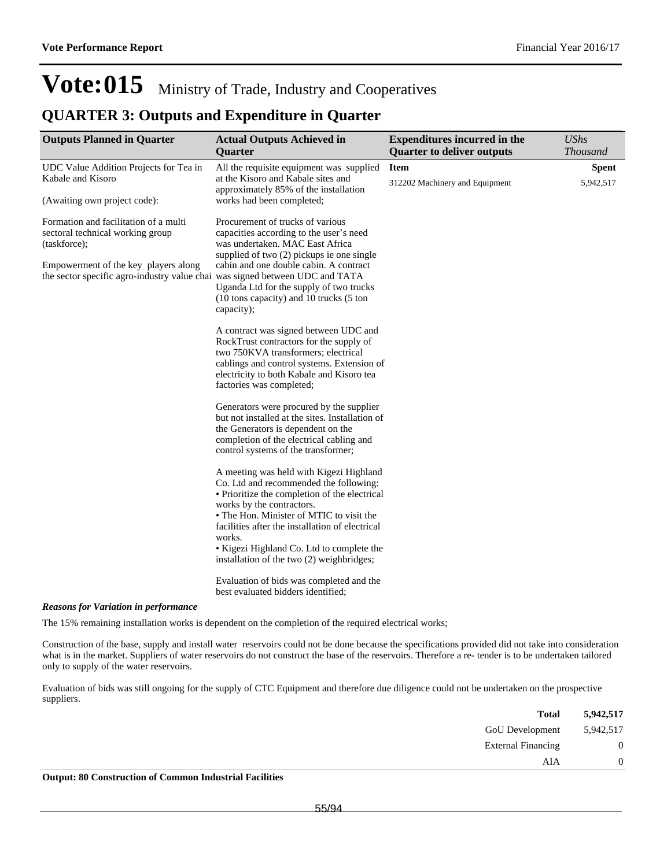### **QUARTER 3: Outputs and Expenditure in Quarter**

| <b>Outputs Planned in Quarter</b>                                                                                    | <b>Actual Outputs Achieved in</b><br>Quarter                                                                                                                                                                                                                                                                                                                       | <b>Expenditures incurred in the</b><br><b>Quarter to deliver outputs</b> | <b>UShs</b><br><b>Thousand</b> |
|----------------------------------------------------------------------------------------------------------------------|--------------------------------------------------------------------------------------------------------------------------------------------------------------------------------------------------------------------------------------------------------------------------------------------------------------------------------------------------------------------|--------------------------------------------------------------------------|--------------------------------|
| UDC Value Addition Projects for Tea in                                                                               | All the requisite equipment was supplied                                                                                                                                                                                                                                                                                                                           | <b>Item</b>                                                              | <b>Spent</b>                   |
| Kabale and Kisoro                                                                                                    | at the Kisoro and Kabale sites and<br>approximately 85% of the installation                                                                                                                                                                                                                                                                                        | 312202 Machinery and Equipment                                           | 5,942,517                      |
| (Awaiting own project code):                                                                                         | works had been completed;                                                                                                                                                                                                                                                                                                                                          |                                                                          |                                |
| Formation and facilitation of a multi<br>sectoral technical working group<br>(taskforce);                            | Procurement of trucks of various<br>capacities according to the user's need<br>was undertaken. MAC East Africa<br>supplied of two (2) pickups ie one single                                                                                                                                                                                                        |                                                                          |                                |
| Empowerment of the key players along<br>the sector specific agro-industry value chai was signed between UDC and TATA | cabin and one double cabin. A contract<br>Uganda Ltd for the supply of two trucks<br>(10 tons capacity) and 10 trucks (5 ton<br>capacity);                                                                                                                                                                                                                         |                                                                          |                                |
|                                                                                                                      | A contract was signed between UDC and<br>RockTrust contractors for the supply of<br>two 750KVA transformers; electrical<br>cablings and control systems. Extension of<br>electricity to both Kabale and Kisoro tea<br>factories was completed;                                                                                                                     |                                                                          |                                |
|                                                                                                                      | Generators were procured by the supplier<br>but not installed at the sites. Installation of<br>the Generators is dependent on the<br>completion of the electrical cabling and<br>control systems of the transformer;                                                                                                                                               |                                                                          |                                |
|                                                                                                                      | A meeting was held with Kigezi Highland<br>Co. Ltd and recommended the following:<br>• Prioritize the completion of the electrical<br>works by the contractors.<br>• The Hon. Minister of MTIC to visit the<br>facilities after the installation of electrical<br>works.<br>• Kigezi Highland Co. Ltd to complete the<br>installation of the two (2) weighbridges; |                                                                          |                                |
|                                                                                                                      | Evaluation of bids was completed and the<br>best evaluated bidders identified;                                                                                                                                                                                                                                                                                     |                                                                          |                                |

### *Reasons for Variation in performance*

The 15% remaining installation works is dependent on the completion of the required electrical works;

Construction of the base, supply and install water reservoirs could not be done because the specifications provided did not take into consideration what is in the market. Suppliers of water reservoirs do not construct the base of the reservoirs. Therefore a re- tender is to be undertaken tailored only to supply of the water reservoirs.

Evaluation of bids was still ongoing for the supply of CTC Equipment and therefore due diligence could not be undertaken on the prospective suppliers.

| 5,942,517      | <b>Total</b>              |  |
|----------------|---------------------------|--|
| 5,942,517      | <b>GoU</b> Development    |  |
| $\overline{0}$ | <b>External Financing</b> |  |
| 0              | AIA                       |  |
|                |                           |  |

**Output: 80 Construction of Common Industrial Facilities**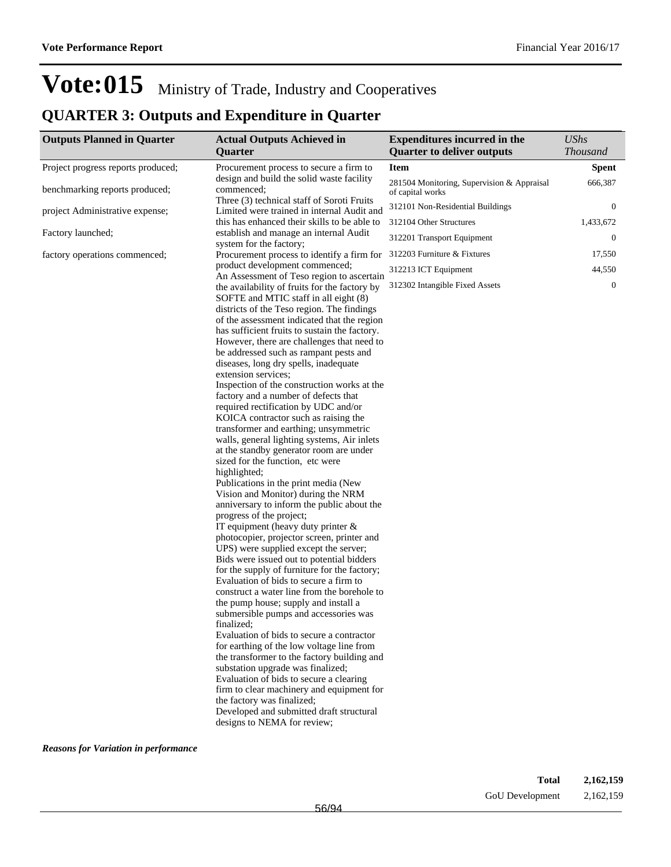## **QUARTER 3: Outputs and Expenditure in Quarter**

| <b>Outputs Planned in Quarter</b>                                           | <b>Actual Outputs Achieved in</b>                                                                                                                                                                                                                                                                                                                                                                                                                                                                                                                                                                                                                                                                                                                                                                                                                                                                                                                                                                                                                                                                                                                                                                                                                                                                                                                                                                                                                                                                                                                                                                             | <b>Expenditures incurred in the</b>                            | <b>UShs</b>     |
|-----------------------------------------------------------------------------|---------------------------------------------------------------------------------------------------------------------------------------------------------------------------------------------------------------------------------------------------------------------------------------------------------------------------------------------------------------------------------------------------------------------------------------------------------------------------------------------------------------------------------------------------------------------------------------------------------------------------------------------------------------------------------------------------------------------------------------------------------------------------------------------------------------------------------------------------------------------------------------------------------------------------------------------------------------------------------------------------------------------------------------------------------------------------------------------------------------------------------------------------------------------------------------------------------------------------------------------------------------------------------------------------------------------------------------------------------------------------------------------------------------------------------------------------------------------------------------------------------------------------------------------------------------------------------------------------------------|----------------------------------------------------------------|-----------------|
|                                                                             | Quarter                                                                                                                                                                                                                                                                                                                                                                                                                                                                                                                                                                                                                                                                                                                                                                                                                                                                                                                                                                                                                                                                                                                                                                                                                                                                                                                                                                                                                                                                                                                                                                                                       | <b>Quarter to deliver outputs</b>                              | <b>Thousand</b> |
| Project progress reports produced;                                          | Procurement process to secure a firm to                                                                                                                                                                                                                                                                                                                                                                                                                                                                                                                                                                                                                                                                                                                                                                                                                                                                                                                                                                                                                                                                                                                                                                                                                                                                                                                                                                                                                                                                                                                                                                       | <b>Item</b>                                                    | <b>Spent</b>    |
| benchmarking reports produced;                                              | design and build the solid waste facility<br>commenced;                                                                                                                                                                                                                                                                                                                                                                                                                                                                                                                                                                                                                                                                                                                                                                                                                                                                                                                                                                                                                                                                                                                                                                                                                                                                                                                                                                                                                                                                                                                                                       | 281504 Monitoring, Supervision & Appraisal<br>of capital works | 666,387         |
| project Administrative expense;                                             | Three (3) technical staff of Soroti Fruits<br>Limited were trained in internal Audit and                                                                                                                                                                                                                                                                                                                                                                                                                                                                                                                                                                                                                                                                                                                                                                                                                                                                                                                                                                                                                                                                                                                                                                                                                                                                                                                                                                                                                                                                                                                      | 312101 Non-Residential Buildings                               | $\mathbf{0}$    |
|                                                                             | this has enhanced their skills to be able to                                                                                                                                                                                                                                                                                                                                                                                                                                                                                                                                                                                                                                                                                                                                                                                                                                                                                                                                                                                                                                                                                                                                                                                                                                                                                                                                                                                                                                                                                                                                                                  | 312104 Other Structures                                        | 1,433,672       |
| Factory launched;                                                           | establish and manage an internal Audit<br>system for the factory;                                                                                                                                                                                                                                                                                                                                                                                                                                                                                                                                                                                                                                                                                                                                                                                                                                                                                                                                                                                                                                                                                                                                                                                                                                                                                                                                                                                                                                                                                                                                             | 312201 Transport Equipment                                     | $\mathbf{0}$    |
| factory operations commenced;<br>Procurement process to identify a firm for | 312203 Furniture & Fixtures                                                                                                                                                                                                                                                                                                                                                                                                                                                                                                                                                                                                                                                                                                                                                                                                                                                                                                                                                                                                                                                                                                                                                                                                                                                                                                                                                                                                                                                                                                                                                                                   | 17,550                                                         |                 |
|                                                                             | product development commenced;                                                                                                                                                                                                                                                                                                                                                                                                                                                                                                                                                                                                                                                                                                                                                                                                                                                                                                                                                                                                                                                                                                                                                                                                                                                                                                                                                                                                                                                                                                                                                                                | 312213 ICT Equipment                                           | 44,550          |
|                                                                             | An Assessment of Teso region to ascertain<br>the availability of fruits for the factory by<br>SOFTE and MTIC staff in all eight (8)<br>districts of the Teso region. The findings<br>of the assessment indicated that the region<br>has sufficient fruits to sustain the factory.<br>However, there are challenges that need to<br>be addressed such as rampant pests and<br>diseases, long dry spells, inadequate<br>extension services;<br>Inspection of the construction works at the<br>factory and a number of defects that<br>required rectification by UDC and/or<br>KOICA contractor such as raising the<br>transformer and earthing; unsymmetric<br>walls, general lighting systems, Air inlets<br>at the standby generator room are under<br>sized for the function, etc were<br>highlighted;<br>Publications in the print media (New<br>Vision and Monitor) during the NRM<br>anniversary to inform the public about the<br>progress of the project;<br>IT equipment (heavy duty printer $\&$<br>photocopier, projector screen, printer and<br>UPS) were supplied except the server;<br>Bids were issued out to potential bidders<br>for the supply of furniture for the factory;<br>Evaluation of bids to secure a firm to<br>construct a water line from the borehole to<br>the pump house; supply and install a<br>submersible pumps and accessories was<br>finalized;<br>Evaluation of bids to secure a contractor<br>for earthing of the low voltage line from<br>the transformer to the factory building and<br>substation upgrade was finalized;<br>Evaluation of bids to secure a clearing | 312302 Intangible Fixed Assets                                 | $\mathbf{0}$    |
|                                                                             | firm to clear machinery and equipment for<br>the factory was finalized;<br>Developed and submitted draft structural<br>designs to NEMA for review;                                                                                                                                                                                                                                                                                                                                                                                                                                                                                                                                                                                                                                                                                                                                                                                                                                                                                                                                                                                                                                                                                                                                                                                                                                                                                                                                                                                                                                                            |                                                                |                 |

*Reasons for Variation in performance*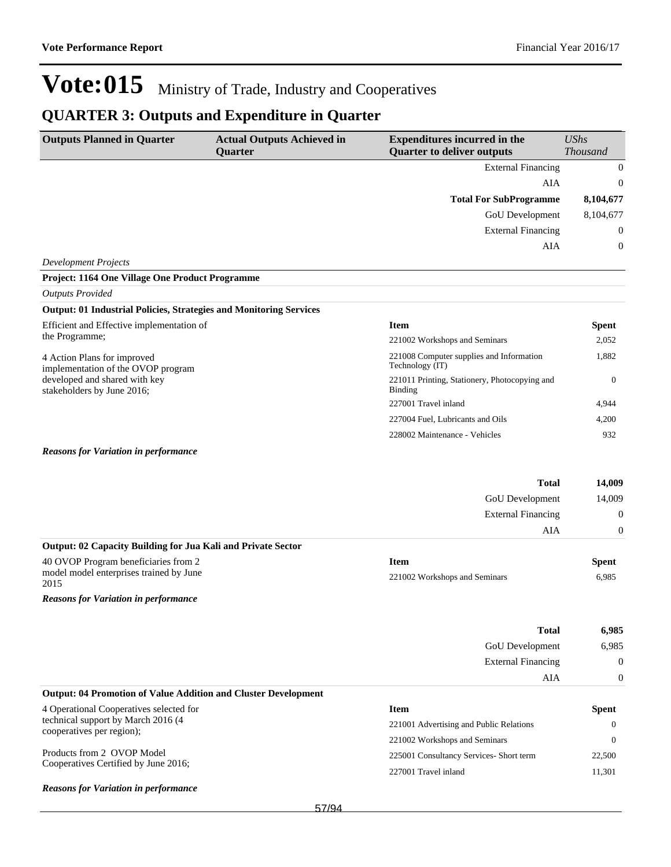## **QUARTER 3: Outputs and Expenditure in Quarter**

| <b>Outputs Planned in Quarter</b>                                         | <b>Actual Outputs Achieved in</b> | <b>Expenditures incurred in the</b><br><b>Quarter to deliver outputs</b> | <b>UShs</b>      |
|---------------------------------------------------------------------------|-----------------------------------|--------------------------------------------------------------------------|------------------|
|                                                                           | <b>Quarter</b>                    |                                                                          | <b>Thousand</b>  |
|                                                                           |                                   | <b>External Financing</b>                                                | $\boldsymbol{0}$ |
|                                                                           |                                   | AIA                                                                      | $\boldsymbol{0}$ |
|                                                                           |                                   | <b>Total For SubProgramme</b>                                            | 8,104,677        |
|                                                                           |                                   | GoU Development                                                          | 8,104,677        |
|                                                                           |                                   | <b>External Financing</b>                                                | $\boldsymbol{0}$ |
|                                                                           |                                   | AIA                                                                      | $\overline{0}$   |
| <b>Development Projects</b>                                               |                                   |                                                                          |                  |
| Project: 1164 One Village One Product Programme                           |                                   |                                                                          |                  |
| <b>Outputs Provided</b>                                                   |                                   |                                                                          |                  |
| <b>Output: 01 Industrial Policies, Strategies and Monitoring Services</b> |                                   |                                                                          |                  |
| Efficient and Effective implementation of<br>the Programme;               |                                   | <b>Item</b>                                                              | Spent            |
|                                                                           |                                   | 221002 Workshops and Seminars                                            | 2,052            |
| 4 Action Plans for improved<br>implementation of the OVOP program         |                                   | 221008 Computer supplies and Information<br>Technology (IT)              | 1,882            |
| developed and shared with key<br>stakeholders by June 2016;               |                                   | 221011 Printing, Stationery, Photocopying and<br>Binding                 | $\overline{0}$   |
|                                                                           |                                   | 227001 Travel inland                                                     | 4,944            |
|                                                                           |                                   | 227004 Fuel, Lubricants and Oils                                         | 4,200            |
|                                                                           |                                   | 228002 Maintenance - Vehicles                                            | 932              |
| <b>Reasons for Variation in performance</b>                               |                                   |                                                                          |                  |
|                                                                           |                                   | <b>Total</b>                                                             | 14,009           |
|                                                                           |                                   | GoU Development                                                          | 14,009           |
|                                                                           |                                   | <b>External Financing</b>                                                | $\boldsymbol{0}$ |
|                                                                           |                                   | AIA                                                                      | $\boldsymbol{0}$ |
| Output: 02 Capacity Building for Jua Kali and Private Sector              |                                   |                                                                          |                  |
| 40 OVOP Program beneficiaries from 2                                      |                                   | <b>Item</b>                                                              | Spent            |
| model model enterprises trained by June                                   |                                   | 221002 Workshops and Seminars                                            | 6,985            |
| 2015                                                                      |                                   |                                                                          |                  |
| <b>Reasons for Variation in performance</b>                               |                                   |                                                                          |                  |
|                                                                           |                                   | Total                                                                    | 6,985            |
|                                                                           |                                   | GoU Development                                                          | 6,985            |
|                                                                           |                                   | <b>External Financing</b>                                                | 0                |
|                                                                           |                                   | AIA                                                                      | $\boldsymbol{0}$ |
| <b>Output: 04 Promotion of Value Addition and Cluster Development</b>     |                                   |                                                                          |                  |
| 4 Operational Cooperatives selected for                                   |                                   | <b>Item</b>                                                              | <b>Spent</b>     |
| technical support by March 2016 (4                                        |                                   | 221001 Advertising and Public Relations                                  | $\mathbf{0}$     |
| cooperatives per region);                                                 |                                   | 221002 Workshops and Seminars                                            | $\theta$         |
| Products from 2 OVOP Model                                                |                                   | 225001 Consultancy Services- Short term                                  | 22,500           |
| Cooperatives Certified by June 2016;                                      |                                   | 227001 Travel inland                                                     | 11,301           |
| <b>Reasons for Variation in performance</b>                               |                                   |                                                                          |                  |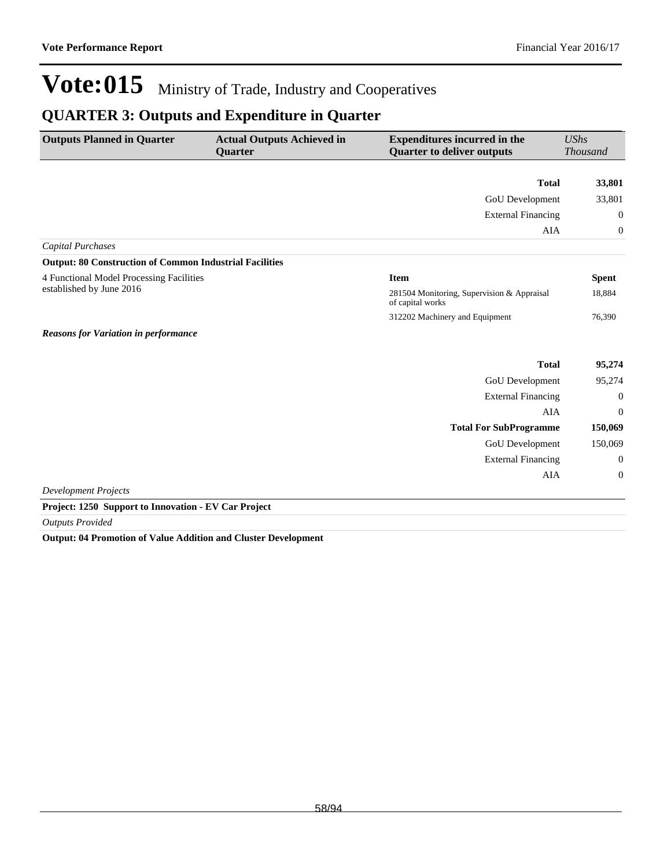## **QUARTER 3: Outputs and Expenditure in Quarter**

| <b>Outputs Planned in Quarter</b>                                                    | <b>Actual Outputs Achieved in</b><br><b>Quarter</b> | <b>Expenditures incurred in the</b><br><b>Quarter to deliver outputs</b> | <b>UShs</b><br><b>Thousand</b> |
|--------------------------------------------------------------------------------------|-----------------------------------------------------|--------------------------------------------------------------------------|--------------------------------|
|                                                                                      |                                                     |                                                                          |                                |
|                                                                                      |                                                     | <b>Total</b>                                                             | 33,801                         |
|                                                                                      |                                                     | GoU Development                                                          | 33,801                         |
|                                                                                      |                                                     | <b>External Financing</b>                                                | $\mathbf{0}$                   |
|                                                                                      |                                                     | AIA                                                                      | $\mathbf{0}$                   |
| <b>Capital Purchases</b>                                                             |                                                     |                                                                          |                                |
| <b>Output: 80 Construction of Common Industrial Facilities</b>                       |                                                     |                                                                          |                                |
| 4 Functional Model Processing Facilities                                             |                                                     | <b>Item</b>                                                              | <b>Spent</b>                   |
| established by June 2016                                                             |                                                     | 281504 Monitoring, Supervision & Appraisal<br>of capital works           | 18,884                         |
|                                                                                      |                                                     | 312202 Machinery and Equipment                                           | 76,390                         |
| <b>Reasons for Variation in performance</b>                                          |                                                     |                                                                          |                                |
|                                                                                      |                                                     | <b>Total</b>                                                             | 95,274                         |
|                                                                                      |                                                     | GoU Development                                                          | 95,274                         |
|                                                                                      |                                                     | <b>External Financing</b>                                                | $\theta$                       |
|                                                                                      |                                                     | <b>AIA</b>                                                               | $\theta$                       |
|                                                                                      |                                                     | <b>Total For SubProgramme</b>                                            | 150,069                        |
|                                                                                      |                                                     | GoU Development                                                          | 150,069                        |
|                                                                                      |                                                     | <b>External Financing</b>                                                | $\mathbf{0}$                   |
|                                                                                      |                                                     | AIA                                                                      | $\mathbf{0}$                   |
| <b>Development Projects</b>                                                          |                                                     |                                                                          |                                |
| $\cdot$ .<br>$\cdot$ $\cdot$ $\cdot$ $\cdot$ $\cdot$ $\cdot$<br>$\sim$ $\sim$ $\sim$ | $T(T)$ $\alpha$ $\beta$ $\beta$ $\beta$             |                                                                          |                                |

**Project: 1250 Support to Innovation - EV Car Project**

*Outputs Provided*

**Output: 04 Promotion of Value Addition and Cluster Development**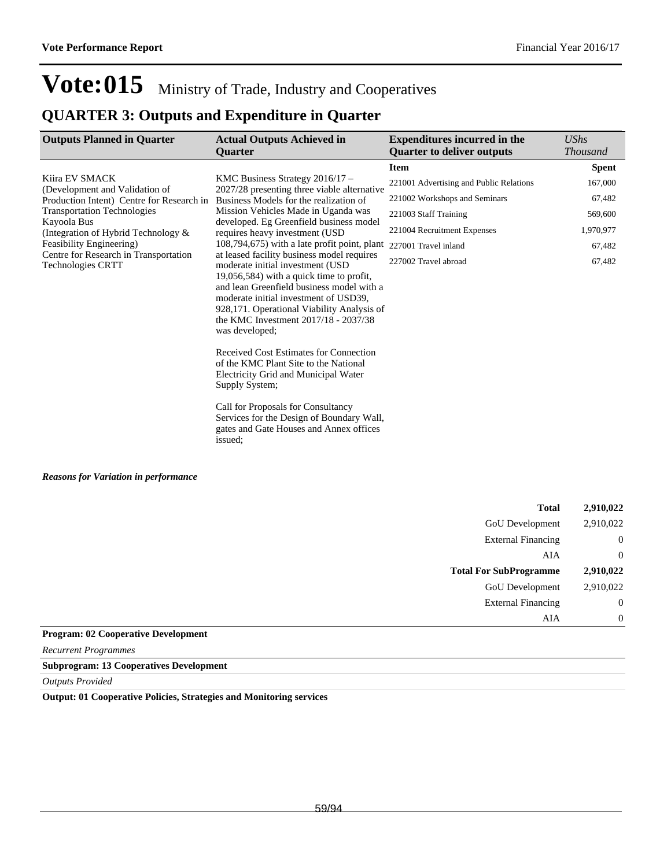### **QUARTER 3: Outputs and Expenditure in Quarter**

| <b>Outputs Planned in Quarter</b>                                 | <b>Actual Outputs Achieved in</b>                                                                                                                                                                                                                                                                                                                                                                                                                                                                                               | <b>Expenditures incurred in the</b>     | <b>UShs</b>     |
|-------------------------------------------------------------------|---------------------------------------------------------------------------------------------------------------------------------------------------------------------------------------------------------------------------------------------------------------------------------------------------------------------------------------------------------------------------------------------------------------------------------------------------------------------------------------------------------------------------------|-----------------------------------------|-----------------|
|                                                                   | <b>Quarter</b>                                                                                                                                                                                                                                                                                                                                                                                                                                                                                                                  | <b>Quarter to deliver outputs</b>       | <b>Thousand</b> |
|                                                                   |                                                                                                                                                                                                                                                                                                                                                                                                                                                                                                                                 | <b>Item</b>                             | <b>Spent</b>    |
| Kiira EV SMACK<br>(Development and Validation of                  | KMC Business Strategy 2016/17 -<br>2027/28 presenting three viable alternative<br>Business Models for the realization of<br>Mission Vehicles Made in Uganda was                                                                                                                                                                                                                                                                                                                                                                 | 221001 Advertising and Public Relations | 167,000         |
| Production Intent) Centre for Research in                         |                                                                                                                                                                                                                                                                                                                                                                                                                                                                                                                                 | 221002 Workshops and Seminars           | 67,482          |
| <b>Transportation Technologies</b><br>Kayoola Bus                 |                                                                                                                                                                                                                                                                                                                                                                                                                                                                                                                                 | 221003 Staff Training                   | 569,600         |
| (Integration of Hybrid Technology &                               | developed. Eg Greenfield business model<br>requires heavy investment (USD                                                                                                                                                                                                                                                                                                                                                                                                                                                       | 221004 Recruitment Expenses             | 1,970,977       |
| Feasibility Engineering)<br>Centre for Research in Transportation | 108,794,675) with a late profit point, plant<br>at leased facility business model requires                                                                                                                                                                                                                                                                                                                                                                                                                                      | 227001 Travel inland                    | 67,482          |
| <b>Technologies CRTT</b>                                          | moderate initial investment (USD                                                                                                                                                                                                                                                                                                                                                                                                                                                                                                | 227002 Travel abroad                    | 67,482          |
|                                                                   | $19,056,584$ ) with a quick time to profit,<br>and lean Greenfield business model with a<br>moderate initial investment of USD39,<br>928,171. Operational Viability Analysis of<br>the KMC Investment 2017/18 - 2037/38<br>was developed:<br>Received Cost Estimates for Connection<br>of the KMC Plant Site to the National<br>Electricity Grid and Municipal Water<br>Supply System;<br>Call for Proposals for Consultancy<br>Services for the Design of Boundary Wall,<br>gates and Gate Houses and Annex offices<br>issued; |                                         |                 |
|                                                                   |                                                                                                                                                                                                                                                                                                                                                                                                                                                                                                                                 |                                         |                 |
|                                                                   |                                                                                                                                                                                                                                                                                                                                                                                                                                                                                                                                 |                                         |                 |
|                                                                   |                                                                                                                                                                                                                                                                                                                                                                                                                                                                                                                                 | <b>Total</b>                            | 2,910,022       |
|                                                                   |                                                                                                                                                                                                                                                                                                                                                                                                                                                                                                                                 | <b>GoU</b> Development                  | 2,910,022       |

| 4,710,044      | 1 Utal                         |               |
|----------------|--------------------------------|---------------|
| 2,910,022      | <b>GoU</b> Development         |               |
| $\overline{0}$ | <b>External Financing</b>      |               |
| $\overline{0}$ | AIA                            |               |
| 2,910,022      | <b>Total For SubProgramme</b>  |               |
| 2,910,022      | GoU Development                |               |
| $\overline{0}$ | <b>External Financing</b>      |               |
| $\overline{0}$ | AIA                            |               |
|                | $\sim$ $\sim$<br>$\sim$ $\sim$ | $\sim$ $\sim$ |

### **Program: 02 Cooperative Development**

*Recurrent Programmes*

**Subprogram: 13 Cooperatives Development**

*Outputs Provided*

**Output: 01 Cooperative Policies, Strategies and Monitoring services**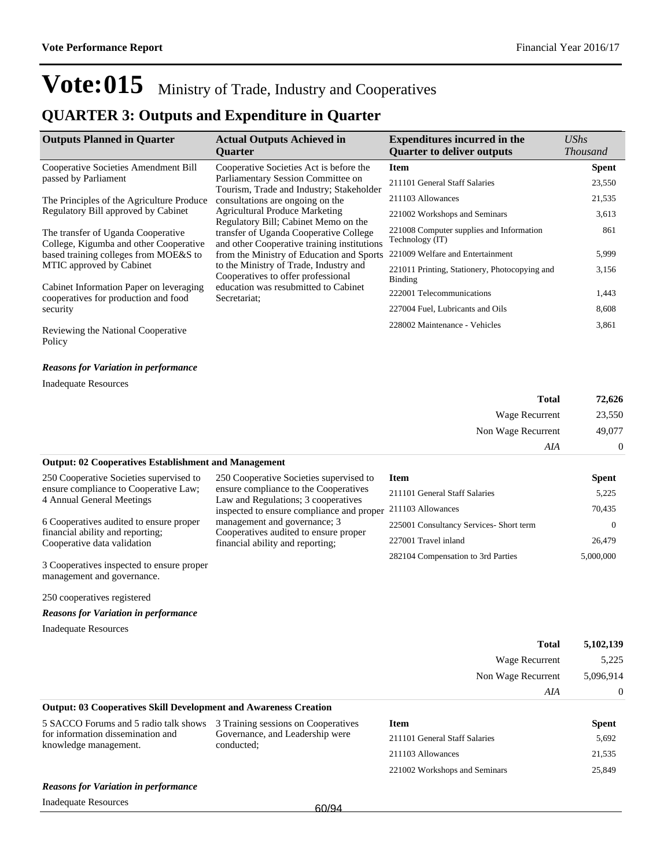### **QUARTER 3: Outputs and Expenditure in Quarter**

| <b>Outputs Planned in Quarter</b>                                               | <b>Actual Outputs Achieved in</b><br><b>Ouarter</b>                                   | <b>Expenditures incurred in the</b><br><b>Quarter to deliver outputs</b> | UShs<br><b>Thousand</b> |
|---------------------------------------------------------------------------------|---------------------------------------------------------------------------------------|--------------------------------------------------------------------------|-------------------------|
| Cooperative Societies Amendment Bill                                            | Cooperative Societies Act is before the                                               | <b>Item</b>                                                              | <b>Spent</b>            |
| passed by Parliament                                                            | Parliamentary Session Committee on<br>Tourism, Trade and Industry; Stakeholder        | 211101 General Staff Salaries                                            | 23,550                  |
| The Principles of the Agriculture Produce                                       | consultations are ongoing on the                                                      | 211103 Allowances                                                        | 21,535                  |
| Regulatory Bill approved by Cabinet                                             | <b>Agricultural Produce Marketing</b><br>Regulatory Bill; Cabinet Memo on the         | 221002 Workshops and Seminars                                            | 3,613                   |
| The transfer of Uganda Cooperative<br>College, Kigumba and other Cooperative    | transfer of Uganda Cooperative College<br>and other Cooperative training institutions | 221008 Computer supplies and Information<br>Technology (IT)              | 861                     |
| based training colleges from MOE&S to                                           | from the Ministry of Education and Sports                                             | 221009 Welfare and Entertainment                                         | 5,999                   |
| MTIC approved by Cabinet                                                        | to the Ministry of Trade, Industry and<br>Cooperatives to offer professional          | 221011 Printing, Stationery, Photocopying and<br>Binding                 | 3,156                   |
| Cabinet Information Paper on leveraging<br>cooperatives for production and food | education was resubmitted to Cabinet<br>Secretariat:                                  | 222001 Telecommunications                                                | 1,443                   |
| security                                                                        |                                                                                       | 227004 Fuel, Lubricants and Oils                                         | 8,608                   |
| Reviewing the National Cooperative<br>Policy                                    |                                                                                       | 228002 Maintenance - Vehicles                                            | 3,861                   |

#### *Reasons for Variation in performance*

Inadequate Resources

| 72,626   | <b>Total</b>       |
|----------|--------------------|
| 23,550   | Wage Recurrent     |
| 49,077   | Non Wage Recurrent |
| $\theta$ | AIA                |

### **Output: 02 Cooperatives Establishment and Management**

| 250 Cooperative Societies supervised to                         | 250 Cooperative Societies supervised to                                                            | <b>Item</b>                             | <b>Spent</b> |
|-----------------------------------------------------------------|----------------------------------------------------------------------------------------------------|-----------------------------------------|--------------|
| ensure compliance to Cooperative Law;                           | ensure compliance to the Cooperatives                                                              | 211101 General Staff Salaries           | 5,225        |
| 4 Annual General Meetings                                       | Law and Regulations; 3 cooperatives<br>inspected to ensure compliance and proper 211103 Allowances |                                         | 70,435       |
| 6 Cooperatives audited to ensure proper                         | management and governance; 3                                                                       | 225001 Consultancy Services- Short term | $\Omega$     |
| financial ability and reporting;<br>Cooperative data validation | Cooperatives audited to ensure proper<br>financial ability and reporting;                          | 227001 Travel inland                    | 26,479       |
| 3 Cooperatives inspected to ensure proper                       |                                                                                                    | 282104 Compensation to 3rd Parties      | 5,000,000    |

3 Cooperatives inspected to ensure proper management and governance.

250 cooperatives registered

### *Reasons for Variation in performance*

Inadequate Resources

|                                                                           |      | <b>Total</b>       | 5,102,139 |
|---------------------------------------------------------------------------|------|--------------------|-----------|
|                                                                           |      | Wage Recurrent     | 5,225     |
|                                                                           |      | Non Wage Recurrent | 5,096,914 |
|                                                                           |      | AIA                | 0         |
| <b>Output: 03 Cooperatives Skill Development and Awareness Creation</b>   |      |                    |           |
| 5 SACCO Forums and 5 radio talk shows 3 Training sessions on Cooperatives | Item |                    | Snent     |

| 5 SACCO Forums and 5 radio talk shows 3 Training sessions on Cooperatives |                                               | Item                |
|---------------------------------------------------------------------------|-----------------------------------------------|---------------------|
| for information dissemination and<br>knowledge management.                | Governance, and Leadership were<br>conducted: | 211101 General Sta  |
|                                                                           |                                               | $211103$ Allowances |

### **Spent** 211101 General Staff Salaries 5,692 211103 Allowances 21,535 221002 Workshops and Seminars 25,849

#### *Reasons for Variation in performance*

Inadequate Resources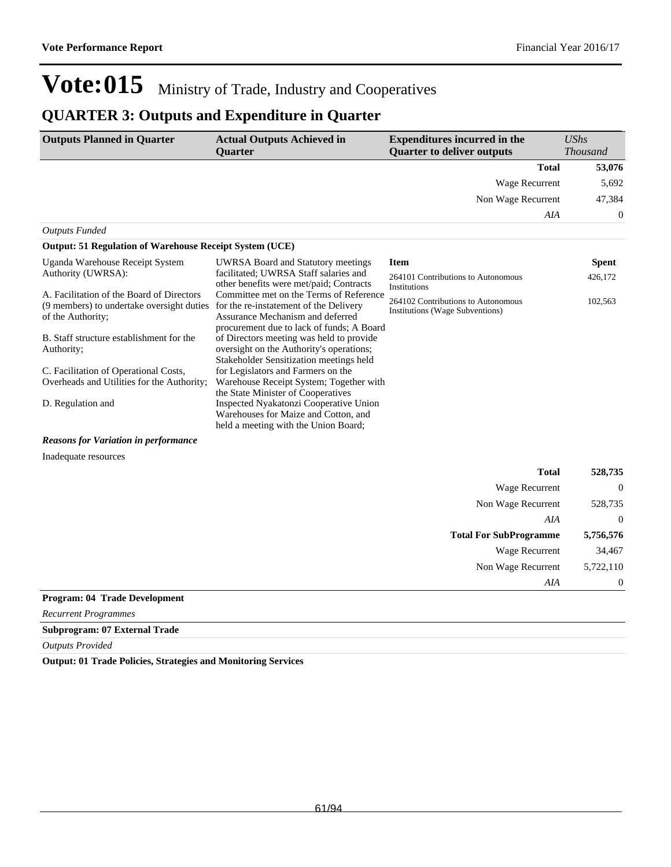## **QUARTER 3: Outputs and Expenditure in Quarter**

| <b>Outputs Planned in Quarter</b>                                                                           | <b>Actual Outputs Achieved in</b><br><b>Ouarter</b>                                                                                                                | <b>Expenditures incurred in the</b><br><b>Quarter to deliver outputs</b>     | <b>UShs</b><br><b>Thousand</b> |
|-------------------------------------------------------------------------------------------------------------|--------------------------------------------------------------------------------------------------------------------------------------------------------------------|------------------------------------------------------------------------------|--------------------------------|
|                                                                                                             |                                                                                                                                                                    | <b>Total</b>                                                                 | 53,076                         |
|                                                                                                             |                                                                                                                                                                    | Wage Recurrent                                                               | 5,692                          |
|                                                                                                             |                                                                                                                                                                    | Non Wage Recurrent                                                           | 47,384                         |
|                                                                                                             |                                                                                                                                                                    | AIA                                                                          | $\mathbf 0$                    |
| <b>Outputs Funded</b>                                                                                       |                                                                                                                                                                    |                                                                              |                                |
| <b>Output: 51 Regulation of Warehouse Receipt System (UCE)</b>                                              |                                                                                                                                                                    |                                                                              |                                |
| Uganda Warehouse Receipt System                                                                             | <b>UWRSA Board and Statutory meetings</b>                                                                                                                          | <b>Item</b>                                                                  | <b>Spent</b>                   |
| Authority (UWRSA):                                                                                          | facilitated; UWRSA Staff salaries and<br>other benefits were met/paid; Contracts                                                                                   | 264101 Contributions to Autonomous<br>Institutions                           | 426,172                        |
| A. Facilitation of the Board of Directors<br>(9 members) to undertake oversight duties<br>of the Authority; | Committee met on the Terms of Reference<br>for the re-instatement of the Delivery<br>Assurance Mechanism and deferred<br>procurement due to lack of funds; A Board | 264102 Contributions to Autonomous<br><b>Institutions (Wage Subventions)</b> | 102,563                        |
| B. Staff structure establishment for the<br>Authority;                                                      | of Directors meeting was held to provide<br>oversight on the Authority's operations;<br>Stakeholder Sensitization meetings held                                    |                                                                              |                                |
| C. Facilitation of Operational Costs,<br>Overheads and Utilities for the Authority;                         | for Legislators and Farmers on the<br>Warehouse Receipt System; Together with<br>the State Minister of Cooperatives                                                |                                                                              |                                |
| D. Regulation and                                                                                           | Inspected Nyakatonzi Cooperative Union<br>Warehouses for Maize and Cotton, and<br>held a meeting with the Union Board;                                             |                                                                              |                                |
| <b>Reasons for Variation in performance</b>                                                                 |                                                                                                                                                                    |                                                                              |                                |
| Inadequate resources                                                                                        |                                                                                                                                                                    |                                                                              |                                |
|                                                                                                             |                                                                                                                                                                    | <b>Total</b>                                                                 | 528,735                        |
|                                                                                                             |                                                                                                                                                                    | Wage Recurrent                                                               | $\theta$                       |
|                                                                                                             |                                                                                                                                                                    | Non Wage Recurrent                                                           | 528,735                        |
|                                                                                                             |                                                                                                                                                                    |                                                                              |                                |

| AIA                                  |           |
|--------------------------------------|-----------|
| <b>Total For SubProgramme</b>        | 5,756,576 |
| Wage Recurrent                       | 34,467    |
| Non Wage Recurrent                   | 5,722,110 |
| AIA                                  |           |
| <u>Drogrami A4</u> Trade Development |           |

### **Program: 04 Trade Development**

*Recurrent Programmes*

### **Subprogram: 07 External Trade**

*Outputs Provided*

**Output: 01 Trade Policies, Strategies and Monitoring Services**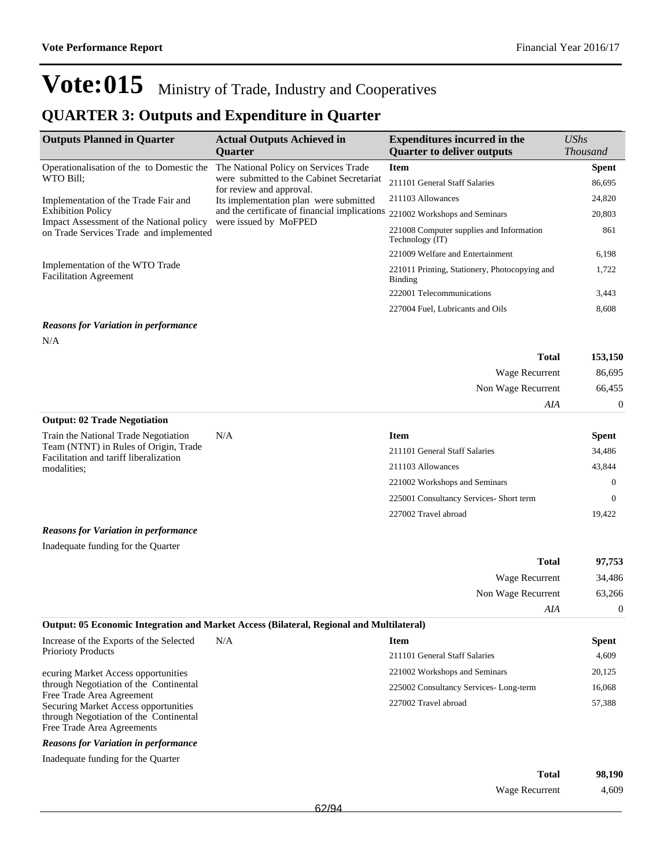Wage Recurrent 4,609

# Vote:015 Ministry of Trade, Industry and Cooperatives

## **QUARTER 3: Outputs and Expenditure in Quarter**

| <b>Outputs Planned in Quarter</b>                                                                                                                | <b>Actual Outputs Achieved in</b>                                                                                                                                                         | <b>Expenditures incurred in the</b>                             | <b>UShs</b>      |
|--------------------------------------------------------------------------------------------------------------------------------------------------|-------------------------------------------------------------------------------------------------------------------------------------------------------------------------------------------|-----------------------------------------------------------------|------------------|
|                                                                                                                                                  | <b>Ouarter</b>                                                                                                                                                                            | <b>Quarter to deliver outputs</b>                               | <b>Thousand</b>  |
| Operationalisation of the to Domestic the                                                                                                        | The National Policy on Services Trade                                                                                                                                                     | <b>Item</b>                                                     | <b>Spent</b>     |
| WTO Bill;                                                                                                                                        | were submitted to the Cabinet Secretariat<br>for review and approval.<br>Its implementation plan were submitted<br>and the certificate of financial implications<br>were issued by MoFPED | 211101 General Staff Salaries                                   | 86,695           |
| Implementation of the Trade Fair and                                                                                                             |                                                                                                                                                                                           | 211103 Allowances                                               | 24,820           |
| <b>Exhibition Policy</b>                                                                                                                         |                                                                                                                                                                                           | 221002 Workshops and Seminars                                   | 20,803           |
| Impact Assessment of the National policy<br>on Trade Services Trade and implemented                                                              |                                                                                                                                                                                           | 221008 Computer supplies and Information<br>Technology (IT)     | 861              |
|                                                                                                                                                  |                                                                                                                                                                                           | 221009 Welfare and Entertainment                                | 6,198            |
| Implementation of the WTO Trade<br><b>Facilitation Agreement</b>                                                                                 |                                                                                                                                                                                           | 221011 Printing, Stationery, Photocopying and<br><b>Binding</b> | 1,722            |
|                                                                                                                                                  |                                                                                                                                                                                           | 222001 Telecommunications                                       | 3,443            |
|                                                                                                                                                  |                                                                                                                                                                                           | 227004 Fuel, Lubricants and Oils                                | 8,608            |
| <b>Reasons for Variation in performance</b>                                                                                                      |                                                                                                                                                                                           |                                                                 |                  |
| N/A                                                                                                                                              |                                                                                                                                                                                           |                                                                 |                  |
|                                                                                                                                                  |                                                                                                                                                                                           | <b>Total</b>                                                    | 153,150          |
|                                                                                                                                                  |                                                                                                                                                                                           | Wage Recurrent                                                  | 86,695           |
|                                                                                                                                                  |                                                                                                                                                                                           | Non Wage Recurrent                                              | 66,455           |
|                                                                                                                                                  |                                                                                                                                                                                           | AIA                                                             | $\boldsymbol{0}$ |
| <b>Output: 02 Trade Negotiation</b>                                                                                                              |                                                                                                                                                                                           |                                                                 |                  |
| Train the National Trade Negotiation                                                                                                             | N/A                                                                                                                                                                                       | <b>Item</b>                                                     | <b>Spent</b>     |
| Team (NTNT) in Rules of Origin, Trade<br>Facilitation and tariff liberalization                                                                  |                                                                                                                                                                                           | 211101 General Staff Salaries                                   | 34,486           |
| modalities;                                                                                                                                      |                                                                                                                                                                                           | 211103 Allowances                                               | 43,844           |
|                                                                                                                                                  |                                                                                                                                                                                           | 221002 Workshops and Seminars                                   | $\theta$         |
|                                                                                                                                                  |                                                                                                                                                                                           | 225001 Consultancy Services- Short term                         | $\theta$         |
|                                                                                                                                                  |                                                                                                                                                                                           | 227002 Travel abroad                                            | 19,422           |
| <b>Reasons for Variation in performance</b>                                                                                                      |                                                                                                                                                                                           |                                                                 |                  |
| Inadequate funding for the Quarter                                                                                                               |                                                                                                                                                                                           |                                                                 |                  |
|                                                                                                                                                  |                                                                                                                                                                                           | <b>Total</b>                                                    | 97,753           |
|                                                                                                                                                  |                                                                                                                                                                                           | Wage Recurrent                                                  | 34,486           |
|                                                                                                                                                  |                                                                                                                                                                                           | Non Wage Recurrent                                              | 63,266           |
|                                                                                                                                                  |                                                                                                                                                                                           | AIA                                                             | $\boldsymbol{0}$ |
|                                                                                                                                                  | <b>Output: 05 Economic Integration and Market Access (Bilateral, Regional and Multilateral)</b>                                                                                           |                                                                 |                  |
| Increase of the Exports of the Selected                                                                                                          | N/A                                                                                                                                                                                       | <b>Item</b>                                                     | <b>Spent</b>     |
| <b>Priorioty Products</b>                                                                                                                        |                                                                                                                                                                                           | 211101 General Staff Salaries                                   | 4,609            |
| ecuring Market Access opportunities                                                                                                              |                                                                                                                                                                                           | 221002 Workshops and Seminars                                   | 20,125           |
| through Negotiation of the Continental                                                                                                           |                                                                                                                                                                                           | 225002 Consultancy Services-Long-term                           | 16,068           |
| Free Trade Area Agreement<br><b>Securing Market Access opportunities</b><br>through Negotiation of the Continental<br>Free Trade Area Agreements |                                                                                                                                                                                           | 227002 Travel abroad                                            | 57,388           |
| <b>Reasons for Variation in performance</b>                                                                                                      |                                                                                                                                                                                           |                                                                 |                  |
| Inadequate funding for the Quarter                                                                                                               |                                                                                                                                                                                           |                                                                 |                  |
|                                                                                                                                                  |                                                                                                                                                                                           | <b>Total</b>                                                    | 98,190           |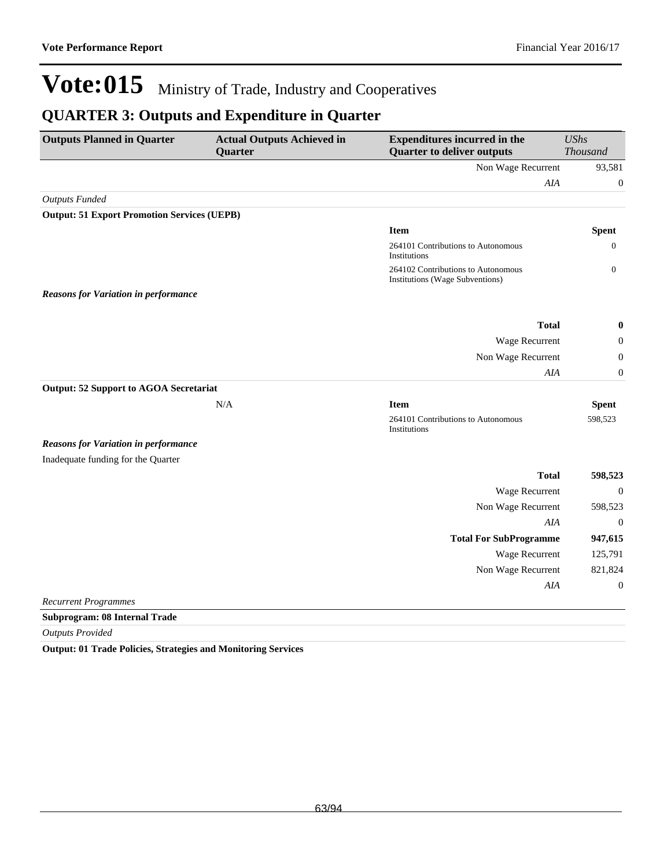### **QUARTER 3: Outputs and Expenditure in Quarter**

| <b>Outputs Planned in Quarter</b>                  | <b>Actual Outputs Achieved in</b><br>Quarter | <b>Expenditures incurred in the</b><br><b>Quarter to deliver outputs</b> | <b>UShs</b><br><b>Thousand</b> |
|----------------------------------------------------|----------------------------------------------|--------------------------------------------------------------------------|--------------------------------|
|                                                    |                                              | Non Wage Recurrent                                                       | 93,581                         |
|                                                    |                                              | AIA                                                                      | $\boldsymbol{0}$               |
| <b>Outputs Funded</b>                              |                                              |                                                                          |                                |
| <b>Output: 51 Export Promotion Services (UEPB)</b> |                                              |                                                                          |                                |
|                                                    |                                              | <b>Item</b>                                                              | <b>Spent</b>                   |
|                                                    |                                              | 264101 Contributions to Autonomous<br>Institutions                       | 0                              |
|                                                    |                                              | 264102 Contributions to Autonomous<br>Institutions (Wage Subventions)    | $\boldsymbol{0}$               |
| <b>Reasons for Variation in performance</b>        |                                              |                                                                          |                                |
|                                                    |                                              | <b>Total</b>                                                             | $\boldsymbol{0}$               |
|                                                    |                                              | Wage Recurrent                                                           | $\boldsymbol{0}$               |
|                                                    |                                              | Non Wage Recurrent                                                       | $\boldsymbol{0}$               |
|                                                    |                                              | AIA                                                                      | $\boldsymbol{0}$               |
| <b>Output: 52 Support to AGOA Secretariat</b>      |                                              |                                                                          |                                |
|                                                    | N/A                                          | <b>Item</b>                                                              | <b>Spent</b>                   |
|                                                    |                                              | 264101 Contributions to Autonomous<br>Institutions                       | 598,523                        |
| <b>Reasons for Variation in performance</b>        |                                              |                                                                          |                                |
| Inadequate funding for the Quarter                 |                                              |                                                                          |                                |
|                                                    |                                              | <b>Total</b>                                                             | 598,523                        |
|                                                    |                                              | Wage Recurrent                                                           | $\boldsymbol{0}$               |
|                                                    |                                              | Non Wage Recurrent                                                       | 598,523                        |
|                                                    |                                              | AIA                                                                      | $\boldsymbol{0}$               |
|                                                    |                                              | <b>Total For SubProgramme</b>                                            | 947,615                        |
|                                                    |                                              | Wage Recurrent                                                           | 125,791                        |
|                                                    |                                              | Non Wage Recurrent                                                       | 821,824                        |
|                                                    |                                              | AIA                                                                      | $\boldsymbol{0}$               |
| <b>Recurrent Programmes</b>                        |                                              |                                                                          |                                |
| <b>Subprogram: 08 Internal Trade</b>               |                                              |                                                                          |                                |

*Outputs Provided*

**Output: 01 Trade Policies, Strategies and Monitoring Services**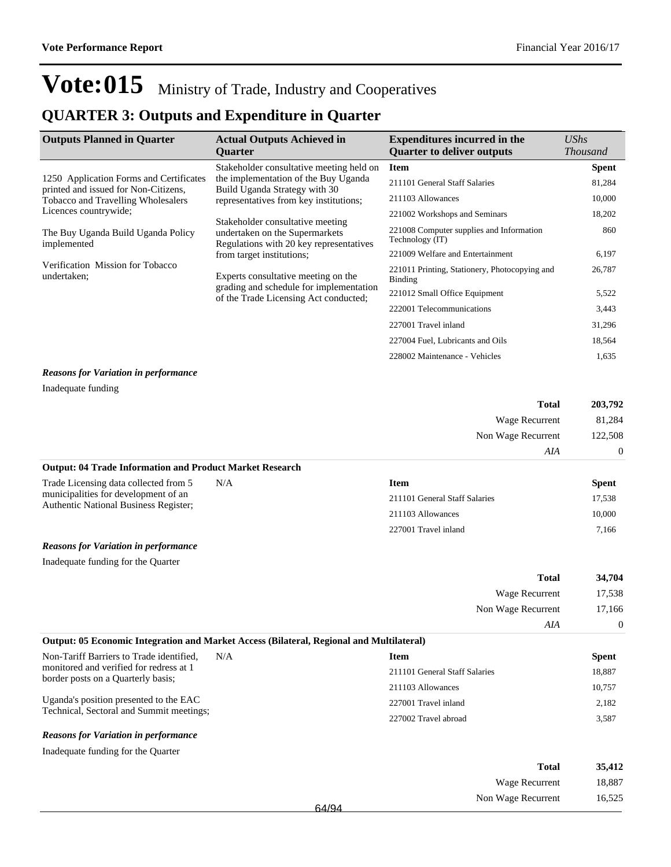## **QUARTER 3: Outputs and Expenditure in Quarter**

| <b>Outputs Planned in Quarter</b>                                               | <b>Actual Outputs Achieved in</b><br><b>Ouarter</b>                                                                                        | <b>Expenditures incurred in the</b><br><b>Quarter to deliver outputs</b> | UShs<br><b>Thousand</b> |
|---------------------------------------------------------------------------------|--------------------------------------------------------------------------------------------------------------------------------------------|--------------------------------------------------------------------------|-------------------------|
|                                                                                 | Stakeholder consultative meeting held on                                                                                                   | <b>Item</b>                                                              | <b>Spent</b>            |
| 1250 Application Forms and Certificates<br>printed and issued for Non-Citizens, | the implementation of the Buy Uganda<br>Build Uganda Strategy with 30                                                                      | 211101 General Staff Salaries                                            | 81,284                  |
| <b>Tobacco and Travelling Wholesalers</b>                                       | representatives from key institutions;                                                                                                     | 211103 Allowances                                                        | 10,000                  |
| Licences countrywide;                                                           |                                                                                                                                            | 221002 Workshops and Seminars                                            | 18,202                  |
| The Buy Uganda Build Uganda Policy<br>implemented                               | Stakeholder consultative meeting<br>undertaken on the Supermarkets<br>Regulations with 20 key representatives<br>from target institutions; | 221008 Computer supplies and Information<br>Technology (IT)              | 860                     |
|                                                                                 |                                                                                                                                            | 221009 Welfare and Entertainment                                         | 6,197                   |
| Verification Mission for Tobacco<br>undertaken;                                 | Experts consultative meeting on the                                                                                                        | 221011 Printing, Stationery, Photocopying and<br>Binding                 | 26,787                  |
|                                                                                 | grading and schedule for implementation<br>of the Trade Licensing Act conducted;                                                           | 221012 Small Office Equipment                                            | 5,522                   |
|                                                                                 |                                                                                                                                            | 222001 Telecommunications                                                | 3,443                   |
|                                                                                 |                                                                                                                                            | 227001 Travel inland                                                     | 31,296                  |
|                                                                                 |                                                                                                                                            | 227004 Fuel, Lubricants and Oils                                         | 18,564                  |
|                                                                                 |                                                                                                                                            | 228002 Maintenance - Vehicles                                            | 1,635                   |
|                                                                                 |                                                                                                                                            |                                                                          |                         |

#### *Reasons for Variation in performance*

| Inadequate funding |  |
|--------------------|--|
|--------------------|--|

| <b>Total</b>                                   | 203,792        |
|------------------------------------------------|----------------|
| Wage Recurrent                                 | 81,284         |
| Non Wage Recurrent                             | 122,508        |
| AIA                                            | $\overline{0}$ |
| $\alpha$ , approximately the state of $\alpha$ |                |

#### **Output: 04 Trade Information and Product Market Research**

| Trade Licensing data collected from 5                                                | N/A | Item                          | <b>Spent</b> |
|--------------------------------------------------------------------------------------|-----|-------------------------------|--------------|
| municipalities for development of an<br><b>Authentic National Business Register:</b> |     | 211101 General Staff Salaries | 17.538       |
|                                                                                      |     | 211103 Allowances             | 10.000       |
|                                                                                      |     | 227001 Travel inland          | 7.166        |
|                                                                                      |     |                               |              |

#### *Reasons for Variation in performance*

Inadequate funding for the Quarter

| <b>Total</b>                                                                             | 34,704   |
|------------------------------------------------------------------------------------------|----------|
| Wage Recurrent                                                                           | 17,538   |
| Non Wage Recurrent                                                                       | 17.166   |
| AIA                                                                                      | $\Omega$ |
| Output: 05 Economic Integration and Market Access (Bilateral, Regional and Multilateral) |          |

| Non-Tariff Barriers to Trade identified,<br>N/A<br>monitored and verified for redress at 1<br>border posts on a Quarterly basis; | <b>Item</b>                   | <b>Spent</b> |
|----------------------------------------------------------------------------------------------------------------------------------|-------------------------------|--------------|
|                                                                                                                                  | 211101 General Staff Salaries | 18.887       |
|                                                                                                                                  | 211103 Allowances             | 10,757       |
| Uganda's position presented to the EAC<br>Technical, Sectoral and Summit meetings;                                               | 227001 Travel inland          | 2.182        |
|                                                                                                                                  | 227002 Travel abroad          | 3,587        |
|                                                                                                                                  |                               |              |

### *Reasons for Variation in performance*

Inadequate funding for the Quarter

| Total                       | 35,412 |
|-----------------------------|--------|
| Wage Recurrent              | 18,887 |
| Non Wage Recurrent<br>64/94 | 16,525 |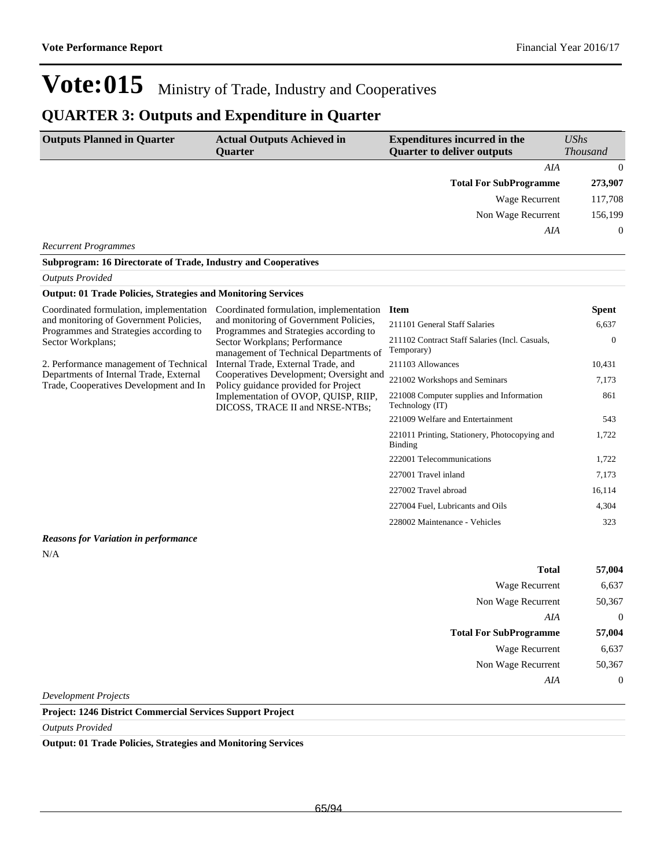### **QUARTER 3: Outputs and Expenditure in Quarter**

| <b>Outputs Planned in Quarter</b>                                                                                                                                                                                                               | <b>Actual Outputs Achieved in</b><br><b>Quarter</b>                                                                                                                                                                                          | <b>Expenditures incurred in the</b><br><b>Quarter to deliver outputs</b> | <b>UShs</b><br><b>Thousand</b> |
|-------------------------------------------------------------------------------------------------------------------------------------------------------------------------------------------------------------------------------------------------|----------------------------------------------------------------------------------------------------------------------------------------------------------------------------------------------------------------------------------------------|--------------------------------------------------------------------------|--------------------------------|
|                                                                                                                                                                                                                                                 |                                                                                                                                                                                                                                              | AIA                                                                      | $\boldsymbol{0}$               |
|                                                                                                                                                                                                                                                 |                                                                                                                                                                                                                                              | <b>Total For SubProgramme</b>                                            | 273,907                        |
|                                                                                                                                                                                                                                                 |                                                                                                                                                                                                                                              | <b>Wage Recurrent</b>                                                    | 117,708                        |
|                                                                                                                                                                                                                                                 |                                                                                                                                                                                                                                              | Non Wage Recurrent                                                       | 156,199                        |
|                                                                                                                                                                                                                                                 |                                                                                                                                                                                                                                              | <b>AIA</b>                                                               | $\theta$                       |
| <b>Recurrent Programmes</b>                                                                                                                                                                                                                     |                                                                                                                                                                                                                                              |                                                                          |                                |
| Subprogram: 16 Directorate of Trade, Industry and Cooperatives                                                                                                                                                                                  |                                                                                                                                                                                                                                              |                                                                          |                                |
| <b>Outputs Provided</b>                                                                                                                                                                                                                         |                                                                                                                                                                                                                                              |                                                                          |                                |
| <b>Output: 01 Trade Policies, Strategies and Monitoring Services</b>                                                                                                                                                                            |                                                                                                                                                                                                                                              |                                                                          |                                |
| Coordinated formulation, implementation                                                                                                                                                                                                         | Coordinated formulation, implementation                                                                                                                                                                                                      | <b>Item</b>                                                              | <b>Spent</b>                   |
| and monitoring of Government Policies,                                                                                                                                                                                                          | and monitoring of Government Policies,<br>Programmes and Strategies according to<br>Programmes and Strategies according to<br>Sector Workplans; Performance<br>management of Technical Departments of<br>Internal Trade, External Trade, and | 211101 General Staff Salaries                                            | 6.637                          |
| Sector Workplans;                                                                                                                                                                                                                               |                                                                                                                                                                                                                                              | 211102 Contract Staff Salaries (Incl. Casuals,<br>Temporary)             | $\theta$                       |
| 2. Performance management of Technical                                                                                                                                                                                                          |                                                                                                                                                                                                                                              | 211103 Allowances                                                        | 10,431                         |
| Departments of Internal Trade, External<br>Cooperatives Development; Oversight and<br>Trade, Cooperatives Development and In<br>Policy guidance provided for Project<br>Implementation of OVOP, QUISP, RIIP,<br>DICOSS, TRACE II and NRSE-NTBs; | 221002 Workshops and Seminars                                                                                                                                                                                                                | 7,173                                                                    |                                |
|                                                                                                                                                                                                                                                 | 221008 Computer supplies and Information<br>Technology (IT)                                                                                                                                                                                  | 861                                                                      |                                |
|                                                                                                                                                                                                                                                 |                                                                                                                                                                                                                                              | 221009 Welfare and Entertainment                                         | 543                            |
|                                                                                                                                                                                                                                                 |                                                                                                                                                                                                                                              | 221011 Printing, Stationery, Photocopying and<br>Binding                 | 1,722                          |
|                                                                                                                                                                                                                                                 |                                                                                                                                                                                                                                              | 222001 Telecommunications                                                | 1.722                          |
|                                                                                                                                                                                                                                                 |                                                                                                                                                                                                                                              | 227001 Travel inland                                                     | 7,173                          |
|                                                                                                                                                                                                                                                 |                                                                                                                                                                                                                                              | 227002 Travel abroad                                                     | 16,114                         |
|                                                                                                                                                                                                                                                 |                                                                                                                                                                                                                                              | 227004 Fuel, Lubricants and Oils                                         | 4,304                          |
|                                                                                                                                                                                                                                                 |                                                                                                                                                                                                                                              | 228002 Maintenance - Vehicles                                            | 323                            |

### *Reasons for Variation in performance*

 $\rm N/A$ 

| <b>Total</b>                  | 57,004           |
|-------------------------------|------------------|
| <b>Wage Recurrent</b>         | 6,637            |
| Non Wage Recurrent            | 50,367           |
| AIA                           | $\overline{0}$   |
| <b>Total For SubProgramme</b> | 57,004           |
| <b>Wage Recurrent</b>         | 6,637            |
| Non Wage Recurrent            | 50,367           |
| AIA                           | $\boldsymbol{0}$ |
| <b>Development Projects</b>   |                  |

### **Project: 1246 District Commercial Services Support Project**

*Outputs Provided*

### **Output: 01 Trade Policies, Strategies and Monitoring Services**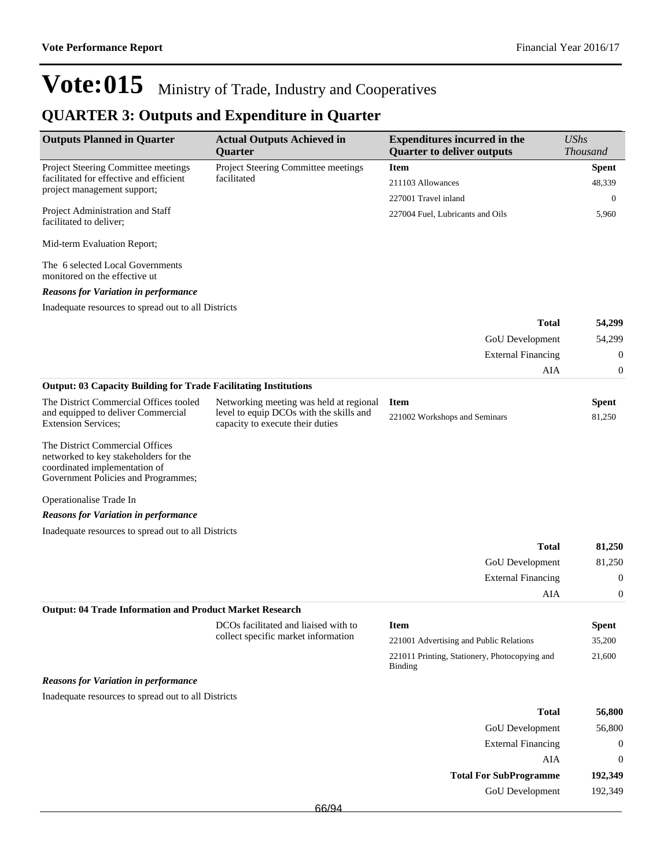## **QUARTER 3: Outputs and Expenditure in Quarter**

| <b>Outputs Planned in Quarter</b>                                                                                                                | <b>Actual Outputs Achieved in</b><br><b>Quarter</b>                         | <b>Expenditures incurred in the</b><br><b>Quarter to deliver outputs</b> | <b>UShs</b><br><b>Thousand</b> |
|--------------------------------------------------------------------------------------------------------------------------------------------------|-----------------------------------------------------------------------------|--------------------------------------------------------------------------|--------------------------------|
| Project Steering Committee meetings                                                                                                              | Project Steering Committee meetings                                         | <b>Item</b>                                                              | <b>Spent</b>                   |
| facilitated for effective and efficient                                                                                                          | facilitated                                                                 | 211103 Allowances                                                        | 48,339                         |
| project management support;                                                                                                                      |                                                                             | 227001 Travel inland                                                     | $\mathbf{0}$                   |
| Project Administration and Staff<br>facilitated to deliver;                                                                                      |                                                                             | 227004 Fuel, Lubricants and Oils                                         | 5,960                          |
| Mid-term Evaluation Report;                                                                                                                      |                                                                             |                                                                          |                                |
| The 6 selected Local Governments<br>monitored on the effective ut                                                                                |                                                                             |                                                                          |                                |
| <b>Reasons for Variation in performance</b>                                                                                                      |                                                                             |                                                                          |                                |
| Inadequate resources to spread out to all Districts                                                                                              |                                                                             |                                                                          |                                |
|                                                                                                                                                  |                                                                             | <b>Total</b>                                                             | 54,299                         |
|                                                                                                                                                  |                                                                             | GoU Development                                                          | 54,299                         |
|                                                                                                                                                  |                                                                             | <b>External Financing</b>                                                | $\boldsymbol{0}$               |
|                                                                                                                                                  |                                                                             | AIA                                                                      | $\mathbf{0}$                   |
| <b>Output: 03 Capacity Building for Trade Facilitating Institutions</b>                                                                          |                                                                             |                                                                          |                                |
| The District Commercial Offices tooled                                                                                                           | Networking meeting was held at regional                                     | <b>Item</b>                                                              | Spent                          |
| and equipped to deliver Commercial<br><b>Extension Services;</b>                                                                                 | level to equip DCOs with the skills and<br>capacity to execute their duties | 221002 Workshops and Seminars                                            | 81,250                         |
| The District Commercial Offices<br>networked to key stakeholders for the<br>coordinated implementation of<br>Government Policies and Programmes; |                                                                             |                                                                          |                                |
| Operationalise Trade In                                                                                                                          |                                                                             |                                                                          |                                |
| <b>Reasons for Variation in performance</b>                                                                                                      |                                                                             |                                                                          |                                |
| Inadequate resources to spread out to all Districts                                                                                              |                                                                             |                                                                          |                                |
|                                                                                                                                                  |                                                                             | <b>Total</b>                                                             | 81,250                         |
|                                                                                                                                                  |                                                                             | GoU Development                                                          | 81,250                         |
|                                                                                                                                                  |                                                                             | <b>External Financing</b>                                                | $\boldsymbol{0}$               |
|                                                                                                                                                  |                                                                             | AIA                                                                      | $\mathbf{0}$                   |
| <b>Output: 04 Trade Information and Product Market Research</b>                                                                                  |                                                                             |                                                                          |                                |
|                                                                                                                                                  | DCOs facilitated and liaised with to                                        | <b>Item</b>                                                              | <b>Spent</b>                   |
|                                                                                                                                                  | collect specific market information                                         | 221001 Advertising and Public Relations                                  | 35,200                         |
|                                                                                                                                                  |                                                                             | 221011 Printing, Stationery, Photocopying and<br>Binding                 | 21,600                         |
| <b>Reasons for Variation in performance</b>                                                                                                      |                                                                             |                                                                          |                                |
| Inadequate resources to spread out to all Districts                                                                                              |                                                                             |                                                                          |                                |
|                                                                                                                                                  |                                                                             | <b>Total</b>                                                             | 56,800                         |
|                                                                                                                                                  |                                                                             | GoU Development                                                          | 56,800                         |
|                                                                                                                                                  |                                                                             | <b>External Financing</b>                                                | $\boldsymbol{0}$               |
|                                                                                                                                                  |                                                                             | AIA                                                                      | $\boldsymbol{0}$               |
|                                                                                                                                                  |                                                                             | <b>Total For SubProgramme</b>                                            | 192,349                        |
|                                                                                                                                                  |                                                                             | GoU Development                                                          | 192,349                        |
|                                                                                                                                                  | 66/94                                                                       |                                                                          |                                |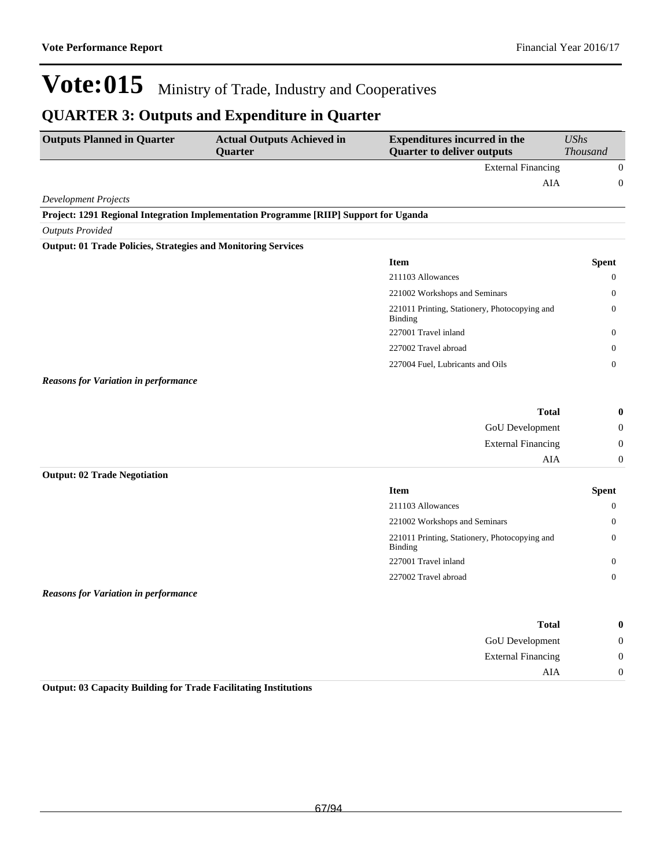$\begin{matrix} \mathbf{A} \mathbf{I} \mathbf{A} \end{matrix} \qquad \qquad \begin{matrix} \mathbf{0} \end{matrix}$ 

# Vote:015 Ministry of Trade, Industry and Cooperatives

### **QUARTER 3: Outputs and Expenditure in Quarter**

| <b>Outputs Planned in Quarter</b>                                    | <b>Actual Outputs Achieved in</b><br>Quarter                                          | <b>Expenditures incurred in the</b><br><b>Quarter to deliver outputs</b>       | <b>UShs</b><br><b>Thousand</b>   |
|----------------------------------------------------------------------|---------------------------------------------------------------------------------------|--------------------------------------------------------------------------------|----------------------------------|
|                                                                      |                                                                                       | <b>External Financing</b>                                                      | $\mathbf{0}$                     |
|                                                                      |                                                                                       | ${\rm AIA}$                                                                    | $\boldsymbol{0}$                 |
| <b>Development Projects</b>                                          |                                                                                       |                                                                                |                                  |
|                                                                      | Project: 1291 Regional Integration Implementation Programme [RIIP] Support for Uganda |                                                                                |                                  |
| <b>Outputs Provided</b>                                              |                                                                                       |                                                                                |                                  |
| <b>Output: 01 Trade Policies, Strategies and Monitoring Services</b> |                                                                                       |                                                                                |                                  |
|                                                                      |                                                                                       | <b>Item</b>                                                                    | <b>Spent</b>                     |
|                                                                      |                                                                                       | 211103 Allowances                                                              | 0                                |
|                                                                      |                                                                                       | 221002 Workshops and Seminars                                                  | 0                                |
|                                                                      |                                                                                       | 221011 Printing, Stationery, Photocopying and<br><b>Binding</b>                | $\boldsymbol{0}$                 |
|                                                                      |                                                                                       | 227001 Travel inland                                                           | 0                                |
|                                                                      |                                                                                       | 227002 Travel abroad                                                           | $\mathbf{0}$                     |
|                                                                      |                                                                                       | 227004 Fuel, Lubricants and Oils                                               | $\overline{0}$                   |
| <b>Reasons for Variation in performance</b>                          |                                                                                       |                                                                                |                                  |
|                                                                      |                                                                                       | <b>Total</b>                                                                   | $\boldsymbol{0}$                 |
|                                                                      |                                                                                       | GoU Development                                                                | $\boldsymbol{0}$                 |
|                                                                      |                                                                                       | <b>External Financing</b>                                                      | $\boldsymbol{0}$                 |
|                                                                      |                                                                                       | AIA                                                                            | $\boldsymbol{0}$                 |
| <b>Output: 02 Trade Negotiation</b>                                  |                                                                                       |                                                                                |                                  |
|                                                                      |                                                                                       | <b>Item</b>                                                                    | <b>Spent</b>                     |
|                                                                      |                                                                                       | 211103 Allowances                                                              | $\mathbf{0}$                     |
|                                                                      |                                                                                       | 221002 Workshops and Seminars<br>221011 Printing, Stationery, Photocopying and | $\overline{0}$<br>$\overline{0}$ |
|                                                                      |                                                                                       | <b>Binding</b><br>227001 Travel inland                                         |                                  |
|                                                                      |                                                                                       |                                                                                | $\mathbf{0}$                     |
| <b>Reasons for Variation in performance</b>                          |                                                                                       | 227002 Travel abroad                                                           | $\overline{0}$                   |
|                                                                      |                                                                                       |                                                                                |                                  |
|                                                                      |                                                                                       | <b>Total</b>                                                                   | $\boldsymbol{0}$                 |
|                                                                      |                                                                                       | GoU Development                                                                | $\boldsymbol{0}$                 |
|                                                                      |                                                                                       | <b>External Financing</b>                                                      | $\theta$                         |

**Output: 03 Capacity Building for Trade Facilitating Institutions**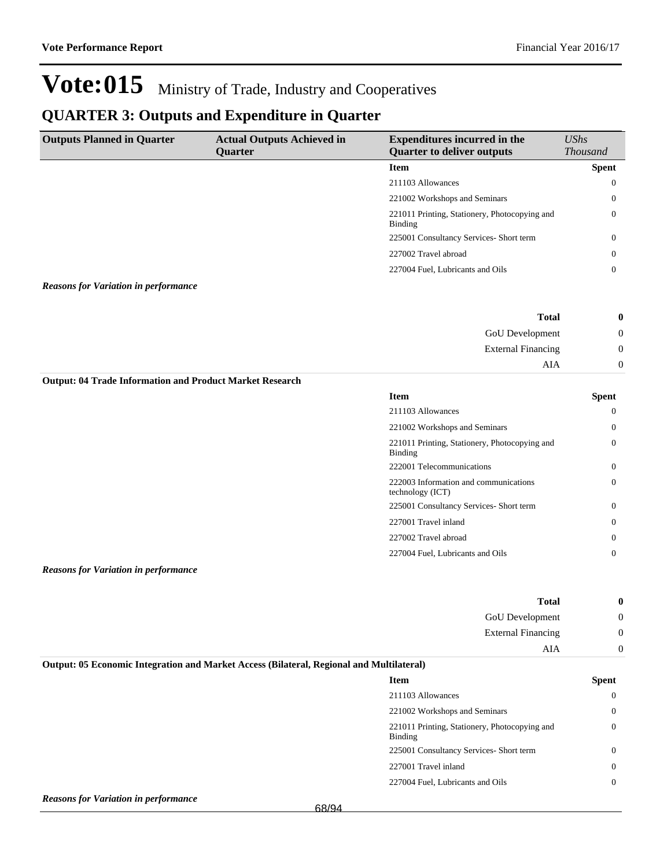### **QUARTER 3: Outputs and Expenditure in Quarter**

| <b>Outputs Planned in Quarter</b>                               | <b>Actual Outputs Achieved in</b><br>Quarter | <b>Expenditures incurred in the</b><br><b>Quarter to deliver outputs</b> | <b>UShs</b>     |
|-----------------------------------------------------------------|----------------------------------------------|--------------------------------------------------------------------------|-----------------|
|                                                                 |                                              |                                                                          | <b>Thousand</b> |
|                                                                 |                                              | <b>Item</b>                                                              | <b>Spent</b>    |
|                                                                 |                                              | 211103 Allowances                                                        | $\overline{0}$  |
|                                                                 |                                              | 221002 Workshops and Seminars                                            | 0               |
|                                                                 |                                              | 221011 Printing, Stationery, Photocopying and<br><b>Binding</b>          | $\overline{0}$  |
|                                                                 |                                              | 225001 Consultancy Services- Short term                                  | $\overline{0}$  |
|                                                                 |                                              | 227002 Travel abroad                                                     | $\overline{0}$  |
|                                                                 |                                              | 227004 Fuel, Lubricants and Oils                                         | $\overline{0}$  |
| <b>Reasons for Variation in performance</b>                     |                                              |                                                                          |                 |
|                                                                 |                                              | <b>Total</b>                                                             | $\bf{0}$        |
|                                                                 |                                              | GoU Development                                                          | $\mathbf{0}$    |
|                                                                 |                                              | <b>External Financing</b>                                                | $\mathbf{0}$    |
|                                                                 |                                              | <b>AIA</b>                                                               | $\mathbf{0}$    |
| <b>Output: 04 Trade Information and Product Market Research</b> |                                              |                                                                          |                 |
|                                                                 |                                              | <b>Item</b>                                                              | <b>Spent</b>    |
|                                                                 |                                              | 211103 Allowances                                                        | $\mathbf{0}$    |
|                                                                 |                                              | 221002 Workshops and Seminars                                            | $\overline{0}$  |
|                                                                 |                                              | 221011 Printing, Stationery, Photocopying and<br>Binding                 | $\overline{0}$  |
|                                                                 |                                              | 222001 Telecommunications                                                | $\mathbf{0}$    |
|                                                                 |                                              | 222003 Information and communications<br>technology (ICT)                | $\overline{0}$  |
|                                                                 |                                              | 225001 Consultancy Services- Short term                                  | $\overline{0}$  |
|                                                                 |                                              | 227001 Travel inland                                                     | $\mathbf{0}$    |
|                                                                 |                                              | 227002 Travel abroad                                                     | $\overline{0}$  |
|                                                                 |                                              | 227004 Fuel, Lubricants and Oils                                         | $\overline{0}$  |

*Reasons for Variation in performance*

| 0 | <b>Total</b>              |
|---|---------------------------|
| U | GoU Development           |
| ν | <b>External Financing</b> |
|   | AIA                       |

### **Output: 05 Economic Integration and Market Access (Bilateral, Regional and Multilateral)**

| <b>Item</b>                                              | Spent    |
|----------------------------------------------------------|----------|
| 211103 Allowances                                        | 0        |
| 221002 Workshops and Seminars                            | $\Omega$ |
| 221011 Printing, Stationery, Photocopying and<br>Binding | $\Omega$ |
| 225001 Consultancy Services- Short term                  | 0        |
| 227001 Travel inland                                     | $\Omega$ |
| 227004 Fuel. Lubricants and Oils                         | 0        |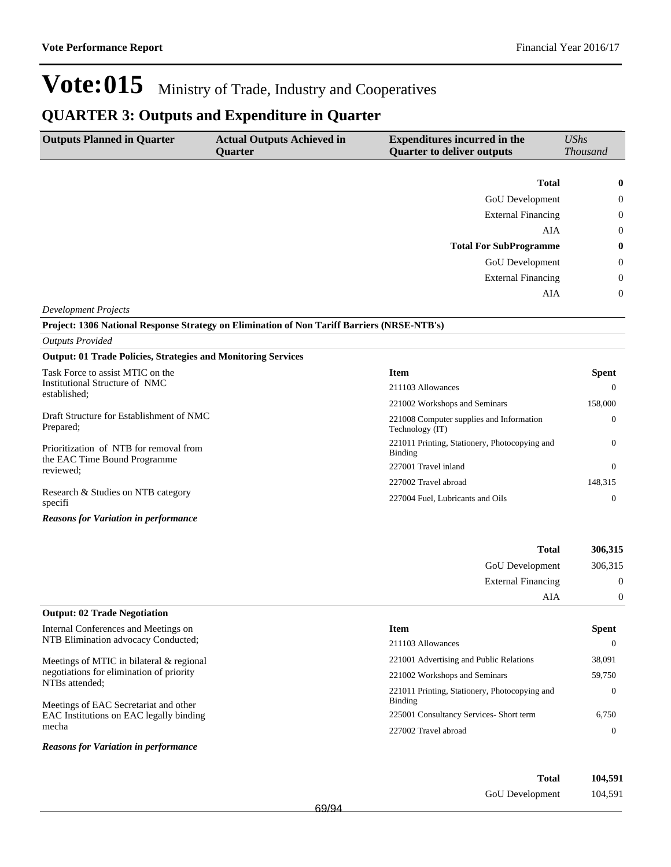### **QUARTER 3: Outputs and Expenditure in Quarter**

| <b>Outputs Planned in Quarter</b> | <b>Actual Outputs Achieved in</b><br>Quarter | <b>Expenditures incurred in the</b><br><b>Quarter to deliver outputs</b> | UShs<br><b>Thousand</b> |
|-----------------------------------|----------------------------------------------|--------------------------------------------------------------------------|-------------------------|
|                                   |                                              |                                                                          |                         |
|                                   |                                              | <b>Total</b>                                                             | $\bf{0}$                |
|                                   |                                              | <b>GoU</b> Development                                                   | $\theta$                |
|                                   |                                              | <b>External Financing</b>                                                | $\theta$                |
|                                   |                                              | AIA                                                                      | $\overline{0}$          |
|                                   |                                              | <b>Total For SubProgramme</b>                                            | $\bf{0}$                |
|                                   |                                              | <b>GoU</b> Development                                                   | $\mathbf{0}$            |
|                                   |                                              | <b>External Financing</b>                                                | $\overline{0}$          |
|                                   |                                              | AIA                                                                      | $\overline{0}$          |
| <b>Development Projects</b>       |                                              |                                                                          |                         |

**Project: 1306 National Response Strategy on Elimination of Non Tariff Barriers (NRSE-NTB's)**

#### *Outputs Provided*

#### **Output: 01 Trade Policies, Strategies and Monitoring Services**

| Task Force to assist MTIC on the                      | <b>Item</b>                                                 | <b>Spent</b> |
|-------------------------------------------------------|-------------------------------------------------------------|--------------|
| Institutional Structure of NMC<br>established:        | 211103 Allowances                                           | $\Omega$     |
|                                                       | 221002 Workshops and Seminars                               | 158,000      |
| Draft Structure for Establishment of NMC<br>Prepared: | 221008 Computer supplies and Information<br>Technology (IT) | $\Omega$     |
| Prioritization of NTB for removal from                | 221011 Printing, Stationery, Photocopying and<br>Binding    | $\Omega$     |
| the EAC Time Bound Programme<br>reviewed:             | 227001 Travel inland                                        | $\Omega$     |
|                                                       | 227002 Travel abroad                                        | 148.315      |
| Research & Studies on NTB category<br>specifi         | 227004 Fuel, Lubricants and Oils                            | $\Omega$     |
| <b>Reasons for Variation in performance</b>           |                                                             |              |

| 306,315        | <b>Total</b>              |
|----------------|---------------------------|
| 306,315        | <b>GoU</b> Development    |
| $\overline{0}$ | <b>External Financing</b> |
| $\overline{0}$ | AIA                       |

| Internal Conferences and Meetings on                    | <b>Item</b>                                              | <b>Spent</b> |
|---------------------------------------------------------|----------------------------------------------------------|--------------|
| NTB Elimination advocacy Conducted;                     | 211103 Allowances                                        | $\Omega$     |
| Meetings of MTIC in bilateral & regional                | 221001 Advertising and Public Relations                  | 38,091       |
| negotiations for elimination of priority                | 221002 Workshops and Seminars                            | 59,750       |
| NTBs attended:<br>Meetings of EAC Secretariat and other | 221011 Printing, Stationery, Photocopying and<br>Binding | $\Omega$     |
| EAC Institutions on EAC legally binding                 | 225001 Consultancy Services- Short term                  | 6.750        |
| mecha                                                   | 227002 Travel abroad                                     | $\Omega$     |

### *Reasons for Variation in performance*

**Output: 02 Trade Negotiation**

| Total           | 104,591 |
|-----------------|---------|
| GoU Development | 104,591 |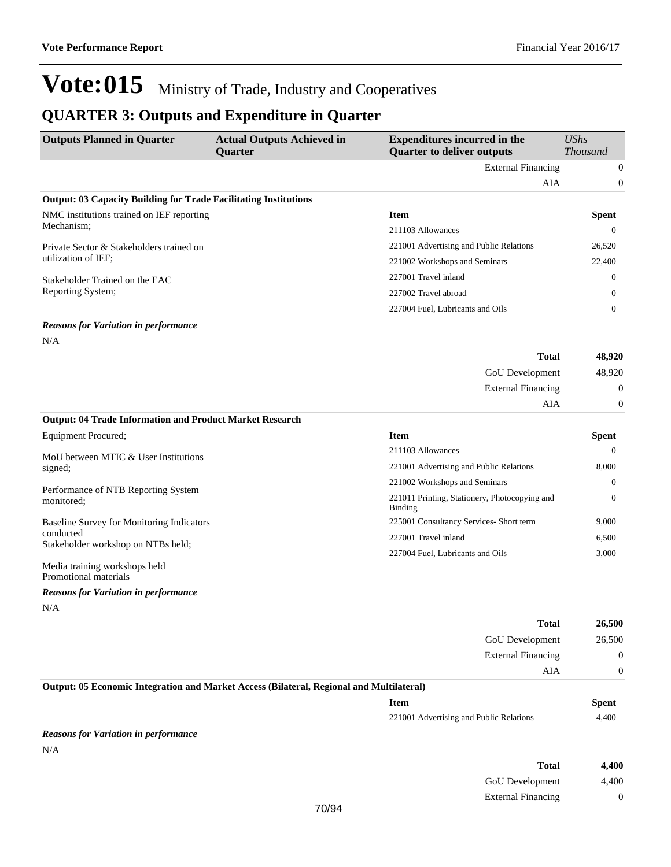## **QUARTER 3: Outputs and Expenditure in Quarter**

| <b>Outputs Planned in Quarter</b>                                                        | <b>Actual Outputs Achieved in</b><br><b>Quarter</b> | <b>Expenditures incurred in the</b><br><b>Quarter to deliver outputs</b> | <b>UShs</b><br><b>Thousand</b> |
|------------------------------------------------------------------------------------------|-----------------------------------------------------|--------------------------------------------------------------------------|--------------------------------|
|                                                                                          |                                                     | <b>External Financing</b>                                                | $\boldsymbol{0}$               |
|                                                                                          |                                                     | AIA                                                                      | $\boldsymbol{0}$               |
| <b>Output: 03 Capacity Building for Trade Facilitating Institutions</b>                  |                                                     |                                                                          |                                |
| NMC institutions trained on IEF reporting                                                |                                                     | <b>Item</b>                                                              | <b>Spent</b>                   |
| Mechanism;                                                                               |                                                     | 211103 Allowances                                                        | $\boldsymbol{0}$               |
| Private Sector & Stakeholders trained on                                                 |                                                     | 221001 Advertising and Public Relations                                  | 26,520                         |
| utilization of IEF;                                                                      |                                                     | 221002 Workshops and Seminars                                            | 22,400                         |
| Stakeholder Trained on the EAC                                                           |                                                     | 227001 Travel inland                                                     | 0                              |
| Reporting System;                                                                        |                                                     | 227002 Travel abroad                                                     | 0                              |
|                                                                                          |                                                     | 227004 Fuel, Lubricants and Oils                                         | $\mathbf{0}$                   |
| <b>Reasons for Variation in performance</b>                                              |                                                     |                                                                          |                                |
| N/A                                                                                      |                                                     |                                                                          |                                |
|                                                                                          |                                                     | <b>Total</b>                                                             | 48,920                         |
|                                                                                          |                                                     | GoU Development                                                          | 48,920                         |
|                                                                                          |                                                     | <b>External Financing</b>                                                | $\boldsymbol{0}$               |
|                                                                                          |                                                     | AIA                                                                      | $\boldsymbol{0}$               |
| <b>Output: 04 Trade Information and Product Market Research</b>                          |                                                     |                                                                          |                                |
| Equipment Procured;                                                                      |                                                     | <b>Item</b>                                                              | <b>Spent</b>                   |
| MoU between MTIC & User Institutions                                                     |                                                     | 211103 Allowances                                                        | $\boldsymbol{0}$               |
| signed;                                                                                  |                                                     | 221001 Advertising and Public Relations                                  | 8,000                          |
|                                                                                          |                                                     | 221002 Workshops and Seminars                                            | $\mathbf{0}$                   |
| Performance of NTB Reporting System<br>monitored;                                        |                                                     | 221011 Printing, Stationery, Photocopying and<br><b>Binding</b>          | $\boldsymbol{0}$               |
| Baseline Survey for Monitoring Indicators                                                |                                                     | 225001 Consultancy Services- Short term                                  | 9,000                          |
| conducted<br>Stakeholder workshop on NTBs held;                                          |                                                     | 227001 Travel inland                                                     | 6,500                          |
|                                                                                          |                                                     | 227004 Fuel, Lubricants and Oils                                         | 3,000                          |
| Media training workshops held<br>Promotional materials                                   |                                                     |                                                                          |                                |
| <b>Reasons for Variation in performance</b>                                              |                                                     |                                                                          |                                |
| N/A                                                                                      |                                                     |                                                                          |                                |
|                                                                                          |                                                     | <b>Total</b>                                                             | 26,500                         |
|                                                                                          |                                                     | GoU Development                                                          | 26,500                         |
|                                                                                          |                                                     | <b>External Financing</b>                                                | $\boldsymbol{0}$               |
|                                                                                          |                                                     | AIA                                                                      | $\boldsymbol{0}$               |
| Output: 05 Economic Integration and Market Access (Bilateral, Regional and Multilateral) |                                                     |                                                                          |                                |
|                                                                                          |                                                     | <b>Item</b>                                                              | <b>Spent</b>                   |
|                                                                                          |                                                     | 221001 Advertising and Public Relations                                  | 4,400                          |
| <b>Reasons for Variation in performance</b>                                              |                                                     |                                                                          |                                |
| N/A                                                                                      |                                                     |                                                                          |                                |
|                                                                                          |                                                     | <b>Total</b>                                                             | 4,400                          |
|                                                                                          |                                                     | GoU Development                                                          | 4,400                          |
|                                                                                          |                                                     | <b>External Financing</b>                                                | $\boldsymbol{0}$               |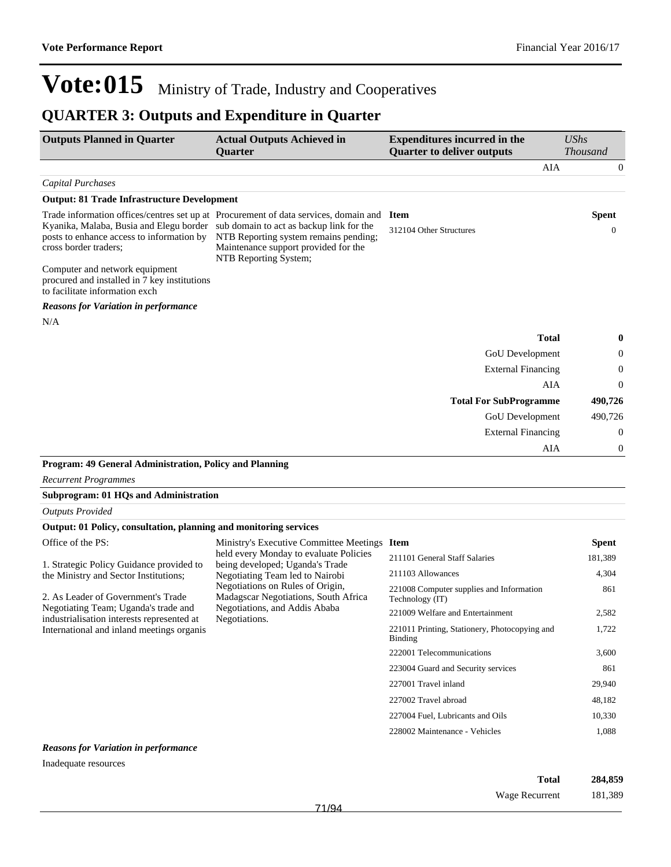### **QUARTER 3: Outputs and Expenditure in Quarter**

| <b>Outputs Planned in Quarter</b>                                                                                                                      | <b>Actual Outputs Achieved in</b><br><b>Ouarter</b>                                                                                                                                                 | <b>Expenditures incurred in the</b><br><b>Quarter to deliver outputs</b> | <b>UShs</b><br><b>Thousand</b> |
|--------------------------------------------------------------------------------------------------------------------------------------------------------|-----------------------------------------------------------------------------------------------------------------------------------------------------------------------------------------------------|--------------------------------------------------------------------------|--------------------------------|
|                                                                                                                                                        |                                                                                                                                                                                                     | AIA                                                                      | $\overline{0}$                 |
| <b>Capital Purchases</b>                                                                                                                               |                                                                                                                                                                                                     |                                                                          |                                |
| <b>Output: 81 Trade Infrastructure Development</b>                                                                                                     |                                                                                                                                                                                                     |                                                                          |                                |
| Kyanika, Malaba, Busia and Elegu border sub domain to act as backup link for the<br>posts to enhance access to information by<br>cross border traders; | Trade information offices/centres set up at Procurement of data services, domain and Item<br>NTB Reporting system remains pending;<br>Maintenance support provided for the<br>NTB Reporting System; | 312104 Other Structures                                                  | <b>Spent</b><br>$\mathbf{0}$   |
| Computer and network equipment<br>procured and installed in 7 key institutions<br>to facilitate information exch                                       |                                                                                                                                                                                                     |                                                                          |                                |
| <b>Reasons for Variation in performance</b>                                                                                                            |                                                                                                                                                                                                     |                                                                          |                                |
| N/A                                                                                                                                                    |                                                                                                                                                                                                     |                                                                          |                                |
|                                                                                                                                                        |                                                                                                                                                                                                     | <b>Total</b>                                                             | 0                              |
|                                                                                                                                                        |                                                                                                                                                                                                     | GoU Development                                                          | 0                              |
|                                                                                                                                                        |                                                                                                                                                                                                     | <b>External Financing</b>                                                | $\boldsymbol{0}$               |
|                                                                                                                                                        |                                                                                                                                                                                                     | AIA                                                                      | $\theta$                       |
|                                                                                                                                                        |                                                                                                                                                                                                     | <b>Total For SubProgramme</b>                                            | 490,726                        |
|                                                                                                                                                        |                                                                                                                                                                                                     | GoU Development                                                          | 490,726                        |
|                                                                                                                                                        |                                                                                                                                                                                                     | <b>External Financing</b>                                                | $\theta$                       |
|                                                                                                                                                        |                                                                                                                                                                                                     | AIA                                                                      | $\boldsymbol{0}$               |
| Program: 49 General Administration, Policy and Planning                                                                                                |                                                                                                                                                                                                     |                                                                          |                                |
| <b>Recurrent Programmes</b>                                                                                                                            |                                                                                                                                                                                                     |                                                                          |                                |
| <b>Subprogram: 01 HQs and Administration</b>                                                                                                           |                                                                                                                                                                                                     |                                                                          |                                |
| <b>Outputs Provided</b>                                                                                                                                |                                                                                                                                                                                                     |                                                                          |                                |
| Output: 01 Policy, consultation, planning and monitoring services                                                                                      |                                                                                                                                                                                                     |                                                                          |                                |
| Office of the PS:                                                                                                                                      | Ministry's Executive Committee Meetings Item                                                                                                                                                        |                                                                          | <b>Spent</b>                   |
| 1. Strategic Policy Guidance provided to                                                                                                               | held every Monday to evaluate Policies<br>being developed; Uganda's Trade                                                                                                                           | 211101 General Staff Salaries                                            | 181,389                        |
| the Ministry and Sector Institutions;                                                                                                                  | Negotiating Team led to Nairobi                                                                                                                                                                     | 211103 Allowances                                                        | 4,304                          |
| 2. As Leader of Government's Trade                                                                                                                     | Negotiations on Rules of Origin,<br>Madagscar Negotiations, South Africa                                                                                                                            | 221008 Computer supplies and Information<br>Technology (IT)              | 861                            |
| Negotiating Team; Uganda's trade and<br>industrialisation interests represented at                                                                     | Negotiations, and Addis Ababa<br>Negotiations.                                                                                                                                                      | 221009 Welfare and Entertainment                                         | 2,582                          |
| International and inland meetings organis<br>Binding                                                                                                   | 221011 Printing, Stationery, Photocopying and                                                                                                                                                       | 1,722                                                                    |                                |
|                                                                                                                                                        |                                                                                                                                                                                                     | 222001 Telecommunications                                                | 3.600                          |

#### *Reasons for Variation in performance*

Inadequate resources

| Total          | 284,859 |
|----------------|---------|
| Wage Recurrent | 181,389 |

223004 Guard and Security services 861 227001 Travel inland 29,940 227002 Travel abroad 48,182 227004 Fuel, Lubricants and Oils 10,330 228002 Maintenance - Vehicles 1,088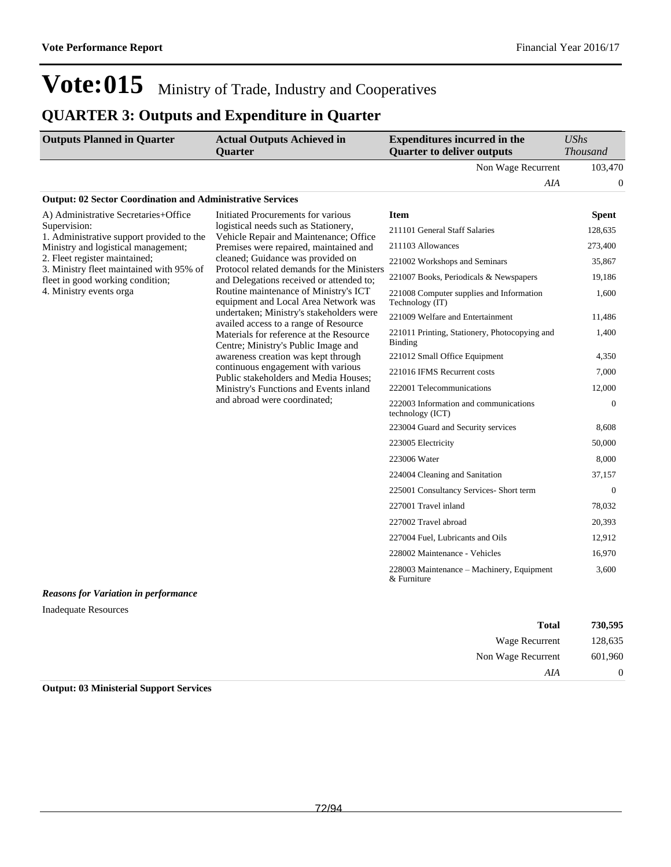## **QUARTER 3: Outputs and Expenditure in Quarter**

| <b>Outputs Planned in Quarter</b> | <b>Actual Outputs Achieved in</b><br><b>Ouarter</b> | <b>Expenditures incurred in the</b><br><b>Quarter to deliver outputs</b> | $\mathit{UShs}$<br><i>Thousand</i> |
|-----------------------------------|-----------------------------------------------------|--------------------------------------------------------------------------|------------------------------------|
|                                   |                                                     | Non Wage Recurrent                                                       | 103.470                            |
|                                   |                                                     | AIA                                                                      |                                    |
|                                   |                                                     |                                                                          |                                    |

#### **Output: 02 Sector Coordination and Administrative Services**

| A) Administrative Secretaries+Office                                      | Initiated Procurements for various                                                                                    | <b>Item</b>                                                     | <b>Spent</b> |
|---------------------------------------------------------------------------|-----------------------------------------------------------------------------------------------------------------------|-----------------------------------------------------------------|--------------|
| Supervision:<br>1. Administrative support provided to the                 | logistical needs such as Stationery,<br>Vehicle Repair and Maintenance; Office                                        | 211101 General Staff Salaries                                   | 128,635      |
| Ministry and logistical management;                                       | Premises were repaired, maintained and                                                                                | 211103 Allowances                                               | 273,400      |
| 2. Fleet register maintained;<br>3. Ministry fleet maintained with 95% of | cleaned; Guidance was provided on<br>Protocol related demands for the Ministers                                       | 221002 Workshops and Seminars                                   | 35,867       |
| fleet in good working condition;                                          | and Delegations received or attended to;                                                                              | 221007 Books, Periodicals & Newspapers                          | 19,186       |
| 4. Ministry events orga                                                   | Routine maintenance of Ministry's ICT<br>equipment and Local Area Network was                                         | 221008 Computer supplies and Information<br>Technology (IT)     | 1,600        |
|                                                                           | undertaken; Ministry's stakeholders were<br>availed access to a range of Resource                                     | 221009 Welfare and Entertainment                                | 11,486       |
|                                                                           | Materials for reference at the Resource<br>Centre; Ministry's Public Image and                                        | 221011 Printing, Stationery, Photocopying and<br><b>Binding</b> | 1,400        |
|                                                                           | awareness creation was kept through                                                                                   | 221012 Small Office Equipment                                   | 4,350        |
|                                                                           | continuous engagement with various<br>Public stakeholders and Media Houses;<br>Ministry's Functions and Events inland | 221016 IFMS Recurrent costs                                     | 7,000        |
|                                                                           |                                                                                                                       | 222001 Telecommunications                                       | 12,000       |
|                                                                           | and abroad were coordinated;                                                                                          | 222003 Information and communications<br>technology (ICT)       | $\Omega$     |
|                                                                           |                                                                                                                       | 223004 Guard and Security services                              | 8,608        |
|                                                                           |                                                                                                                       | 223005 Electricity                                              | 50,000       |
|                                                                           |                                                                                                                       | 223006 Water                                                    | 8,000        |
|                                                                           |                                                                                                                       | 224004 Cleaning and Sanitation                                  | 37,157       |
|                                                                           |                                                                                                                       | 225001 Consultancy Services- Short term                         | $\theta$     |
|                                                                           |                                                                                                                       | 227001 Travel inland                                            | 78,032       |
|                                                                           |                                                                                                                       | 227002 Travel abroad                                            | 20,393       |
|                                                                           |                                                                                                                       | 227004 Fuel, Lubricants and Oils                                | 12,912       |
|                                                                           |                                                                                                                       | 228002 Maintenance - Vehicles                                   | 16,970       |
|                                                                           |                                                                                                                       | 228003 Maintenance – Machinery, Equipment<br>& Furniture        | 3,600        |

#### *Reasons for Variation in performance*

Inadequate Resources

| 730,595          | <b>Total</b>       |
|------------------|--------------------|
| 128,635          | Wage Recurrent     |
| 601,960          | Non Wage Recurrent |
| $\boldsymbol{0}$ | AIA                |

**Output: 03 Ministerial Support Services**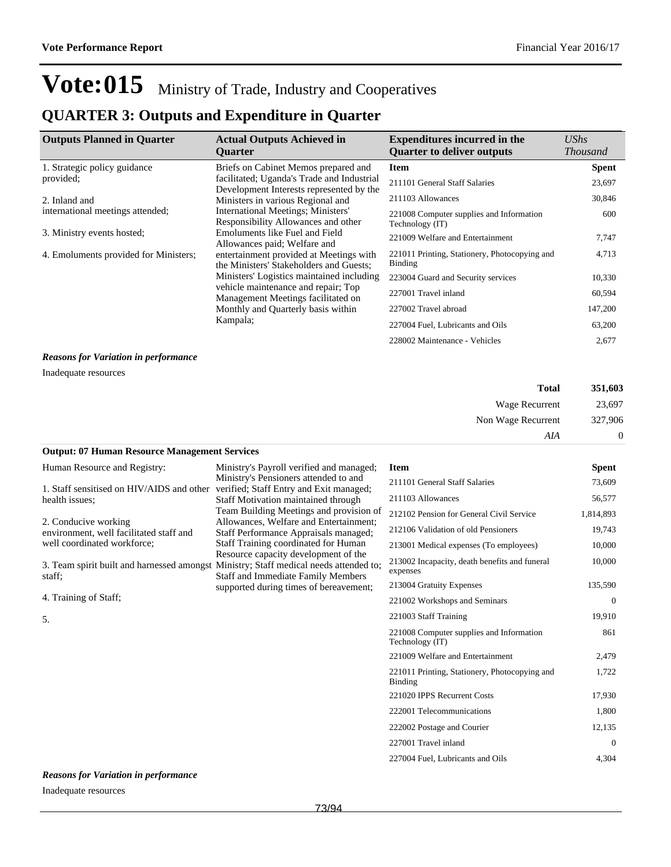### **QUARTER 3: Outputs and Expenditure in Quarter**

| <b>Outputs Planned in Quarter</b>           | <b>Actual Outputs Achieved in</b><br><b>Ouarter</b>                                    | <b>Expenditures incurred in the</b><br><b>Quarter to deliver outputs</b> | UShs<br><i>Thousand</i> |
|---------------------------------------------|----------------------------------------------------------------------------------------|--------------------------------------------------------------------------|-------------------------|
| 1. Strategic policy guidance                | Briefs on Cabinet Memos prepared and                                                   | Item                                                                     | <b>Spent</b>            |
| provided;                                   | facilitated; Uganda's Trade and Industrial<br>Development Interests represented by the | 211101 General Staff Salaries                                            | 23,697                  |
| 2. Inland and                               | Ministers in various Regional and                                                      | 211103 Allowances                                                        | 30,846                  |
| international meetings attended;            | International Meetings; Ministers'<br>Responsibility Allowances and other              | 221008 Computer supplies and Information<br>Technology (IT)              | 600                     |
| 3. Ministry events hosted;                  | <b>Emoluments like Fuel and Field</b><br>Allowances paid; Welfare and                  | 221009 Welfare and Entertainment                                         | 7,747                   |
| 4. Emoluments provided for Ministers;       | entertainment provided at Meetings with<br>the Ministers' Stakeholders and Guests;     | 221011 Printing, Stationery, Photocopying and<br>Binding                 | 4,713                   |
|                                             | Ministers' Logistics maintained including                                              | 223004 Guard and Security services                                       | 10,330                  |
|                                             | vehicle maintenance and repair; Top<br>Management Meetings facilitated on              | 227001 Travel inland                                                     | 60,594                  |
|                                             | Monthly and Quarterly basis within                                                     | 227002 Travel abroad                                                     | 147,200                 |
| Kampala;                                    | 227004 Fuel, Lubricants and Oils                                                       | 63,200                                                                   |                         |
|                                             |                                                                                        | 228002 Maintenance - Vehicles                                            | 2,677                   |
| <b>Reasons for Variation in performance</b> |                                                                                        |                                                                          |                         |

Inadequate resources

| 351,603  | <b>Total</b>       |
|----------|--------------------|
| 23,697   | Wage Recurrent     |
| 327,906  | Non Wage Recurrent |
| $\theta$ | AIA                |

#### **Output: 07 Human Resource Management Services**

| Human Resource and Registry:<br>1. Staff sensitised on HIV/AIDS and other<br>health issues;<br>2. Conducive working | Ministry's Payroll verified and managed;<br>Ministry's Pensioners attended to and<br>verified; Staff Entry and Exit managed;<br>Staff Motivation maintained through<br>Team Building Meetings and provision of<br>Allowances, Welfare and Entertainment;<br>Staff Performance Appraisals managed;<br>Staff Training coordinated for Human<br>Resource capacity development of the<br>3. Team spirit built and harnessed amongst Ministry; Staff medical needs attended to; | <b>Item</b><br>211101 General Staff Salaries<br>211103 Allowances<br>212102 Pension for General Civil Service<br>212106 Validation of old Pensioners | <b>Spent</b><br>73,609<br>56,577<br>1,814,893<br>19,743 |
|---------------------------------------------------------------------------------------------------------------------|----------------------------------------------------------------------------------------------------------------------------------------------------------------------------------------------------------------------------------------------------------------------------------------------------------------------------------------------------------------------------------------------------------------------------------------------------------------------------|------------------------------------------------------------------------------------------------------------------------------------------------------|---------------------------------------------------------|
| environment, well facilitated staff and<br>well coordinated workforce;<br>staff:                                    |                                                                                                                                                                                                                                                                                                                                                                                                                                                                            | 213001 Medical expenses (To employees)<br>213002 Incapacity, death benefits and funeral<br>expenses                                                  | 10,000<br>10,000                                        |
| 4. Training of Staff;                                                                                               | <b>Staff and Immediate Family Members</b><br>supported during times of bereavement;                                                                                                                                                                                                                                                                                                                                                                                        | 213004 Gratuity Expenses<br>221002 Workshops and Seminars<br>221003 Staff Training                                                                   | 135,590<br>$\theta$<br>19,910                           |
| 5.                                                                                                                  |                                                                                                                                                                                                                                                                                                                                                                                                                                                                            | 221008 Computer supplies and Information<br>Technology (IT)                                                                                          | 861                                                     |
|                                                                                                                     |                                                                                                                                                                                                                                                                                                                                                                                                                                                                            | 221009 Welfare and Entertainment<br>221011 Printing, Stationery, Photocopying and<br>Binding                                                         | 2,479<br>1,722                                          |
|                                                                                                                     |                                                                                                                                                                                                                                                                                                                                                                                                                                                                            | 221020 IPPS Recurrent Costs<br>222001 Telecommunications                                                                                             | 17,930<br>1,800                                         |
|                                                                                                                     |                                                                                                                                                                                                                                                                                                                                                                                                                                                                            | 222002 Postage and Courier<br>227001 Travel inland                                                                                                   | 12,135<br>$\overline{0}$                                |
|                                                                                                                     |                                                                                                                                                                                                                                                                                                                                                                                                                                                                            | 227004 Fuel, Lubricants and Oils                                                                                                                     | 4,304                                                   |

#### *Reasons for Variation in performance*

Inadequate resources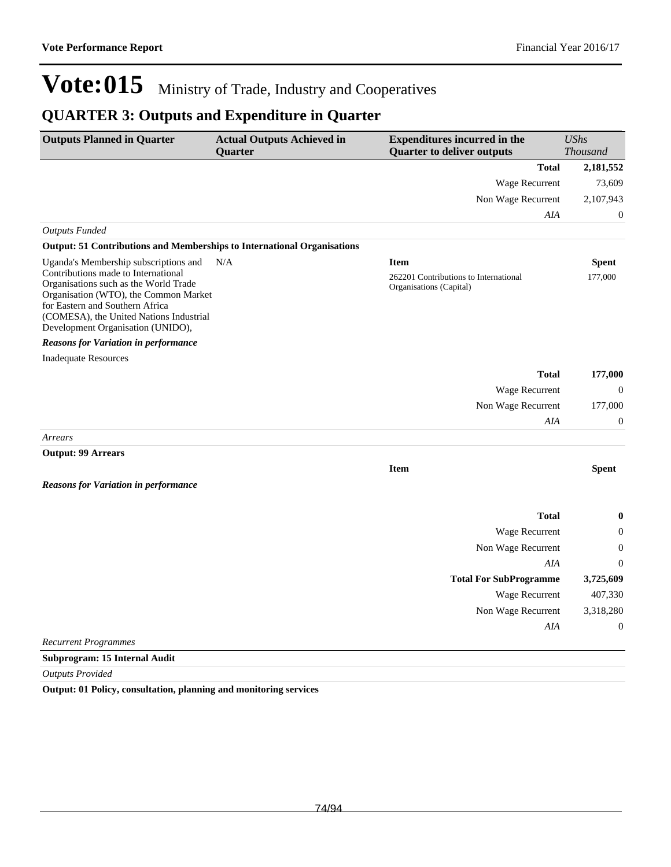### **QUARTER 3: Outputs and Expenditure in Quarter**

| <b>Outputs Planned in Quarter</b>                                                                                                                                                                                                        | <b>Actual Outputs Achieved in</b><br><b>Quarter</b> | <b>Expenditures incurred in the</b><br><b>Quarter to deliver outputs</b> | <b>UShs</b><br><b>Thousand</b> |
|------------------------------------------------------------------------------------------------------------------------------------------------------------------------------------------------------------------------------------------|-----------------------------------------------------|--------------------------------------------------------------------------|--------------------------------|
|                                                                                                                                                                                                                                          |                                                     | <b>Total</b>                                                             | 2,181,552                      |
|                                                                                                                                                                                                                                          |                                                     | Wage Recurrent                                                           | 73,609                         |
|                                                                                                                                                                                                                                          |                                                     | Non Wage Recurrent                                                       | 2,107,943                      |
|                                                                                                                                                                                                                                          |                                                     | AIA                                                                      | $\mathbf{0}$                   |
| <b>Outputs Funded</b>                                                                                                                                                                                                                    |                                                     |                                                                          |                                |
| Output: 51 Contributions and Memberships to International Organisations                                                                                                                                                                  |                                                     |                                                                          |                                |
| Uganda's Membership subscriptions and                                                                                                                                                                                                    | N/A                                                 | <b>Item</b>                                                              | <b>Spent</b>                   |
| Contributions made to International<br>Organisations such as the World Trade<br>Organisation (WTO), the Common Market<br>for Eastern and Southern Africa<br>(COMESA), the United Nations Industrial<br>Development Organisation (UNIDO), |                                                     | 262201 Contributions to International<br>Organisations (Capital)         | 177,000                        |
| <b>Reasons for Variation in performance</b>                                                                                                                                                                                              |                                                     |                                                                          |                                |
| <b>Inadequate Resources</b>                                                                                                                                                                                                              |                                                     |                                                                          |                                |
|                                                                                                                                                                                                                                          |                                                     | <b>Total</b>                                                             | 177,000                        |
|                                                                                                                                                                                                                                          |                                                     | Wage Recurrent                                                           | $\theta$                       |
|                                                                                                                                                                                                                                          |                                                     | Non Wage Recurrent                                                       | 177,000                        |
|                                                                                                                                                                                                                                          |                                                     | AIA                                                                      | $\boldsymbol{0}$               |
| Arrears                                                                                                                                                                                                                                  |                                                     |                                                                          |                                |
| <b>Output: 99 Arrears</b>                                                                                                                                                                                                                |                                                     |                                                                          |                                |
|                                                                                                                                                                                                                                          |                                                     | <b>Item</b>                                                              | <b>Spent</b>                   |
| <b>Reasons for Variation in performance</b>                                                                                                                                                                                              |                                                     |                                                                          |                                |
|                                                                                                                                                                                                                                          |                                                     | <b>Total</b>                                                             | 0                              |
|                                                                                                                                                                                                                                          |                                                     | Wage Recurrent                                                           | $\overline{0}$                 |
|                                                                                                                                                                                                                                          |                                                     | Non Wage Recurrent                                                       | 0                              |
|                                                                                                                                                                                                                                          |                                                     | AIA                                                                      | $\theta$                       |
|                                                                                                                                                                                                                                          |                                                     | <b>Total For SubProgramme</b>                                            | 3,725,609                      |
|                                                                                                                                                                                                                                          |                                                     | Wage Recurrent                                                           | 407,330                        |
|                                                                                                                                                                                                                                          |                                                     | Non Wage Recurrent                                                       | 3,318,280                      |
|                                                                                                                                                                                                                                          |                                                     | AIA                                                                      | $\boldsymbol{0}$               |
| <b>Recurrent Programmes</b>                                                                                                                                                                                                              |                                                     |                                                                          |                                |
| Subprogram: 15 Internal Audit                                                                                                                                                                                                            |                                                     |                                                                          |                                |

*Outputs Provided*

**Output: 01 Policy, consultation, planning and monitoring services**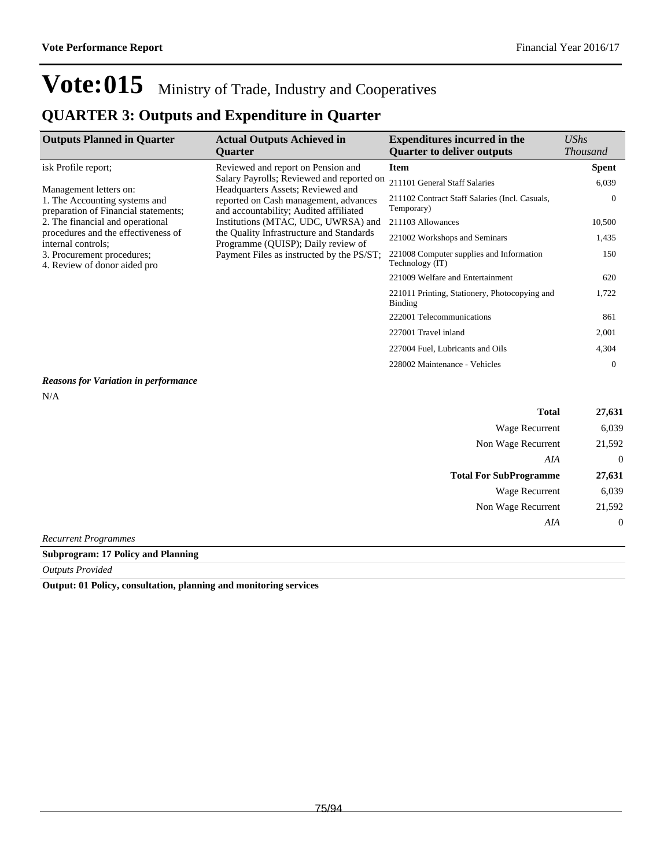### **QUARTER 3: Outputs and Expenditure in Quarter**

| <b>Outputs Planned in Quarter</b>                                     | <b>Actual Outputs Achieved in</b><br><b>Ouarter</b>                             | <b>Expenditures incurred in the</b><br><b>Quarter to deliver outputs</b> | $\mathit{UShs}$<br><b>Thousand</b> |
|-----------------------------------------------------------------------|---------------------------------------------------------------------------------|--------------------------------------------------------------------------|------------------------------------|
| isk Profile report;                                                   | Reviewed and report on Pension and                                              | <b>Item</b>                                                              | <b>Spent</b>                       |
| Management letters on:                                                | Salary Payrolls; Reviewed and reported on<br>Headquarters Assets; Reviewed and  | 211101 General Staff Salaries                                            | 6,039                              |
| 1. The Accounting systems and<br>preparation of Financial statements; | reported on Cash management, advances<br>and accountability; Audited affiliated | 211102 Contract Staff Salaries (Incl. Casuals,<br>Temporary)             | $\Omega$                           |
| 2. The financial and operational                                      | Institutions (MTAC, UDC, UWRSA) and                                             | 211103 Allowances                                                        | 10,500                             |
| procedures and the effectiveness of<br>internal controls;             | the Quality Infrastructure and Standards<br>Programme (OUISP); Daily review of  | 221002 Workshops and Seminars                                            | 1,435                              |
| 3. Procurement procedures;<br>4. Review of donor aided pro            | Payment Files as instructed by the PS/ST;                                       | 221008 Computer supplies and Information<br>Technology (IT)              | 150                                |
|                                                                       |                                                                                 | 221009 Welfare and Entertainment                                         | 620                                |
|                                                                       |                                                                                 | 221011 Printing, Stationery, Photocopying and<br><b>Binding</b>          | 1,722                              |
|                                                                       |                                                                                 | 222001 Telecommunications                                                | 861                                |
|                                                                       |                                                                                 | 227001 Travel inland                                                     | 2,001                              |
|                                                                       |                                                                                 | 227004 Fuel, Lubricants and Oils                                         | 4,304                              |
|                                                                       |                                                                                 | 228002 Maintenance - Vehicles                                            | $\theta$                           |

### *Reasons for Variation in performance*

N/A

| <b>Total</b>                  | 27,631       |
|-------------------------------|--------------|
| Wage Recurrent                | 6,039        |
| Non Wage Recurrent            | 21,592       |
| AIA                           | $\theta$     |
| <b>Total For SubProgramme</b> | 27,631       |
| <b>Wage Recurrent</b>         | 6,039        |
| Non Wage Recurrent            | 21,592       |
| AIA                           | $\mathbf{0}$ |

*Recurrent Programmes*

**Subprogram: 17 Policy and Planning**

*Outputs Provided*

**Output: 01 Policy, consultation, planning and monitoring services**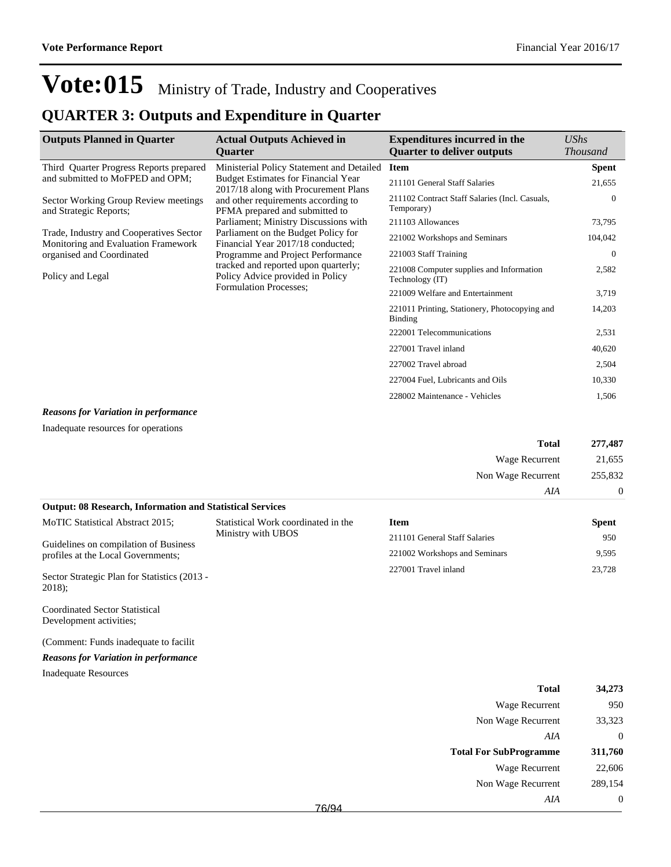### **QUARTER 3: Outputs and Expenditure in Quarter**

| <b>Outputs Planned in Quarter</b>                                              | <b>Actual Outputs Achieved in</b><br><b>Ouarter</b>                                                                                                                                       | <b>Expenditures incurred in the</b><br><b>Ouarter to deliver outputs</b> | UShs<br><b>Thousand</b> |
|--------------------------------------------------------------------------------|-------------------------------------------------------------------------------------------------------------------------------------------------------------------------------------------|--------------------------------------------------------------------------|-------------------------|
| Third Quarter Progress Reports prepared                                        | Ministerial Policy Statement and Detailed                                                                                                                                                 | <b>Item</b>                                                              | <b>Spent</b>            |
| and submitted to MoFPED and OPM;                                               | <b>Budget Estimates for Financial Year</b><br>2017/18 along with Procurement Plans                                                                                                        | 211101 General Staff Salaries                                            | 21,655                  |
| Sector Working Group Review meetings<br>and Strategic Reports;                 | and other requirements according to<br>PFMA prepared and submitted to                                                                                                                     | 211102 Contract Staff Salaries (Incl. Casuals,<br>Temporary)             | $\Omega$                |
|                                                                                | Parliament; Ministry Discussions with                                                                                                                                                     | 211103 Allowances                                                        | 73,795                  |
| Trade, Industry and Cooperatives Sector<br>Monitoring and Evaluation Framework | Parliament on the Budget Policy for<br>Financial Year 2017/18 conducted;<br>Programme and Project Performance<br>tracked and reported upon quarterly;<br>Policy Advice provided in Policy | 221002 Workshops and Seminars                                            | 104,042                 |
| organised and Coordinated                                                      |                                                                                                                                                                                           | 221003 Staff Training                                                    | $\theta$                |
| Policy and Legal                                                               |                                                                                                                                                                                           | 221008 Computer supplies and Information<br>Technology (IT)              | 2,582                   |
|                                                                                | <b>Formulation Processes:</b>                                                                                                                                                             | 221009 Welfare and Entertainment                                         | 3,719                   |
|                                                                                |                                                                                                                                                                                           | 221011 Printing, Stationery, Photocopying and<br><b>Binding</b>          | 14,203                  |
|                                                                                |                                                                                                                                                                                           | 222001 Telecommunications                                                | 2,531                   |
|                                                                                |                                                                                                                                                                                           | 227001 Travel inland                                                     | 40,620                  |
|                                                                                |                                                                                                                                                                                           | 227002 Travel abroad                                                     | 2,504                   |
|                                                                                |                                                                                                                                                                                           | 227004 Fuel, Lubricants and Oils                                         | 10,330                  |
|                                                                                |                                                                                                                                                                                           | 228002 Maintenance - Vehicles                                            | 1,506                   |

#### *Reasons for Variation in performance*

Inadequate resources for operations

| 277,487          | <b>Total</b>       |
|------------------|--------------------|
| 21,655           | Wage Recurrent     |
| 255,832          | Non Wage Recurrent |
| $\boldsymbol{0}$ | AIA                |

| <b>Output: 08 Research, Information and Statistical Services</b>                                  |                                     |                               |              |  |
|---------------------------------------------------------------------------------------------------|-------------------------------------|-------------------------------|--------------|--|
| MoTIC Statistical Abstract 2015;                                                                  | Statistical Work coordinated in the | <b>Item</b>                   | <b>Spent</b> |  |
| Ministry with UBOS<br>Guidelines on compilation of Business<br>profiles at the Local Governments; |                                     | 211101 General Staff Salaries | 950          |  |
|                                                                                                   | 221002 Workshops and Seminars       | 9.595                         |              |  |
| Sector Strategic Plan for Statistics (2013 -<br>$2018$ :                                          |                                     | 227001 Travel inland          | 23.728       |  |

Coordinated Sector Statistical Development activities;

(Comment: Funds inadequate to facilit

#### *Reasons for Variation in performance*

Inadequate Resources

| <b>Total</b>                  | 34,273  |
|-------------------------------|---------|
| Wage Recurrent                | 950     |
| Non Wage Recurrent            | 33,323  |
| AIA                           | 0       |
|                               |         |
| <b>Total For SubProgramme</b> | 311,760 |
| Wage Recurrent                | 22,606  |
| Non Wage Recurrent            | 289,154 |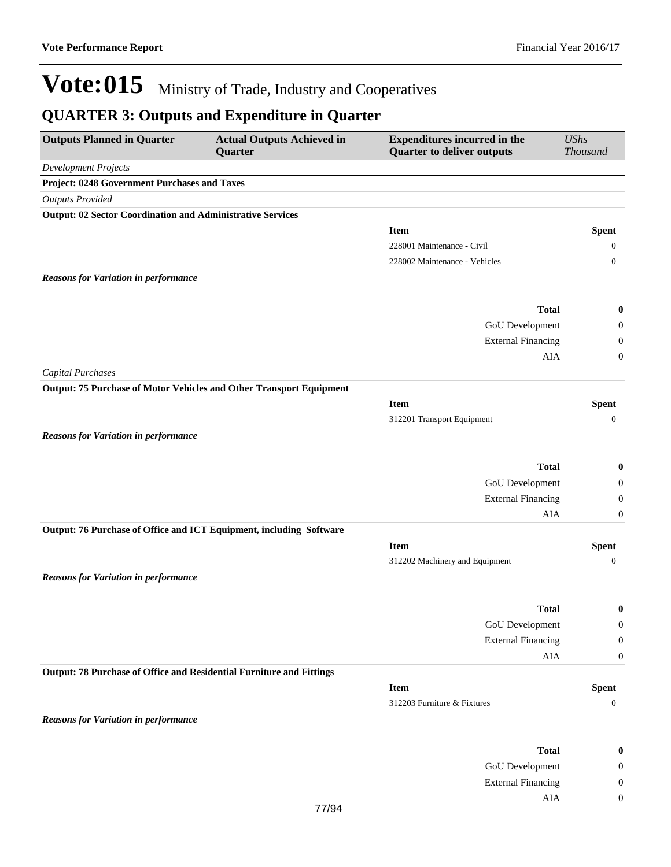| <b>Outputs Planned in Quarter</b>                                    | <b>Actual Outputs Achieved in</b><br>Quarter                               | <b>Expenditures incurred in the</b><br><b>Quarter to deliver outputs</b> | <b>UShs</b><br><b>Thousand</b> |
|----------------------------------------------------------------------|----------------------------------------------------------------------------|--------------------------------------------------------------------------|--------------------------------|
| <b>Development Projects</b>                                          |                                                                            |                                                                          |                                |
| Project: 0248 Government Purchases and Taxes                         |                                                                            |                                                                          |                                |
| <b>Outputs Provided</b>                                              |                                                                            |                                                                          |                                |
| <b>Output: 02 Sector Coordination and Administrative Services</b>    |                                                                            |                                                                          |                                |
|                                                                      |                                                                            | <b>Item</b>                                                              | <b>Spent</b>                   |
|                                                                      |                                                                            | 228001 Maintenance - Civil                                               | $\overline{0}$                 |
|                                                                      |                                                                            | 228002 Maintenance - Vehicles                                            | $\mathbf{0}$                   |
| <b>Reasons for Variation in performance</b>                          |                                                                            |                                                                          |                                |
|                                                                      |                                                                            |                                                                          |                                |
|                                                                      |                                                                            | <b>Total</b>                                                             | $\bf{0}$                       |
|                                                                      |                                                                            | GoU Development                                                          | $\boldsymbol{0}$               |
|                                                                      |                                                                            | <b>External Financing</b>                                                | $\boldsymbol{0}$               |
|                                                                      |                                                                            | AIA                                                                      | $\boldsymbol{0}$               |
| <b>Capital Purchases</b>                                             |                                                                            |                                                                          |                                |
|                                                                      | <b>Output: 75 Purchase of Motor Vehicles and Other Transport Equipment</b> |                                                                          |                                |
|                                                                      |                                                                            | <b>Item</b>                                                              | <b>Spent</b>                   |
|                                                                      |                                                                            | 312201 Transport Equipment                                               | $\mathbf{0}$                   |
| <b>Reasons for Variation in performance</b>                          |                                                                            |                                                                          |                                |
|                                                                      |                                                                            |                                                                          |                                |
|                                                                      |                                                                            | <b>Total</b>                                                             | $\bf{0}$                       |
|                                                                      |                                                                            | GoU Development                                                          | $\boldsymbol{0}$               |
|                                                                      |                                                                            | <b>External Financing</b>                                                | $\boldsymbol{0}$               |
|                                                                      |                                                                            | <b>AIA</b>                                                               | $\boldsymbol{0}$               |
| Output: 76 Purchase of Office and ICT Equipment, including Software  |                                                                            |                                                                          |                                |
|                                                                      |                                                                            | <b>Item</b>                                                              | <b>Spent</b>                   |
|                                                                      |                                                                            | 312202 Machinery and Equipment                                           | $\overline{0}$                 |
| <b>Reasons for Variation in performance</b>                          |                                                                            |                                                                          |                                |
|                                                                      |                                                                            |                                                                          |                                |
|                                                                      |                                                                            | <b>Total</b>                                                             | $\bf{0}$                       |
|                                                                      |                                                                            | GoU Development                                                          | $\theta$                       |
|                                                                      |                                                                            | <b>External Financing</b>                                                | $\boldsymbol{0}$               |
|                                                                      |                                                                            | AIA                                                                      | $\boldsymbol{0}$               |
| Output: 78 Purchase of Office and Residential Furniture and Fittings |                                                                            |                                                                          |                                |
|                                                                      |                                                                            | <b>Item</b>                                                              | <b>Spent</b>                   |
|                                                                      |                                                                            | 312203 Furniture & Fixtures                                              | $\boldsymbol{0}$               |
| <b>Reasons for Variation in performance</b>                          |                                                                            |                                                                          |                                |
|                                                                      |                                                                            |                                                                          |                                |
|                                                                      |                                                                            | <b>Total</b>                                                             | $\bf{0}$                       |
|                                                                      |                                                                            | <b>GoU</b> Development                                                   | $\boldsymbol{0}$               |
|                                                                      |                                                                            | <b>External Financing</b>                                                | $\boldsymbol{0}$               |
|                                                                      | 77/94                                                                      | AIA                                                                      | $\boldsymbol{0}$               |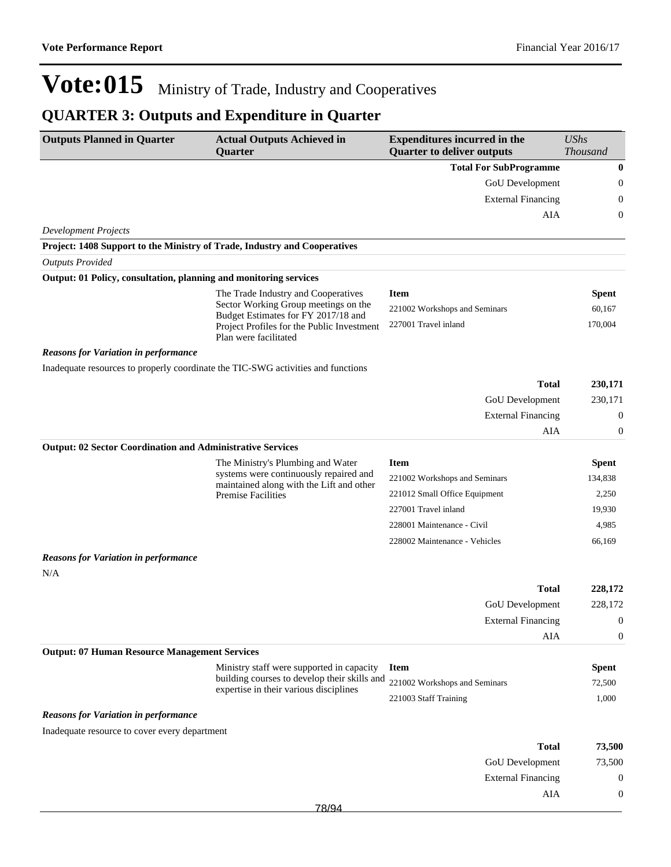| <b>Outputs Planned in Quarter</b>                                         | <b>Actual Outputs Achieved in</b><br>Quarter                                              | <b>Expenditures incurred in the</b><br><b>Quarter to deliver outputs</b> | <b>UShs</b><br>Thousand |
|---------------------------------------------------------------------------|-------------------------------------------------------------------------------------------|--------------------------------------------------------------------------|-------------------------|
|                                                                           |                                                                                           | <b>Total For SubProgramme</b>                                            | $\boldsymbol{0}$        |
|                                                                           |                                                                                           | GoU Development                                                          | $\boldsymbol{0}$        |
|                                                                           |                                                                                           | <b>External Financing</b>                                                | $\overline{0}$          |
|                                                                           |                                                                                           | AIA                                                                      | $\boldsymbol{0}$        |
| <b>Development Projects</b>                                               |                                                                                           |                                                                          |                         |
| Project: 1408 Support to the Ministry of Trade, Industry and Cooperatives |                                                                                           |                                                                          |                         |
| <b>Outputs Provided</b>                                                   |                                                                                           |                                                                          |                         |
| Output: 01 Policy, consultation, planning and monitoring services         |                                                                                           |                                                                          |                         |
|                                                                           | The Trade Industry and Cooperatives                                                       | <b>Item</b>                                                              | <b>Spent</b>            |
|                                                                           | Sector Working Group meetings on the<br>Budget Estimates for FY 2017/18 and               | 221002 Workshops and Seminars                                            | 60,167                  |
|                                                                           | Project Profiles for the Public Investment<br>Plan were facilitated                       | 227001 Travel inland                                                     | 170,004                 |
| <b>Reasons for Variation in performance</b>                               |                                                                                           |                                                                          |                         |
|                                                                           | Inadequate resources to properly coordinate the TIC-SWG activities and functions          |                                                                          |                         |
|                                                                           |                                                                                           | <b>Total</b>                                                             | 230,171                 |
|                                                                           |                                                                                           | GoU Development                                                          | 230,171                 |
|                                                                           |                                                                                           | <b>External Financing</b>                                                | $\boldsymbol{0}$        |
|                                                                           |                                                                                           | AIA                                                                      | $\boldsymbol{0}$        |
| <b>Output: 02 Sector Coordination and Administrative Services</b>         |                                                                                           |                                                                          |                         |
|                                                                           | The Ministry's Plumbing and Water<br>systems were continuously repaired and               | <b>Item</b>                                                              | <b>Spent</b>            |
|                                                                           | maintained along with the Lift and other                                                  | 221002 Workshops and Seminars                                            | 134,838                 |
|                                                                           | <b>Premise Facilities</b>                                                                 | 221012 Small Office Equipment                                            | 2,250                   |
|                                                                           |                                                                                           | 227001 Travel inland                                                     | 19,930                  |
|                                                                           |                                                                                           | 228001 Maintenance - Civil                                               | 4,985                   |
|                                                                           |                                                                                           | 228002 Maintenance - Vehicles                                            | 66,169                  |
| <b>Reasons for Variation in performance</b>                               |                                                                                           |                                                                          |                         |
| N/A                                                                       |                                                                                           |                                                                          |                         |
|                                                                           |                                                                                           | <b>Total</b>                                                             | 228,172                 |
|                                                                           |                                                                                           | <b>GoU</b> Development                                                   | 228,172                 |
|                                                                           |                                                                                           | <b>External Financing</b>                                                | $\boldsymbol{0}$        |
| <b>Output: 07 Human Resource Management Services</b>                      |                                                                                           | AIA                                                                      | $\boldsymbol{0}$        |
|                                                                           |                                                                                           | <b>Item</b>                                                              |                         |
|                                                                           | Ministry staff were supported in capacity<br>building courses to develop their skills and | 221002 Workshops and Seminars                                            | <b>Spent</b><br>72,500  |
|                                                                           | expertise in their various disciplines                                                    | 221003 Staff Training                                                    | 1,000                   |
| <b>Reasons for Variation in performance</b>                               |                                                                                           |                                                                          |                         |
| Inadequate resource to cover every department                             |                                                                                           |                                                                          |                         |
|                                                                           |                                                                                           | <b>Total</b>                                                             | 73,500                  |
|                                                                           |                                                                                           | GoU Development                                                          | 73,500                  |
|                                                                           |                                                                                           | <b>External Financing</b>                                                | $\boldsymbol{0}$        |
|                                                                           |                                                                                           | AIA                                                                      | $\boldsymbol{0}$        |
|                                                                           | 70/2                                                                                      |                                                                          |                         |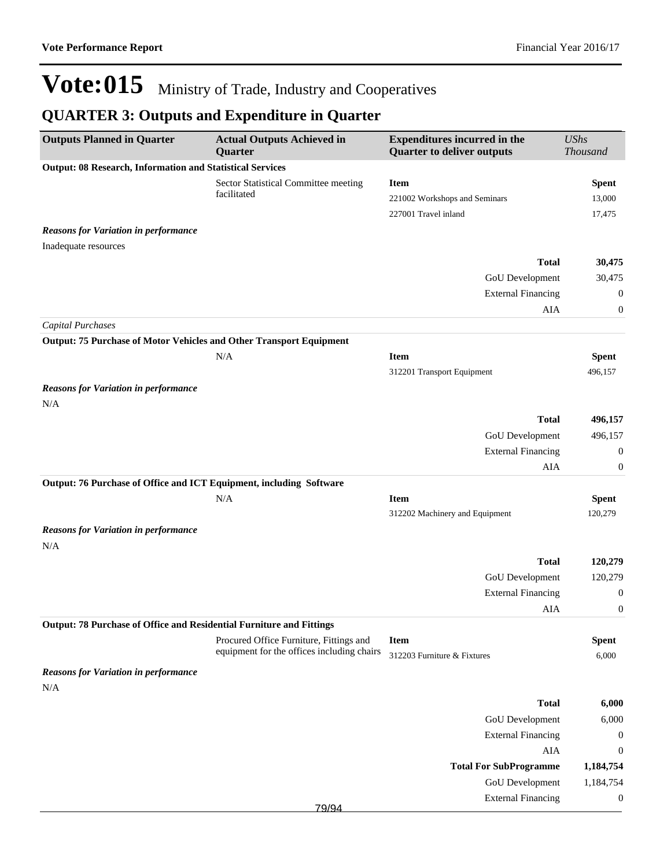| <b>Outputs Planned in Quarter</b>                                    | <b>Actual Outputs Achieved in</b><br>Quarter | <b>Expenditures incurred in the</b><br><b>Quarter to deliver outputs</b> | <b>UShs</b><br><b>Thousand</b> |
|----------------------------------------------------------------------|----------------------------------------------|--------------------------------------------------------------------------|--------------------------------|
| <b>Output: 08 Research, Information and Statistical Services</b>     |                                              |                                                                          |                                |
|                                                                      | Sector Statistical Committee meeting         | <b>Item</b>                                                              | <b>Spent</b>                   |
|                                                                      | facilitated                                  | 221002 Workshops and Seminars                                            | 13,000                         |
|                                                                      |                                              | 227001 Travel inland                                                     | 17,475                         |
| <b>Reasons for Variation in performance</b>                          |                                              |                                                                          |                                |
| Inadequate resources                                                 |                                              |                                                                          |                                |
|                                                                      |                                              | <b>Total</b>                                                             | 30,475                         |
|                                                                      |                                              | GoU Development                                                          | 30,475                         |
|                                                                      |                                              | <b>External Financing</b>                                                | 0                              |
|                                                                      |                                              | AIA                                                                      | 0                              |
| <b>Capital Purchases</b>                                             |                                              |                                                                          |                                |
| Output: 75 Purchase of Motor Vehicles and Other Transport Equipment  |                                              |                                                                          |                                |
|                                                                      | N/A                                          | <b>Item</b>                                                              | <b>Spent</b>                   |
|                                                                      |                                              | 312201 Transport Equipment                                               | 496,157                        |
| <b>Reasons for Variation in performance</b>                          |                                              |                                                                          |                                |
| N/A                                                                  |                                              |                                                                          |                                |
|                                                                      |                                              | <b>Total</b>                                                             | 496,157                        |
|                                                                      |                                              | GoU Development                                                          | 496,157                        |
|                                                                      |                                              | <b>External Financing</b>                                                | $\mathbf{0}$                   |
|                                                                      |                                              | AIA                                                                      | 0                              |
| Output: 76 Purchase of Office and ICT Equipment, including Software  |                                              |                                                                          |                                |
|                                                                      | N/A                                          | <b>Item</b>                                                              | <b>Spent</b>                   |
|                                                                      |                                              | 312202 Machinery and Equipment                                           | 120,279                        |
| <b>Reasons for Variation in performance</b>                          |                                              |                                                                          |                                |
| N/A                                                                  |                                              |                                                                          |                                |
|                                                                      |                                              | <b>Total</b>                                                             | 120,279                        |
|                                                                      |                                              | GoU Development                                                          | 120,279                        |
|                                                                      |                                              | <b>External Financing</b>                                                | 0                              |
|                                                                      |                                              | AIA                                                                      | $\boldsymbol{0}$               |
| Output: 78 Purchase of Office and Residential Furniture and Fittings |                                              |                                                                          |                                |
|                                                                      | Procured Office Furniture, Fittings and      | <b>Item</b>                                                              | <b>Spent</b>                   |
|                                                                      | equipment for the offices including chairs   | 312203 Furniture & Fixtures                                              | 6,000                          |
| <b>Reasons for Variation in performance</b>                          |                                              |                                                                          |                                |
| N/A                                                                  |                                              |                                                                          |                                |
|                                                                      |                                              | <b>Total</b>                                                             | 6,000                          |
|                                                                      |                                              | GoU Development                                                          | 6,000                          |
|                                                                      |                                              | <b>External Financing</b>                                                | $\boldsymbol{0}$               |
|                                                                      |                                              | AIA                                                                      | $\boldsymbol{0}$               |
|                                                                      |                                              | <b>Total For SubProgramme</b>                                            | 1,184,754                      |
|                                                                      |                                              | GoU Development                                                          | 1,184,754                      |
|                                                                      |                                              | <b>External Financing</b>                                                | $\boldsymbol{0}$               |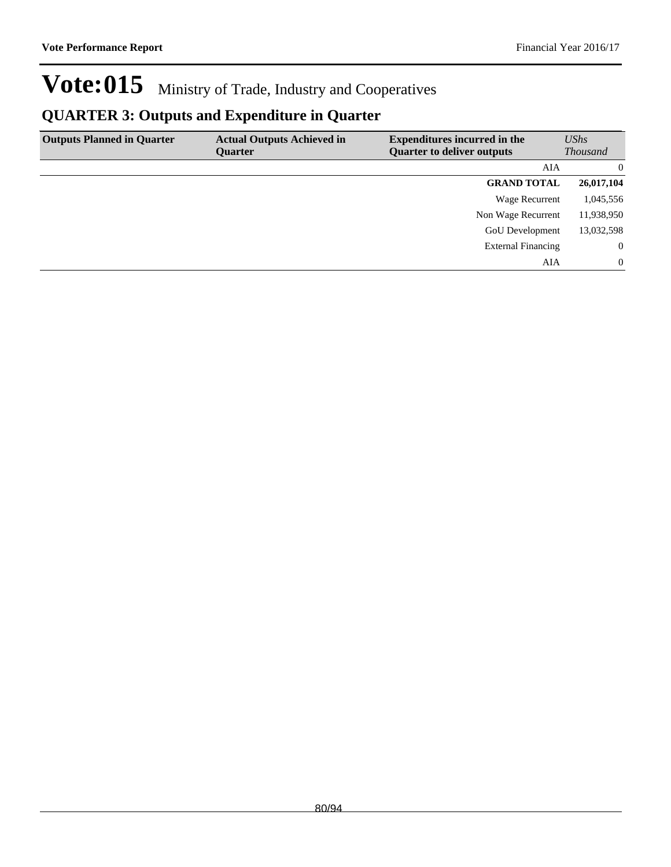| <b>Outputs Planned in Quarter</b> | <b>Actual Outputs Achieved in</b> | <b>Expenditures incurred in the</b> | <b>UShs</b>     |
|-----------------------------------|-----------------------------------|-------------------------------------|-----------------|
|                                   | Ouarter                           | <b>Quarter to deliver outputs</b>   | <b>Thousand</b> |
|                                   |                                   | AIA                                 | $\Omega$        |
|                                   |                                   | <b>GRAND TOTAL</b>                  | 26,017,104      |
|                                   |                                   | Wage Recurrent                      | 1,045,556       |
|                                   |                                   | Non Wage Recurrent                  | 11,938,950      |
|                                   |                                   | <b>GoU</b> Development              | 13,032,598      |
|                                   |                                   | <b>External Financing</b>           | $\overline{0}$  |
|                                   |                                   | AIA                                 | $\Omega$        |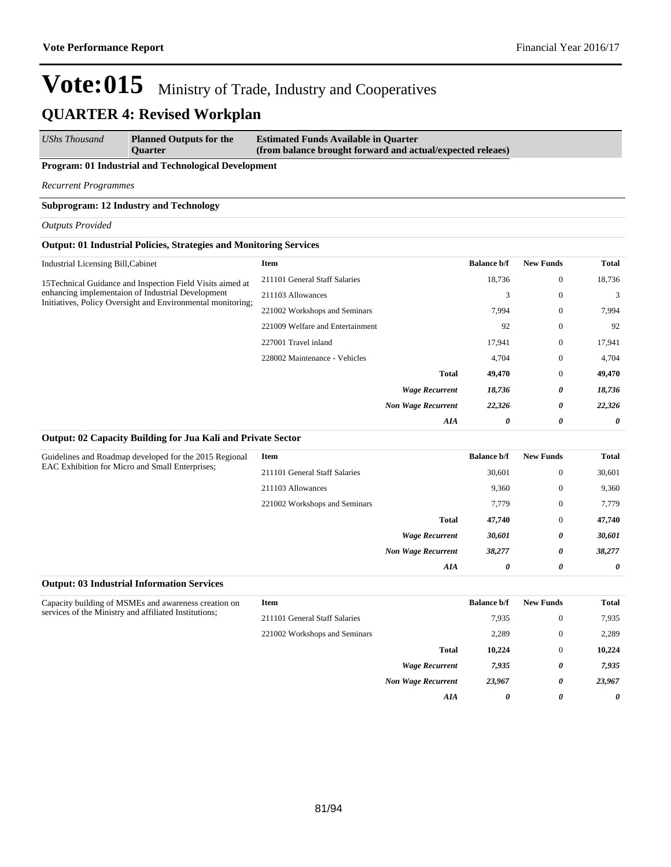#### *UShs Thousand* **Planned Outputs for the Quarter Estimated Funds Available in Quarter (from balance brought forward and actual/expected releaes)**

#### **Program: 01 Industrial and Technological Development**

*Recurrent Programmes*

#### **Subprogram: 12 Industry and Technology**

*Outputs Provided*

#### **Output: 01 Industrial Policies, Strategies and Monitoring Services**

| Industrial Licensing Bill, Cabinet                                                                               | Item                             | <b>Balance b/f</b> | <b>New Funds</b> | Total  |
|------------------------------------------------------------------------------------------------------------------|----------------------------------|--------------------|------------------|--------|
| 15 Technical Guidance and Inspection Field Visits aimed at                                                       | 211101 General Staff Salaries    | 18,736             | $\mathbf{0}$     | 18,736 |
| enhancing implementaion of Industrial Development<br>Initiatives, Policy Oversight and Environmental monitoring; | 211103 Allowances                | 3                  | $\mathbf{0}$     | 3      |
|                                                                                                                  | 221002 Workshops and Seminars    | 7,994              | $\mathbf{0}$     | 7,994  |
|                                                                                                                  | 221009 Welfare and Entertainment | 92                 | $\mathbf{0}$     | 92     |
|                                                                                                                  | 227001 Travel inland             | 17,941             | $\mathbf{0}$     | 17,941 |
|                                                                                                                  | 228002 Maintenance - Vehicles    | 4,704              | $\mathbf{0}$     | 4,704  |
|                                                                                                                  | <b>Total</b>                     | 49,470             | $\mathbf{0}$     | 49,470 |
|                                                                                                                  | <b>Wage Recurrent</b>            | 18,736             | 0                | 18,736 |
|                                                                                                                  | <b>Non Wage Recurrent</b>        | 22,326             | 0                | 22,326 |
|                                                                                                                  | AIA                              | 0                  | 0                | 0      |
|                                                                                                                  |                                  |                    |                  |        |

#### **Output: 02 Capacity Building for Jua Kali and Private Sector**

**Output: 03 Industrial Information Services**

| Guidelines and Roadmap developed for the 2015 Regional<br><b>EAC Exhibition for Micro and Small Enterprises:</b> | <b>Item</b>                   |                           | <b>Balance b/f</b> | <b>New Funds</b> | <b>Total</b> |
|------------------------------------------------------------------------------------------------------------------|-------------------------------|---------------------------|--------------------|------------------|--------------|
|                                                                                                                  | 211101 General Staff Salaries |                           | 30.601             | $\mathbf{0}$     | 30,601       |
|                                                                                                                  | 211103 Allowances             |                           | 9,360              | $\mathbf{0}$     | 9,360        |
|                                                                                                                  | 221002 Workshops and Seminars |                           | 7,779              | $\mathbf{0}$     | 7,779        |
|                                                                                                                  |                               | <b>Total</b>              | 47.740             | $\mathbf{0}$     | 47,740       |
|                                                                                                                  |                               | <b>Wage Recurrent</b>     | 30,601             | 0                | 30,601       |
|                                                                                                                  |                               | <b>Non Wage Recurrent</b> | 38,277             | 0                | 38,277       |
|                                                                                                                  |                               | AIA                       | 0                  | 0                | 0            |

| Capacity building of MSMEs and awareness creation on<br>services of the Ministry and affiliated Institutions; | Item                          |                           | <b>Balance b/f</b> | <b>New Funds</b> | Total  |
|---------------------------------------------------------------------------------------------------------------|-------------------------------|---------------------------|--------------------|------------------|--------|
|                                                                                                               | 211101 General Staff Salaries |                           | 7,935              | $\theta$         | 7,935  |
|                                                                                                               | 221002 Workshops and Seminars |                           | 2,289              | $\theta$         | 2,289  |
|                                                                                                               |                               | <b>Total</b>              | 10.224             | $\theta$         | 10.224 |
|                                                                                                               |                               | <b>Wage Recurrent</b>     | 7,935              | 0                | 7,935  |
|                                                                                                               |                               | <b>Non Wage Recurrent</b> | 23,967             | 0                | 23,967 |
|                                                                                                               |                               | AIA                       | 0                  | 0                | 0      |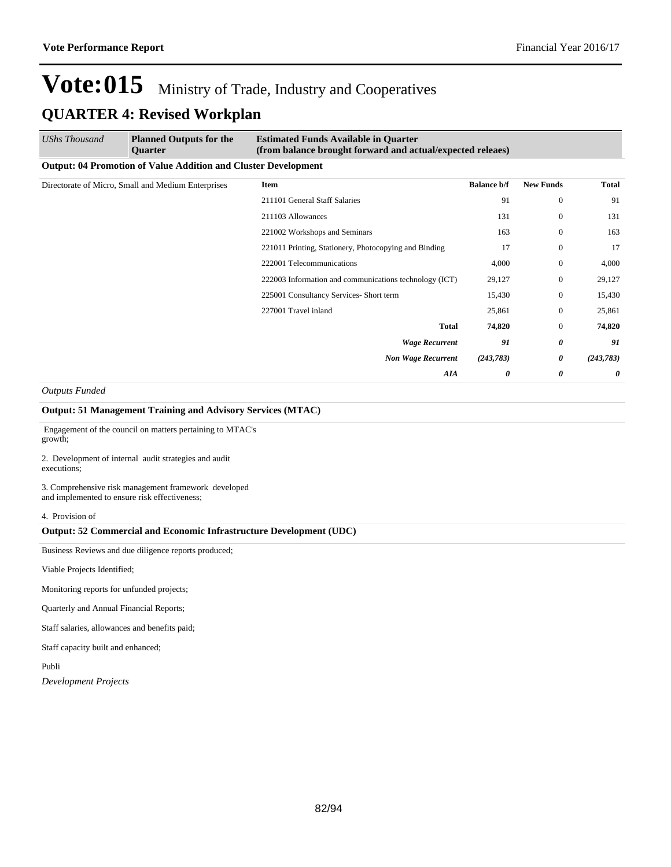| UShs Thousand                                                         | <b>Planned Outputs for the</b><br><b>Ouarter</b> | <b>Estimated Funds Available in Quarter</b><br>(from balance brought forward and actual/expected releaes) |                    |                       |              |  |  |
|-----------------------------------------------------------------------|--------------------------------------------------|-----------------------------------------------------------------------------------------------------------|--------------------|-----------------------|--------------|--|--|
| <b>Output: 04 Promotion of Value Addition and Cluster Development</b> |                                                  |                                                                                                           |                    |                       |              |  |  |
| Directorate of Micro, Small and Medium Enterprises                    |                                                  | Item                                                                                                      | <b>Balance b/f</b> | <b>New Funds</b>      | <b>Total</b> |  |  |
|                                                                       |                                                  | 211101 General Staff Salaries                                                                             | 91                 | $\mathbf{0}$          | 91           |  |  |
|                                                                       |                                                  | 211103 Allowances                                                                                         | 131                | $\mathbf{0}$          | 131          |  |  |
|                                                                       |                                                  | 221002 Workshops and Seminars                                                                             | 163                | $\mathbf{0}$          | 163          |  |  |
|                                                                       |                                                  | 221011 Printing, Stationery, Photocopying and Binding                                                     | 17                 | $\mathbf{0}$          | 17           |  |  |
|                                                                       |                                                  | 222001 Telecommunications                                                                                 | 4,000              | $\mathbf{0}$          | 4,000        |  |  |
|                                                                       |                                                  | 222003 Information and communications technology (ICT)                                                    | 29,127             | $\mathbf{0}$          | 29,127       |  |  |
|                                                                       |                                                  | 225001 Consultancy Services- Short term                                                                   | 15,430             | $\mathbf{0}$          | 15,430       |  |  |
|                                                                       |                                                  | 227001 Travel inland                                                                                      | 25,861             | $\overline{0}$        | 25,861       |  |  |
|                                                                       |                                                  | <b>Total</b>                                                                                              | 74,820             | $\mathbf{0}$          | 74,820       |  |  |
|                                                                       |                                                  | <b>Wage Recurrent</b>                                                                                     | 91                 | $\boldsymbol{\theta}$ | 91           |  |  |
|                                                                       |                                                  | <b>Non Wage Recurrent</b>                                                                                 | (243, 783)         | 0                     | (243, 783)   |  |  |
|                                                                       |                                                  | AIA                                                                                                       | 0                  | $\boldsymbol{\theta}$ | 0            |  |  |

*Outputs Funded*

#### **Output: 51 Management Training and Advisory Services (MTAC)**

 Engagement of the council on matters pertaining to MTAC's growth;

2. Development of internal audit strategies and audit executions;

3. Comprehensive risk management framework developed and implemented to ensure risk effectiveness;

#### 4. Provision of

#### **Output: 52 Commercial and Economic Infrastructure Development (UDC)**

Business Reviews and due diligence reports produced;

Viable Projects Identified;

Monitoring reports for unfunded projects;

Quarterly and Annual Financial Reports;

Staff salaries, allowances and benefits paid;

Staff capacity built and enhanced;

Publi

*Development Projects*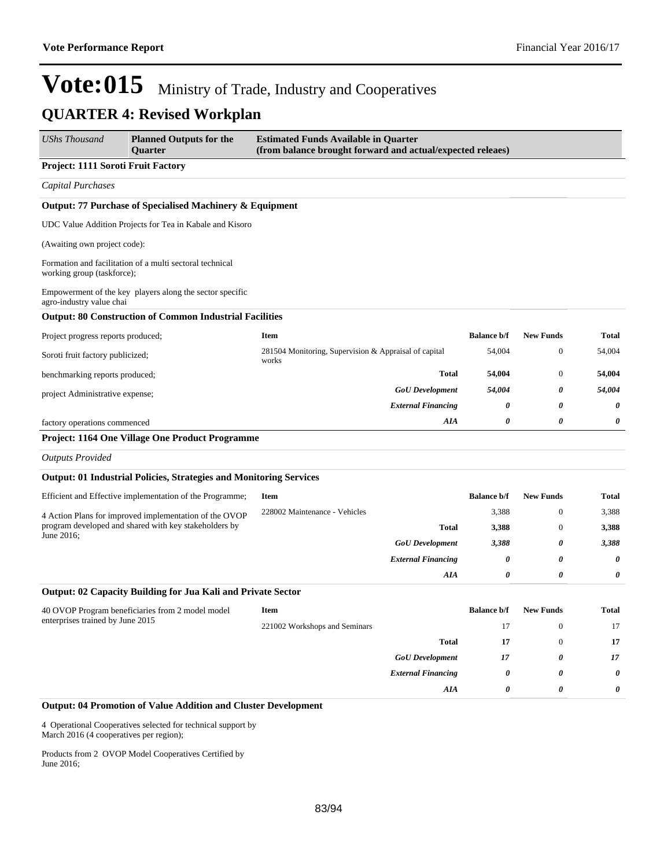| UShs Thousand                      | <b>Planned Outputs for the</b><br><b>Ouarter</b>                          | <b>Estimated Funds Available in Quarter</b><br>(from balance brought forward and actual/expected releaes) |                    |                  |              |
|------------------------------------|---------------------------------------------------------------------------|-----------------------------------------------------------------------------------------------------------|--------------------|------------------|--------------|
| Project: 1111 Soroti Fruit Factory |                                                                           |                                                                                                           |                    |                  |              |
| <b>Capital Purchases</b>           |                                                                           |                                                                                                           |                    |                  |              |
|                                    | Output: 77 Purchase of Specialised Machinery & Equipment                  |                                                                                                           |                    |                  |              |
|                                    | UDC Value Addition Projects for Tea in Kabale and Kisoro                  |                                                                                                           |                    |                  |              |
| (Awaiting own project code):       |                                                                           |                                                                                                           |                    |                  |              |
| working group (taskforce);         | Formation and facilitation of a multi sectoral technical                  |                                                                                                           |                    |                  |              |
| agro-industry value chai           | Empowerment of the key players along the sector specific                  |                                                                                                           |                    |                  |              |
|                                    | <b>Output: 80 Construction of Common Industrial Facilities</b>            |                                                                                                           |                    |                  |              |
| Project progress reports produced; |                                                                           | Item                                                                                                      | <b>Balance b/f</b> | <b>New Funds</b> | <b>Total</b> |
| Soroti fruit factory publicized;   |                                                                           | 281504 Monitoring, Supervision & Appraisal of capital<br>works                                            | 54,004             | $\mathbf{0}$     | 54,004       |
| benchmarking reports produced;     |                                                                           | <b>Total</b>                                                                                              | 54,004             | $\boldsymbol{0}$ | 54,004       |
| project Administrative expense;    |                                                                           | <b>GoU</b> Development                                                                                    | 54,004             | 0                | 54,004       |
|                                    |                                                                           | <b>External Financing</b>                                                                                 | 0                  | 0                | 0            |
| factory operations commenced       |                                                                           | AIA                                                                                                       | 0                  | 0                | 0            |
|                                    | Project: 1164 One Village One Product Programme                           |                                                                                                           |                    |                  |              |
| <b>Outputs Provided</b>            |                                                                           |                                                                                                           |                    |                  |              |
|                                    | <b>Output: 01 Industrial Policies, Strategies and Monitoring Services</b> |                                                                                                           |                    |                  |              |
|                                    | Efficient and Effective implementation of the Programme;                  | Item                                                                                                      | <b>Balance b/f</b> | <b>New Funds</b> | <b>Total</b> |
|                                    | 4 Action Plans for improved implementation of the OVOP                    | 228002 Maintenance - Vehicles                                                                             | 3,388              | $\boldsymbol{0}$ | 3,388        |
| June 2016;                         | program developed and shared with key stakeholders by                     | <b>Total</b>                                                                                              | 3,388              | $\mathbf{0}$     | 3,388        |
|                                    |                                                                           | <b>GoU</b> Development                                                                                    | 3,388              | 0                | 3,388        |
|                                    |                                                                           | <b>External Financing</b>                                                                                 | 0                  | 0                | 0            |
|                                    |                                                                           | AIA                                                                                                       | 0                  | 0                | 0            |
|                                    | Output: 02 Capacity Building for Jua Kali and Private Sector              |                                                                                                           |                    |                  |              |
|                                    | 40 OVOP Program beneficiaries from 2 model model                          | Item                                                                                                      | <b>Balance b/f</b> | <b>New Funds</b> | Total        |
| enterprises trained by June 2015   |                                                                           | 221002 Workshops and Seminars                                                                             | 17                 | $\boldsymbol{0}$ | 17           |
|                                    |                                                                           | <b>Total</b>                                                                                              | 17                 | $\mathbf{0}$     | $17\,$       |
|                                    |                                                                           | <b>GoU</b> Development                                                                                    | 17                 | 0                | $17\,$       |
|                                    |                                                                           | <b>External Financing</b>                                                                                 | 0                  | 0                | 0            |
|                                    |                                                                           | AIA                                                                                                       | 0                  | 0                | 0            |
|                                    | <b>Output: 04 Promotion of Value Addition and Cluster Development</b>     |                                                                                                           |                    |                  |              |

4 Operational Cooperatives selected for technical support by March 2016 (4 cooperatives per region);

Products from 2 OVOP Model Cooperatives Certified by June 2016;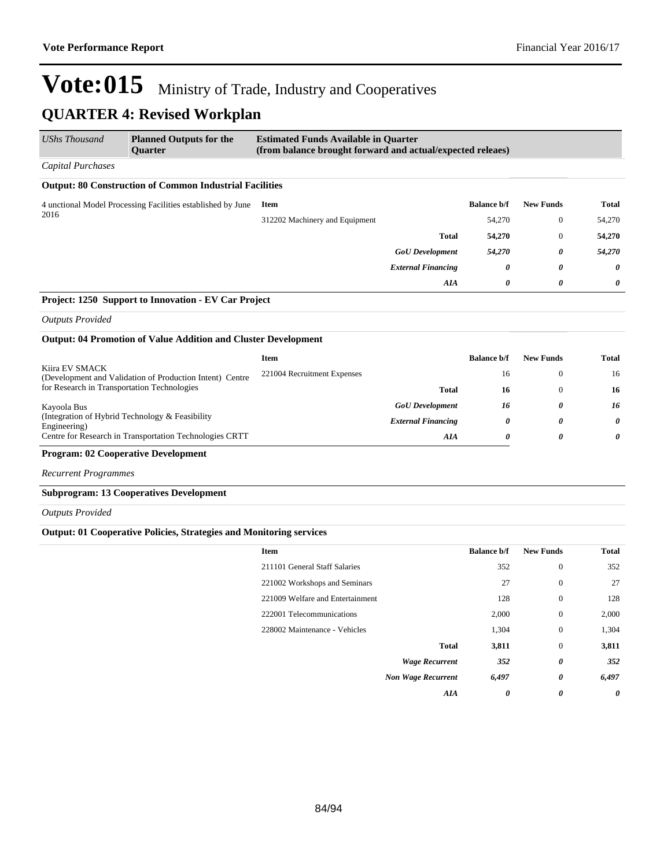### **QUARTER 4: Revised Workplan**

| <b>UShs Thousand</b>                                                | <b>Planned Outputs for the</b><br><b>Ouarter</b>               | <b>Estimated Funds Available in Quarter</b><br>(from balance brought forward and actual/expected releaes) |                           |                  |              |          |
|---------------------------------------------------------------------|----------------------------------------------------------------|-----------------------------------------------------------------------------------------------------------|---------------------------|------------------|--------------|----------|
| Capital Purchases                                                   |                                                                |                                                                                                           |                           |                  |              |          |
|                                                                     | <b>Output: 80 Construction of Common Industrial Facilities</b> |                                                                                                           |                           |                  |              |          |
| 4 unctional Model Processing Facilities established by June<br>2016 | Item                                                           |                                                                                                           | <b>Balance b/f</b>        | <b>New Funds</b> | Total        |          |
|                                                                     |                                                                | 312202 Machinery and Equipment                                                                            |                           | 54,270           | $\mathbf{0}$ | 54,270   |
|                                                                     |                                                                |                                                                                                           | <b>Total</b>              | 54,270           | $\mathbf{0}$ | 54,270   |
|                                                                     |                                                                |                                                                                                           | <b>GoU</b> Development    | 54,270           | 0            | 54,270   |
|                                                                     |                                                                |                                                                                                           | <b>External Financing</b> | 0                | 0            | $\theta$ |
|                                                                     |                                                                |                                                                                                           | AIA                       | 0                | 0            | 0        |
|                                                                     | <b>Project: 1250 Support to Innovation - EV Car Project</b>    |                                                                                                           |                           |                  |              |          |

*Outputs Provided*

#### **Output: 04 Promotion of Value Addition and Cluster Development**

|                             | <b>Balance b/f</b> | <b>New Funds</b> | Total |
|-----------------------------|--------------------|------------------|-------|
| 221004 Recruitment Expenses | 16                 |                  | 16    |
| Total                       | 16                 |                  | 16    |
| <b>GoU</b> Development      | 16                 | $\theta$         | 16    |
| <b>External Financing</b>   | 0                  | $\theta$         | 0     |
| AIA                         | 0                  | $\theta$         | 0     |
|                             |                    |                  |       |

#### **Program: 02 Cooperative Development**

*Recurrent Programmes*

#### **Subprogram: 13 Cooperatives Development**

*Outputs Provided*

#### **Output: 01 Cooperative Policies, Strategies and Monitoring services**

| <b>Item</b>                      | <b>Balance b/f</b>    | <b>New Funds</b> | <b>Total</b> |
|----------------------------------|-----------------------|------------------|--------------|
| 211101 General Staff Salaries    | 352                   | $\mathbf{0}$     | 352          |
| 221002 Workshops and Seminars    | 27                    | $\mathbf{0}$     | 27           |
| 221009 Welfare and Entertainment | 128                   | $\mathbf{0}$     | 128          |
| 222001 Telecommunications        | 2,000                 | $\mathbf{0}$     | 2,000        |
| 228002 Maintenance - Vehicles    | 1,304                 | $\mathbf{0}$     | 1,304        |
|                                  | <b>Total</b><br>3,811 | $\mathbf{0}$     | 3,811        |
| <b>Wage Recurrent</b>            | 352                   | 0                | 352          |
| <b>Non Wage Recurrent</b>        | 6,497                 | 0                | 6,497        |
|                                  | AIA<br>0              | 0                | 0            |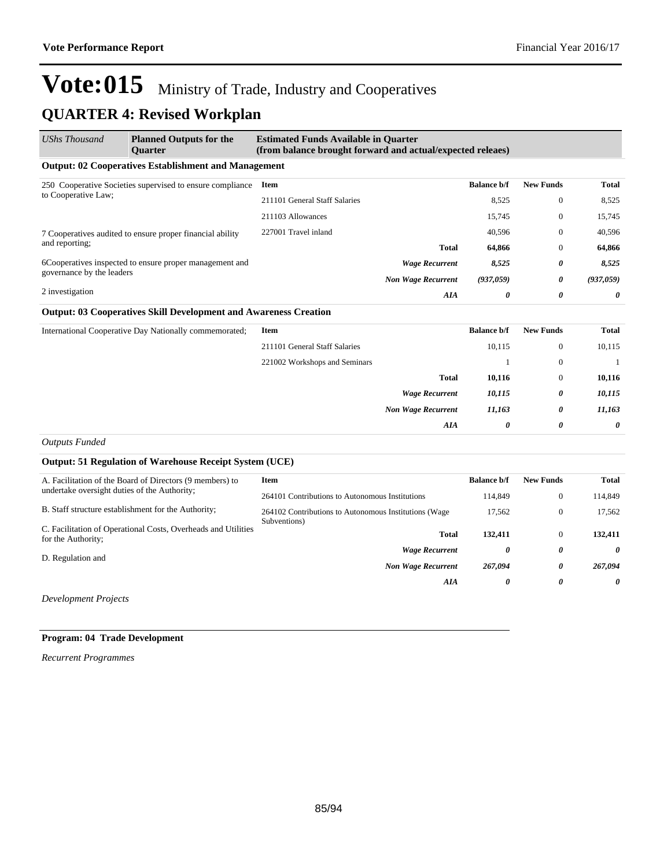### **QUARTER 4: Revised Workplan**

| <b>UShs Thousand</b>                                      | <b>Planned Outputs for the</b><br><b>Ouarter</b>                        | <b>Estimated Funds Available in Quarter</b><br>(from balance brought forward and actual/expected releaes) |                           |                    |                  |              |
|-----------------------------------------------------------|-------------------------------------------------------------------------|-----------------------------------------------------------------------------------------------------------|---------------------------|--------------------|------------------|--------------|
|                                                           | <b>Output: 02 Cooperatives Establishment and Management</b>             |                                                                                                           |                           |                    |                  |              |
| 250 Cooperative Societies supervised to ensure compliance | <b>Item</b>                                                             |                                                                                                           | <b>Balance b/f</b>        | <b>New Funds</b>   | <b>Total</b>     |              |
| to Cooperative Law;                                       |                                                                         | 211101 General Staff Salaries                                                                             |                           | 8,525              | $\bf{0}$         | 8,525        |
|                                                           |                                                                         | 211103 Allowances                                                                                         |                           | 15,745             | $\bf{0}$         | 15,745       |
|                                                           | 7 Cooperatives audited to ensure proper financial ability               | 227001 Travel inland                                                                                      |                           | 40,596             | $\mathbf{0}$     | 40,596       |
| and reporting;                                            |                                                                         |                                                                                                           | <b>Total</b>              | 64,866             | $\mathbf{0}$     | 64,866       |
|                                                           | 6Cooperatives inspected to ensure proper management and                 |                                                                                                           | <b>Wage Recurrent</b>     | 8,525              | 0                | 8,525        |
| governance by the leaders                                 |                                                                         |                                                                                                           | <b>Non Wage Recurrent</b> | (937,059)          | 0                | (937,059)    |
| 2 investigation                                           |                                                                         |                                                                                                           | <b>AIA</b>                | 0                  | 0                | 0            |
|                                                           | <b>Output: 03 Cooperatives Skill Development and Awareness Creation</b> |                                                                                                           |                           |                    |                  |              |
|                                                           | International Cooperative Day Nationally commemorated;                  | <b>Item</b>                                                                                               |                           | <b>Balance b/f</b> | <b>New Funds</b> | <b>Total</b> |
|                                                           |                                                                         | 211101 General Staff Salaries                                                                             |                           | 10,115             | $\mathbf{0}$     | 10,115       |
|                                                           |                                                                         | 221002 Workshops and Seminars                                                                             |                           |                    | $\mathbf{0}$     | 1            |
|                                                           |                                                                         |                                                                                                           | <b>Total</b>              | 10,116             | $\mathbf{0}$     | 10,116       |
|                                                           |                                                                         |                                                                                                           | <b>Wage Recurrent</b>     | 10,115             | 0                | 10,115       |
|                                                           |                                                                         |                                                                                                           | <b>Non Wage Recurrent</b> | 11,163             | 0                | 11,163       |
|                                                           |                                                                         |                                                                                                           | AIA                       | 0                  | 0                | 0            |

*Outputs Funded*

#### **Output: 51 Regulation of Warehouse Receipt System (UCE)**

| A. Facilitation of the Board of Directors (9 members) to<br>undertake oversight duties of the Authority; | Item                                                                  | <b>Balance b/f</b> | <b>New Funds</b> | Total   |
|----------------------------------------------------------------------------------------------------------|-----------------------------------------------------------------------|--------------------|------------------|---------|
|                                                                                                          | 264101 Contributions to Autonomous Institutions                       | 114.849            | $\theta$         | 114,849 |
| B. Staff structure establishment for the Authority;                                                      | 264102 Contributions to Autonomous Institutions (Wage<br>Subventions) | 17,562             | $\theta$         | 17.562  |
| C. Facilitation of Operational Costs, Overheads and Utilities<br>for the Authority;                      | <b>Total</b>                                                          | 132,411            | $\theta$         | 132,411 |
| D. Regulation and                                                                                        | <b>Wage Recurrent</b>                                                 | 0                  | 0                | 0       |
|                                                                                                          | <b>Non Wage Recurrent</b>                                             | 267,094            | 0                | 267.094 |
|                                                                                                          | AIA                                                                   | 0                  | 0                | 0       |
|                                                                                                          |                                                                       |                    |                  |         |

*Development Projects*

#### **Program: 04 Trade Development**

*Recurrent Programmes*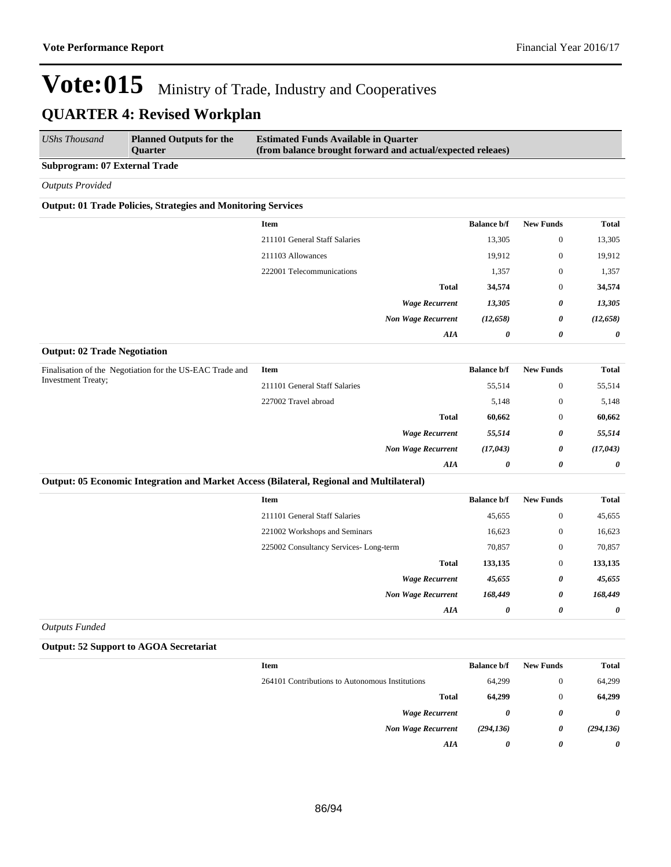| <b>UShs Thousand</b>                 | <b>Planned Outputs for the</b><br>Quarter                            | <b>Estimated Funds Available in Quarter</b><br>(from balance brought forward and actual/expected releaes) |                           |                    |                  |              |
|--------------------------------------|----------------------------------------------------------------------|-----------------------------------------------------------------------------------------------------------|---------------------------|--------------------|------------------|--------------|
| <b>Subprogram: 07 External Trade</b> |                                                                      |                                                                                                           |                           |                    |                  |              |
| <b>Outputs Provided</b>              |                                                                      |                                                                                                           |                           |                    |                  |              |
|                                      | <b>Output: 01 Trade Policies, Strategies and Monitoring Services</b> |                                                                                                           |                           |                    |                  |              |
|                                      |                                                                      | <b>Item</b>                                                                                               |                           | <b>Balance b/f</b> | <b>New Funds</b> | <b>Total</b> |
|                                      |                                                                      | 211101 General Staff Salaries                                                                             |                           | 13,305             | $\overline{0}$   | 13,305       |
|                                      |                                                                      | 211103 Allowances                                                                                         |                           | 19,912             | $\overline{0}$   | 19,912       |
|                                      |                                                                      | 222001 Telecommunications                                                                                 |                           | 1,357              | $\theta$         | 1,357        |
|                                      |                                                                      |                                                                                                           | <b>Total</b>              | 34,574             | $\overline{0}$   | 34,574       |
|                                      |                                                                      |                                                                                                           | <b>Wage Recurrent</b>     | 13,305             | 0                | 13,305       |
|                                      |                                                                      |                                                                                                           | <b>Non Wage Recurrent</b> | (12, 658)          | 0                | (12, 658)    |
|                                      |                                                                      |                                                                                                           | AIA                       | 0                  | 0                | 0            |
| <b>Output: 02 Trade Negotiation</b>  |                                                                      |                                                                                                           |                           |                    |                  |              |
|                                      | Finalisation of the Negotiation for the US-EAC Trade and             | <b>Item</b>                                                                                               |                           | <b>Balance b/f</b> | <b>New Funds</b> | <b>Total</b> |
| <b>Investment Treaty;</b>            | 211101 General Staff Salaries                                        |                                                                                                           | 55,514                    | $\mathbf{0}$       | 55,514           |              |
|                                      |                                                                      | 227002 Travel abroad                                                                                      |                           | 5,148              | $\overline{0}$   | 5,148        |
|                                      |                                                                      |                                                                                                           | Total                     | 60.662             | $\Omega$         | 60.662       |

| <b>UU,UU4</b> | v | 00,004                | 1 viai                    |
|---------------|---|-----------------------|---------------------------|
| 55,514        | 0 | 55,514                | <b>Wage Recurrent</b>     |
| (17, 043)     | 0 | (17,043)              | <b>Non Wage Recurrent</b> |
| 0             | U | $\boldsymbol{\theta}$ | AIA                       |
|               |   |                       |                           |

#### **Output: 05 Economic Integration and Market Access (Bilateral, Regional and Multilateral)**

| Item                                  | <b>Balance b/f</b> | <b>New Funds</b> | <b>Total</b>          |
|---------------------------------------|--------------------|------------------|-----------------------|
| 211101 General Staff Salaries         | 45,655             | $\mathbf{0}$     | 45,655                |
| 221002 Workshops and Seminars         | 16,623             | $\boldsymbol{0}$ | 16,623                |
| 225002 Consultancy Services-Long-term | 70,857             | $\boldsymbol{0}$ | 70,857                |
| <b>Total</b>                          | 133,135            | $\boldsymbol{0}$ | 133,135               |
| <b>Wage Recurrent</b>                 | 45,655             | 0                | 45,655                |
| <b>Non Wage Recurrent</b>             | 168,449            | 0                | 168,449               |
| AIA                                   | 0                  | 0                | $\boldsymbol{\theta}$ |
|                                       |                    |                  |                       |

*Outputs Funded*

#### **Output: 52 Support to AGOA Secretariat**

| Total      | <b>New Funds</b> | <b>Balance b/f</b> | Item                                            |
|------------|------------------|--------------------|-------------------------------------------------|
| 64,299     | $\mathbf{0}$     | 64,299             | 264101 Contributions to Autonomous Institutions |
| 64,299     | $\theta$         | 64,299             | <b>Total</b>                                    |
| 0          | 0                | 0                  | <b>Wage Recurrent</b>                           |
| (294, 136) | 0                | (294, 136)         | <b>Non Wage Recurrent</b>                       |
| 0          | 0                | 0                  | AIA                                             |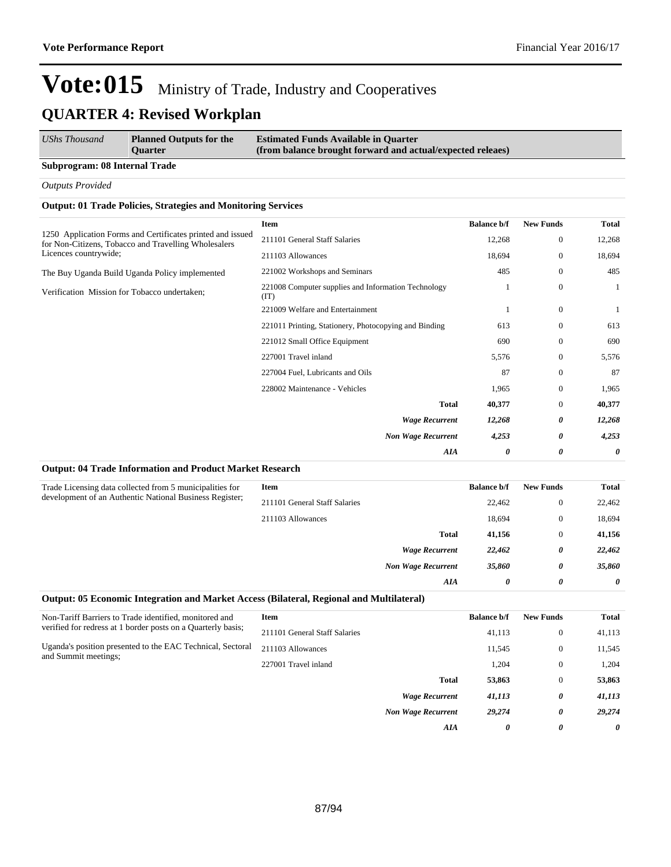| UShs Thousand                 | <b>Planned Outputs for the</b><br><b>Ouarter</b> | <b>Estimated Funds Available in Quarter</b><br>(from balance brought forward and actual/expected releaes) |
|-------------------------------|--------------------------------------------------|-----------------------------------------------------------------------------------------------------------|
| Subprogram: 08 Internal Trade |                                                  |                                                                                                           |

*Outputs Provided*

#### **Output: 01 Trade Policies, Strategies and Monitoring Services**

| Item                                                        | <b>Balance b/f</b> | <b>New Funds</b> | <b>Total</b> |
|-------------------------------------------------------------|--------------------|------------------|--------------|
| 211101 General Staff Salaries                               | 12,268             | $\mathbf{0}$     | 12,268       |
| 211103 Allowances                                           | 18,694             | $\mathbf{0}$     | 18,694       |
| 221002 Workshops and Seminars                               | 485                | $\mathbf{0}$     | 485          |
| 221008 Computer supplies and Information Technology<br>(TT) |                    | $\mathbf{0}$     |              |
| 221009 Welfare and Entertainment                            |                    | $\mathbf{0}$     | 1            |
| 221011 Printing, Stationery, Photocopying and Binding       | 613                | $\mathbf{0}$     | 613          |
| 221012 Small Office Equipment                               | 690                | $\Omega$         | 690          |
| 227001 Travel inland                                        | 5,576              | $\mathbf{0}$     | 5,576        |
| 227004 Fuel, Lubricants and Oils                            | 87                 | $\mathbf{0}$     | 87           |
| 228002 Maintenance - Vehicles                               | 1,965              | $\mathbf{0}$     | 1,965        |
| <b>Total</b>                                                | 40,377             | $\mathbf{0}$     | 40,377       |
| <b>Wage Recurrent</b>                                       | 12,268             | 0                | 12,268       |
| <b>Non Wage Recurrent</b>                                   | 4,253              | 0                | 4,253        |
| AIA                                                         | 0                  | 0                | 0            |
|                                                             |                    |                  |              |

#### **Output: 04 Trade Information and Product Market Research**

| Trade Licensing data collected from 5 municipalities for<br>development of an Authentic National Business Register; | Item                          |                           | <b>Balance b/f</b> | <b>New Funds</b> | Total    |
|---------------------------------------------------------------------------------------------------------------------|-------------------------------|---------------------------|--------------------|------------------|----------|
|                                                                                                                     | 211101 General Staff Salaries |                           | 22,462             | $\theta$         | 22,462   |
|                                                                                                                     | 211103 Allowances             |                           | 18.694             | $\theta$         | 18,694   |
|                                                                                                                     |                               | <b>Total</b>              | 41,156             | $\theta$         | 41,156   |
|                                                                                                                     |                               | <b>Wage Recurrent</b>     | 22,462             | 0                | 22,462   |
|                                                                                                                     |                               | <b>Non Wage Recurrent</b> | 35,860             | 0                | 35,860   |
|                                                                                                                     |                               | AIA                       | 0                  | 0                | $\theta$ |

#### **Output: 05 Economic Integration and Market Access (Bilateral, Regional and Multilateral)**

| Non-Tariff Barriers to Trade identified, monitored and                             | Item                          |                           | <b>Balance b/f</b> | <b>New Funds</b> | <b>Total</b> |
|------------------------------------------------------------------------------------|-------------------------------|---------------------------|--------------------|------------------|--------------|
| verified for redress at 1 border posts on a Quarterly basis;                       | 211101 General Staff Salaries |                           | 41.113             | $\theta$         | 41,113       |
| Uganda's position presented to the EAC Technical, Sectoral<br>and Summit meetings; | 211103 Allowances             |                           | 11,545             | $\theta$         | 11,545       |
|                                                                                    | 227001 Travel inland          |                           | 1,204              | $\theta$         | 1,204        |
|                                                                                    |                               | <b>Total</b>              | 53,863             | $\mathbf{0}$     | 53,863       |
|                                                                                    |                               | <b>Wage Recurrent</b>     | 41,113             | 0                | 41,113       |
|                                                                                    |                               | <b>Non Wage Recurrent</b> | 29,274             | 0                | 29,274       |
|                                                                                    |                               | AIA                       | $\theta$           | 0                | 0            |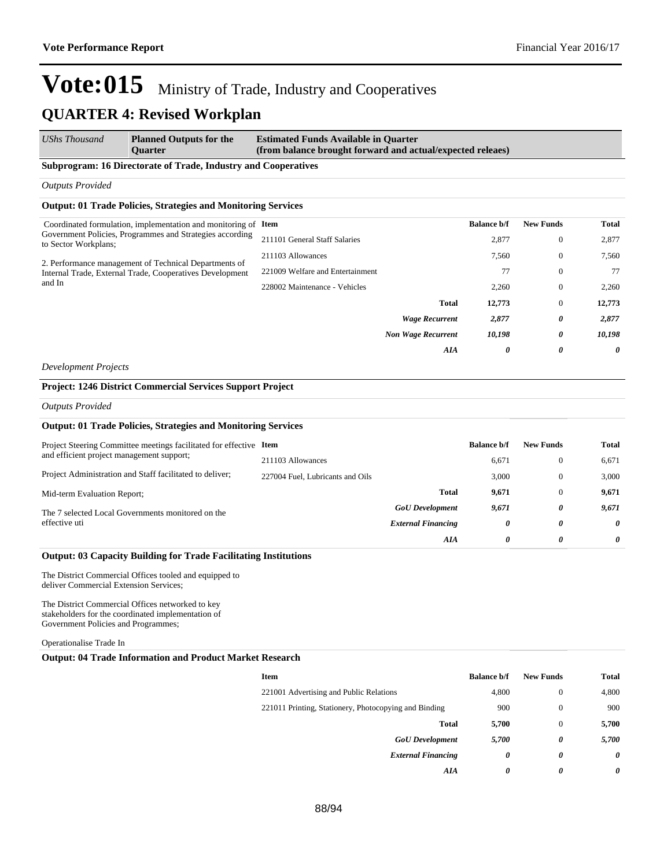| <b>UShs Thousand</b> | <b>Planned Outputs for the</b> | <b>Estimated Funds Available in Quarter</b>                |
|----------------------|--------------------------------|------------------------------------------------------------|
|                      | <b>Ouarter</b>                 | (from balance brought forward and actual/expected releaes) |

#### **Subprogram: 16 Directorate of Trade, Industry and Cooperatives**

*Outputs Provided*

#### **Output: 01 Trade Policies, Strategies and Monitoring Services**

| Coordinated formulation, implementation and monitoring of Item                                                              |                                  | <b>Balance b/f</b> | <b>New Funds</b> | Total  |
|-----------------------------------------------------------------------------------------------------------------------------|----------------------------------|--------------------|------------------|--------|
| Government Policies, Programmes and Strategies according<br>to Sector Workplans;                                            | 211101 General Staff Salaries    | 2,877              | $\mathbf{0}$     | 2,877  |
| 2. Performance management of Technical Departments of<br>Internal Trade, External Trade, Cooperatives Development<br>and In | 211103 Allowances                | 7,560              | $\theta$         | 7,560  |
|                                                                                                                             | 221009 Welfare and Entertainment | 77                 | $\mathbf{0}$     | 77     |
|                                                                                                                             | 228002 Maintenance - Vehicles    | 2,260              | $\theta$         | 2,260  |
|                                                                                                                             | <b>Total</b>                     | 12,773             | $\theta$         | 12,773 |
|                                                                                                                             | <b>Wage Recurrent</b>            | 2,877              | 0                | 2,877  |
|                                                                                                                             | <b>Non Wage Recurrent</b>        | 10,198             | 0                | 10.198 |
|                                                                                                                             | AIA                              | 0                  | 0                | 0      |

*Development Projects*

#### **Project: 1246 District Commercial Services Support Project**

*Outputs Provided*

#### **Output: 01 Trade Policies, Strategies and Monitoring Services**

| Project Steering Committee meetings facilitated for effective Item |                                  |                           | <b>Balance b/f</b> | <b>New Funds</b> | Total |
|--------------------------------------------------------------------|----------------------------------|---------------------------|--------------------|------------------|-------|
| and efficient project management support;                          | 211103 Allowances                |                           | 6,671              | $\Omega$         | 6,671 |
| Project Administration and Staff facilitated to deliver;           | 227004 Fuel, Lubricants and Oils |                           | 3.000              | $\Omega$         | 3.000 |
| Mid-term Evaluation Report;                                        |                                  | <b>Total</b>              | 9.671              | $\Omega$         | 9.671 |
| The 7 selected Local Governments monitored on the                  |                                  | <b>GoU</b> Development    | 9,671              | 0                | 9.671 |
| effective uti                                                      |                                  | <b>External Financing</b> | 0                  | 0                | 0     |
|                                                                    |                                  | AIA                       | 0                  | 0                | 0     |

#### **Output: 03 Capacity Building for Trade Facilitating Institutions**

The District Commercial Offices tooled and equipped to deliver Commercial Extension Services;

The District Commercial Offices networked to key stakeholders for the coordinated implementation of Government Policies and Programmes;

Operationalise Trade In

#### **Output: 04 Trade Information and Product Market Research**

| <b>Item</b>                                           | <b>Balance b/f</b> | <b>New Funds</b> | <b>Total</b> |
|-------------------------------------------------------|--------------------|------------------|--------------|
| 221001 Advertising and Public Relations               | 4,800              | $\theta$         | 4,800        |
| 221011 Printing, Stationery, Photocopying and Binding | 900                | $\mathbf{0}$     | 900          |
| <b>Total</b>                                          | 5,700              | $\mathbf{0}$     | 5,700        |
| <b>GoU</b> Development                                | 5,700              | 0                | 5,700        |
| <b>External Financing</b>                             | 0                  | 0                | 0            |
| AIA                                                   | 0                  | 0                | 0            |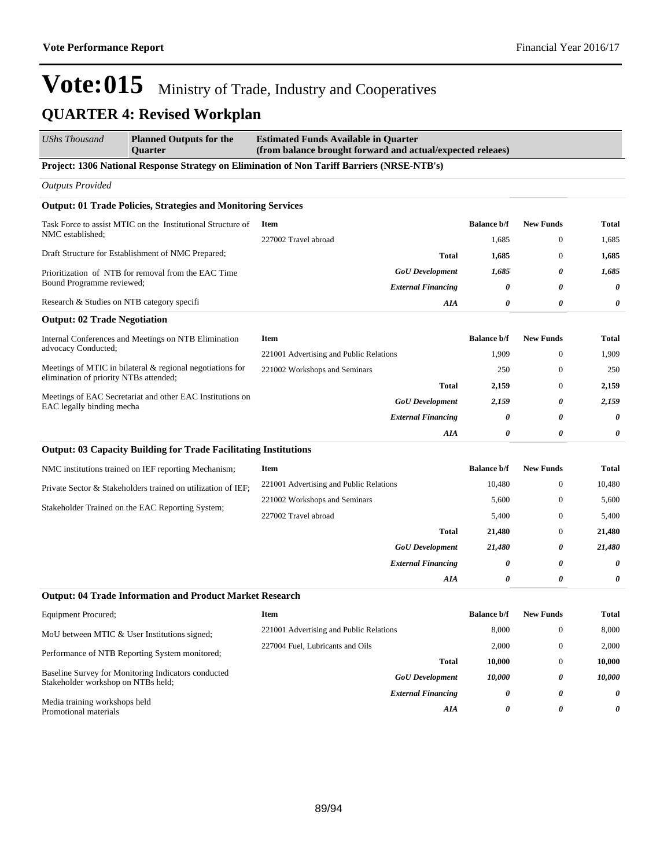*External Financing 0 0 0*

*AIA 0 0 0*

## Vote:015 Ministry of Trade, Industry and Cooperatives **QUARTER 4: Revised Workplan**

| <b>UShs Thousand</b>                                                                   | <b>Planned Outputs for the</b><br><b>Ouarter</b>                                                                                                                                                                                                                                                                                                                                                                                                                                                                                                                                                                                                                                                                                                                                                                                                                                                                                                             | <b>Estimated Funds Available in Quarter</b><br>(from balance brought forward and actual/expected releaes) |                       |                       |                       |
|----------------------------------------------------------------------------------------|--------------------------------------------------------------------------------------------------------------------------------------------------------------------------------------------------------------------------------------------------------------------------------------------------------------------------------------------------------------------------------------------------------------------------------------------------------------------------------------------------------------------------------------------------------------------------------------------------------------------------------------------------------------------------------------------------------------------------------------------------------------------------------------------------------------------------------------------------------------------------------------------------------------------------------------------------------------|-----------------------------------------------------------------------------------------------------------|-----------------------|-----------------------|-----------------------|
|                                                                                        |                                                                                                                                                                                                                                                                                                                                                                                                                                                                                                                                                                                                                                                                                                                                                                                                                                                                                                                                                              | Project: 1306 National Response Strategy on Elimination of Non Tariff Barriers (NRSE-NTB's)               |                       |                       |                       |
| <b>Outputs Provided</b>                                                                |                                                                                                                                                                                                                                                                                                                                                                                                                                                                                                                                                                                                                                                                                                                                                                                                                                                                                                                                                              |                                                                                                           |                       |                       |                       |
|                                                                                        |                                                                                                                                                                                                                                                                                                                                                                                                                                                                                                                                                                                                                                                                                                                                                                                                                                                                                                                                                              |                                                                                                           |                       |                       |                       |
|                                                                                        |                                                                                                                                                                                                                                                                                                                                                                                                                                                                                                                                                                                                                                                                                                                                                                                                                                                                                                                                                              | <b>Item</b>                                                                                               | <b>Balance b/f</b>    | <b>New Funds</b>      | Total                 |
| NMC established;                                                                       |                                                                                                                                                                                                                                                                                                                                                                                                                                                                                                                                                                                                                                                                                                                                                                                                                                                                                                                                                              | 227002 Travel abroad                                                                                      | 1.685                 | $\Omega$              | 1,685                 |
|                                                                                        |                                                                                                                                                                                                                                                                                                                                                                                                                                                                                                                                                                                                                                                                                                                                                                                                                                                                                                                                                              | <b>Total</b>                                                                                              | 1,685                 | $\boldsymbol{0}$      | 1,685                 |
|                                                                                        | <b>Output: 01 Trade Policies, Strategies and Monitoring Services</b><br>Task Force to assist MTIC on the Institutional Structure of<br>Draft Structure for Establishment of NMC Prepared;<br>Prioritization of NTB for removal from the EAC Time<br>Bound Programme reviewed;<br>Research & Studies on NTB category specifi<br><b>Output: 02 Trade Negotiation</b><br>Meetings of MTIC in bilateral & regional negotiations for<br>elimination of priority NTBs attended;<br><b>Output: 03 Capacity Building for Trade Facilitating Institutions</b><br>NMC institutions trained on IEF reporting Mechanism;<br>Private Sector & Stakeholders trained on utilization of IEF;<br>Stakeholder Trained on the EAC Reporting System;<br><b>Output: 04 Trade Information and Product Market Research</b><br>MoU between MTIC & User Institutions signed;<br>Performance of NTB Reporting System monitored;<br>Baseline Survey for Monitoring Indicators conducted | <b>GoU</b> Development                                                                                    | 1,685                 | 0                     | 1,685                 |
|                                                                                        |                                                                                                                                                                                                                                                                                                                                                                                                                                                                                                                                                                                                                                                                                                                                                                                                                                                                                                                                                              | <b>External Financing</b>                                                                                 | 0                     | $\boldsymbol{\theta}$ | $\pmb{\theta}$        |
|                                                                                        |                                                                                                                                                                                                                                                                                                                                                                                                                                                                                                                                                                                                                                                                                                                                                                                                                                                                                                                                                              | <b>AIA</b>                                                                                                | 0                     | 0                     | 0                     |
|                                                                                        |                                                                                                                                                                                                                                                                                                                                                                                                                                                                                                                                                                                                                                                                                                                                                                                                                                                                                                                                                              |                                                                                                           |                       |                       |                       |
| Internal Conferences and Meetings on NTB Elimination<br>advocacy Conducted;            |                                                                                                                                                                                                                                                                                                                                                                                                                                                                                                                                                                                                                                                                                                                                                                                                                                                                                                                                                              | <b>Item</b>                                                                                               | <b>Balance b/f</b>    | <b>New Funds</b>      | <b>Total</b>          |
|                                                                                        |                                                                                                                                                                                                                                                                                                                                                                                                                                                                                                                                                                                                                                                                                                                                                                                                                                                                                                                                                              | 221001 Advertising and Public Relations                                                                   | 1,909                 | $\mathbf{0}$          | 1,909                 |
|                                                                                        |                                                                                                                                                                                                                                                                                                                                                                                                                                                                                                                                                                                                                                                                                                                                                                                                                                                                                                                                                              | 221002 Workshops and Seminars                                                                             | 250                   | $\mathbf{0}$          | 250                   |
| Meetings of EAC Secretariat and other EAC Institutions on<br>EAC legally binding mecha |                                                                                                                                                                                                                                                                                                                                                                                                                                                                                                                                                                                                                                                                                                                                                                                                                                                                                                                                                              | <b>Total</b>                                                                                              | 2.159                 | $\mathbf{0}$          | 2,159                 |
|                                                                                        |                                                                                                                                                                                                                                                                                                                                                                                                                                                                                                                                                                                                                                                                                                                                                                                                                                                                                                                                                              | <b>GoU</b> Development                                                                                    | 2,159                 | 0                     | 2,159                 |
|                                                                                        | <b>External Financing</b>                                                                                                                                                                                                                                                                                                                                                                                                                                                                                                                                                                                                                                                                                                                                                                                                                                                                                                                                    | 0                                                                                                         | 0                     | $\pmb{\theta}$        |                       |
|                                                                                        |                                                                                                                                                                                                                                                                                                                                                                                                                                                                                                                                                                                                                                                                                                                                                                                                                                                                                                                                                              | AIA                                                                                                       | $\boldsymbol{\theta}$ | $\theta$              | $\boldsymbol{\theta}$ |
|                                                                                        |                                                                                                                                                                                                                                                                                                                                                                                                                                                                                                                                                                                                                                                                                                                                                                                                                                                                                                                                                              |                                                                                                           |                       |                       |                       |
|                                                                                        |                                                                                                                                                                                                                                                                                                                                                                                                                                                                                                                                                                                                                                                                                                                                                                                                                                                                                                                                                              | <b>Item</b>                                                                                               | <b>Balance b/f</b>    | <b>New Funds</b>      | <b>Total</b>          |
|                                                                                        |                                                                                                                                                                                                                                                                                                                                                                                                                                                                                                                                                                                                                                                                                                                                                                                                                                                                                                                                                              | 221001 Advertising and Public Relations                                                                   | 10,480                | $\boldsymbol{0}$      | 10,480                |
|                                                                                        |                                                                                                                                                                                                                                                                                                                                                                                                                                                                                                                                                                                                                                                                                                                                                                                                                                                                                                                                                              | 221002 Workshops and Seminars                                                                             | 5,600                 | $\mathbf{0}$          | 5,600                 |
|                                                                                        |                                                                                                                                                                                                                                                                                                                                                                                                                                                                                                                                                                                                                                                                                                                                                                                                                                                                                                                                                              | 227002 Travel abroad                                                                                      | 5,400                 | $\overline{0}$        | 5,400                 |
|                                                                                        |                                                                                                                                                                                                                                                                                                                                                                                                                                                                                                                                                                                                                                                                                                                                                                                                                                                                                                                                                              | <b>Total</b>                                                                                              | 21,480                | $\Omega$              | 21,480                |
|                                                                                        |                                                                                                                                                                                                                                                                                                                                                                                                                                                                                                                                                                                                                                                                                                                                                                                                                                                                                                                                                              | <b>GoU</b> Development                                                                                    | 21,480                | 0                     | 21,480                |
|                                                                                        |                                                                                                                                                                                                                                                                                                                                                                                                                                                                                                                                                                                                                                                                                                                                                                                                                                                                                                                                                              | <b>External Financing</b>                                                                                 | 0                     | 0                     | $\boldsymbol{\theta}$ |
|                                                                                        |                                                                                                                                                                                                                                                                                                                                                                                                                                                                                                                                                                                                                                                                                                                                                                                                                                                                                                                                                              | AIA                                                                                                       | 0                     | $\boldsymbol{\theta}$ | 0                     |
|                                                                                        |                                                                                                                                                                                                                                                                                                                                                                                                                                                                                                                                                                                                                                                                                                                                                                                                                                                                                                                                                              |                                                                                                           |                       |                       |                       |
| Equipment Procured;                                                                    |                                                                                                                                                                                                                                                                                                                                                                                                                                                                                                                                                                                                                                                                                                                                                                                                                                                                                                                                                              | <b>Item</b>                                                                                               | <b>Balance b/f</b>    | <b>New Funds</b>      | <b>Total</b>          |
|                                                                                        |                                                                                                                                                                                                                                                                                                                                                                                                                                                                                                                                                                                                                                                                                                                                                                                                                                                                                                                                                              | 221001 Advertising and Public Relations                                                                   | 8,000                 | $\boldsymbol{0}$      | 8,000                 |
|                                                                                        |                                                                                                                                                                                                                                                                                                                                                                                                                                                                                                                                                                                                                                                                                                                                                                                                                                                                                                                                                              | 227004 Fuel, Lubricants and Oils                                                                          | 2,000                 | $\mathbf{0}$          | 2,000                 |
|                                                                                        |                                                                                                                                                                                                                                                                                                                                                                                                                                                                                                                                                                                                                                                                                                                                                                                                                                                                                                                                                              | <b>Total</b>                                                                                              | 10,000                | $\mathbf{0}$          | 10,000                |
|                                                                                        |                                                                                                                                                                                                                                                                                                                                                                                                                                                                                                                                                                                                                                                                                                                                                                                                                                                                                                                                                              | <b>GoU</b> Development                                                                                    | 10.000                | f)                    | 10.000                |

Stakeholder workshop on NTBs held; Media training workshops held

Promotional materials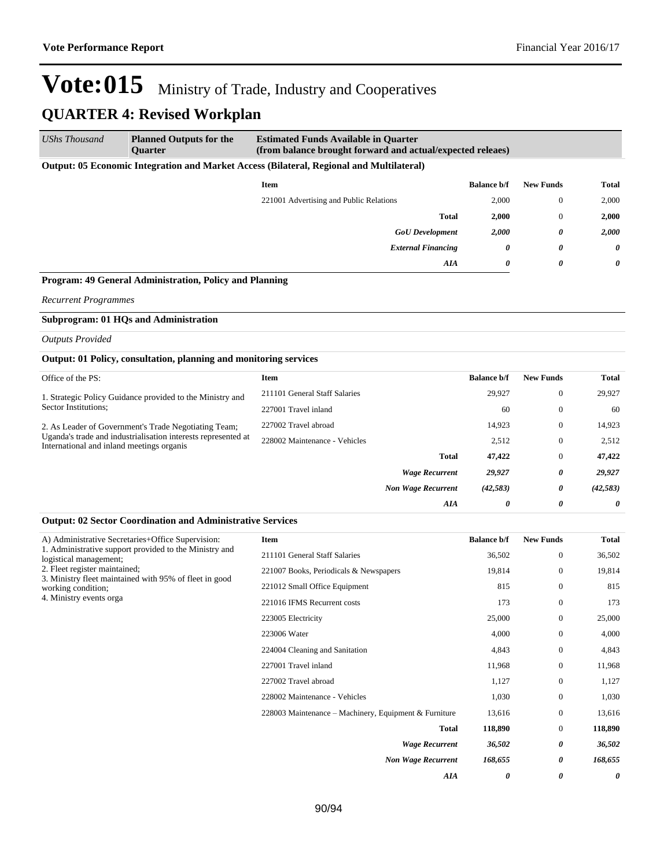*AIA 0 0 0*

# Vote:015 Ministry of Trade, Industry and Cooperatives

### **QUARTER 4: Revised Workplan**

| UShs Thousand | <b>Planned Outputs for the</b><br><b>Ouarter</b>                                                | <b>Estimated Funds Available in Quarter</b> | (from balance brought forward and actual/expected releaes) |                  |          |  |
|---------------|-------------------------------------------------------------------------------------------------|---------------------------------------------|------------------------------------------------------------|------------------|----------|--|
|               | <b>Output: 05 Economic Integration and Market Access (Bilateral, Regional and Multilateral)</b> |                                             |                                                            |                  |          |  |
|               |                                                                                                 | Item                                        | <b>Balance b/f</b>                                         | <b>New Funds</b> | Total    |  |
|               |                                                                                                 | 221001 Advertising and Public Relations     | 2,000                                                      | $\Omega$         | 2,000    |  |
|               |                                                                                                 | <b>Total</b>                                | 2,000                                                      | $\Omega$         | 2,000    |  |
|               |                                                                                                 | <b>GoU</b> Development                      | 2,000                                                      | 0                | 2,000    |  |
|               |                                                                                                 | <b>External Financing</b>                   | 0                                                          | $\theta$         | $\theta$ |  |

#### **Program: 49 General Administration, Policy and Planning**

*Recurrent Programmes*

#### **Subprogram: 01 HQs and Administration**

*Outputs Provided*

#### **Output: 01 Policy, consultation, planning and monitoring services**

|                                                                                                                                                                                                                                                                              | <b>Item</b>                   |                           | <b>Balance b/f</b> | <b>New Funds</b> | Total     |
|------------------------------------------------------------------------------------------------------------------------------------------------------------------------------------------------------------------------------------------------------------------------------|-------------------------------|---------------------------|--------------------|------------------|-----------|
| Office of the PS:<br>1. Strategic Policy Guidance provided to the Ministry and<br>Sector Institutions;<br>2. As Leader of Government's Trade Negotiating Team;<br>Uganda's trade and industrialisation interests represented at<br>International and inland meetings organis | 211101 General Staff Salaries |                           | 29.927             | $\overline{0}$   | 29,927    |
|                                                                                                                                                                                                                                                                              | 227001 Travel inland          |                           | 60                 | $\mathbf{0}$     | 60        |
|                                                                                                                                                                                                                                                                              | 227002 Travel abroad          |                           | 14.923             | $\theta$         | 14,923    |
|                                                                                                                                                                                                                                                                              | 228002 Maintenance - Vehicles |                           | 2,512              | $\mathbf{0}$     | 2,512     |
|                                                                                                                                                                                                                                                                              |                               | Total                     | 47,422             | $\overline{0}$   | 47,422    |
|                                                                                                                                                                                                                                                                              |                               | <b>Wage Recurrent</b>     | 29,927             | 0                | 29,927    |
|                                                                                                                                                                                                                                                                              |                               | <b>Non Wage Recurrent</b> | (42, 583)          | 0                | (42, 583) |
|                                                                                                                                                                                                                                                                              |                               | AIA                       | 0                  | 0                | 0         |

#### **Output: 02 Sector Coordination and Administrative Services**

|                                                                                                                                                                                                                                                                                   | Item                                                  | <b>Balance b/f</b> | <b>New Funds</b> | <b>Total</b> |
|-----------------------------------------------------------------------------------------------------------------------------------------------------------------------------------------------------------------------------------------------------------------------------------|-------------------------------------------------------|--------------------|------------------|--------------|
|                                                                                                                                                                                                                                                                                   | 211101 General Staff Salaries                         | 36,502             | $\boldsymbol{0}$ | 36,502       |
|                                                                                                                                                                                                                                                                                   | 221007 Books, Periodicals & Newspapers                | 19,814             | $\mathbf{0}$     | 19,814       |
| A) Administrative Secretaries+Office Supervision:<br>1. Administrative support provided to the Ministry and<br>logistical management;<br>2. Fleet register maintained;<br>3. Ministry fleet maintained with 95% of fleet in good<br>working condition;<br>4. Ministry events orga | 221012 Small Office Equipment                         | 815                | $\boldsymbol{0}$ | 815          |
|                                                                                                                                                                                                                                                                                   | 221016 IFMS Recurrent costs                           | 173                | $\mathbf{0}$     | 173          |
|                                                                                                                                                                                                                                                                                   | 223005 Electricity                                    | 25,000             | $\boldsymbol{0}$ | 25,000       |
|                                                                                                                                                                                                                                                                                   | 223006 Water                                          | 4,000              | $\boldsymbol{0}$ | 4,000        |
|                                                                                                                                                                                                                                                                                   | 224004 Cleaning and Sanitation                        | 4,843              | $\boldsymbol{0}$ | 4,843        |
|                                                                                                                                                                                                                                                                                   | 227001 Travel inland                                  | 11,968             | $\mathbf{0}$     | 11,968       |
|                                                                                                                                                                                                                                                                                   | 227002 Travel abroad                                  | 1,127              | $\boldsymbol{0}$ | 1,127        |
|                                                                                                                                                                                                                                                                                   | 228002 Maintenance - Vehicles                         | 1,030              | $\mathbf{0}$     | 1,030        |
|                                                                                                                                                                                                                                                                                   | 228003 Maintenance – Machinery, Equipment & Furniture | 13,616             | $\boldsymbol{0}$ | 13,616       |
|                                                                                                                                                                                                                                                                                   | <b>Total</b>                                          | 118,890            | $\boldsymbol{0}$ | 118,890      |
|                                                                                                                                                                                                                                                                                   | <b>Wage Recurrent</b>                                 | 36,502             | 0                | 36,502       |
|                                                                                                                                                                                                                                                                                   | <b>Non Wage Recurrent</b>                             | 168,655            | 0                | 168,655      |
|                                                                                                                                                                                                                                                                                   |                                                       |                    |                  |              |

*AIA 0 0 0*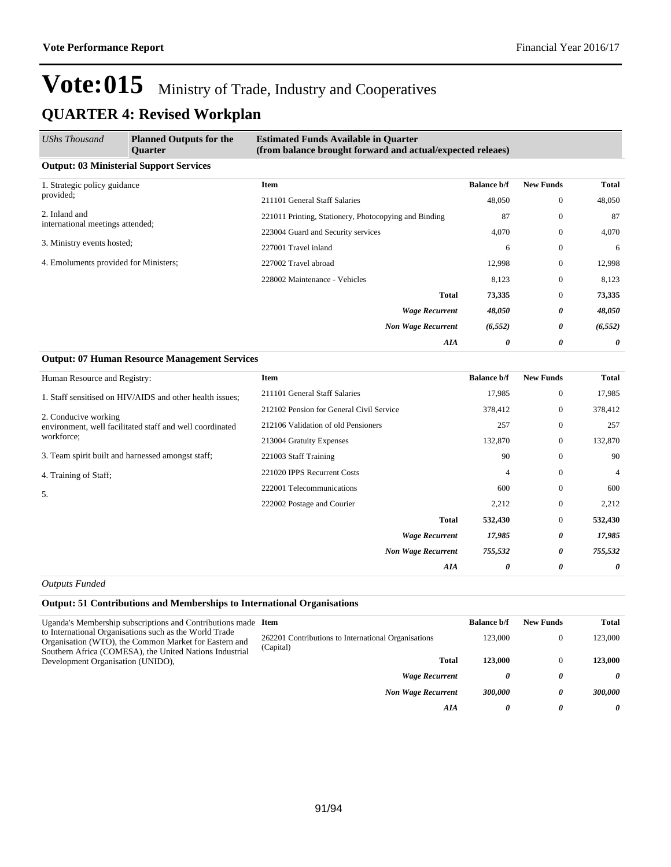**Itema Balance b/f New Funds Total** 

## Vote:015 Ministry of Trade, Industry and Cooperatives **QUARTER 4: Revised Workplan**

| UShs Thousand                                     | <b>Planned Outputs for the</b><br><b>Ouarter</b> | <b>Estimated Funds Available in Quarter</b><br>(from balance brought forward and actual/expected releaes) |                    |                  |              |  |
|---------------------------------------------------|--------------------------------------------------|-----------------------------------------------------------------------------------------------------------|--------------------|------------------|--------------|--|
|                                                   | <b>Output: 03 Ministerial Support Services</b>   |                                                                                                           |                    |                  |              |  |
| 1. Strategic policy guidance<br>provided;         |                                                  | <b>Item</b>                                                                                               | <b>Balance b/f</b> | <b>New Funds</b> | <b>Total</b> |  |
|                                                   |                                                  | 211101 General Staff Salaries                                                                             | 48,050             | $\overline{0}$   | 48,050       |  |
| 2. Inland and<br>international meetings attended; |                                                  | 221011 Printing, Stationery, Photocopying and Binding                                                     | 87                 | $\overline{0}$   | 87           |  |
|                                                   |                                                  | 223004 Guard and Security services                                                                        | 4,070              | $\overline{0}$   | 4,070        |  |
| 3. Ministry events hosted;                        |                                                  | 227001 Travel inland                                                                                      | 6                  | $\mathbf{0}$     | 6            |  |
| 4. Emoluments provided for Ministers;             |                                                  | 227002 Travel abroad                                                                                      | 12,998             | $\overline{0}$   | 12,998       |  |
|                                                   |                                                  | 228002 Maintenance - Vehicles                                                                             | 8,123              | $\overline{0}$   | 8,123        |  |
|                                                   |                                                  | <b>Total</b>                                                                                              | 73,335             | $\overline{0}$   | 73,335       |  |
|                                                   |                                                  | <b>Wage Recurrent</b>                                                                                     | 48,050             | 0                | 48,050       |  |
|                                                   |                                                  | <b>Non Wage Recurrent</b>                                                                                 | (6, 552)           | 0                | (6, 552)     |  |
|                                                   |                                                  | AIA                                                                                                       | 0                  | 0                | 0            |  |

| Human Resource and Registry:                             | <b>Item</b>                   |
|----------------------------------------------------------|-------------------------------|
| 1. Staff sensitised on HIV/AIDS and other health issues; | 211101 General Staff Salaries |

**Output: 07 Human Resource Management Services**

| 1. Staff sensitised on HIV/AIDS and other health issues;                         | 211101 General Staff Salaries            | 17,985         | $\mathbf{0}$   | 17,985         |
|----------------------------------------------------------------------------------|------------------------------------------|----------------|----------------|----------------|
|                                                                                  | 212102 Pension for General Civil Service | 378,412        | $\mathbf{0}$   | 378,412        |
| 2. Conducive working<br>environment, well facilitated staff and well coordinated | 212106 Validation of old Pensioners      | 257            | $\mathbf{0}$   | 257            |
| workforce;                                                                       | 213004 Gratuity Expenses                 | 132,870        | $\overline{0}$ | 132,870        |
| 3. Team spirit built and harnessed amongst staff;                                | 221003 Staff Training                    | 90             | $\mathbf{0}$   | 90             |
| 4. Training of Staff;                                                            | 221020 IPPS Recurrent Costs              | $\overline{4}$ | $\mathbf{0}$   | $\overline{4}$ |
| 5.                                                                               | 222001 Telecommunications                | 600            | $\mathbf{0}$   | 600            |
|                                                                                  | 222002 Postage and Courier               | 2,212          | $\mathbf{0}$   | 2,212          |
|                                                                                  | <b>Total</b>                             | 532,430        | $\mathbf{0}$   | 532,430        |
|                                                                                  | <b>Wage Recurrent</b>                    | 17,985         | 0              | 17,985         |
|                                                                                  | <b>Non Wage Recurrent</b>                | 755,532        | 0              | 755,532        |
|                                                                                  | AIA                                      | 0              | 0              | 0              |

*Outputs Funded*

#### **Output: 51 Contributions and Memberships to International Organisations**

| Uganda's Membership subscriptions and Contributions made Item<br>to International Organisations such as the World Trade<br>Organisation (WTO), the Common Market for Eastern and<br>Southern Africa (COMESA), the United Nations Industrial<br>Development Organisation (UNIDO), |                                                                  | <b>Balance b/f</b> | <b>New Funds</b> | Total          |
|----------------------------------------------------------------------------------------------------------------------------------------------------------------------------------------------------------------------------------------------------------------------------------|------------------------------------------------------------------|--------------------|------------------|----------------|
|                                                                                                                                                                                                                                                                                  | 262201 Contributions to International Organisations<br>(Capital) | 123,000            |                  | 123,000        |
|                                                                                                                                                                                                                                                                                  | <b>Total</b>                                                     | 123,000            |                  | 123.000        |
|                                                                                                                                                                                                                                                                                  | <b>Wage Recurrent</b>                                            | 0                  | 0                | 0              |
|                                                                                                                                                                                                                                                                                  | <b>Non Wage Recurrent</b>                                        | 300,000            | $\theta$         | <b>300,000</b> |
|                                                                                                                                                                                                                                                                                  | AIA                                                              | 0                  | 0                | 0              |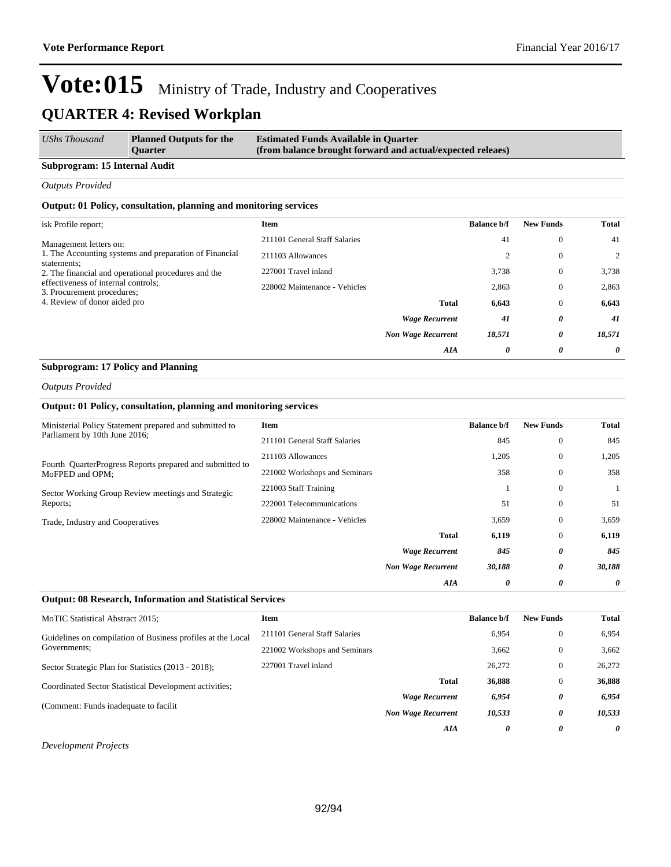| <b>UShs Thousand</b> | <b>Planned Outputs for the</b> | <b>Estimated Funds Available in Quarter</b>                |
|----------------------|--------------------------------|------------------------------------------------------------|
|                      | <b>Ouarter</b>                 | (from balance brought forward and actual/expected releaes) |

#### **Subprogram: 15 Internal Audit**

*Outputs Provided*

#### **Output: 01 Policy, consultation, planning and monitoring services**

| <b>Item</b><br>isk Profile report;                                                                 |                           | <b>Balance b/f</b> | <b>New Funds</b> | <b>Total</b> |
|----------------------------------------------------------------------------------------------------|---------------------------|--------------------|------------------|--------------|
| 211101 General Staff Salaries<br>Management letters on:                                            |                           | 41                 | $\mathbf{0}$     | 41           |
| 1. The Accounting systems and preparation of Financial<br>211103 Allowances<br>statements;         |                           | 2                  | $\mathbf{0}$     | 2            |
| 227001 Travel inland<br>2. The financial and operational procedures and the                        |                           | 3,738              | $\mathbf{0}$     | 3,738        |
| effectiveness of internal controls;<br>228002 Maintenance - Vehicles<br>3. Procurement procedures; |                           | 2,863              | $\mathbf{0}$     | 2,863        |
| 4. Review of donor aided pro                                                                       | <b>Total</b>              | 6,643              | $\mathbf{0}$     | 6,643        |
|                                                                                                    | <b>Wage Recurrent</b>     | 41                 | 0                | 41           |
|                                                                                                    | <b>Non Wage Recurrent</b> | 18,571             | 0                | 18,571       |
|                                                                                                    | AIA                       | 0                  | 0                | 0            |

#### **Subprogram: 17 Policy and Planning**

#### *Outputs Provided*

#### **Output: 01 Policy, consultation, planning and monitoring services**

| Ministerial Policy Statement prepared and submitted to                      | Item                          |                           | <b>Balance b/f</b> | <b>New Funds</b> | Total  |
|-----------------------------------------------------------------------------|-------------------------------|---------------------------|--------------------|------------------|--------|
| Parliament by 10th June 2016;                                               | 211101 General Staff Salaries |                           | 845                | $\mathbf{0}$     | 845    |
|                                                                             | 211103 Allowances             |                           | 1,205              | $\mathbf{0}$     | 1,205  |
| Fourth QuarterProgress Reports prepared and submitted to<br>MoFPED and OPM; | 221002 Workshops and Seminars |                           | 358                | $\mathbf{0}$     | 358    |
| Sector Working Group Review meetings and Strategic<br>Reports;              | 221003 Staff Training         |                           |                    | $\mathbf{0}$     |        |
|                                                                             | 222001 Telecommunications     |                           | 51                 | $\mathbf{0}$     | 51     |
| Trade, Industry and Cooperatives                                            | 228002 Maintenance - Vehicles |                           | 3,659              | $\mathbf{0}$     | 3,659  |
|                                                                             |                               | Total                     | 6,119              | $\mathbf{0}$     | 6,119  |
|                                                                             |                               | <b>Wage Recurrent</b>     | 845                | 0                | 845    |
|                                                                             |                               | <b>Non Wage Recurrent</b> | 30,188             | 0                | 30,188 |
|                                                                             |                               | AIA                       | 0                  | 0                | 0      |

#### **Output: 08 Research, Information and Statistical Services**

| MoTIC Statistical Abstract 2015;                                                                                                                                                             | Item                          |                           | <b>Balance b/f</b> | <b>New Funds</b> | <b>Total</b> |
|----------------------------------------------------------------------------------------------------------------------------------------------------------------------------------------------|-------------------------------|---------------------------|--------------------|------------------|--------------|
| Guidelines on compilation of Business profiles at the Local<br>Governments:<br>Sector Strategic Plan for Statistics (2013 - 2018);<br>Coordinated Sector Statistical Development activities; | 211101 General Staff Salaries |                           | 6,954              | $\theta$         | 6,954        |
|                                                                                                                                                                                              | 221002 Workshops and Seminars |                           | 3,662              | $\theta$         | 3.662        |
|                                                                                                                                                                                              | 227001 Travel inland          |                           | 26,272             | $\theta$         | 26,272       |
|                                                                                                                                                                                              |                               | <b>Total</b>              | 36,888             | $\theta$         | 36,888       |
|                                                                                                                                                                                              |                               | <b>Wage Recurrent</b>     | 6,954              | 0                | 6,954        |
| (Comment: Funds inadequate to facilit)                                                                                                                                                       |                               | <b>Non Wage Recurrent</b> | 10,533             | 0                | 10,533       |
|                                                                                                                                                                                              |                               | AIA                       | 0                  | 0                | 0            |

#### *Development Projects*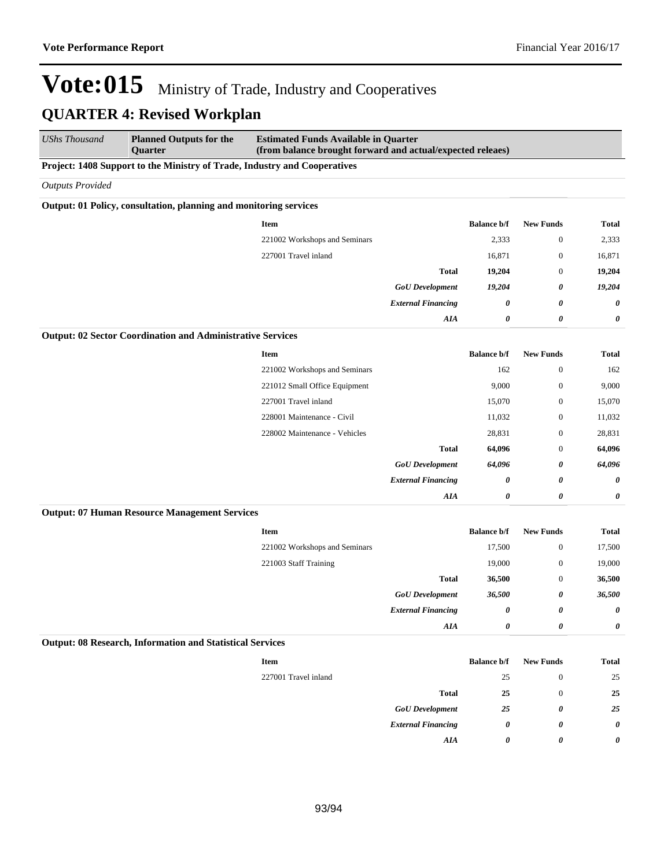| <b>UShs Thousand</b>    | <b>Planned Outputs for the</b><br>Quarter                                 | <b>Estimated Funds Available in Quarter</b><br>(from balance brought forward and actual/expected releaes) |                           |                    |                       |              |  |  |
|-------------------------|---------------------------------------------------------------------------|-----------------------------------------------------------------------------------------------------------|---------------------------|--------------------|-----------------------|--------------|--|--|
|                         | Project: 1408 Support to the Ministry of Trade, Industry and Cooperatives |                                                                                                           |                           |                    |                       |              |  |  |
| <b>Outputs Provided</b> |                                                                           |                                                                                                           |                           |                    |                       |              |  |  |
|                         | Output: 01 Policy, consultation, planning and monitoring services         |                                                                                                           |                           |                    |                       |              |  |  |
|                         |                                                                           | <b>Item</b>                                                                                               |                           | <b>Balance b/f</b> | <b>New Funds</b>      | <b>Total</b> |  |  |
|                         |                                                                           | 221002 Workshops and Seminars                                                                             |                           | 2,333              | $\boldsymbol{0}$      | 2,333        |  |  |
|                         |                                                                           | 227001 Travel inland                                                                                      |                           | 16,871             | $\boldsymbol{0}$      | 16,871       |  |  |
|                         |                                                                           |                                                                                                           | <b>Total</b>              | 19,204             | $\boldsymbol{0}$      | 19,204       |  |  |
|                         |                                                                           |                                                                                                           | <b>GoU</b> Development    | 19,204             | 0                     | 19,204       |  |  |
|                         |                                                                           |                                                                                                           | <b>External Financing</b> | 0                  | 0                     | 0            |  |  |
|                         |                                                                           |                                                                                                           | AIA                       | 0                  | $\boldsymbol{\theta}$ | 0            |  |  |
|                         | <b>Output: 02 Sector Coordination and Administrative Services</b>         |                                                                                                           |                           |                    |                       |              |  |  |
|                         |                                                                           | <b>Item</b>                                                                                               |                           | <b>Balance b/f</b> | <b>New Funds</b>      | <b>Total</b> |  |  |
|                         |                                                                           | 221002 Workshops and Seminars                                                                             |                           | 162                | $\boldsymbol{0}$      | 162          |  |  |
|                         |                                                                           | 221012 Small Office Equipment                                                                             |                           | 9,000              | $\boldsymbol{0}$      | 9,000        |  |  |
|                         |                                                                           | 227001 Travel inland                                                                                      |                           | 15,070             | $\boldsymbol{0}$      | 15,070       |  |  |
|                         |                                                                           | 228001 Maintenance - Civil                                                                                |                           | 11,032             | $\boldsymbol{0}$      | 11,032       |  |  |
|                         |                                                                           | 228002 Maintenance - Vehicles                                                                             |                           | 28,831             | $\boldsymbol{0}$      | 28,831       |  |  |
|                         |                                                                           |                                                                                                           | <b>Total</b>              | 64,096             | $\mathbf{0}$          | 64,096       |  |  |
|                         |                                                                           |                                                                                                           | <b>GoU</b> Development    | 64,096             | 0                     | 64,096       |  |  |
|                         |                                                                           |                                                                                                           | <b>External Financing</b> | 0                  | 0                     | 0            |  |  |
|                         |                                                                           |                                                                                                           | <b>AIA</b>                | 0                  | $\boldsymbol{\theta}$ | 0            |  |  |
|                         | <b>Output: 07 Human Resource Management Services</b>                      |                                                                                                           |                           |                    |                       |              |  |  |
|                         |                                                                           | Item                                                                                                      |                           | <b>Balance b/f</b> | <b>New Funds</b>      | <b>Total</b> |  |  |
|                         |                                                                           | 221002 Workshops and Seminars                                                                             |                           | 17,500             | $\boldsymbol{0}$      | 17,500       |  |  |
|                         |                                                                           | 221003 Staff Training                                                                                     |                           | 19,000             | $\boldsymbol{0}$      | 19,000       |  |  |
|                         |                                                                           |                                                                                                           | <b>Total</b>              | 36,500             | $\boldsymbol{0}$      | 36,500       |  |  |
|                         |                                                                           |                                                                                                           | <b>GoU</b> Development    | 36,500             | 0                     | 36,500       |  |  |
|                         |                                                                           |                                                                                                           | <b>External Financing</b> | 0                  | 0                     | 0            |  |  |
|                         |                                                                           |                                                                                                           | AIA                       | 0                  | 0                     | 0            |  |  |
|                         | <b>Output: 08 Research, Information and Statistical Services</b>          |                                                                                                           |                           |                    |                       |              |  |  |
|                         |                                                                           | Item                                                                                                      |                           | <b>Balance b/f</b> | <b>New Funds</b>      | Total        |  |  |
|                         |                                                                           | 227001 Travel inland                                                                                      |                           | 25                 | $\boldsymbol{0}$      | 25           |  |  |
|                         |                                                                           |                                                                                                           | <b>Total</b>              | 25                 | $\boldsymbol{0}$      | 25           |  |  |
|                         |                                                                           |                                                                                                           | <b>GoU</b> Development    | 25                 | 0                     | 25           |  |  |

*External Financing 0 0 0*

*AIA 0 0 0*